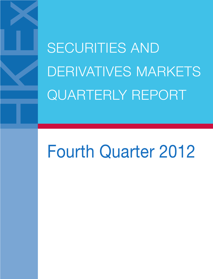SECURITIES AND DERIVATIVES MARKETS QUARTERLY REPORT

# Fourth Quarter 2012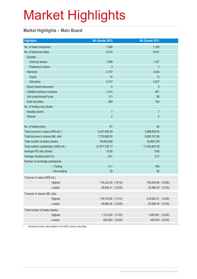#### **Market Highlights – Main Board**

| <b>Highlights</b>                       |               | 4th Quarter 2012   | 4th Quarter 2011   |  |
|-----------------------------------------|---------------|--------------------|--------------------|--|
| No. of listed companies                 |               | 1,368              | 1,326              |  |
| No. of listed securities                |               | 6,723              | 6,551              |  |
| <b>Equities</b>                         |               |                    |                    |  |
| Ordinary shares                         |               | 1,369              | 1,327              |  |
| Preference shares                       |               | 3                  | 3                  |  |
| Warrants                                |               | 3,757              | 4,040              |  |
| Equity                                  |               | 10                 | 13                 |  |
| Derivative                              |               | 3,747              | 4,027              |  |
| Equity linked instrument                |               | $\theta$           | $\theta$           |  |
| Callable bull/bear contracts            |               | 1,214              | 901                |  |
| Unit trusts/mutual funds                |               | 111                | 88                 |  |
| Debt securities                         |               | 269                | 192                |  |
| No. of trading only stocks              |               |                    |                    |  |
| Nasdaq stocks                           |               | $\overline{7}$     | $\overline{7}$     |  |
| <b>iShares</b>                          |               | $\overline{2}$     | $\overline{2}$     |  |
|                                         |               |                    |                    |  |
| No. of trading days                     |               | 61                 | 62                 |  |
| Total turnover in value (HK\$ mil.) *   |               | 3,407,506.39       | 3,668,692.89       |  |
| Total turnover in shares (Mil. shs)     |               | 7,733,882.50       | 9,965,747.96       |  |
| Total number of trades (deals)          |               | 48,843,582         | 52,904,378         |  |
| Total market capitalisation (HK\$ mil.) |               | 21,871,730.17      | 17,452,667.08      |  |
| Average P/E ratio (times)               |               | 10.50              | 9.68               |  |
| Average dividend yield (%)              |               | 2.81               | 3.31               |  |
| Number of exchange participants         |               |                    |                    |  |
|                                         | $-$ Trading   | 511                | 498                |  |
|                                         | - Non-trading | 39                 | 36                 |  |
| Turnover in value (HK\$ mil.)           |               |                    |                    |  |
| Highest                                 |               | 118,223.29 (12/18) | 109,458.86 (10/28) |  |
| Lowest                                  |               | 39,634.41 (12/28)  | 24,466.29 (12/30)  |  |
| Turnover in shares (Mil. shs)           |               |                    |                    |  |
| Highest                                 |               | 176,378.56 (11/13) | 216,852.31 (12/09) |  |
| Lowest                                  |               | 48,880.06 (12/28)  | 53,568.49 (12/30)  |  |
| Total number of trades (deals)          |               |                    |                    |  |
| Highest                                 |               | 1,123,254 (11/30)  | 1,490,991 (10/28)  |  |
| Lowest                                  |               | 642,083 (10/30)    | 400,819 (12/30)    |  |
|                                         |               |                    |                    |  |

\* Included turnover value traded in non-HKD currency securities.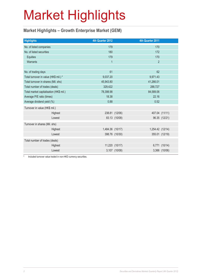#### **Market Highlights – Growth Enterprise Market (GEM)**

| <b>Highlights</b>                       |  | 4th Quarter 2012 |                | 4th Quarter 2011 |                |
|-----------------------------------------|--|------------------|----------------|------------------|----------------|
| No. of listed companies                 |  | 179              |                | 170              |                |
| No. of listed securities                |  | 180              |                | 172              |                |
| Equities                                |  | 179              |                | 170              |                |
| Warrants                                |  | $\overline{1}$   |                | $\overline{2}$   |                |
|                                         |  |                  |                |                  |                |
| No. of trading days                     |  | 61               |                | 62               |                |
| Total turnover in value (HK\$ mil.) *   |  | 9,037.20         |                | 9,971.43         |                |
| Total turnover in shares (Mil. shs)     |  | 45,943.80        |                | 41,266.01        |                |
| Total number of trades (deals)          |  | 329,422          |                | 288,727          |                |
| Total market capitalisation (HK\$ mil.) |  | 78,398.98        |                | 84,589.06        |                |
| Average P/E ratio (times)               |  | 18.38            |                | 22.16            |                |
| Average dividend yield (%)              |  | 0.88             |                | 0.52             |                |
| Turnover in value (HK\$ mil.)           |  |                  |                |                  |                |
| Highest                                 |  |                  | 238.81 (12/06) |                  | 407.04 (11/11) |
| Lowest                                  |  |                  | 83.13 (10/08)  |                  | 96.35 (12/21)  |
| Turnover in shares (Mil. shs)           |  |                  |                |                  |                |
| Highest                                 |  | 1,484.36 (10/17) |                | 1,254.42 (12/14) |                |
| Lowest                                  |  |                  | 398.76 (10/30) |                  | 355.01 (12/19) |
| Total number of trades (deals)          |  |                  |                |                  |                |
| Highest                                 |  |                  | 11,220 (10/17) | 6,771            | (10/14)        |
| Lowest                                  |  |                  | 3,107 (10/08)  |                  | 3,366 (10/06)  |

\* Included turnover value traded in non-HKD currency securities.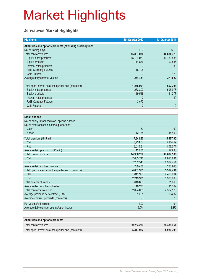#### **Derivatives Market Highlights**

| <b>Highlights</b>                                          | 4th Quarter 2012 | 4th Quarter 2011 |
|------------------------------------------------------------|------------------|------------------|
| All futures and options products (excluding stock options) |                  |                  |
| No. of trading days                                        | 60.0             | 62.0             |
| Total contract volume                                      | 15,867,030       | 16,834,379       |
| Equity index products                                      | 15,734,039       | 16,733,584       |
| <b>Equity products</b>                                     | 114,886          | 100,586          |
| Interest rates products                                    | $\mathbf{0}$     | 89               |
| <b>RMB Currency Futures</b>                                | 18,105           |                  |
| <b>Gold Futures</b>                                        | $\Omega$         | 120              |
| Average daily contract volume                              | 264,451          | 271,522          |
|                                                            |                  |                  |
| Total open interest as at the quarter end (contracts)      | 1,285,991        | 607,304          |
| Equity index products                                      | 1,262,802        | 595,978          |
| <b>Equity products</b>                                     | 19,516           | 11,277           |
| Interest rates products                                    | 0                | 49               |
| <b>RMB Currency Futures</b>                                | 3,673            |                  |
| <b>Gold Futures</b>                                        | 0                | $\mathbf{0}$     |
|                                                            |                  |                  |
| <b>Stock options</b>                                       |                  |                  |
| No. of newly introduced stock options classes              | $\mathbf{0}$     | 3                |
| No. of stock options as at the quarter end                 |                  |                  |
| <b>Class</b>                                               | 63               | 60               |
| <b>Series</b>                                              | 12,788           | 15,450           |
| Total premium (HK\$ mil.)                                  | 7,341.35         | 16,977.30        |
| Call                                                       | 3,724.54         | 5,904.59         |
| Put                                                        | 3,616.81         | 11,072.71        |
| Average daily premium (HK\$ mil.)                          | 122.36           | 273.83           |
| Total contract volume                                      | 14,366,259       | 17,604,585       |
| Call                                                       | 7,083,716        | 8,621,831        |
| Put                                                        | 7,282,543        | 8,982,754        |
| Average daily contract volume                              | 239,438          | 283,945          |
| Total open interest as at the quarter end (contracts)      | 4,031,961        | 5,329,494        |
| Call                                                       | 1,811,990        | 2,420,694        |
| Put                                                        | 2,219,971        | 2,908,800        |
| Total number of trades                                     | 616,666          | 701,060          |
| Average daily number of trades                             | 10,278           | 11,307           |
| Total contracts exercised                                  | 2,094,088        | 2,327,126        |
| Average premium per contract (HK\$)                        | 511.01           | 964.37           |
| Average contract per trade (contracts)                     | 23               | 25               |
| Put volume/call volume                                     | 1.03             | 1.04             |
| Average daily contract volume/open interest                | 5.9%             | 5.3%             |
|                                                            |                  |                  |
| All futures and options products                           |                  |                  |
| Total contract volume                                      | 30,233,289       | 34,438,964       |

Total open interest as at the quarter end (contracts) **5,317,952** 5,317,952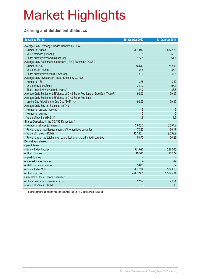#### **Clearing and Settlement Statistics**

| <b>Securities Market</b>                                                        | 4th Quarter 2012 | 4th Quarter 2011 |
|---------------------------------------------------------------------------------|------------------|------------------|
| Average Daily Exchange Trades Handled by CCASS                                  |                  |                  |
| - Number of trades                                                              | 804,910          | 857,422          |
| - Value of trades (HK\$bil.)                                                    | 55.8             | 59.3             |
| - Share quantity Involved (bil shares)                                          | 127.5            | 161.4            |
| Average Daily Settlement Instructions ("SIs") Settled by CCASS                  |                  |                  |
| - Number of SIs                                                                 | 76,640           | 76,802           |
| - Value of SIs (HK\$bil.)                                                       | 198.5            | 186.4            |
| - Share quantity involved (bil. Shares)                                         | 50.6             | 44.4             |
| Average Daily Investor SIs ("ISIs") Settled by CCASS                            |                  |                  |
| - Number of ISIs                                                                | 378              | 342              |
| - Value of ISIs (HK\$mil.)                                                      | 213.7            | 97.1             |
| - Share quantity involved (mil. shares)                                         | 114.7            | 83.8             |
| Average Daily Settlement Efficiency of CNS Stock Positions on Due Day (T+2) (%) | 99.90            | 99.89            |
| Average Daily Settlement Efficiency of CNS Stock Positions                      |                  |                  |
| on the Day following the Due Day $(T+3)$ (%)                                    | 99.99            | 99.99            |
| Average Daily Buy-ins Executed on T+3                                           |                  |                  |
| - Number of brokers involved                                                    | 5                | 5                |
| - Number of buy-ins                                                             | 5                | 5                |
| - Value of buy-ins (HK\$mil)                                                    | 1.5              | 1.5              |
| Shares Deposited in the CCASS Depository *                                      |                  |                  |
| - Number of shares (bil shares)                                                 | 3,663.7          | 3,694.2          |
| - Percentage of total issued shares of the admitted securities                  | 70.30            | 70.17            |
| - Value of shares (HK\$bil)                                                     | 12,330.1         | 9,599.9          |
| - Percentage of the total market capitalisation of the admitted securities      | 51.73            | 50.23            |
| <b>Derivatives Market</b>                                                       |                  |                  |
| Open Interest                                                                   |                  |                  |
| - Equity Index Futures                                                          | 381,023          | 238,065          |
| - Stock Futures                                                                 | 19,516           | 11,277           |
| - Gold Futures                                                                  |                  |                  |
| - Interest Rates Futures                                                        |                  | 49               |
| - RMB Currency Futures                                                          | 3,673            |                  |
| - Equity Index Options                                                          | 881,779          | 357,913          |
| - Stock Options                                                                 | 4,031,961        | 5,329,494        |
| <b>Cumulative Stock Options Exercised</b>                                       |                  |                  |
| - Share quantity involved (mil. shs)                                            | 2,224            | 2,254            |
| - Value of shares (HK\$bil.)                                                    | 33               | 36               |

Share quantity and market value of securities in non-HKD currency are included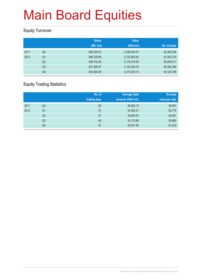#### **Equity Turnover**

|      |                | <b>Share</b><br>(Mil. shs) | <b>Value</b><br>(HK\$ mil.) | No. of deals |
|------|----------------|----------------------------|-----------------------------|--------------|
| 2011 | Q4             | 568,209.23                 | 2,399,034.07                | 42,392,538   |
| 2012 | Q <sub>1</sub> | 586,720.90                 | 2,723,802.82                | 43,393,219   |
|      | Q <sub>2</sub> | 409,732.26                 | 2,175,416.95                | 36,208,311   |
|      | Q <sub>3</sub> | 437,269.47                 | 2,123,255.03                | 35,393,350   |
|      | Q4             | 524,830.38                 | 2,473,053.10                | 40,125,188   |

#### **Equity Trading Statistics**

|      |                | No. of<br>trading days | <b>Average daily</b><br>turnover (HK\$ mil.) | Average<br>value per deal |
|------|----------------|------------------------|----------------------------------------------|---------------------------|
| 2011 | Q4             | 62                     | 38,694.10                                    | 56,591                    |
| 2012 | Q <sub>1</sub> | 61                     | 44,652.51                                    | 62,770                    |
|      | Q <sub>2</sub> | 61                     | 35,662.57                                    | 60,081                    |
|      | Q <sub>3</sub> | 64                     | 33,175.86                                    | 59,990                    |
|      | Q4             | 61                     | 40,541.85                                    | 61,633                    |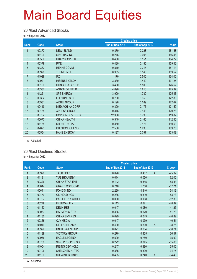#### **20 Most Advanced Stocks**

for 4th quarter 2012

|                |       |                        | <b>Closing price</b> |                 |        |
|----------------|-------|------------------------|----------------------|-----------------|--------|
| Rank           | Code  | <b>Stock</b>           | End of Dec 2012      | End of Sep 2012 | $%$ up |
|                | 00377 | <b>NEW ISLAND</b>      | 0.870                | 0.228           | 281.58 |
| $\overline{2}$ | 01106 | <b>SINO HAIJING</b>    | 0.275                | 0.096           | 186.46 |
| 3              | 00559 | <b>HUA YI COPPER</b>   | 0.430                | 0.151           | 184.77 |
| $\overline{4}$ | 00379 | <b>PME</b>             | 0.480                | 0.185           | 159.46 |
| 5              | 01387 | <b>RENHE COMM</b>      | 0.810                | 0.315           | 157.14 |
| $6\phantom{a}$ | 00990 | THEME INT'L            | 0.355                | 0.140           | 153.57 |
| $\overline{7}$ | 01029 | <b>IRC</b>             | 1.170                | 0.500           | 134.00 |
| 8              | 00921 | <b>HISENSE KELON</b>   | 3.330                | 1.440           | 131.25 |
| 9              | 00196 | <b>HONGHUA GROUP</b>   | 3.400                | 1.500           | 126.67 |
| 10             | 03337 | <b>ANTON OILFIELD</b>  | 4.090                | 1.810           | 125.97 |
| 11             | 01251 | <b>SPT ENERGY</b>      | 3.900                | 1.730           | 125.43 |
| 12             | 00352 | <b>FORTUNE SUN</b>     | 0.780                | 0.350           | 122.86 |
| 13             | 00931 | <b>ARTEL GROUP</b>     | 0.198                | 0.089           | 122.47 |
| 14             | 00419 | <b>MEDIACHINA CORP</b> | 0.390                | 0.176           | 121.59 |
| 15             | 00185 | <b>XPRESS GROUP</b>    | 0.315                | 0.143           | 120.28 |
| 16             | 00754 | <b>HOPSON DEV HOLD</b> | 12.380               | 5.790           | 113.82 |
| 17             | 00673 | <b>CHINA HEALTH</b>    | 0.340                | 0.160           | 112.50 |
| 18             | 01165 | SHUNFENG PV            | 0.360                | 0.171           | 110.53 |
| 19             | 02623 | <b>CH ZHONGSHENG</b>   | 2.500                | 1.230           | 103.25 |
| 20             | 00554 | <b>HANS ENERGY</b>     | 0.197                | 0.097           | 103.09 |

A Adjusted

#### **20 Most Declined Stocks**

for 4th quarter 2012

|                |       |                        | <b>Closing price</b> |                         |          |
|----------------|-------|------------------------|----------------------|-------------------------|----------|
| Rank           | Code  | <b>Stock</b>           | End of Dec 2012      | End of Sep 2012         | % down   |
|                | 00928 | <b>TACK FIORI</b>      | 0.098                | 0.407<br>$\overline{A}$ | $-75.92$ |
| $\overline{2}$ | 01191 | YUESHOU ENV            | 0.014                | 0.050                   | $-72.00$ |
| 3              | 00326 | <b>CHINA STAR ENT</b>  | 0.142                | 0.345                   | $-58.84$ |
| 4              | 00844 | <b>GRAND CONCORD</b>   | 0.740                | 1.750                   | $-57.71$ |
| 5              | 00641 | <b>FONG'S IND</b>      | 2.220                | 4.840                   | $-54.13$ |
| $6\phantom{1}$ | 00479 | <b>CIL HOLDINGS</b>    | 0.236                | 0.510                   | $-53.73$ |
| $\overline{7}$ | 00767 | PACIFIC PLYWOOD        | 0.080                | 0.168                   | $-52.38$ |
| 8              | 00279 | <b>FREEMAN FIN</b>     | 0.113                | 0.221                   | $-48.87$ |
| 9              | 01163 | <b>DEJIN RES</b>       | 0.047                | 0.080                   | $-41.25$ |
| 10             | 00033 | <b>HARMONIC STR</b>    | 0.335                | 0.570                   | $-41.23$ |
| 11             | 01130 | <b>CHINA ENV RES</b>   | 0.029                | 0.049                   | $-40.82$ |
| 12             | 02366 | <b>QJY MEDIA</b>       | 0.047                | 0.079                   | $-40.51$ |
| 13             | 01049 | <b>CELESTIAL ASIA</b>  | 0.490                | $\overline{A}$<br>0.800 | $-38.75$ |
| 14             | 00399 | UNITED GENE GP         | 0.021                | 0.034                   | $-38.24$ |
| 15             | 01139 | <b>VICTORY GROUP</b>   | 0.270                | 0.425                   | $-36.47$ |
| 16             | 00936 | <b>EAGLE LEGEND</b>    | 0.500                | 0.780                   | $-35.90$ |
| 17             | 00766 | SINO PROSPER SG        | 0.222                | 0.345                   | $-35.65$ |
| 18             | 01004 | <b>RISING DEV HOLD</b> | 0.247                | 0.380                   | $-35.00$ |
| 19             | 00106 | SHENZHEN HI-TEC        | 0.385                | 0.590                   | $-34.75$ |
| 20             | 01166 | SOLARTECH INT'L        | 0.485                | $\overline{A}$<br>0.740 | $-34.46$ |

A Adjusted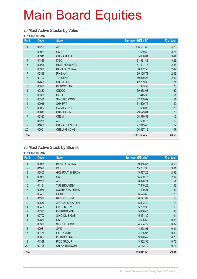#### **20 Most Active Stocks by Value**

for 4th quarter 2012

| Rank           | Code  | <b>Stock</b>         | Turnover (HK\$ mil.) | % of total |
|----------------|-------|----------------------|----------------------|------------|
| 1              | 01299 | AIA                  | 106,197.53           | 4.29       |
| $\overline{2}$ | 00939 | <b>CCB</b>           | 91,659.50            | 3.71       |
| 3              | 00941 | <b>CHINA MOBILE</b>  | 85,030.04            | 3.44       |
| $\overline{4}$ | 01398 | <b>ICBC</b>          | 81,381.42            | 3.29       |
| 5              | 00005 | <b>HSBC HOLDINGS</b> | 61,407.73            | 2.48       |
| $6\,$          | 03988 | <b>BANK OF CHINA</b> | 60,962.53            | 2.47       |
| $\overline{7}$ | 02318 | <b>PING AN</b>       | 60,155.71            | 2.43       |
| 8              | 00700 | <b>TENCENT</b>       | 49,970.28            | 2.02       |
| 9              | 02628 | <b>CHINA LIFE</b>    | 42,289.38            | 1.71       |
| 10             | 00857 | <b>PETROCHINA</b>    | 41,985.53            | 1.70       |
| 11             | 00883 | <b>CNOOC</b>         | 39,988.08            | 1.62       |
| 12             | 00388 | <b>HKEX</b>          | 37,445.33            | 1.51       |
| 13             | 00386 | SINOPEC CORP         | 37,259.62            | 1.51       |
| 14             | 00016 | <b>SHK PPT</b>       | 34,529.75            | 1.40       |
| 15             | 00027 | <b>GALAXY ENT</b>    | 31,668.00            | 1.28       |
| 16             | 00013 | <b>HUTCHISON</b>     | 29,573.84            | 1.20       |
| 17             | 03323 | <b>CNBM</b>          | 28,479.52            | 1.15       |
| 18             | 01288 | <b>ABC</b>           | 27,680.15            | 1.12       |
| 19             | 01088 | <b>CHINA SHENHUA</b> | 27,643.45            | 1.12       |
| 20             | 00001 | <b>CHEUNG KONG</b>   | 26,387.19            | 1.07       |
| <b>Total</b>   |       |                      | 1,001,694.56         | 40.50      |

#### **20 Most Active Stock by Shares**

for 4th quarter 2012

| Rank           | Code  | <b>Stock</b>           | <b>Turnover (Mil. shs)</b> | % of total |
|----------------|-------|------------------------|----------------------------|------------|
| 1              | 03988 | <b>BANK OF CHINA</b>   | 19,066.57                  | 3.63       |
| $\overline{2}$ | 01398 | <b>ICBC</b>            | 15,787.36                  | 3.01       |
| 3              | 03800 | <b>GCL-POLY ENERGY</b> | 15,637.23                  | 2.98       |
| 4              | 00939 | <b>CCB</b>             | 15,589.76                  | 2.97       |
| 5              | 01288 | <b>ABC</b>             | 8,098.74                   | 1.54       |
| 6              | 01191 | YUESHOU ENV            | 7,510.28                   | 1.43       |
| $\overline{7}$ | 00076 | SOUTH SEA PETRO        | 7,400.21                   | 1.41       |
| 8              | 00493 | <b>GOME</b>            | 6,573.69                   | 1.25       |
| 9              | 01387 | <b>RENHE COMM</b>      | 6,171.87                   | 1.18       |
| 10             | 00566 | APOLLO SOLAR EN        | 5,942.40                   | 1.13       |
| 11             | 00488 | <b>LAI SUN DEV</b>     | 5,782.38                   | 1.10       |
| 12             | 03333 | <b>EVERGRANDE</b>      | 5,656.45                   | 1.08       |
| 13             | 00702 | SINO OIL & GAS         | 5,461.39                   | 1.04       |
| 14             | 02866 | <b>CSCL</b>            | 4,626.63                   | 0.88       |
| 15             | 00386 | SINOPEC CORP           | 4,554.72                   | 0.87       |
| 16             | 00981 | <b>SMIC</b>            | 4,258.91                   | 0.81       |
| 17             | 00175 | <b>GEELY AUTO</b>      | 4,186.95                   | 0.80       |
| 18             | 00857 | <b>PETROCHINA</b>      | 3,990.49                   | 0.76       |
| 19             | 01339 | PICC GROUP             | 3,832.96                   | 0.73       |
| 20             | 00728 | CHINA TELECOM          | 3,712.72                   | 0.71       |
| <b>Total</b>   |       |                        | 153,841.69                 | 29.31      |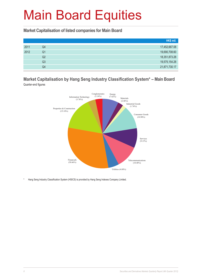**Market Capitalisation of listed companies for Main Board**

|      |    | HK\$ mil.     |
|------|----|---------------|
| 2011 | Q4 | 17,452,667.08 |
| 2012 | Q1 | 19,690,708.60 |
|      | Q2 | 18,351,873.28 |
|      | Q3 | 19,575,154.28 |
|      | Q4 | 21,871,730.17 |

#### **Market Capitalisation by Hang Seng Industry Classification System\* – Main Board** Quarter-end figures



Hang Seng Industry Classification System (HSICS) is provided by Hang Seng Indexes Company Limited.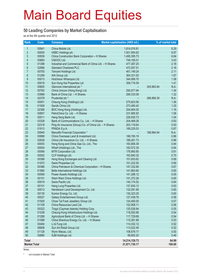#### **50 Leading Companies by Market Capitalisation**

as at the 4th quarter end 2012

| Rank                    | Code           | <b>Company</b>                                                                         | Market capitalisation (HK\$ mil.) | % of market total  |
|-------------------------|----------------|----------------------------------------------------------------------------------------|-----------------------------------|--------------------|
| $\mathbf{1}$            | 00941          | China Mobile Ltd.                                                                      | 1,814,016.81                      | 8.29               |
| $\overline{2}$          | 00005          | <b>HSBC Holdings plc</b>                                                               | 1,501,954.62                      | 6.87               |
| 3                       | 00939          | China Construction Bank Corporation - H Shares                                         | 1,495,395.73                      | 6.84               |
| $\overline{\mathbf{4}}$ | 00883          | CNOOC Ltd.                                                                             | 749,165.01                        | 3.43               |
| 5                       | 01398          | Industrial and Commercial Bank of China Ltd. - H Shares                                | 477,367.25                        | 2.18               |
| $6\phantom{a}$          | 02888          | <b>Standard Chartered PLC</b>                                                          | 472,557.51                        | 2.16               |
| $\overline{7}$          | 00700          | Tencent Holdings Ltd.                                                                  | 461,149.24                        | 2.11               |
| 8                       | 01299          | AIA Group Ltd.                                                                         | 364,331.00                        | 1.67               |
| 9                       | 00013          | Hutchison Whampoa Ltd.                                                                 | 344,906.70                        | 1.58               |
| 10                      | 00016          | Sun Hung Kai Properties Ltd.                                                           | 308,716.59                        | 1.41               |
| 11                      | 00805          | Glencore International plc *                                                           |                                   | 305,983.94<br>N.A. |
| 12                      | 00762          | China Unicom (Hong Kong) Ltd.                                                          | 292,677.94                        | 1.34               |
| 13                      | 03988          | Bank of China Ltd. - H Shares                                                          | 289,333.08                        | 1.32               |
| 14                      | 02378          | Prudential plc *                                                                       |                                   | 288,968.39<br>N.A. |
| 15                      | 00001          | Cheung Kong (Holdings) Ltd.                                                            | 275,623.56                        | 1.26               |
| 16                      | 01928          | Sands China Ltd.                                                                       | 273,460.42                        | 1.25               |
| 17                      | 02388          | BOC Hong Kong (Holdings) Ltd.                                                          | 254,804.00                        | 1.16               |
| 18                      | 00857          | PetroChina Co. Ltd. - H Shares                                                         | 231,665.92                        | 1.06               |
| 19                      | 00011          | Hang Seng Bank Ltd.                                                                    | 226,935.73                        | 1.04               |
| 20                      | 03328          | Bank of Communications Co., Ltd. - H Shares                                            | 204,469.28                        | 0.93               |
| 21                      | 02318          | Ping An Insurance (Group) Co. of China Ltd. - H Shares                                 | 203,119.64                        | 0.93               |
| 22                      | 01913          | PRADA S.p.A.                                                                           | 189,225.03                        | 0.87               |
| 23                      | 00945          | Manulife Financial Corporation *                                                       |                                   | 188,984.94<br>N.A. |
| 24                      | 00688          | China Overseas Land & Investment Ltd.                                                  | 188,785.19                        | 0.86               |
| 25                      | 02628          | China Life Insurance Co. Ltd. - H Shares                                               | 188,261.73                        | 0.86               |
| 26                      | 00003          | Hong Kong and China Gas Co. Ltd., The                                                  | 183,806.39                        | 0.84               |
| 27                      | 00004          | Wharf (Holdings) Ltd., The                                                             | 183,572.39                        | 0.84               |
| 28                      | 00066          | MTR Corporation Ltd.                                                                   | 176,660.85                        | 0.81               |
| 29                      | 00002          | CLP Holdings Ltd.                                                                      | 163,840.32                        | 0.75               |
| 30                      | 00388          | Hong Kong Exchanges and Clearing Ltd.                                                  | 151,653.62                        | 0.69               |
| 31                      | 01972          | Swire Properties Ltd.                                                                  | 151,222.50                        | 0.69               |
| 32                      | 00386          | China Petroleum & Chemical Corporation - H Shares                                      | 147,332.68                        | 0.67               |
| 33                      | 01880          | Belle International Holdings Ltd.                                                      | 141,863.80                        | 0.65               |
| 34                      | 00006          | Power Assets Holdings Ltd.                                                             | 141,288.12                        | 0.65               |
| 35                      | 00151          | Want Want China Holdings Ltd.                                                          | 141,272.26                        | 0.65               |
| 36                      | 00019          | Swire Pacific Ltd.                                                                     | 140,174.52                        | 0.64               |
| 37                      | 00101          | Hang Lung Properties Ltd.                                                              | 137,830.12                        | 0.63               |
| 38                      | 00012          | Henderson Land Development Co. Ltd.                                                    | 132,091.89                        | 0.60               |
| 39                      | 00135          | Kunlun Energy Co. Ltd.                                                                 | 130,223.25                        | 0.60               |
| 40                      | 00027          | Galaxy Entertainment Group Ltd.                                                        | 127,439.79                        | 0.58               |
| 41<br>42                | 01929          | Chow Tai Fook Jewellery Group Ltd.<br>China Resources Land Ltd.                        | 124,400.00<br>122,958.11          | 0.57               |
| 43                      | 01109<br>00322 | Tingyi (Cayman Islands) Holding Corp.                                                  |                                   | 0.56               |
| 44                      |                |                                                                                        | 120,526.94                        | 0.55               |
| 45                      | 01038<br>01288 | Cheung Kong Infrastructure Holdings Ltd.                                               | 118,552.66<br>117,729.69          | 0.54<br>0.54       |
| 46                      | 01088          | Agricultural Bank of China Ltd. - H Shares<br>China Shenhua Energy Co. Ltd. - H Shares | 115,381.88                        | 0.53               |
| 47                      | 00494          | Li & Fung Ltd.                                                                         | 114,332.12                        | 0.52               |
| 48                      | 06808          | Sun Art Retail Group Ltd.                                                              | 113,522.49                        | 0.52               |
| 49                      | 01128          | Wynn Macau, Ltd.                                                                       | 108,679.17                        | 0.50               |
| 50                      | 00880          | SJM Holdings Ltd.                                                                      | 99,852.20                         | 0.46               |
|                         |                |                                                                                        |                                   |                    |
| <b>Total</b>            |                |                                                                                        | 14,214,129.73                     | 64.99              |
| <b>Market Total</b>     |                |                                                                                        | 21,871,730.17                     | 100.00             |

Notes:

\* not included in Market Total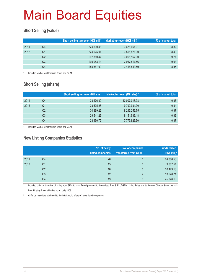#### **Short Selling (value)**

|      |    | Short selling turnover (HK\$ mil.) | Market turnover (HK\$ mil.) * | % of market total |
|------|----|------------------------------------|-------------------------------|-------------------|
| 2011 | Q4 | 324,530.48                         | 3,678,664.31                  | 8.82              |
| 2012 | Q1 | 324,025.04                         | 3,855,821.30                  | 8.40              |
|      | Q2 | 297,380.47                         | 3,061,167.30                  | 9.71              |
|      | Q3 | 295,053.14                         | 2,967,517.56                  | 9.94              |
|      | Q4 | 285,387.99                         | 3,416,543.59                  | 8.35              |

Included Market total for Main Board and GEM

#### **Short Selling (share)**

|      |    | <b>Short selling turnover (Mil. shs)</b> | Market turnover (Mil. shs) * | % of market total |
|------|----|------------------------------------------|------------------------------|-------------------|
| 2011 | Q4 | 33,276.30                                | 10,007,013.98                | 0.33              |
| 2012 | Q1 | 33,605.28                                | 9,790,931.90                 | 0.34              |
|      | Q2 | 30.899.22                                | 8,245,256.75                 | 0.37              |
|      | Q3 | 29.541.26                                | 8,151,536.18                 | 0.36              |
|      | Q4 | 28,450.72                                | 7,779,826.30                 | 0.37              |

Included Market total for Main Board and GEM

#### **New Listing Companies Statistics**

|      |    | No. of newly<br>listed companies | No. of companies<br>transferred from GEM* | <b>Funds raised</b><br>(HK\$ mil.) $#$ |
|------|----|----------------------------------|-------------------------------------------|----------------------------------------|
| 2011 | Q4 | 26                               |                                           | 64,868.56                              |
| 2012 | Q1 | 15                               | $\mathbf{0}$                              | 9,607.54                               |
|      | Q2 | 10                               | $\mathbf{0}$                              | 20,429.18                              |
|      | Q3 | 12                               | $\mathcal{P}$                             | 13,628.71                              |
|      | Q4 | 13                               | 0                                         | 45,026.13                              |

Included only the transfers of listing from GEM to Main Board pursuant to the revised Rule 9.24 of GEM Listing Rules and to the new Chapter 9A of the Main Board Listing Rules effective from 1 July 2008

# All funds raised are attributed to the initial public offers of newly listed companies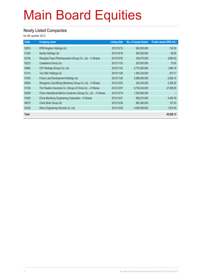#### **Newly Listed Companies**

for 4th quarter 2012

| Code  | <b>Company name</b>                                                | <b>Listing date</b> | No. of issued shares | Funds raised (HK\$ mil.) |
|-------|--------------------------------------------------------------------|---------------------|----------------------|--------------------------|
| 03816 | KFM Kingdom Holdings Ltd.                                          | 2012/10/15          | 600,000,000          | 102.00                   |
| 01240 | Sunley Holdings Ltd.                                               | 2012/10/18          | 300,000,000          | 66.00                    |
| 02196 | Shanghai Fosun Pharmaceutical (Group) Co., Ltd. - H Shares         | 2012/10/30          | 336,070,000          | 3,965.63                 |
| 02223 | Casablanca Group Ltd.                                              | 2012/11/23          | 200,000,000          | 75.00                    |
| 00884 | CIFI Holdings (Group) Co. Ltd.                                     | 2012/11/23          | 5,770,000,000        | 1,669.15                 |
| 01314 | Tsui Wah Holdings Ltd.                                             | 2012/11/26          | 1,383,334,000        | 870.17                   |
| 01030 | Future Land Development Holdings Ltd.                              | 2012/11/29          | 5,668,000,000        | 2,056.10                 |
| 00564 | Zhengzhou Coal Mining Machinery Group Co. Ltd. - H Shares          | 2012/12/05          | 243,234,200          | 2,295.25                 |
| 01339 | The People's Insurance Co. (Group) of China Ltd. - H Shares        | 2012/12/07          | 8,726,234,000        | 27,606.63                |
| 02039 | China International Marine Containers (Group) Co., Ltd. - H Shares | 2012/12/19          | 1,430,480,509        |                          |
| 01829 | China Machinery Engineering Corporation - H Shares                 | 2012/12/21          | 908,270,000          | 4,458.78                 |
| 00815 | China Silver Group Ltd.                                            | 2012/12/28          | 882,360,000          | 187.43                   |
| 02236 | Wison Engineering Services Co. Ltd.                                | 2012/12/28          | 4,000,000,000        | 1,674.00                 |
| Total |                                                                    |                     |                      | 45,026.13                |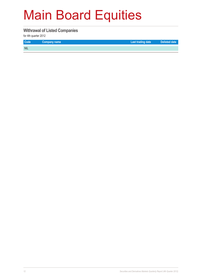#### **Withrawal of Listed Companies**

for 4th quarter 2012

| <b>Code</b> | Company name | Last trading date | Delisted date |
|-------------|--------------|-------------------|---------------|
| <b>NIL</b>  |              |                   |               |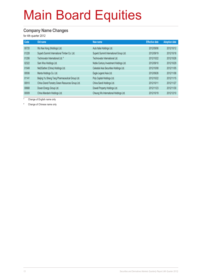#### **Company Name Changes**

for 4th quarter 2012

| Code  | Old name                                        | New name                                | <b>Effective date</b> | <b>Adoption date</b> |
|-------|-------------------------------------------------|-----------------------------------------|-----------------------|----------------------|
| 00720 | Wo Kee Hong (Holdings) Ltd.                     | Auto Italia Holdings Ltd.               | 2012/09/06            | 2012/10/12           |
| 01228 | Superb Summit International Timber Co. Ltd.     | Superb Summit International Group Ltd.  | 2012/09/19            | 2012/10/18           |
| 01206 | Technovator International Ltd. #                | Technovator International Ltd.          | 2012/10/22            | 2012/10/26           |
| 02322 | Sam Woo Holdings Ltd.                           | Noble Century Investment Holdings Ltd.  | 2012/09/10            | 2012/10/29           |
| 01049 | Net2Gather (China) Holdings Ltd.                | Celestial Asia Securities Holdings Ltd. | 2012/10/08            | 2012/11/05           |
| 00936 | Manta Holdings Co. Ltd.                         | Eagle Legend Asia Ltd.                  | 2012/09/26            | 2012/11/08           |
| 01141 | Beijing Yu Sheng Tang Pharmaceutical Group Ltd. | Poly Capital Holdings Ltd.              | 2012/10/22            | 2012/11/15           |
| 00910 | China Grand Forestry Green Resources Group Ltd. | China Sandi Holdings Ltd.               | 2012/10/11            | 2012/11/27           |
| 00668 | Doxen Energy Group Ltd.                         | Dowell Property Holdings Ltd.           | 2012/11/23            | 2012/11/30           |
| 00009 | China Mandarin Holdings Ltd.                    | Cheung Wo International Holdings Ltd.   | 2012/10/19            | 2012/12/10           |

Change of English name only

# Change of Chinese name only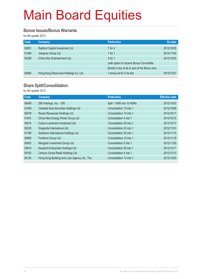#### **Bonus Issues/Bonus Warrants**

for 4th quarter 2012

| Code  | Company                               | <b>Particulars</b>                             | Ex-date    |
|-------|---------------------------------------|------------------------------------------------|------------|
| 00901 | Radford Capital Investment Ltd.       | 1 for 4                                        | 2012/10/05 |
| 01366 | Jiangnan Group Ltd.                   | 1 for $1$                                      | 2012/11/02 |
| 00326 | China Star Entertainment Ltd.         | $2$ for 1                                      | 2012/12/03 |
|       |                                       | (with option to receive Bonus Convertible      |            |
|       |                                       | Bonds in lieu of all or part of the Bonus shs) |            |
| 02882 | Hong Kong Resources Holdings Co. Ltd. | 1 bonus wt for 4 rts shs                       | 2012/12/27 |

#### **Share Split/Consolidation**

for 4th quarter 2012

| Code  | Company                                      | <b>Particulars</b>       | <b>Effective date</b> |
|-------|----------------------------------------------|--------------------------|-----------------------|
| 06488 | SBI Holdings, Inc. - DR                      | Split 1 HDR into 10 HDRs | 2012/10/03            |
| 01049 | Celestial Asia Securities Holdings Ltd.      | Consolidation 10 into 1  | 2012/10/08            |
| 00578 | Rosan Resources Holdings Ltd.                | Consolidation 10 into 1  | 2012/10/11            |
| 01041 | China New Energy Power Group Ltd.            | Consolidation 4 into 1   | 2012/10/12            |
| 00674 | Culture Landmark Investment Ltd.             | Consolidation 20 into 1  | 2012/10/17            |
| 00329 | Dragonite International Ltd.                 | Consolidation 20 into 1  | 2012/11/01            |
| 01166 | Solartech International Holdings Ltd.        | Consolidation 20 into 1  | 2012/11/15            |
| 00885 | Forefront Group Ltd.                         | Consolidation 10 into 1  | 2012/11/19            |
| 00402 | Mongolia Investment Group Ltd.               | Consolidation 5 into 1   | 2012/11/20            |
| 00616 | Easyknit Enterprises Holdings Ltd.           | Consolidation 20 into 1  | 2012/12/11            |
| 00162 | Century Ginwa Retail Holdings Ltd.           | Consolidation 4 into 1   | 2012/12/13            |
| 00145 | Hong Kong Building and Loan Agency Ltd., The | Consolidation 10 into 1  | 2012/12/20            |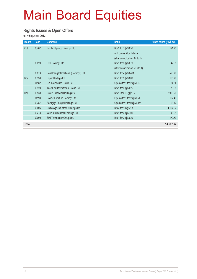#### **Rights Issues & Open Offers**

for 4th quarter 2012

| <b>Month</b> | Code  | Company                                 | <b>Ratio</b>                    | Funds raised (HK\$ mil.) |
|--------------|-------|-----------------------------------------|---------------------------------|--------------------------|
| Oct          | 00767 | Pacific Plywood Holdings Ltd.           | Rts 2 for 1 @\$0.56             | 191.75                   |
|              |       |                                         | with bonus 5 for 1 rts sh       |                          |
|              |       |                                         | (after consolidation 8 into 1)  |                          |
|              | 00620 | <b>UDL Holdings Ltd.</b>                | Rts 1 for 3 @\$0.70             | 47.65                    |
|              |       |                                         | (after consolidation 50 into 1) |                          |
|              | 03813 | Pou Sheng International (Holdings) Ltd. | Rts 1 for 4 @\$0.491            | 523.70                   |
| <b>Nov</b>   | 00330 | Esprit Holdings Ltd.                    | Rts 1 for 2 @\$8.00             | 5,168.70                 |
|              | 01182 | C Y Foundation Group Ltd.               | Open offer 1 for 2 @\$0.10      | 34.84                    |
|              | 00928 | Tack Fiori International Group Ltd.     | Rts 1 for 2 @\$0.25             | 79.55                    |
| <b>Dec</b>   | 00530 | Goldin Financial Holdings Ltd.          | Rts 11 for 10 @\$1.07           | 3,909.20                 |
|              | 01198 | Royale Furniture Holdings Ltd.          | Open offer 1 for 2 @\$0.51      | 197.43                   |
|              | 00757 | Solargiga Energy Holdings Ltd.          | Open offer 1 for 9 @\$0.375     | 93.42                    |
|              | 00606 | China Agri-Industries Holdings Ltd.     | Rts 3 for 10 @\$3.39            | 4,107.02                 |
|              | 00273 | Willie International Holdings Ltd.      | Rts 1 for 2 @\$1.05             | 43.91                    |
|              | 02000 | SIM Technology Group Ltd.               | Rts 1 for 2 @\$0.20             | 170.50                   |
| <b>Total</b> |       |                                         |                                 | 14,567.67                |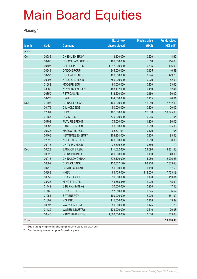#### **Placing\***

|              |       |                        | No. of new    | <b>Placing price</b> | <b>Funds raised</b> |
|--------------|-------|------------------------|---------------|----------------------|---------------------|
| <b>Month</b> | Code  | <b>Company</b>         | shares placed | (HK\$)               | (HK\$ mil.)         |
| 2012         |       |                        |               |                      |                     |
| Oct          | 00986 | CH ENV ENERGY          | 8,100,000     | 0.570                | 4.62                |
|              | 00906 | <b>COFCO PACKAGING</b> | 166,000,000   | 5.510                | 914.66              |
|              | 00497 | <b>CSI PROPERTIES</b>  | 1,212,200,000 | 0.335                | 406.09              |
|              | 00544 | <b>DAIDO GROUP</b>     | 345,000,000   | 0.135                | 46.58               |
|              | 00737 | <b>HOPEWELL INFR</b>   | 120,000,000   | 3.994                | 479.28              |
|              | 00295 | KONG SUN HOLD          | 750,000,000   | 0.070                | 52.50               |
|              | 01082 | <b>MODERN EDU</b>      | 80,000,000    | 0.420                | 33.60               |
|              | 03989 | <b>NEW ENV ENERGY</b>  | 183,132,000   | 0.450                | 82.41               |
|              | 00850 | <b>PETROASIAN</b>      | 312,500,000   | 0.160                | 50.00               |
|              | 00223 | <b>SRGL</b>            | 174,000,000   | 0.115                | 20.01               |
| Nov          | 01193 | <b>CHINA RES GAS</b>   | 160,000,000   | 16.950               | 2,712.00            |
|              | 00479 | <b>CIL HOLDINGS</b>    | 50,000,000    | 0.400                | 20.00               |
|              | 02601 | <b>CPIC</b>            | 462,000,000   | 22.500               | 10,395.00           |
|              | 01163 | <b>DEJIN RES</b>       | 570,000,000   | 0.065                | 37.05               |
|              | 00703 | <b>FUTURE BRIGHT</b>   | 75,000,000    | 1.200                | 90.00               |
|              | 00007 | <b>KARL THOMSON</b>    | 820,000,000   | 0.250                | 205.00              |
|              | 00136 | <b>MASCOTTE HOLD</b>   | 68,501,684    | 0.170                | 11.65               |
|              | 00166 | <b>NEWTIMES ENERGY</b> | 103,954,000   | 0.900                | 93.56               |
|              | 02322 | <b>NOBLE CENTURY</b>   | 120,000,000   | 0.250                | 30.00               |
|              | 00913 | UNITY INV HOLD         | 32,339,200    | 0.550                | 17.79               |
| Dec          | 00023 | <b>BANK OF E ASIA</b>  | 111,572,600   | 29.590               | 3,301.43            |
|              | 00922 | CHINA BOON HLDG        | 400,000,000   | 0.100                | 40.00               |
|              | 00916 | CHINA LONGYUAN         | 572,100,000   | 5.080                | 2,906.27            |
|              | 00002 | <b>CLP HOLDINGS</b>    | 120,307,170   | 63.250               | 7,609.43            |
|              | 00712 | <b>COMTEC SOLAR</b>    | 50,000,000    | 1.150                | 57.50               |
|              | 00388 | <b>HKEX</b>            | 65,705,000    | 118.000              | 7,753.19            |
|              | 00559 | <b>HUA YI COPPER</b>   | 599,000,000   | 0.190                | 113.81              |
|              | 03828 | MING FAI INT'L         | 45,585,550    | 1.000                | 45.59               |
|              | 01142 | SIBERIAN MINING        | 70,000,000    | 0.250                | 17.50               |
|              | 01166 | SOLARTECH INT'L        | 17,650,000    | 0.375                | 6.62                |
|              | 01251 | <b>SPT ENERGY</b>      | 190,000,000   | 2.900                | 551.00              |
|              | 01002 | V.S. INT'L             | 115,000,000   | 0.168                | 19.32               |
|              | 00897 | WAI YUEN TONG          | 250,000,000   | 0.125                | 31.25               |
|              | 01129 | <b>WATER INDUSTRY</b>  | 138,000,000   | 0.510                | 70.38               |
|              | 00346 | YANCHANG PETRO         | 1,300,000,000 | 0.510                | 663.00              |
| <b>Total</b> |       |                        |               |                      | 38,888.06           |

\* Due to the reporting time-lag, placing figures for the quarter are provisional.

\*\* Supplementary information update for previous quarters.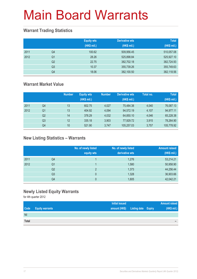#### **Warrant Trading Statistics**

|      |                | <b>Equity wts</b><br>(HK\$ mil.) | <b>Derivative wts</b><br>(HK\$ mil.) | <b>Total</b><br>(HK\$ mil.) |
|------|----------------|----------------------------------|--------------------------------------|-----------------------------|
| 2011 | Q4             | 100.62                           | 509,956.45                           | 510,057.08                  |
| 2012 | Q <sub>1</sub> | 28.26                            | 525,898.84                           | 525,927.10                  |
|      | Q <sub>2</sub> | 22.75                            | 382,702.18                           | 382,724.93                  |
|      | Q <sub>3</sub> | 10.37                            | 355,739.26                           | 355,749.63                  |
|      | Q4             | 18.06                            | 382,100.50                           | 382,118.56                  |

#### **Warrant Market Value**

|      |                | <b>Number</b> | <b>Equity wts</b><br>(HK\$ mil.) | <b>Number</b> | Derivative wts<br>(HK\$ mil.) | Total no. | <b>Total</b><br>(HK\$ mil.) |
|------|----------------|---------------|----------------------------------|---------------|-------------------------------|-----------|-----------------------------|
| 2011 | Q4             | 13            | 602.75                           | 4.027         | 75.484.38                     | 4.040     | 76,087.13                   |
| 2012 | Q <sub>1</sub> | 13            | 404.92                           | 4.094         | 94,572.19                     | 4.107     | 94,977.11                   |
|      | Q <sub>2</sub> | 14            | 378.29                           | 4,032         | 64,850.10                     | 4,046     | 65,228.38                   |
|      | Q3             | 12            | 335.18                           | 3.903         | 77,929.72                     | 3,915     | 78,264.90                   |
|      | Q4             | 10            | 521.90                           | 3.747         | 105.257.03                    | 3.757     | 105,778.92                  |

#### **New Listing Statistics – Warrants**

|      |                | No. of newly listed<br>equity wts | No. of newly listed<br>derivative wts | <b>Amount raised</b><br>(HK\$ mil.) |
|------|----------------|-----------------------------------|---------------------------------------|-------------------------------------|
| 2011 | Q4             |                                   | 1,276                                 | 53,214.21                           |
| 2012 | Q <sub>1</sub> |                                   | 1,580                                 | 50,958.90                           |
|      | Q <sub>2</sub> | っ                                 | 1,373                                 | 44,256.44                           |
|      | Q <sub>3</sub> | 0                                 | 1,328                                 | 36,903.66                           |
|      | Q4             | 0                                 | 1,605                                 | 42,042.21                           |

#### **Newly Listed Equity Warrants**

for 4th quarter 2012

|       |                        | <b>Initial issued</b> |                                   | <b>Amount raised</b> |
|-------|------------------------|-----------------------|-----------------------------------|----------------------|
| Code  | <b>Equity warrants</b> |                       | amount (HK\$) Listing date Expiry | (HK\$ mil.)          |
| Nil   |                        |                       |                                   |                      |
| Total |                        |                       |                                   | -                    |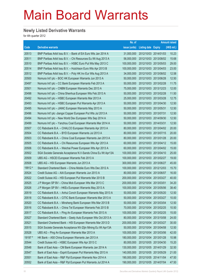#### **Newly Listed Derivative Warrants**

for 4th quarter 2012

|         |                                                              | No. of        |                       | <b>Amount raised</b> |             |
|---------|--------------------------------------------------------------|---------------|-----------------------|----------------------|-------------|
| Code    | <b>Derivative warrants</b>                                   | issue (units) | Listing date Expiry   |                      | (HK\$ mil.) |
| 20513   | BNP Paribas Arbit Issu B.V. - Bank of EA Euro Wts Jan 2014 A | 31,000,000    | 2012/10/03 2014/01/03 |                      | 10.23       |
| 20511   | BNP Paribas Arbit Issu B.V. - Chi Resources Eu Wt Aug 2013 A | 56,000,000    | 2012/10/03 2013/08/02 |                      | 15.68       |
| 20510   | BNP Paribas Arbit Issu B.V. - HSBC Euro Put Wts May 2013 C   | 100,000,000   | 2012/10/03 2013/05/03 |                      | 29.00       |
| 20514   | BNP Paribas Arbit Issu B.V. - Hutchison Euro Wts Apr 2013 B  | 100,000,000   | 2012/10/03            | 2013/04/03           | 23.00       |
| 20512   | BNP Paribas Arbit Issu B.V. - Poly HK Inv Eur Wts Aug 2013 A | 34,000,000    | 2012/10/03 2013/08/02 |                      | 12.58       |
| 20500   | Nomura Int'l plc - BOC HK European Warrants Jun 2013 A       | 50,000,000    | 2012/10/03 2013/06/28 |                      | 12.50       |
| 20497   | Nomura Int'l plc - CC Bank European Warrants Feb 2013 A      | 50,000,000    | 2012/10/03 2013/02/28 |                      | 11.75       |
| 20501   | Nomura Int'l plc – CNBM European Warrants Dec 2013 A         | 75,000,000    | 2012/10/03 2013/12/23 |                      | 12.00       |
| 20498   | Nomura Int'l plc - China Shenhua European Wts Feb 2013 A     | 50,000,000    | 2012/10/03 2013/02/28 |                      | 11.50       |
| 20492   | Nomura Int'l plc - HSBC European Warrants Mar 2013 A         | 25,000,000    | 2012/10/03 2013/03/28 |                      | 12.75       |
| 20493   | Nomura Int'l plc - HSBC European Put Warrants Apr 2013 A     | 50,000,000    | 2012/10/03 2013/04/30 |                      | 12.50       |
| 20495   | Nomura Int'l plc - JIANC European Warrants May 2013 A        | 50,000,000    | 2012/10/03 2013/05/31 |                      | 12.50       |
| 20496   | Nomura Int'l plc -Jiangxi Copper European Put Wts Jul 2013 A | 50,000,000    | 2012/10/03 2013/07/31 |                      | 12.50       |
| 20494   | Nomura Int'l plc - New World Dev European Wts Sep 2014 A     | 50,000,000    | 2012/10/03 2014/09/30 |                      | 12.50       |
| 20499   | Nomura Int'l plc - Yanzhou Coal European Warrants Mar 2014 A | 50,000,000    | 2012/10/03 2014/03/31 |                      | 12.50       |
| 20507   | CC Rabobank B.A. - CHALCO European Warrants Apr 2013 A       | 80,000,000    | 2012/10/03 2013/04/02 |                      | 20.00       |
| 20504   | CC Rabobank B.A. - BYD European Warrants Jul 2013 A          | 80,000,000    | 2012/10/03 2013/07/15 |                      | 20.00       |
| 20503   | CC Rabobank B.A. - China Coal European Warrants Jan 2013 A   | 80,000,000    | 2012/10/03 2013/01/28 |                      | 20.00       |
| 20505   | CC Rabobank B.A. - Chi Resources European Wts Apr 2013 A     | 60,000,000    | 2012/10/03 2013/04/12 |                      | 15.00       |
| 20506   | CC Rabobank B.A. - Weichai Power European Wts Apr 2013 A     | 60,000,000    | 2012/10/03 2013/04/02 |                      | 15.00       |
| 20502   | SGA Societe Generale Acceptance N.V-Sands China Eu Wt Apr13A | 100,000,000   | 2012/10/03 2013/04/10 |                      | 25.00       |
| 20509   | UBS AG - HSCEI European Warrants Feb 2013 A                  | 100,000,000   | 2012/10/03 2013/02/27 |                      | 19.00       |
| 20508   | UBS AG - HSI European Warrants Jun 2013 A                    | 300,000,000   | 2012/10/03 2013/06/27 |                      | 45.00       |
| 19912 # | Standard Chartered Bank - China Mobile Euro Wts Dec 2012 A   | 100,000,000   | 2012/10/03 2012/12/03 |                      | 15.70       |
| 20524   | Credit Suisse AG - AIA European Warrants Jun 2013 A          | 80,000,000    | 2012/10/04 2013/06/07 |                      | 16.00       |
| 20522   | Credit Suisse AG - HSI European Put Warrants Mar 2013 B      | 200,000,000   | 2012/10/04 2013/03/27 |                      | 40.00       |
| 20525   | J P Morgan SP BV - China Mob European Wts Mar 2013 C         | 200,000,000   | 2012/10/04            | 2013/03/01           | 34.20       |
| 20526   | J P Morgan SP BV - HKEx European Warrants May 2013 A         | 100,000,000   | 2012/10/04 2013/05/06 |                      | 38.40       |
| 20519   | CC Rabobank B.A. - Anhui Conch European Warrants May 2013 A  | 50,000,000    | 2012/10/04 2013/05/20 |                      | 12.50       |
| 20518   | CC Rabobank B.A. - CITIC Bank European Warrants Mar 2013 A   | 50,000,000    | 2012/10/04            | 2013/03/27           | 10.00       |
| 20520   | CC Rabobank B.A. - Minsheng Bank European Wts Mar 2013 B     | 50,000,000    | 2012/10/04            | 2013/03/04           | 12.50       |
| 20516   | CC Rabobank B.A. - China Tel European Warrants Feb 2013 B    | 70,000,000    | 2012/10/04            | 2013/02/25           | 10.50       |
| 20517   | CC Rabobank B.A. - Ping An European Warrants Feb 2013 A      | 100,000,000   | 2012/10/04            | 2013/02/25           | 15.00       |
| 20527   | Standard Chartered Bank - Geely Auto European Wts Oct 2013 A | 80,000,000    | 2012/10/04            | 2013/10/08           | 24.00       |
| 20521   | Standard Chartered Bank - HSI European Warrants Mar 2013 D   | 200,000,000   | 2012/10/04            | 2013/03/27           | 30.00       |
| 20515   | SGA Societe Generale Acceptance NV-Zijin Mining Eu Wt Apr13A | 50,000,000    | 2012/10/04            | 2013/04/08           | 12.50       |
| 20528   | UBS AG - Ping An European Warrants Mar 2013 A                | 100,000,000   | 2012/10/04            | 2013/03/06           | 42.00       |
| 19197 # | HK Bank - A50 China European Warrants Jan 2013 A             | 180,000,000   | 2012/10/04            | 2013/01/28           | 10.98       |
| 20544   | Credit Suisse AG - HSBC European Wts Apr 2013 C              | 80,000,000    | 2012/10/05            | 2013/04/30           | 15.20       |
| 20548   | Bank of East Asia - CM Bank European Warrants Jan 2014 A     | 130,000,000   | 2012/10/05            | 2014/01/29           | 32.50       |
| 20547   | Bank of East Asia - Esprit European Put Warrants May 2013 A  | 140,000,000   | 2012/10/05            | 2013/05/29           | 21.00       |
| 20551   | Bank of East Asia - R&F Ppt European Warrants Nov 2014 A     | 190,000,000   | 2012/10/05            | 2014/11/04           | 47.50       |
| 20552   | Bank of East Asia - R&F Ppt European Put Warrants Jul 2014 A | 190,000,000   | 2012/10/05 2014/07/04 |                      | 47.50       |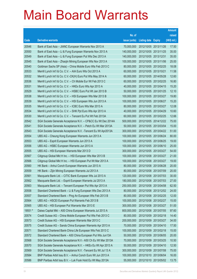|         |                                                               |               |                            |            | <b>Amount</b> |
|---------|---------------------------------------------------------------|---------------|----------------------------|------------|---------------|
|         |                                                               | No. of        |                            |            | raised        |
| Code    | <b>Derivative warrants</b>                                    | issue (units) | <b>Listing date Expiry</b> |            | (HK\$ mil.)   |
| 20546   | Bank of East Asia - JIANC European Warrants Nov 2013 A        | 70,000,000    | 2012/10/05 2013/11/26      |            | 17.50         |
| 20550   | Bank of East Asia – Li & Fung European Warrants Nov 2013 A    | 140,000,000   | 2012/10/05 2013/11/25      |            | 35.00         |
| 20549   | Bank of East Asia – Li & Fung European Put Wts Dec 2013 A     | 140,000,000   | 2012/10/05 2013/12/31      |            | 35.00         |
| 20545   | Bank of East Asia - Zhaojin Mining European Wts Nov 2013 A    | 100,000,000   | 2012/10/05 2013/11/06      |            | 25.00         |
| 20540   | Goldman Sachs SP (Asia) – China Mobile Euro Wts Feb 2013 C    | 80,000,000    | 2012/10/05 2013/02/25      |            | 18.08         |
| 20533   | Merrill Lynch Int'l & Co. C.V. - AIA Euro Wts Oct 2013 A      | 60,000,000    | 2012/10/05 2013/10/21      |            | 11.58         |
| 20532   | Merrill Lynch Int'l & Co. C.V.-CK(H) Euro Put Wts May 2014 A  | 60,000,000    | 2012/10/05 2014/05/28      |            | 12.60         |
| 20536   | Merrill Lynch Int'l & Co. C.V. - Ch Mobile Eur Wt Feb 2013 C  | 60,000,000    | 2012/10/05 2013/02/25      |            | 16.80         |
| 20531   | Merrill Lynch Int'l & Co. C.V. - HKEx Euro Wts Apr 2013 A     | 40,000,000    | 2012/10/05 2013/04/15      |            | 15.20         |
| 20529   | Merrill Lynch Int'l & Co. C.V. - HSBC Euro Put Wt Jan 2013 B  | 50,000,000    | 2012/10/05 2013/01/25      |            | 12.10         |
| 20538   | Merrill Lynch Int'l & Co. C.V. - HSI European Wts Mar 2013 B  | 100,000,000   | 2012/10/05 2013/03/27      |            | 19.80         |
| 20539   | Merrill Lynch Int'l & Co. C.V. - HSI European Wts Jun 2013 A  | 100,000,000   | 2012/10/05 2013/06/27      |            | 15.20         |
| 20535   | Merrill Lynch Int'l & Co. C.V. - ICBC Euro Wts Mar 2013 A     | 80,000,000    | 2012/10/05 2013/03/27      |            | 12.08         |
| 20534   | Merrill Lynch Int'l & Co. C.V. - SHK Ppt Euro Wts Apr 2013 A  | 40,000,000    | 2012/10/05 2013/04/29      |            | 10.60         |
| 20530   | Merrill Lynch Int'l & Co. C.V. - Tencent Eu Put Wt Feb 2013A  | 60,000,000    | 2012/10/05 2013/02/25      |            | 12.66         |
| 20542   | SGA Societe Generale Acceptance N.V. - CP&CC Eu Wt Dec 2014A  | 500,000,000   | 2012/10/05 2014/12/22      |            | 75.00         |
| 20541   | SGA Societe Generale Acceptance N.V. - Petch Eu Wt Mar 2013A  | 50,000,000    | 2012/10/05 2013/03/04      |            | 15.00         |
| 20543   | SGA Societe Generale Acceptance N.V. - Tencent Eu Wt Apr2013A | 300,000,000   | 2012/10/05 2013/04/22      |            | 51.00         |
| 20554   | UBS AG - Cheung Kong European Warrants Jun 2013 A             | 100,000,000   | 2012/10/05 2013/06/24      |            | 80.00         |
| 20553   | UBS AG - Esprit European Warrants Jun 2013 A                  | 100,000,000   | 2012/10/05 2013/06/25      |            | 19.00         |
| 20556   | UBS AG - HSBC European Warrants Jun 2013 A                    | 100,000,000   | 2012/10/05 2013/06/10      |            | 25.00         |
| 20555   | UBS AG - HSI European Warrants Mar 2013 D                     | 300,000,000   | 2012/10/05 2013/03/27      |            | 54.00         |
| 20567   | Citigroup Global Mkt H Inc. - HSI European Wts Mar 2013 B     | 100,000,000   | 2012/10/08 2013/03/27      |            | 21.00         |
| 20566   | Citigroup Global Mkt H Inc. - HSI European Put Wt Mar 2013 A  | 100,000,000   | 2012/10/08 2013/03/27      |            | 19.00         |
| 20560   | HK Bank – Anhui Conch European Warrants Jun 2013 A            | 80,000,000    | 2012/10/08 2013/06/28      |            | 20.00         |
| 20559   | HK Bank - Zijin Mining European Warrants Jul 2013 A           | 80,000,000    | 2012/10/08 2013/07/09      |            | 20.00         |
| 20561   | Macquarie Bank Ltd. - CITIC Bank European Wts Jul 2013 A      | 120,000,000   | 2012/10/08 2013/07/03      |            | 30.00         |
| 20562   | Macquarie Bank Ltd. - Esprit European Warrants Jul 2013 A     | 180,000,000   | 2012/10/08 2013/07/03      |            | 27.00         |
| 20563   | Macquarie Bank Ltd. - Tencent European Put Wts Apr 2013 A     | 250,000,000   | 2012/10/08 2013/04/08      |            | 62.50         |
| 20558   | Standard Chartered Bank - Li & Fung European Wts Dec 2013 A   | 80,000,000    | 2012/10/08 2013/12/02      |            | 24.00         |
| 20557   | Standard Chartered Bank - Ping An European Wts Feb 2013 B     | 80,000,000    | 2012/10/08 2013/02/25      |            | 12.00         |
| 20564   | UBS AG - HSCEI European Put Warrants Feb 2013 B               | 100,000,000   | 2012/10/08 2013/02/27      |            | 15.00         |
| 20565   | UBS AG - HSI European Put Warrants Mar 2013 E                 | 300,000,000   | 2012/10/08 2013/03/27      |            | 51.00         |
| 19551 # | Daiwa Capital Mkt - A50 China European Warrants Jul 2013 A    | 800,000,000   | 2012/10/08 2013/07/05      |            | 97.60         |
| 20574   | Credit Suisse AG - China Mobile European Put Wts Feb 2013 C   | 80,000,000    | 2012/10/09 2013/02/18      |            | 14.40         |
| 20573   | Credit Suisse AG - HSI European Warrants Mar 2013 C           | 200,000,000   | 2012/10/09 2013/03/27      |            | 34.00         |
| 20575   | Credit Suisse AG - Sands China European Warrants Apr 2013 A   | 70,000,000    | 2012/10/09 2013/04/10      |            | 17.50         |
| 20571   | Standard Chartered Bank-China Life European Wts Feb 2013 C    | 100,000,000   | 2012/10/09 2013/02/18      |            | 15.00         |
| 20572   | Standard Chartered Bank - A50 China European Put Wts Jun13A   | 50,000,000    | 2012/10/09 2013/06/05      |            | 20.00         |
| 20568   | SGA Societe Generale Acceptance N.V.- A50 Ch Eu Wt Mar 2013A  | 70,000,000    | 2012/10/09 2013/03/25      |            | 10.50         |
| 20570   | SGA Societe Generale Acceptance N.V. - HKEx Eu Wt Apr 2013 A  | 50,000,000    | 2012/10/09                 | 2013/04/10 | 12.50         |
| 20569   | SGA Societe Generale Acceptance N.V. - Tencent Eu Wt Jul 13 A | 300,000,000   | 2012/10/09 2013/07/08      |            | 75.00         |
| 20584   | BNP Paribas Arbit Issu B.V. - Anhui Conch Euro Wt Jun 2013 A  | 100,000,000   | 2012/10/10 2013/06/04      |            | 16.00         |
| 20586   | BNP Paribas Arbit Issu B.V. - Luk Fook Hold Eu Wt May 2013A   | 55,000,000    | 2012/10/10 2013/05/02      |            | 13.75         |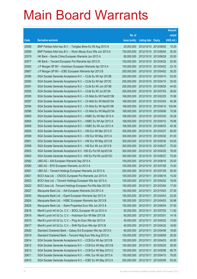|       |                                                               |               |                            |            | <b>Amount</b> |
|-------|---------------------------------------------------------------|---------------|----------------------------|------------|---------------|
|       |                                                               | No. of        |                            |            | raised        |
| Code  | <b>Derivative warrants</b>                                    | issue (units) | <b>Listing date Expiry</b> |            | (HK\$ mil.)   |
| 20585 | BNP Paribas Arbit Issu B.V. - Tsingtao Brew Eu Wt Aug 2013 A  | 25,000,000    | 2012/10/10 2013/08/02      |            | 10.25         |
| 20589 | BNP Paribas Arbit Issu B.V. - Wynn Macau Euro Wts Jun 2013 A  | 100,000,000   | 2012/10/10 2013/06/04      |            | 30.00         |
| 20579 | HK Bank – Sands China European Warrants Jun 2013 A            | 80,000,000    | 2012/10/10 2013/06/28      |            | 20.00         |
| 20577 | HK Bank – Tencent European Put Warrants Apr 2013 D            | 100,000,000   | 2012/10/10 2013/04/22      |            | 25.00         |
| 20583 | J P Morgan SP BV - Hutchison European Warrants Apr 2013 A     | 150,000,000   | 2012/10/10 2013/04/02      |            | 23.10         |
| 20607 | J P Morgan SP BV - ICBC European Warrants Apr 2013 B          | 200,000,000   | 2012/10/10 2013/04/02      |            | 30.20         |
| 20590 | SGA Societe Generale Acceptance N.V. - CLife Eu Wt Apr 2013B  | 200,000,000   | 2012/10/10 2013/04/10      |            | 52.00         |
| 20593 | SGA Societe Generale Acceptance N.V. - CLife Eu Wt Apr 2013C  | 200,000,000   | 2012/10/10 2013/04/10      |            | 30.00         |
| 20591 | SGA Societe Generale Acceptance N.V. - CLife Eu Wt Jun 2013B  | 200,000,000   | 2012/10/10 2013/06/05      |            | 44.00         |
| 20592 | SGA Societe Generale Acceptance N.V. - CLife Eu Wt Jul 2013A  | 200,000,000   | 2012/10/10 2013/07/03      |            | 38.00         |
| 20595 | SGA Societe Generale Acceptance N.V. - Ch Mob Eu Wt Feb2013B  | 168,000,000   | 2012/10/10 2013/02/25      |            | 70.56         |
| 20597 | SGA Societe Generale Acceptance N.V. - Ch Mob Eu Wt Mar2013A  | 168,000,000   | 2012/10/10 2013/03/04      |            | 45.36         |
| 20594 | SGA Societe Generale Acceptance N.V. - Ch Mob Eu Wt Apr2013B  | 168,000,000   | 2012/10/10 2013/04/10      |            | 105.84        |
| 20596 | SGA Societe Generale Acceptance N.V. - Ch Mob Eu Wt May2013A  | 168,000,000   | 2012/10/10 2013/05/06      |            | 70.56         |
| 20605 | SGA Societe Generale Acceptance N.V. - HSBC Eu Wt Mar 2013 A  | 168,000,000   | 2012/10/10 2013/03/25      |            | 35.28         |
| 20604 | SGA Societe Generale Acceptance N.V. - HSBC Eu Wt Apr 2013 A  | 168,000,000   | 2012/10/10 2013/04/10      |            | 78.96         |
| 20606 | SGA Societe Generale Acceptance N.V. - HSBC Eu Wt Jun 2013 A  | 168,000,000   | 2012/10/10 2013/06/03      |            | 45.36         |
| 20600 | SGA Societe Generale Acceptance N.V. - HSI Eur Wt Mar 2013 D  | 300,000,000   | 2012/10/10 2013/03/27      |            | 60.00         |
| 20598 | SGA Societe Generale Acceptance N.V. - HSI Eur Wt May 2013 A  | 300,000,000   | 2012/10/10 2013/05/30      |            | 81.00         |
| 20601 | SGA Societe Generale Acceptance N.V. - HSI Eur Wt May 2013 B  | 300,000,000   | 2012/10/10 2013/05/30      |            | 54.00         |
| 20599 | SGA Societe Generale Acceptance N.V. - HSI Eur Wt Jun 2013 B  | 300,000,000   | 2012/10/10 2013/06/27      |            | 75.00         |
| 20603 | SGA Societe Generale Acceptance N.V. - HSI Eu Put Wt Apr2013A | 300,000,000   | 2012/10/10 2013/04/29      |            | 78.00         |
| 20602 | SGA Societe Generale Acceptance N.V. - HSI Eu Put Wt Jun2013C | 300,000,000   | 2012/10/10 2013/06/27      |            | 75.00         |
| 20582 | UBS AG - AIA European Warrants Sep 2013 A                     | 100,000,000   | 2012/10/10 2013/09/16      |            | 25.00         |
| 20580 | UBS AG - BYD European Warrants Jul 2013 A                     | 100,000,000   | 2012/10/10 2013/07/08      |            | 15.00         |
| 20581 | UBS AG - Tencent Holdings European Warrants Jul 2013 A        | 200,000,000   | 2012/10/10 2013/07/29      |            | 50.00         |
| 20621 | BOCI Asia Ltd. - CNOOC European Put Warrants Jun 2013 A       | 100,000,000   | 2012/10/11 2013/06/18      |            | 15.00         |
| 20623 | BOCI Asia Ltd. - Tencent Holdings European Wts Apr 2013 A     | 100,000,000   | 2012/10/11 2013/04/22      |            | 18.00         |
| 20622 | BOCI Asia Ltd. - Tencent Holdings European Put Wts Mar 2013 B | 100,000,000   | 2012/10/11                 | 2013/03/04 | 17.00         |
| 20627 | Macquarie Bank Ltd. - AIA European Warrants Oct 2013 A        | 150,000,000   | 2012/10/11                 | 2013/10/03 | 37.50         |
| 20630 | Macquarie Bank Ltd. - Esprit European Warrants Apr 2013 A     | 150,000,000   | 2012/10/11                 | 2013/04/03 | 22.50         |
| 20624 | Macquarie Bank Ltd. - HSBC European Warrants Apr 2013 B       | 180,000,000   | 2012/10/11                 | 2013/04/03 | 30.96         |
| 20625 | Macquarie Bank Ltd. - Swire Properties Euro Wts Jun 2013 A    | 150,000,000   | 2012/10/11                 | 2013/06/04 | 37.50         |
| 20616 | Merrill Lynch Int'l & Co. C.V. - BOCL European Wt Jul 2013 A  | 60,000,000    | 2012/10/11                 | 2013/07/02 | 11.82         |
| 20618 | Merrill Lynch Int'l & Co. C.V. - Hutchison Eur Wt Mar 2013 B  | 60,000,000    | 2012/10/11                 | 2013/03/01 | 14.16         |
| 20615 | Merrill Lynch Int'l & Co. C.V. - Ping An Euro Wts Apr 2013 A  | 40,000,000    | 2012/10/11                 | 2013/04/22 | 10.80         |
| 20617 | Merrill Lynch Int'l & Co. C.V. - SHK Ppt Euro Wts Apr 2013 B  | 40,000,000    | 2012/10/11                 | 2013/04/22 | 18.60         |
| 20620 | Standard Chartered Bank - Galaxy Ent European Wts Apr 2013 A  | 80,000,000    | 2012/10/11                 | 2013/04/08 | 18.80         |
| 20619 | Standard Chartered Bank - Tencent Hidg Euro Wts Aug 2013 A    | 100,000,000   | 2012/10/11                 | 2013/08/08 | 25.00         |
| 20614 | SGA Societe Generale Acceptance N.V. - CCB Eur Wt Apr 2013 B  | 150,000,000   | 2012/10/11                 | 2013/04/03 | 45.00         |
| 20612 | SGA Societe Generale Acceptance N.V. - CCB Eur Wt May 2013 B  | 150,000,000   | 2012/10/11                 | 2013/05/20 | 39.00         |
| 20613 | SGA Societe Generale Acceptance N.V. - CCB Eur Wt May 2013 C  | 150,000,000   | 2012/10/11                 | 2013/05/06 | 69.75         |
| 20611 | SGA Societe Generale Acceptance N.V. - HWL Eur Wt Apr 2013 A  | 150,000,000   | 2012/10/11                 | 2013/04/15 | 78.00         |
| 20610 | SGA Societe Generale Acceptance N.V. - ICBC Eu Wt May 2013 A  | 200,000,000   | 2012/10/11                 | 2013/05/06 | 55.00         |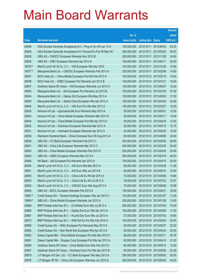|         |                                                               |               |                            |                       | <b>Amount</b> |
|---------|---------------------------------------------------------------|---------------|----------------------------|-----------------------|---------------|
|         |                                                               | No. of        |                            |                       | raised        |
| Code    | <b>Derivative warrants</b>                                    | issue (units) | <b>Listing date Expiry</b> |                       | (HK\$ mil.)   |
| 20609   | SGA Societe Generale Acceptance N.V. - Ping An Eu Wt Jun 13 A | 150,000,000   |                            | 2012/10/11 2013/06/03 | 53.25         |
| 20608   | SGA Societe Generale Acceptance N.V-Tencent Eu Put Wt Mar13C  | 300,000,000   |                            | 2012/10/11 2013/03/25 | 49.50         |
| 20629   | UBS AG - CNOOC European Warrants Nov 2013 B                   | 200,000,000   |                            | 2012/10/11 2013/11/26 | 34.00         |
| 20628   | UBS AG - ICBC European Warrants Apr 2013 A                    | 100,000,000   | 2012/10/11 2013/04/11      |                       | 25.00         |
| 16576 # | Merrill Lynch Int'l & Co. C.V. - HSI European Wts Dec 2012    | 140,000,000   |                            | 2012/10/11 2012/12/28 | 10.64         |
| 19077 # | Macquarie Bank Ltd. - CNOOC European Warrants Feb 2013 A      | 200,000,000   |                            | 2012/10/11 2013/02/06 | 14.60         |
| 20637   | BOCI Asia Ltd. - China Mobile European Put Wts Feb 2013 A     | 100,000,000   | 2012/10/12 2013/02/18      |                       | 16.00         |
| 20638   | BOCI Asia Ltd. - HSBC European Put Warrants Jan 2013 B        | 100,000,000   | 2012/10/12 2013/01/21      |                       | 16.00         |
| 20647   | Goldman Sachs SP (Asia) - HSI European Warrants Jun 2013 A    | 100,000,000   |                            | 2012/10/12 2013/06/27 | 15.20         |
| 20645   | Macquarie Bank Ltd. - AIA European Put Warrants Jul 2013 B    | 150,000,000   |                            | 2012/10/12 2013/07/03 | 37.50         |
| 20644   | Macquarie Bank Ltd. - Galaxy Ent European Wts May 2013 A      | 150,000,000   | 2012/10/12 2013/05/03      |                       | 37.50         |
| 20643   | Macquarie Bank Ltd. - Sands China European Wts Apr 2013 A     | 150,000,000   | 2012/10/12 2013/04/03      |                       | 22.80         |
| 20646   | Merrill Lynch Int'l & Co. C.V. - HSI Euro Put Wts Mar 2013 C  | 100,000,000   |                            | 2012/10/12 2013/03/27 | 15.00         |
| 20635   | Nomura Int'l plc - Agricultural Bk Euro Warrants May 2013 A   | 50,000,000    | 2012/10/12 2013/05/31      |                       | 12.50         |
| 20633   | Nomura Int'l plc - China Mobile European Warrants Mar 2013 A  | 25,000,000    | 2012/10/12 2013/03/11      |                       | 15.00         |
| 20634   | Nomura Int'l plc - China Mobile European Put Wts Apr 2013 A   | 50,000,000    | 2012/10/12 2013/04/30      |                       | 12.50         |
| 20632   | Nomura Int'l plc - Hutchison European Warrants Mar 2013 A     | 50,000,000    |                            | 2012/10/12 2013/03/13 | 12.75         |
| 20631   | Nomura Int'l plc - Hutchison European Warrants Apr 2013 A     | 25,000,000    |                            | 2012/10/12 2013/04/30 | 15.00         |
| 20636   | Standard Chartered Bank - China Overseas Euro Wt Aug 2013 A   | 80,000,000    | 2012/10/12 2013/08/08      |                       | 20.00         |
| 20639   | UBS AG - CC Bank European Warrants Feb 2013 C                 | 200,000,000   |                            | 2012/10/12 2013/02/05 | 30.00         |
| 20641   | UBS AG - China Life European Warrants Mar 2013 C              | 300,000,000   |                            | 2012/10/12 2013/03/25 | 54.00         |
| 20640   | UBS AG - China Mobile European Warrants Feb 2013 E            | 200,000,000   |                            | 2012/10/12 2013/02/04 | 30.00         |
| 20642   | UBS AG - HSBC European Warrants Mar 2013 A                    | 200,000,000   | 2012/10/12 2013/03/18      |                       | 46.00         |
| 20648   | HK Bank - AIA European Put Warrants Apr 2013 A                | 100,000,000   |                            | 2012/10/15 2013/04/15 | 25.00         |
| 20650   | Merrill Lynch Int'l & Co. C.V. - AIA Euro Wts Mar 2013 A      | 60,000,000    |                            | 2012/10/15 2013/03/28 | 11.28         |
| 20651   | Merrill Lynch Int'l & Co. C.V. - AIA Euro Wts Jun 2013 B      | 60,000,000    |                            | 2012/10/15 2013/06/10 | 12.54         |
| 20654   | Merrill Lynch Int'l & Co. C.V. - China Life Eu Wt Apr 2013 A  | 70,000,000    | 2012/10/15 2013/04/08      |                       | 10.64         |
| 20653   | Merrill Lynch Int'l & Co. C.V. - China Life Eu Wt Jul 2013 A  | 70,000,000    | 2012/10/15 2013/07/22      |                       | 10.57         |
| 20652   | Merrill Lynch Int'l & Co. C.V. - CNOOC Euro Wts Aug 2013 A    | 70,000,000    | 2012/10/15 2013/08/05      |                       | 10.99         |
| 20649   | UBS AG - BOCL European Warrants Feb 2013 A                    | 100,000,000   | 2012/10/15 2013/02/21      |                       | 18.00         |
| 19987 # | Credit Suisse AG - Tencent Holdings European Wts Jan 2013 C   | 100,000,000   | 2012/10/15 2013/01/07      |                       | 11.20         |
| 19869 # | UBS AG - China Mobile European Warrants Jan 2013 A            | 200,000,000   | 2012/10/15 2013/01/28      |                       | 13.60         |
| 20669   | BNP Paribas Arbit Issu B.V. - Ch Mobile Euro Wts Jul 2013 A   | 200,000,000   | 2012/10/16 2013/07/04      |                       | 74.00         |
| 20668   | BNP Paribas Arbit Issu B.V. - Galaxy Ent Euro Wts Apr 2013 A  | 100,000,000   | 2012/10/16 2013/04/08      |                       | 17.00         |
| 20667   | BNP Paribas Arbit Issu B.V. - HLand Dev Euro Wts Jul 2013 A   | 57,000,000    | 2012/10/16 2013/07/03      |                       | 19.95         |
| 20670   | BNP Paribas Arbit Issu B.V. - SHK Ppt Eu Put Wts Feb 2014 A   | 100,000,000   | 2012/10/16 2014/02/04      |                       | 25.00         |
| 20666   | Credit Suisse AG - HKEx European Put Warrants May 2013 A      | 50,000,000    | 2012/10/16 2013/05/27      |                       | 22.50         |
| 20665   | Credit Suisse AG - New World Dev European Wts Apr 2013 A      | 50,000,000    |                            | 2012/10/16 2013/04/22 | 30.00         |
| 20682   | Daiwa Capital Mkt - China Mobile European Put Wts Mar 2013 C  | 98,000,000    | 2012/10/16 2013/03/11      |                       | 20.78         |
| 20681   | Daiwa Capital Mkt - Sinopec Corp European Put Wts Apr 2013 A  | 80,000,000    | 2012/10/16 2013/04/16      |                       | 31.20         |
| 20658   | Goldman Sachs SP (Asia) - China Mobile Euro Wts Feb 2013 D    | 80,000,000    | 2012/10/16 2013/02/14      |                       | 12.00         |
| 20657   | Goldman Sachs SP (Asia) - Hutchison Euro Put Wts Apr 2013 B   | 80,000,000    | 2012/10/16 2013/04/29      |                       | 23.28         |
| 20679   | J P Morgan Int'l Der. Ltd. - CC Bank European Wts May 2013 A  | 200,000,000   | 2012/10/16 2013/05/02      |                       | 50.00         |
| 20678   | J P Morgan SP BV - China Life European Warrants Jun 2013 A    | 300,000,000   | 2012/10/16 2013/06/03      |                       | 45.00         |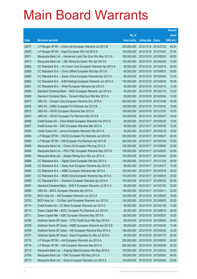|       |                                                              |               |                            |                       | <b>Amount</b> |
|-------|--------------------------------------------------------------|---------------|----------------------------|-----------------------|---------------|
|       |                                                              | No. of        |                            |                       | raised        |
| Code  | <b>Derivative warrants</b>                                   | issue (units) | <b>Listing date Expiry</b> |                       | (HK\$ mil.)   |
| 20677 | J P Morgan SP BV - China Life European Warrants Jul 2013 B   | 300,000,000   |                            | 2012/10/16 2013/07/22 | 45.00         |
| 20676 | J P Morgan SP BV - Esprit European Wts Oct 2013 A            | 150,000,000   |                            | 2012/10/16 2013/10/03 | 37.50         |
| 20671 | Macquarie Bank Ltd. - Henderson Land Dev Euro Wts May 2013 A | 180,000,000   | 2012/10/16 2013/05/03      |                       | 45.00         |
| 20672 | Macquarie Bank Ltd. - Zijin Mining European Wts Apr 2013 A   | 100,000,000   |                            | 2012/10/16 2013/04/03 | 15.00         |
| 20662 | CC Rabobank B.A. - Ch Comm Cons European Warrants Apr 2013 A | 80,000,000    |                            | 2012/10/16 2013/04/16 | 28.00         |
| 20659 | CC Rabobank B.A. - China Oilfield European Wts Sep 2013 A    | 80,000,000    |                            | 2012/10/16 2013/09/23 | 20.00         |
| 20660 | CC Rabobank B.A. - Sands China European Warrants Apr 2013 A  | 80,000,000    | 2012/10/16 2013/04/03      |                       | 12.00         |
| 20664 | CC Rabobank B.A. - SJM Holdings European Warrants Jun 2013 A | 100,000,000   |                            | 2012/10/16 2013/06/24 | 25.00         |
| 20661 | CC Rabobank B.A. - Wharf European Warrants Apr 2013 A        | 60,000,000    |                            | 2012/10/16 2013/04/16 | 15.00         |
| 20680 | Standard Chartered Bank - HKEx European Warrants Jan 2013 A  | 80,000,000    |                            | 2012/10/16 2013/01/16 | 12.00         |
| 20656 | Standard Chartered Bank - Tencent Hidg Euro Wts Mar 2013 A   | 80,000,000    | 2012/10/16 2013/03/04      |                       | 12.00         |
| 20673 | UBS AG - Sinopec Corp European Warrants Dec 2015 A           | 200,000,000   |                            | 2012/10/16 2015/12/28 | 30.00         |
| 20655 | UBS AG - HSBC European Put Warrants Apr 2013 B               | 100,000,000   |                            | 2012/10/16 2013/04/02 | 19.00         |
| 20675 | UBS AG - HSCEI European Warrants Dec 2013 A                  | 100,000,000   |                            | 2012/10/16 2013/12/30 | 19.70         |
| 20674 | UBS AG - HSCEI European Put Warrants Mar 2013 B              | 100,000,000   | 2012/10/16 2013/03/27      |                       | 16.00         |
| 20696 | Credit Suisse AG - China Mobile European Warrants Feb 2013 D | 80,000,000    | 2012/10/17 2013/02/25      |                       | 12.00         |
| 20697 | Credit Suisse AG - ICBC European Warrants Mar 2013 A         | 80,000,000    |                            | 2012/10/17 2013/03/25 | 12.00         |
| 20695 | Credit Suisse AG - Lenovo European Warrants Feb 2013 A       | 50,000,000    |                            | 2012/10/17 2013/02/18 | 15.00         |
| 20684 | J P Morgan SP BV - HSCEI European Put Warrants Jun 2013 B    | 300,000,000   | 2012/10/17 2013/06/27      |                       | 45.00         |
| 20683 | J P Morgan SP BV - HSI European Put Warrants Apr 2013 B      | 300,000,000   |                            | 2012/10/17 2013/04/29 | 75.00         |
| 20693 | Macquarie Bank Ltd. - China Life European Wts Aug 2013 A     | 150,000,000   |                            | 2012/10/17 2013/08/02 | 22.50         |
| 20694 | Macquarie Bank Ltd. - PICC P&C European Warrants May 2013 A  | 100,000,000   |                            | 2012/10/17 2013/05/03 | 25.00         |
| 20692 | Macquarie Bank Ltd. - Zhaojin Mining Euro Wts Jun 2013 A     | 150,000,000   | 2012/10/17 2013/06/04      |                       | 22.50         |
| 20688 | CC Rabobank B.A. - Digital China European Wts Nov 2013 A     | 100,000,000   |                            | 2012/10/17 2013/11/25 | 25.00         |
| 20686 | CC Rabobank B.A. - Geely Auto European Warrants Apr 2013 A   | 60,000,000    | 2012/10/17 2013/04/17      |                       | 15.00         |
| 20685 | CC Rabobank B.A. - HSBC European Warrants Mar 2013 A         | 150,000,000   | 2012/10/17 2013/03/18      |                       | 30.00         |
| 20687 | CC Rabobank B.A. - MGM China European Warrants Sep 2013 A    | 100,000,000   | 2012/10/17 2013/09/23      |                       | 25.00         |
| 20689 | CC Rabobank B.A. - Zoomlion European Warrants Apr 2014 A     | 100,000,000   | 2012/10/17 2014/04/22      |                       | 25.00         |
| 20691 | Standard Chartered Bank - SHK P European Warrants Jul 2013 A | 80,000,000    | 2012/10/17 2013/07/03      |                       | 20.00         |
| 20690 | UBS AG - BOCL European Warrants Apr 2013 A                   | 100,000,000   | 2012/10/17 2013/04/11      |                       | 20.20         |
| 20702 | BOCI Asia Ltd. - AIA European Warrants Jun 2013 A            | 100,000,000   | 2012/10/18 2013/06/03      |                       | 18.00         |
| 20703 | BOCI Asia Ltd. - Chi Res Land European Warrants Jun 2013 A   | 100,000,000   | 2012/10/18 2013/06/03      |                       | 25.00         |
| 20714 | Credit Suisse AG - CC Bank European Warrants Jan 2013 C      | 80,000,000    | 2012/10/18 2013/01/28      |                       | 12.00         |
| 20712 | Daiwa Capital Mkt - BOCL European Put Warrants Jun 2013 A    | 80,000,000    | 2012/10/18 2013/06/10      |                       | 20.00         |
| 20711 | Daiwa Capital Mkt - ICBC European Warrants May 2013 A        | 128,000,000   | 2012/10/18 2013/05/27      |                       | 19.20         |
| 20706 | Goldman Sachs SP (Asia) - CITIC Pacific Euro Wts Sep 2013 A  | 60,000,000    | 2012/10/18 2013/09/30      |                       | 34.50         |
| 20708 | Goldman Sachs SP (Asia) - HSBC European Warrants Apr 2013 B  | 80,000,000    | 2012/10/18 2013/04/24      |                       | 12.48         |
| 20709 | Goldman Sachs SP (Asia) - HSI European Warrants May 2013 A   | 100,000,000   | 2012/10/18 2013/05/30      |                       | 16.20         |
| 20707 | Goldman Sachs SP (Asia) - Swire Properties Eu Wts Jul 2013 A | 80,000,000    | 2012/10/18 2013/07/15      |                       | 20.00         |
| 20715 | J P Morgan SP BV - AIA European Warrants Jun 2013 A          | 200,000,000   | 2012/10/18 2013/06/03      |                       | 50.00         |
| 20716 | J P Morgan SP BV - AIA European Warrants Sep 2013 A          | 200,000,000   | 2012/10/18 2013/09/09      |                       | 30.20         |
| 20710 | Macquarie Bank Ltd. - Angang Steel European Wts May 2013 A   | 100,000,000   | 2012/10/18 2013/05/03      |                       | 25.00         |
| 20704 | Macquarie Bank Ltd. - GAC European Wts May 2013 A            | 100,000,000   | 2012/10/18 2013/05/03      |                       | 49.40         |
| 20713 | Macquarie Bank Ltd. - Gome European Warrants Jun 2014 A      | 100,000,000   | 2012/10/18 2014/06/04      |                       | 25.00         |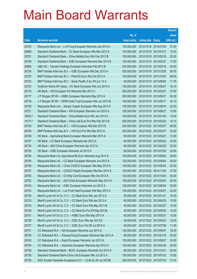|         |                                                              |               |                            | <b>Amount</b> |
|---------|--------------------------------------------------------------|---------------|----------------------------|---------------|
|         |                                                              | No. of        |                            | raised        |
| Code    | <b>Derivative warrants</b>                                   | issue (units) | <b>Listing date Expiry</b> | (HK\$ mil.)   |
| 20705   | Macquarie Bank Ltd. - Li & Fung European Warrants Jan 2014 A | 150,000,000   | 2012/10/18 2014/01/03      | 37.50         |
| 20699   | Standard Chartered Bank - CC Bank European Wts Mar 2013 A    | 100,000,000   | 2012/10/18 2013/03/12      | 15.00         |
| 20701   | Standard Chartered Bank - China Mobile Euro Wts Feb 2013 B   | 100,000,000   | 2012/10/18 2013/02/18      | 25.00         |
| 20700   | Standard Chartered Bank - ICBC European Warrants Mar 2013 B  | 100,000,000   | 2012/10/18 2013/03/27      | 17.00         |
| 20698   | UBS AG - Tencent Holdings European Warrants Feb 2013 B       | 200,000,000   | 2012/10/18 2013/02/18      | 45.00         |
| 20724   | BNP Paribas Arbit Issu B.V. - ICBC European Wts Dec 2013 A   | 200,000,000   | 2012/10/19 2013/12/03      | 50.00         |
| 20725   | BNP Paribas Arbit Issu B.V. - PetroCh Euro Wts Oct 2013 A    | 100,000,000   | 2012/10/19 2013/10/03      | 69.00         |
| 20723   | BNP Paribas Arbit Issu B.V. - Swrie Pacific A Eu Wt Jun 13 A | 24,000,000    | 2012/10/19 2013/06/04      | 11.76         |
| 20720   | Goldman Sachs SP (Asia) - CC Bank European Wts Jun 2013 A    | 100,000,000   | 2012/10/19 2013/06/27      | 16.10         |
| 20719   | HK Bank - HSI European Put Warrants Mar 2013 C               | 250,000,000   | 2012/10/19 2013/03/27      | 37.50         |
| 20717   | J P Morgan SP BV - HSBC European Warrants May 2013 A         | 200,000,000   | 2012/10/19 2013/05/27      | 50.00         |
| 20718   | J P Morgan SP BV - SPDR Gold Trust European Wts Jun 2013 B   | 100,000,000   | 2012/10/19 2013/06/17      | 32.10         |
| 20726   | Macquarie Bank Ltd. - Jiangxi Copper European Wts Aug 2013 A | 150,000,000   | 2012/10/19 2013/08/19      | 22.50         |
| 20721   | Standard Chartered Bank - HSI European Warrants Jun 2013 A   | 100,000,000   | 2012/10/19 2013/06/27      | 15.00         |
| 18322 # | Standard Chartered Bank - China Mobile Euro Wts Jan 2013 A   | 150,000,000   | 2012/10/19 2013/01/04      | 10.05         |
| 19173 # | Standard Chartered Bank - China Life Euro Put Wts Feb 2013 B | 260,000,000   | 2012/10/19 2013/02/22      | 10.14         |
| 20755   | BNP Paribas Arbit Issu B.V. - HSI European Wts Mar 2013 B    | 200,000,000   | 2012/10/22 2013/03/27      | 46.00         |
| 20754   | BNP Paribas Arbit Issu B.V. - HSI Euro Put Wts Mar 2013 A    | 200,000,000   | 2012/10/22 2013/03/27      | 32.00         |
| 20736   | HK Bank - Agricultural Bank European Warrants Mar 2013 A     | 80,000,000    | 2012/10/22 2013/03/27      | 12.00         |
| 20737   | HK Bank - CC Bank European Warrants Apr 2013 A               | 80,000,000    | 2012/10/22 2013/04/22      | 20.00         |
| 20734   | HK Bank - A50 China European Warrants Apr 2013 A             | 80,000,000    | 2012/10/22 2013/04/22      | 20.00         |
| 20735   | HK Bank - ICBC European Warrants Jul 2013 A                  | 80,000,000    | 2012/10/22 2013/07/02      | 20.00         |
| 20746   | Macquarie Bank Ltd.-Agricultural Bk Euro Warrants Aug 2013 A | 120,000,000   | 2012/10/22 2013/08/02      | 30.00         |
| 20745   | Macquarie Bank Ltd. - CC Bank European Warrants Jun 2013 A   | 120,000,000   | 2012/10/22 2013/06/04      | 30.00         |
| 20748   | Macquarie Bank Ltd. - China COSCO European Wts May 2013 A    | 100,000,000   | 2012/10/22 2013/05/03      | 25.00         |
| 20747   | Macquarie Bank Ltd. - COSCO Pacific European Wts Nov 2014 A  | 150,000,000   | 2012/10/22 2014/11/04      | 37.50         |
| 20750   | Macquarie Bank Ltd. - Ch Ship Cont European Wts Oct 2013 A   | 120,000,000   | 2012/10/22 2013/10/03      | 30.24         |
| 20752   | Macquarie Bank Ltd. - A50 China European Warrants May 2013 A | 100,000,000   | 2012/10/22 2013/05/03      | 25.00         |
| 20744   | Macquarie Bank Ltd. - ICBC European Warrants Jun 2013 A      | 120,000,000   | 2012/10/22 2013/06/04      | 30.00         |
| 20753   | Macquarie Bank Ltd. - Luk Fook Hold European Wts May 2013 A  | 150,000,000   | 2012/10/22 2013/05/27      | 22.50         |
| 20730   | Merrill Lynch Int'l & Co. C.V. - CC Bank Euro Wts Jan 2013 D | 50,000,000    | 2012/10/22 2013/01/31      | 10.20         |
| 20733   | Merrill Lynch Int'l & Co. C.V. - CC Bank Euro Wts Apr 2013 A | 40,000,000    | 2012/10/22 2013/04/23      | 10.00         |
| 20732   | Merrill Lynch Int'l & Co. C.V. - CC Bank Euro Wts May 2013 B | 40,000,000    | 2012/10/22 2013/05/27      | 10.00         |
| 20729   | Merrill Lynch Int'l & Co. C.V. - CC Bank Eu Put Wt May 2013A | 40,000,000    | 2012/10/22 2013/05/20      | 10.20         |
| 20731   | Merrill Lynch Int'l & Co. C.V. - HSBC Euro Wts May 2013 A    | 40,000,000    | 2012/10/22 2013/05/27      | 10.00         |
| 20728   | Merrill Lynch Int'l & Co. C.V. - ICBC Euro Wts Apr 2013 B    | 40,000,000    | 2012/10/22 2013/04/23      | 10.20         |
| 20727   | Merrill Lynch Int'l & Co. C.V. - ICBC Euro Put Wt Jul 2013 A | 40,000,000    | 2012/10/22 2013/07/08      | 11.40         |
| 20741   | CC Rabobank B.A. - AIA European Warrants Jun 2013 A          | 120,000,000   | 2012/10/22 2013/06/07      | 18.00         |
| 20740   | CC Rabobank B.A. - Cheung Kong European Warrants Mar 2013 A  | 80,000,000    | 2012/10/22 2013/03/18      | 32.00         |
| 20742   | CC Rabobank B.A. - Esprit European Warrants Jun 2013 A       | 100,000,000   | 2012/10/22 2013/06/27      | 25.00         |
| 20743   | CC Rabobank B.A. - Hutchison European Warrants Apr 2013 A    | 120,000,000   | 2012/10/22 2013/04/29      | 30.00         |
| 20739   | Standard Chartered Bank - BOCL European Warrants Oct 2013 A  | 80,000,000    | 2012/10/22 2013/10/31      | 20.00         |
| 20738   | Standard Chartered Bank-China Life European Wts Jul 2013 A   | 100,000,000   | 2012/10/22 2013/07/22      | 15.00         |
| 20749   | SGA Societe Generale Acceptance N.V. - CLife Eu Wt Jul 2013B | 200,000,000   | 2012/10/22 2013/07/22      | 31.00         |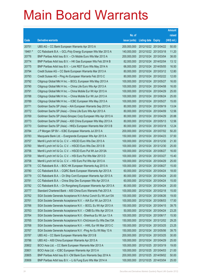|         |                                                               |               |                            |                       | <b>Amount</b> |
|---------|---------------------------------------------------------------|---------------|----------------------------|-----------------------|---------------|
|         |                                                               | No. of        |                            |                       | raised        |
| Code    | <b>Derivative warrants</b>                                    | issue (units) | <b>Listing date Expiry</b> |                       | (HK\$ mil.)   |
| 20751   | UBS AG - CC Bank European Warrants Apr 2013 A                 | 200,000,000   |                            | 2012/10/22 2013/04/22 | 50.00         |
| 19461 # | CC Rabobank B.A. - GCL-Poly Energy European Wts Mar 2013 A    | 140,000,000   |                            | 2012/10/22 2013/03/18 | 11.20         |
| 20776   | BNP Paribas Arbit Issu B.V. - Ch Mobile Euro Wts Mar 2013 A   | 200,000,000   | 2012/10/24 2013/03/04      |                       | 38.00         |
| 20774   | BNP Paribas Arbit Issu B.V. - HK Gas European Wts Feb 2014 B  | 82,000,000    |                            | 2012/10/24 2014/02/04 | 13.12         |
| 20775   | BNP Paribas Arbit Issu B.V. - Link REIT Euro Wts May 2014 A   | 66,000,000    |                            | 2012/10/24 2014/05/05 | 16.50         |
| 20794   | Credit Suisse AG - CC Bank European Warrants Mar 2013 A       | 80,000,000    |                            | 2012/10/24 2013/03/12 | 12.80         |
| 20793   | Credit Suisse AG - Ping An European Warrants Feb 2013 C       | 80,000,000    |                            | 2012/10/24 2013/02/22 | 12.00         |
| 20792   | Citigroup Global Mkt H Inc. - BOCL European Wts May 2013 A    | 100,000,000   |                            | 2012/10/24 2013/05/27 | 16.00         |
| 20790   | Citigroup Global Mkt H Inc. - China Life Euro Wts Apr 2013 A  | 100,000,000   |                            | 2012/10/24 2013/04/08 | 16.00         |
| 20791   | Citigroup Global Mkt H Inc. - China Mobile Eur Wt Apr 2013 A  | 100,000,000   |                            | 2012/10/24 2013/04/29 | 25.00         |
| 20788   | Citigroup Global Mkt H Inc. - China Mobile Eur Wt Jun 2013 A  | 100,000,000   | 2012/10/24 2013/06/24      |                       | 25.00         |
| 20789   | Citigroup Global Mkt H Inc. - ICBC European Wts May 2013 A    | 100,000,000   |                            | 2012/10/24 2013/05/27 | 15.00         |
| 20771   | Goldman Sachs SP (Asia) - AIA European Warrants Sep 2013 A    | 80,000,000    |                            | 2012/10/24 2013/09/19 | 13.04         |
| 20772   | Goldman Sachs SP (Asia) - China Life Euro Wts Apr 2013 A      | 80,000,000    |                            | 2012/10/24 2013/04/09 | 12.56         |
| 20769   | Goldman Sachs SP (Asia)-Sinopec Corp European Wts Apr 2013 A  | 80,000,000    |                            | 2012/10/24 2013/04/29 | 20.88         |
| 20773   | Goldman Sachs SP (Asia) - A50 China European Wts May 2013 A   | 80,000,000    |                            | 2012/10/24 2013/05/13 | 12.56         |
| 20770   | Goldman Sachs SP (Asia) - HKEx European Warrants Mar 2013 B   | 80,000,000    |                            | 2012/10/24 2013/03/18 | 12.24         |
| 20784   | J P Morgan SP BV - ICBC European Warrants Jul 2013 A          | 200,000,000   |                            | 2012/10/24 2013/07/02 | 50.20         |
| 20783   | Macquarie Bank Ltd. - Evergrande European Wts Apr 2013 A      | 150,000,000   |                            | 2012/10/24 2013/04/23 | 37.50         |
| 20757   | Merrill Lynch Int'l & Co. C.V. - HSCEI Euro Wts Dec 2013 A    | 100,000,000   |                            | 2012/10/24 2013/12/30 | 21.30         |
| 20760   | Merrill Lynch Int'l & Co. C.V. - HSCEI Euro Wts Dec 2013 B    | 100,000,000   |                            | 2012/10/24 2013/12/30 | 25.00         |
| 20756   | Merrill Lynch Int'l & Co. C.V. - HSCEI Euro Put Wt Jun 2013A  | 100,000,000   |                            | 2012/10/24 2013/06/27 | 16.00         |
| 20759   | Merrill Lynch Int'l & Co. C.V. - HSI Euro Put Wts Mar 2013 D  | 100,000,000   | 2012/10/24 2013/03/27      |                       | 15.40         |
| 20758   | Merrill Lynch Int'l & Co. C.V. - HSI Euro Put Wts Apr 2013 A  | 100,000,000   |                            | 2012/10/24 2013/04/29 | 25.00         |
| 20778   | CC Rabobank B.A. - BOC HK European Warrants Aug 2013 A        | 100,000,000   |                            | 2012/10/24 2013/08/27 | 15.00         |
| 20780   | CC Rabobank B.A. - CQRC Bank European Warrants Apr 2013 A     | 60,000,000    | 2012/10/24 2013/04/24      |                       | 18.00         |
| 20779   | CC Rabobank B.A. – Ch Ship Cont European Warrants Apr 2013 A  | 80,000,000    | 2012/10/24 2013/04/24      |                       | 20.00         |
| 20781   | CC Rabobank B.A. - China Ship Dev European Wts Apr 2013 A     | 60,000,000    | 2012/10/24 2013/04/24      |                       | 15.00         |
| 20782   | CC Rabobank B.A. - Ch Rongsheng European Warrants Apr 2013 A  | 80,000,000    | 2012/10/24 2013/04/24      |                       | 20.00         |
| 20777   | Standard Chartered Bank - A50 China Euro Warrants Feb 2013 A  | 100,000,000   | 2012/10/24 2013/02/18      |                       | 15.00         |
| 20762   | SGA Societe Generale Acceptance N.V-Anhui Conch Eu Wt Jun13A  | 100,000,000   | 2012/10/24 2013/06/26      |                       | 19.00         |
| 20761   | SGA Societe Generale Acceptance N.V. - AIA Eur Wt Jun 2013 A  | 100,000,000   |                            | 2012/10/24 2013/06/03 | 17.50         |
| 20766   | SGA Societe Generale Acceptance N.V. - BOCL Eu Wt Apr 2013 A  | 150,000,000   | 2012/10/24                 | 2013/04/15            | 39.75         |
| 20763   | SGA Societe Generale Acceptance N.V. - CMB Eu Wts Apr 2013 A  | 50,000,000    | 2012/10/24 2013/04/24      |                       | 23.25         |
| 20764   | SGA Societe Generale Acceptance N.V. - Shenhua Eu Wt Jun 13 A | 100,000,000   | 2012/10/24 2013/06/17      |                       | 15.50         |
| 20765   | SGA Societe Generale Acceptance N.V.-ChiUnicom Eu Wts Dec13A  | 150,000,000   |                            | 2012/10/24 2013/12/02 | 29.25         |
| 20768   | SGA Societe Generale Acceptance N.V. - HWL Eur Wt Mar 2013 C  | 150,000,000   | 2012/10/24                 | 2013/03/25            | 23.25         |
| 20767   | SGA Societe Generale Acceptance N.V. - Ping An Eu Wt May 13 A | 150,000,000   |                            | 2012/10/24 2013/05/06 | 39.75         |
| 20787   | UBS AG - CC Bank European Warrants Mar 2013 B                 | 200,000,000   | 2012/10/24 2013/03/25      |                       | 30.00         |
| 20786   | UBS AG - A50 China European Warrants Apr 2013 A               | 100,000,000   | 2012/10/24 2013/04/29      |                       | 25.00         |
| 20802   | BOCI Asia Ltd. - CC Bank European Warrants Mar 2013 A         | 100,000,000   | 2012/10/25 2013/03/19      |                       | 19.00         |
| 20801   | BOCI Asia Ltd. - ICBC European Warrants Apr 2013 A            | 100,000,000   | 2012/10/25 2013/04/03      |                       | 21.00         |
| 20805   | BNP Paribas Arbit Issu B.V.-CM Bank Euro Warrants Sep 2014 A  | 200,000,000   | 2012/10/25 2014/09/02      |                       | 50.00         |
| 20806   | BNP Paribas Arbit Issu B.V. - Li & Fung Euro Wts Mar 2014 A   | 100,000,000   | 2012/10/25 2014/03/04      |                       | 25.00         |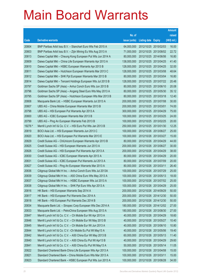|         |                                                              |               |                            |                       | <b>Amount</b> |
|---------|--------------------------------------------------------------|---------------|----------------------------|-----------------------|---------------|
|         |                                                              | No. of        |                            |                       | raised        |
| Code    | <b>Derivative warrants</b>                                   | issue (units) | <b>Listing date Expiry</b> |                       | (HK\$ mil.)   |
| 20804   | BNP Paribas Arbit Issu B.V. - Stanchart Euro Wts Feb 2015 A  | 64,000,000    |                            | 2012/10/25 2015/02/03 | 16.00         |
| 20803   | BNP Paribas Arbit Issu B.V. - Zijin Mining Eu Wts Aug 2013 A | 71,000,000    |                            | 2012/10/25 2013/08/02 | 22.72         |
| 20813   | Daiwa Capital Mkt - Cheung Kong European Put Wts Jun 2014 A  | 80,000,000    |                            | 2012/10/25 2014/06/06 | 16.80         |
| 20809   | Daiwa Capital Mkt - China Life European Warrants Apr 2013 A  | 138,000,000   | 2012/10/25 2013/04/25      |                       | 41.40         |
| 20810   | Daiwa Capital Mkt - HSBC European Warrants Apr 2013 B        | 128,000,000   |                            | 2012/10/25 2013/04/25 | 32.00         |
| 20811   | Daiwa Capital Mkt - Hutchison European Warrants Mar 2013 C   | 128,000,000   |                            | 2012/10/25 2013/03/08 | 48.64         |
| 20812   | Daiwa Capital Mkt - SHK Ppt European Warrants Mar 2013 B     | 80,000,000    |                            | 2012/10/25 2013/03/04 | 16.80         |
| 20814   | Daiwa Capital Mkt - Tencent Holdings European Wts Jul 2013 B | 128,000,000   | 2012/10/25 2013/07/22      |                       | 20.48         |
| 20797   | Goldman Sachs SP (Asia) - Anhui Conch Euro Wts Jun 2013 B    | 80,000,000    |                            | 2012/10/25 2013/06/10 | 20.08         |
| 20796   | Goldman Sachs SP (Asia) - Angang Steel Euro Wts May 2013 A   | 80,000,000    |                            | 2012/10/25 2013/05/30 | 35.12         |
| 20795   | Goldman Sachs SP (Asia) - Hutchison European Wts Mar 2013 B  | 80,000,000    | 2012/10/25 2013/03/18      |                       | 12.40         |
| 20808   | Macquarie Bank Ltd. - HSBC European Warrants Jul 2013 A      | 200,000,000   | 2012/10/25 2013/07/08      |                       | 30.00         |
| 20807   | UBS AG - China Mobile European Warrants Mar 2013 B           | 200,000,000   | 2012/10/25 2013/03/01      |                       | 74.00         |
| 20798   | UBS AG - HSI European Put Warrants Apr 2013 A                | 300,000,000   |                            | 2012/10/25 2013/04/29 | 75.00         |
| 20800   | UBS AG - ICBC European Warrants Mar 2013 B                   | 100,000,000   |                            | 2012/10/25 2013/03/25 | 24.00         |
| 20799   | UBS AG - Ping An European Warrants Feb 2013 B                | 100,000,000   |                            | 2012/10/25 2013/02/25 | 20.00         |
| 19276 # | Merrill Lynch Int'l & Co. C.V. - HSI Euro Put Wts Jan 2013 B | 250,000,000   |                            | 2012/10/25 2013/01/30 | 12.25         |
| 20819   | BOCI Asia Ltd. - HSI European Warrants Jun 2013 C            | 100,000,000   |                            | 2012/10/26 2013/06/27 | 25.00         |
| 20820   | BOCI Asia Ltd. - HSI European Put Warrants Mar 2013 E        | 100,000,000   | 2012/10/26 2013/03/27      |                       | 15.00         |
| 20829   | Credit Suisse AG - ChiUnicom European Warrants Apr 2013 B    | 80,000,000    | 2012/10/26 2013/04/29      |                       | 44.00         |
| 20825   | Credit Suisse AG - HSI European Warrants Jun 2013 A          | 200,000,000   |                            | 2012/10/26 2013/06/27 | 30.00         |
| 20826   | Credit Suisse AG - HSI European Put Warrants Apr 2013 A      | 200,000,000   |                            | 2012/10/26 2013/04/29 | 38.00         |
| 20830   | Credit Suisse AG - ICBC European Warrants Apr 2013 A         | 80,000,000    |                            | 2012/10/26 2013/04/29 | 20.00         |
| 20831   | Credit Suisse AG - ICBC European Put Warrants Jul 2013 A     | 80,000,000    |                            | 2012/10/26 2013/07/09 | 20.00         |
| 20827   | Credit Suisse AG - Ping An European Warrants Mar 2013 A      | 80,000,000    | 2012/10/26 2013/03/11      |                       | 26.40         |
| 20836   | Citigroup Global Mkt H Inc. - Anhui Conch Euro Wts Jul 2013A | 100,000,000   | 2012/10/26 2013/07/29      |                       | 25.00         |
| 20839   | Citigroup Global Mkt H Inc. - A50 China Euro Wts May 2013 A  | 100,000,000   | 2012/10/26 2013/05/13      |                       | 18.00         |
| 20837   | Citigroup Global Mkt H Inc. - HSBC European Wts Jul 2013 A   | 100,000,000   | 2012/10/26 2013/07/02      |                       | 25.00         |
| 20838   | Citigroup Global Mkt H Inc. - SHK Ppt Euro Wts Apr 2013 A    | 100,000,000   | 2012/10/26 2013/04/29      |                       | 25.00         |
| 20816   | HK Bank - HSI European Warrants Sep 2014 A                   | 200,000,000   | 2012/10/26 2014/09/29      |                       | 50.00         |
| 20817   | HK Bank - HSI European Put Warrants Dec 2014 A               | 200,000,000   |                            | 2012/10/26 2014/12/30 | 50.00         |
| 20818   | HK Bank - HSI European Put Warrants Dec 2014 B               | 200,000,000   |                            | 2012/10/26 2014/12/30 | 50.00         |
| 20834   | Macquarie Bank Ltd. - Sinopec Corp European Wts Dec 2014 A   | 180,000,000   |                            | 2012/10/26 2014/12/02 | 27.00         |
| 20833   | Macquarie Bank Ltd. - PetroChina European Wts Aug 2013 A     | 180,000,000   |                            | 2012/10/26 2013/08/30 | 27.00         |
| 20847   | Merrill Lynch Int'l & Co. C.V. - Ch Mobile Eur Wt Apr 2013 A | 40,000,000    | 2012/10/26 2013/04/29      |                       | 18.60         |
| 20846   | Merrill Lynch Int'l & Co. C.V. - Ch Mobile Eur Wt May 2013 B | 40,000,000    |                            | 2012/10/26 2013/05/27 | 10.40         |
| 20845   | Merrill Lynch Int'l & Co. C.V. - Ch Mobile Eur Wt Jun 2013 A | 40,000,000    | 2012/10/26 2013/06/10      |                       | 10.80         |
| 20844   | Merrill Lynch Int'l & Co. C.V. - Ch Mobile Eu Put Wt May13 A | 40,000,000    |                            | 2012/10/26 2013/05/06 | 19.40         |
| 20842   | Merrill Lynch Int'l & Co. C.V. - A50 China Eur Wt May 2013 B | 60,000,000    | 2012/10/26 2013/05/13      |                       | 11.40         |
| 20840   | Merrill Lynch Int'l & Co. C.V. - A50 China Eu Put Wt Apr13 B | 40,000,000    | 2012/10/26 2013/04/29      |                       | 29.60         |
| 20841   | Merrill Lynch Int'l & Co. C.V. - A50 China Eu Put Wt May13 A | 50,000,000    | 2012/10/26 2013/05/14      |                       | 11.05         |
| 20822   | Standard Chartered Bank-China Life European Wts Apr 2013 A   | 100,000,000   | 2012/10/26 2013/04/08      |                       | 15.00         |
| 20821   | Standard Chartered Bank - China Mobile Euro Wts Mar 2013 A   | 100,000,000   | 2012/10/26 2013/03/11      |                       | 15.00         |
| 20823   | Standard Chartered Bank - HSBC European Put Wts Jun 2013 A   | 100,000,000   | 2012/10/26 2013/06/28      |                       | 34.00         |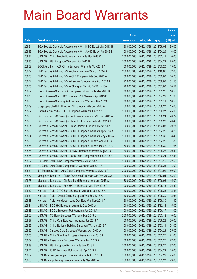|       |                                                              |               |                       |                       | <b>Amount</b> |
|-------|--------------------------------------------------------------|---------------|-----------------------|-----------------------|---------------|
|       |                                                              | No. of        |                       |                       | raised        |
| Code  | <b>Derivative warrants</b>                                   | issue (units) | Listing date Expiry   |                       | (HK\$ mil.)   |
| 20824 | SGA Societe Generale Acceptance N.V. - ICBC Eu Wt May 2013 B | 150,000,000   | 2012/10/26 2013/05/06 |                       | 39.00         |
| 20815 | SGA Societe Generale Acceptance N.V. - JIANC Eu Wt Apr2013 B | 100,000,000   |                       | 2012/10/26 2013/04/29 | 16.00         |
| 20832 | UBS AG - China Mobile European Warrants Mar 2013 C           | 200,000,000   | 2012/10/26 2013/03/11 |                       | 40.00         |
| 20835 | UBS AG - HSI European Warrants Apr 2013 B                    | 300,000,000   | 2012/10/26 2013/04/29 |                       | 75.00         |
| 20859 | BOCI Asia Ltd. - A50 China European Warrants May 2013 A      | 100,000,000   |                       | 2012/10/29 2013/05/20 | 19.00         |
| 20872 | BNP Paribas Arbit Issu B.V. - China Life Euro Wts Oct 2014 A | 200,000,000   | 2012/10/29 2014/10/06 |                       | 52.00         |
| 20873 | BNP Paribas Arbit Issu B.V. - CLP European Wts Sep 2013 A    | 38,000,000    | 2012/10/29 2013/09/03 |                       | 10.26         |
| 20874 | BNP Paribas Arbit Issu B.V. - Lenovo European Wts Aug 2013 A | 93,000,000    | 2012/10/29 2013/08/02 |                       | 51.15         |
| 20875 | BNP Paribas Arbit Issu B.V. - Shanghai Electric Eu Wt Jul13A | 26,000,000    |                       | 2012/10/29 2013/07/03 | 10.14         |
| 20869 | Credit Suisse AG - CNOOC European Put Warrants Mar 2013 B    | 70,000,000    | 2012/10/29 2013/03/25 |                       | 10.50         |
| 20870 | Credit Suisse AG - HSBC European Put Warrants Apr 2013 D     | 70,000,000    |                       | 2012/10/29 2013/04/29 | 11.90         |
| 20868 | Credit Suisse AG - Ping An European Put Warrants Mar 2013 B  | 70,000,000    | 2012/10/29 2013/03/11 |                       | 10.50         |
| 20879 | Citigroup Global Mkt H Inc. - HSI European Wts Jun 2013 A    | 100,000,000   |                       | 2012/10/29 2013/06/27 | 15.00         |
| 20867 | Daiwa Capital Mkt - HSCEI European Warrants Jun 2013 D       | 100,000,000   | 2012/10/29 2013/06/27 |                       | 25.00         |
| 20866 | Goldman Sachs SP (Asia) - BankComm European Wts Jun 2013 A   | 80,000,000    |                       | 2012/10/29 2013/06/24 | 20.72         |
| 20863 | Goldman Sachs SP (Asia) - China Tel European Wts May 2013 A  | 80,000,000    | 2012/10/29 2013/05/20 |                       | 20.48         |
| 20864 | Goldman Sachs SP (Asia) - China Unicom Euro Wts Mar 2014 A   | 80,000,000    |                       | 2012/10/29 2014/03/03 | 20.24         |
| 20853 | Goldman Sachs SP (Asia) - HSCEI European Warrants Apr 2013 A | 150,000,000   | 2012/10/29 2013/04/29 |                       | 38.25         |
| 20854 | Goldman Sachs SP (Asia) - HSCEI European Warrants May 2013 A | 150,000,000   | 2012/10/29            | 2013/05/30            | 38.40         |
| 20855 | Goldman Sachs SP (Asia) - HSCEI European Put Wts Apr 2013 B  | 150,000,000   | 2012/10/29 2013/04/29 |                       | 37.80         |
| 20856 | Goldman Sachs SP (Asia) - HSCEI European Put Wts May 2013 B  | 150,000,000   |                       | 2012/10/29 2013/05/30 | 37.65         |
| 20876 | Goldman Sachs SP (Asia) - JIANC European Warrants Aug 2013 A | 80,000,000    | 2012/10/29 2013/08/26 |                       | 20.40         |
| 20865 | Goldman Sachs SP (Asia) - PetroChina European Wts Jun 2013 A | 80,000,000    | 2012/10/29 2013/06/24 |                       | 42.48         |
| 20857 | HK Bank - A50 China European Warrants Jul 2013 A             | 150,000,000   | 2012/10/29 2013/07/15 |                       | 22.50         |
| 20858 | HK Bank - A50 China European Put Warrants Jun 2014 A         | 100,000,000   | 2012/10/29 2014/06/25 |                       | 15.00         |
| 20881 | J P Morgan SP BV - A50 China European Warrants Jul 2013 A    | 200,000,000   | 2012/10/29 2013/07/02 |                       | 50.00         |
| 20877 | Macquarie Bank Ltd. - China Overseas European Wts Dec 2013 A | 180,000,000   | 2012/10/29 2013/12/04 |                       | 45.00         |
| 20878 | Macquarie Bank Ltd. - Chi Res Land European Wts Jun 2013 A   | 180,000,000   | 2012/10/29 2013/06/03 |                       | 45.00         |
| 20861 | Macquarie Bank Ltd. - Poly HK Inv European Wts May 2013 A    | 100,000,000   | 2012/10/29 2013/05/13 |                       | 25.50         |
| 20852 | Nomura Int'l plc -CITIC Bank European Warrants Jun 2013 A    | 50,000,000    | 2012/10/29 2013/06/28 |                       | 12.85         |
| 20851 | Nomura Int'l plc - Digital China European Wts Sep 2013 A     | 50,000,000    | 2012/10/29 2013/09/30 |                       | 12.65         |
| 20848 | Nomura Int'l plc -Henderson Land Dev Euro Wts Sep 2013 A     | 50,000,000    | 2012/10/29 2013/09/30 |                       | 13.90         |
| 20884 | UBS AG - BOC HK European Warrants Dec 2013 A                 | 100,000,000   | 2012/10/29 2013/12/16 |                       | 15.00         |
| 20883 | UBS AG - BOCL European Put Warrants Jun 2013 A               | 100,000,000   | 2012/10/29 2013/06/17 |                       | 18.00         |
| 20860 | UBS AG - CC Bank European Warrants Mar 2013 C                | 200,000,000   |                       | 2012/10/29 2013/03/12 | 40.00         |
| 20887 | UBS AG - China Coal European Warrants Jun 2013 A             | 100,000,000   | 2012/10/29 2013/06/28 |                       | 60.00         |
| 20888 | UBS AG - China National Building European Wts Mar 2013 A     | 100,000,000   | 2012/10/29 2013/03/11 |                       | 54.00         |
| 20880 | UBS AG - Sinopec Corp European Warrants Apr 2013 A           | 100,000,000   | 2012/10/29 2013/04/29 |                       | 25.00         |
| 20885 | UBS AG - China Shenhua European Warrants Mar 2013 A          | 100,000,000   | 2012/10/29 2013/03/25 |                       | 21.00         |
| 20882 | UBS AG - Evergrande European Warrants Mar 2013 A             | 100,000,000   | 2012/10/29 2013/03/25 |                       | 27.00         |
| 20889 | UBS AG - HSI European Put Warrants Jun 2013 B                | 300,000,000   | 2012/10/29 2013/06/27 |                       | 87.00         |
| 20871 | UBS AG - ICBC European Put Warrants Apr 2013 B               | 100,000,000   | 2012/10/29 2013/04/29 |                       | 25.00         |
| 20862 | UBS AG - Jiangxi Copper European Warrants Apr 2013 A         | 100,000,000   | 2012/10/29 2013/04/29 |                       | 25.00         |
| 20886 | UBS AG - Zijin Mining European Warrants Mar 2013 A           | 100,000,000   | 2012/10/29 2013/03/27 |                       | 23.00         |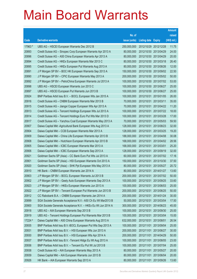|         |                                                              |               |                            |            | <b>Amount</b> |
|---------|--------------------------------------------------------------|---------------|----------------------------|------------|---------------|
|         |                                                              | No. of        |                            |            | raised        |
| Code    | <b>Derivative warrants</b>                                   | issue (units) | <b>Listing date Expiry</b> |            | (HK\$ mil.)   |
| 17963 # | UBS AG - HSCEI European Warrants Dec 2012 B                  | 250,000,000   | 2012/10/29 2012/12/28      |            | 11.75         |
| 20893   | Credit Suisse AG - Sinopec Corp European Warrants Apr 2013 A | 80,000,000    | 2012/10/30 2013/04/29      |            | 24.00         |
| 20896   | Credit Suisse AG - A50 China European Warrants Apr 2013 A    | 80,000,000    | 2012/10/30 2013/04/29      |            | 20.00         |
| 20894   | Credit Suisse AG - HKEx European Warrants Mar 2013 C         | 80,000,000    | 2012/10/30 2013/03/18      |            | 26.40         |
| 20895   | Credit Suisse AG - HKEx European Put Warrants Aug 2013 A     | 80,000,000    | 2012/10/30 2013/08/26      |            | 12.00         |
| 20891   | J P Morgan SP BV - BOC HK European Warrants Sep 2013 A       | 150,000,000   | 2012/10/30 2013/09/02      |            | 22.50         |
| 20890   | J P Morgan SP BV - CPIC European Warrants May 2013 A         | 200,000,000   | 2012/10/30 2013/05/02      |            | 50.00         |
| 20892   | J P Morgan SP BV - PetroChina European Warrants Jul 2013 A   | 100,000,000   | 2012/10/30 2013/07/02      |            | 53.00         |
| 20898   | UBS AG - HSCEI European Warrants Jun 2013 C                  | 100,000,000   | 2012/10/30 2013/06/27      |            | 25.00         |
| 20897   | UBS AG - HSCEI European Put Warrants Jun 2013 B              | 100,000,000   | 2012/10/30 2013/06/27      |            | 25.00         |
| 20924   | BNP Paribas Arbit Issu B.V. - BOCL European Wts Jan 2015 A   | 100,000,000   | 2012/10/31                 | 2015/01/05 | 26.00         |
| 20916   | Credit Suisse AG - CNBM European Warrants Mar 2013 B         | 70,000,000    | 2012/10/31 2013/03/11      |            | 35.00         |
| 20915   | Credit Suisse AG - Jiangxi Copper European Wts Apr 2013 A    | 70,000,000    | 2012/10/31                 | 2013/04/22 | 11.20         |
| 20913   | Credit Suisse AG - Tencent Holdings European Wts Jul 2013 A  | 100,000,000   | 2012/10/31 2013/07/22      |            | 18.00         |
| 20914   | Credit Suisse AG - Tencent Holdings Euro Put Wts Mar 2013 D  | 100,000,000   | 2012/10/31                 | 2013/03/28 | 17.00         |
| 20917   | Credit Suisse AG - Yanzhou Coal European Warrants May 2013 A | 70,000,000    | 2012/10/31 2013/05/03      |            | 59.50         |
| 20907   | Daiwa Capital Mkt -Agricultural Bank European Wts Aug 2013 A | 128,000,000   | 2012/10/31                 | 2013/08/23 | 32.00         |
| 20904   | Daiwa Capital Mkt - CCB European Warrants Mar 2013 A         | 128,000,000   | 2012/10/31                 | 2013/03/25 | 19.20         |
| 20909   | Daiwa Capital Mkt - China Life European Warrants Apr 2013 B  | 188,000,000   | 2012/10/31                 | 2013/04/08 | 30.08         |
| 20908   | Daiwa Capital Mkt - Hutchison European Warrants Apr 2013 B   | 168,000,000   | 2012/10/31 2013/04/02      |            | 28.56         |
| 20905   | Daiwa Capital Mkt - ICBC European Warrants Mar 2013 A        | 168,000,000   | 2012/10/31                 | 2013/03/01 | 25.20         |
| 20906   | Daiwa Capital Mkt - ICBC European Warrants Sep 2013 A        | 128,000,000   | 2012/10/31 2013/09/19      |            | 32.00         |
| 20921   | Goldman Sachs SP (Asia) - CC Bank Euro Put Wts Jul 2013 A    | 60,000,000    | 2012/10/31                 | 2013/07/02 | 17.16         |
| 20901   | Goldman Sachs SP (Asia) - HSI European Warrants Oct 2013 A   | 150,000,000   | 2012/10/31 2013/10/30      |            | 37.50         |
| 20920   | Goldman Sachs SP (Asia) - SHK Ppt European Wts May 2013 A    | 80,000,000    | 2012/10/31                 | 2013/05/27 | 20.72         |
| 20910   | HK Bank - CNBM European Warrants Jan 2014 A                  | 80,000,000    | 2012/10/31 2014/01/27      |            | 13.60         |
| 20903   | J P Morgan SP BV - BOCL European Warrants Jul 2013 B         | 200,000,000   | 2012/10/31 2013/07/02      |            | 50.00         |
| 20902   | J P Morgan SP BV - Geely Auto European Warrants Sep 2013 A   | 100,000,000   | 2012/10/31 2013/09/25      |            | 33.60         |
| 20923   | J P Morgan SP BV - HKEx European Warrants Jun 2013 A         | 100,000,000   | 2012/10/31                 | 2013/06/03 | 25.00         |
| 20922   | J P Morgan SP BV - Tencent European Put Warrants Jun 2013 B  | 200,000,000   | 2012/10/31 2013/06/25      |            | 50.00         |
| 20912   | CC Rabobank B.A. - CNBM European Warrants Jan 2014 A         | 200,000,000   | 2012/10/31                 | 2014/01/24 | 30.00         |
| 20899   | SGA Societe Generale Acceptance N.V.- A50 Ch Eu Wt Mar2013 B | 50,000,000    | 2012/10/31                 | 2013/03/04 | 17.50         |
| 20900   | SGA Societe Generale Acceptance N.V. - HKEx Eu Wt Jun 2014 A | 300,000,000   | 2012/10/31                 | 2014/06/23 | 45.00         |
| 20918   | UBS AG - AIA European Warrants Sep 2013 B                    | 100,000,000   | 2012/10/31                 | 2013/09/30 | 25.00         |
| 20919   | UBS AG - Tencent Holdings European Put Warrants Mar 2013 B   | 100,000,000   | 2012/10/31                 | 2013/03/04 | 15.00         |
| 17224 # | Daiwa Capital Mkt - A50 China European Warrants Aug 2013 A   | 632,000,000   | 2012/10/31                 | 2013/08/01 | 26.54         |
| 20935   | BNP Paribas Arbit Issu B.V.-BOCL European Put Wts Sep 2013 A | 100,000,000   | 2012/11/01                 | 2013/09/04 | 25.00         |
| 20931   | BNP Paribas Arbit Issu B.V. - HSI European Wts Jun 2013 A    | 200,000,000   | 2012/11/01 2013/06/27      |            | 30.00         |
| 20930   | BNP Paribas Arbit Issu B.V. - HSI European Wts Apr 2014 A    | 200,000,000   | 2012/11/01                 | 2014/04/29 | 50.00         |
| 20937   | BNP Paribas Arbit Issu B.V. - Tencent HIdgs Eu Wt Aug 2013 A | 100,000,000   | 2012/11/01 2013/08/05      |            | 23.00         |
| 20936   | BNP Paribas Arbit Issu B.V. - Tencent Eu Put Wt Jul 2013 B   | 100,000,000   | 2012/11/01                 | 2013/07/04 | 25.00         |
| 20938   | Credit Suisse AG - AIA European Warrants May 2013 A          | 80,000,000    | 2012/11/01 2013/05/27      |            | 20.00         |
| 20939   | Daiwa Capital Mkt - AIA European Warrants Jun 2013 B         | 80,000,000    | 2012/11/01                 | 2013/06/04 | 20.00         |
| 20926   | HK Bank - AIA European Warrants Sep 2013 A                   | 80,000,000    | 2012/11/01                 | 2013/09/26 | 13.60         |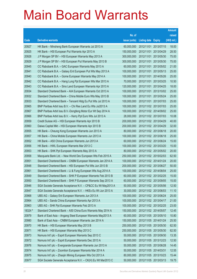|         |                                                              |               |                            |                       | <b>Amount</b> |
|---------|--------------------------------------------------------------|---------------|----------------------------|-----------------------|---------------|
|         |                                                              | No. of        |                            |                       | raised        |
| Code    | <b>Derivative warrants</b>                                   | issue (units) | <b>Listing date Expiry</b> |                       | (HK\$ mil.)   |
| 20927   | HK Bank - Minsheng Bank European Warrants Jul 2013 A         | 60,000,000    |                            | 2012/11/01 2013/07/15 | 18.00         |
| 20925   | HK Bank - HSI European Put Warrants Apr 2013 A               | 150,000,000   |                            | 2012/11/01 2013/04/29 | 28.50         |
| 20928   | J P Morgan SP BV - HSI European Warrants May 2013 A          | 300,000,000   | 2012/11/01                 | 2013/05/30            | 75.00         |
| 20929   | J P Morgan SP BV - HSI European Put Warrants May 2013 B      | 300,000,000   |                            | 2012/11/01 2013/05/30 | 75.00         |
| 20945   | CC Rabobank B.A. - GAC European Warrants May 2013 A          | 60,000,000    | 2012/11/01                 | 2013/05/02            | 21.00         |
| 20941   | CC Rabobank B.A. - Galaxy Ent European Put Wts May 2013 A    | 100,000,000   |                            | 2012/11/01 2013/05/13 | 25.00         |
| 20940   | CC Rabobank B.A. - Gome European Warrants May 2014 A         | 100,000,000   | 2012/11/01                 | 2014/05/26            | 25.00         |
| 20942   | CC Rabobank B.A. - Hang Lung Ppt European Wts Mar 2013 A     | 70,000,000    |                            | 2012/11/01 2013/03/25 | 10.50         |
| 20943   | CC Rabobank B.A. - Sino Land European Warrants Apr 2013 A    | 120,000,000   |                            | 2012/11/01 2013/04/25 | 18.00         |
| 20934   | Standard Chartered Bank - AIA European Warrants Oct 2013 A   | 100,000,000   |                            | 2012/11/01 2013/10/02 | 25.00         |
| 20932   | Standard Chartered Bank - China Mobile Euro Wts May 2013 B   | 100,000,000   | 2012/11/01                 | 2013/05/24            | 25.00         |
| 20933   | Standard Chartered Bank - Tencent Hidg Eu Put Wts Jul 2013 A | 100,000,000   |                            | 2012/11/01 2013/07/03 | 25.00         |
| 20965   | BNP Paribas Arbit Issu B.V. - Chi Res Land Eu Wts Jul2013 A  | 100,000,000   |                            | 2012/11/02 2013/07/03 | 25.00         |
| 20967   | BNP Paribas Arbit Issu B.V.-Dongfeng Motor Eur Wt Sep 2014 A | 100,000,000   |                            | 2012/11/02 2014/09/02 | 25.00         |
| 20966   | BNP Paribas Arbit Issu B.V. - Kerry Ppt Euro Wts Jul 2013 A  | 28,000,000    |                            | 2012/11/02 2013/07/03 | 10.08         |
| 20959   | Credit Suisse AG - HSI European Warrants Apr 2013 B          | 200,000,000   |                            | 2012/11/02 2013/04/29 | 40.00         |
| 20960   | Daiwa Capital Mkt - HSI European Warrants Apr 2013 B         | 200,000,000   |                            | 2012/11/02 2013/04/29 | 32.00         |
| 20955   | HK Bank - Cheung Kong European Warrants Jun 2013 A           | 80,000,000    |                            | 2012/11/02 2013/06/18 | 20.00         |
| 20957   | HK Bank - China Mobile European Warrants Jun 2013 A          | 100,000,000   |                            | 2012/11/02 2013/06/18 | 25.00         |
| 20952   | HK Bank - A50 China European Warrants Jun 2013 A             | 60,000,000    |                            | 2012/11/02 2013/06/24 | 15.00         |
| 20956   | HK Bank - HWL European Warrants Mar 2013 C                   | 100,000,000   |                            | 2012/11/02 2013/03/20 | 15.00         |
| 20953   | HK Bank - SHK Ppt European Warrants May 2013 A               | 80,000,000    |                            | 2012/11/02 2013/05/02 | 20.00         |
| 20958   | Macquarie Bank Ltd. - New World Dev European Wts Feb 2015 A  | 250,000,000   |                            | 2012/11/02 2015/02/03 | 62.50         |
| 20951   | Standard Chartered Bank - CNBM European Warrants Jan 2014 A  | 100,000,000   |                            | 2012/11/02 2014/01/24 | 20.00         |
| 20948   | Standard Chartered Bank - HSI European Put Wts Jun 2013 B    | 200,000,000   |                            | 2012/11/02 2013/06/27 | 50.00         |
| 20961   | Standard Chartered Bank - Li & Fung European Wts Aug 2014 A  | 100,000,000   |                            | 2012/11/02 2014/08/04 | 25.00         |
| 20949   | Standard Chartered Bank - SHK P European Warrants Feb 2013 B | 60,000,000    |                            | 2012/11/02 2013/02/25 | 15.00         |
| 20950   | Standard Chartered Bank - SHK P European Warrants Sep 2013 A | 60,000,000    | 2012/11/02 2013/09/05      |                       | 15.00         |
| 20946   | SGA Societe Generale Acceptance N.V. - CP&CC Eu Wt May2013 A | 50,000,000    |                            | 2012/11/02 2013/05/06 | 12.50         |
| 20947   | SGA Societe Generale Acceptance N.V. - HKEx Eu Wt Jun 2013 A | 30,000,000    |                            | 2012/11/02 2013/06/03 | 11.10         |
| 20968   | UBS AG - Galaxy Ent European Warrants Jun 2013 A             | 100,000,000   |                            | 2012/11/02 2013/06/24 | 25.00         |
| 20964   | UBS AG - Sands China European Warrants Apr 2013 A            | 100,000,000   |                            | 2012/11/02 2013/04/17 | 21.00         |
| 20963   | UBS AG - SHK Ppt European Warrants Feb 2013 A                | 100,000,000   |                            | 2012/11/02 2013/02/25 | 23.00         |
| 18324 # | Standard Chartered Bank - A50 China Euro Warrants May 2014 A | 150,000,000   |                            | 2012/11/02 2014/05/07 | 12.45         |
| 20979   | Bank of East Asia - Angang Steel European Warrants May2013 A | 60,000,000    |                            | 2012/11/05 2013/05/10 | 10.80         |
| 20980   | Bank of East Asia - CNBM European Warrants Jan 2014 A        | 150,000,000   |                            | 2012/11/05 2014/01/24 | 25.50         |
| 20970   | HK Bank - HSI European Warrants May 2013 B                   | 250,000,000   |                            | 2012/11/05 2013/05/30 | 62.50         |
| 20971   | HK Bank - HSI European Warrants May 2013 C                   | 250,000,000   |                            | 2012/11/05 2013/05/30 | 62.50         |
| 20973   | Nomura Int'l plc - Esprit European Warrants Sep 2013 C       | 50,000,000    |                            | 2012/11/05 2013/09/30 | 13.35         |
| 20972   | Nomura Int'l plc - Esprit European Warrants Dec 2013 A       | 50,000,000    |                            | 2012/11/05 2013/12/23 | 12.50         |
| 20976   | Nomura Int'l plc - Evergrande European Warrants Jun 2013 A   | 50,000,000    | 2012/11/05 2013/06/28      |                       | 14.45         |
| 20974   | Nomura Int'l plc - Zoomlion European Warrants Mar 2014 A     | 50,000,000    | 2012/11/05 2014/03/31      |                       | 12.55         |
| 20975   | Nomura Int'l plc - Zhaojin Mining European Wts Oct 2013 A    | 80,000,000    |                            | 2012/11/05 2013/10/23 | 15.44         |
| 20977   | SGA Societe Generale Acceptance N.V. - CK(H) Eu Wt Mar2013 C | 50,000,000    | 2012/11/05 2013/03/13      |                       | 19.75         |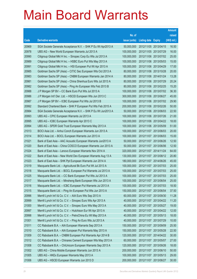|       |                                                              |               |                            | <b>Amount</b> |
|-------|--------------------------------------------------------------|---------------|----------------------------|---------------|
|       |                                                              | No. of        |                            | raised        |
| Code  | <b>Derivative warrants</b>                                   | issue (units) | <b>Listing date Expiry</b> | (HK\$ mil.)   |
| 20969 | SGA Societe Generale Acceptance N.V. - SHK P Eu Wt Apr2013 A | 50,000,000    | 2012/11/05 2013/04/15      | 16.50         |
| 20978 | UBS AG - New World European Warrants Jul 2013 A              | 100,000,000   | 2012/11/05 2013/07/29      | 16.00         |
| 20990 | Citigroup Global Mkt H Inc. - Sinopec Corp Eu Wts Jul 2013 A | 100,000,000   | 2012/11/06 2013/07/02      | 25.00         |
| 20989 | Citigroup Global Mkt H Inc. - HSBC Euro Put Wts May 2013 A   | 100,000,000   | 2012/11/06 2013/05/03      | 15.00         |
| 20991 | Citigroup Global Mkt H Inc. - HSI European Put Wt Apr 2013 A | 100,000,000   | 2012/11/06 2013/04/29      | 17.00         |
| 20985 | Goldman Sachs SP (Asia) - CITIC Sec European Wts Oct 2013 A  | 80,000,000    | 2012/11/06 2013/10/28      | 20.00         |
| 20983 | Goldman Sachs SP (Asia) - CNBM European Warrants Jan 2014 A  | 80,000,000    | 2012/11/06 2014/01/24      | 13.28         |
| 20981 | Goldman Sachs SP (Asia) - China Shenhua Euro Wts Jul 2013 A  | 80,000,000    | 2012/11/06 2013/07/29      | 20.24         |
| 20982 | Goldman Sachs SP (Asia) - Ping An European Wts Feb 2013 B    | 80,000,000    | 2012/11/06 2013/02/25      | 15.20         |
| 20988 | J P Morgan SP BV - CC Bank Euro Put Wts Jul 2013 A           | 100,000,000   | 2012/11/06 2013/07/02      | 36.30         |
| 20986 | J P Morgan Int'l Der. Ltd. - HSCEI European Wts Jun 2013 C   | 300,000,000   | 2012/11/06 2013/06/27      | 45.00         |
| 20987 | J P Morgan SP BV - ICBC European Put Wts Jul 2013 B          | 100,000,000   | 2012/11/06 2013/07/02      | 29.90         |
| 20992 | Standard Chartered Bank - SHK P European Put Wts Feb 2015 A  | 200,000,000   | 2012/11/06 2015/02/26      | 50.00         |
| 20984 | SGA Societe Generale Acceptance N.V. - SHK P Eu Wt Jun2013 A | 50,000,000    | 2012/11/06 2013/06/03      | 22.50         |
| 20993 | UBS AG - CPIC European Warrants Jul 2013 A                   | 100,000,000   | 2012/11/06 2013/07/26      | 21.00         |
| 20995 | UBS AG - ICBC European Warrants Apr 2013 C                   | 100,000,000   | 2012/11/06 2013/04/22      | 18.00         |
| 20994 | UBS AG - SPDR Gold Trust European Warrants May 2013 A        | 100,000,000   | 2012/11/06 2013/05/09      | 51.00         |
| 21013 | BOCI Asia Ltd. - Anhui Conch European Warrants Jun 2013 A    | 100,000,000   | 2012/11/07 2013/06/03      | 20.00         |
| 21014 | BOCI Asia Ltd. - BOCL European Warrants Jun 2013 A           | 100,000,000   | 2012/11/07 2013/06/03      | 15.00         |
| 21021 | Bank of East Asia - AAC Acoustic European Warrants Jun2013 A | 50,000,000    | 2012/11/07 2013/06/26      | 12.50         |
| 21020 | Bank of East Asia - China COSCO European Warrants Jun 2013 A | 50,000,000    | 2012/11/07 2013/06/06      | 12.50         |
| 21024 | Bank of East Asia - Lenovo European Warrants Nov 2014 A      | 320,000,000   | 2012/11/07 2014/11/24      | 64.00         |
| 21022 | Bank of East Asia - New World Dev European Warrants Aug 13 A | 130,000,000   | 2012/11/07 2013/08/12      | 20.80         |
| 21023 | Bank of East Asia - SHK Ppt European Warrants Jun 2014 A     | 180,000,000   | 2012/11/07 2014/06/26      | 45.00         |
| 21019 | Macquarie Bank Ltd. - Agricultural Bk Euro Put Wt Jul 2013 A | 100,000,000   | 2012/11/07 2013/07/03      | 25.00         |
| 21018 | Macquarie Bank Ltd. - BOCL European Put Warrants Jul 2013 A  | 100,000,000   | 2012/11/07 2013/07/03      | 25.00         |
| 21025 | Macquarie Bank Ltd. - CC Bank European Put Wts Jul 2013 A    | 100,000,000   | 2012/11/07 2013/07/03      | 25.00         |
| 21017 | Macquarie Bank Ltd. - Minsheng Bank European Wts Jun 2013 A  | 100,000,000   | 2012/11/07 2013/06/04      | 25.00         |
| 21016 | Macquarie Bank Ltd. - ICBC European Put Warrants Jul 2013 A  | 100,000,000   | 2012/11/07 2013/07/03      | 18.50         |
| 21015 | Macquarie Bank Ltd. - Ping An European Put Wts Jun 2013 A    | 150,000,000   | 2012/11/07 2013/06/04      | 37.50         |
| 20996 | Merrill Lynch Int'l & Co. C.V. - AIA Euro Wts Sep 2013 A     | 60,000,000    | 2012/11/07 2013/09/30      | 11.28         |
| 20999 | Merrill Lynch Int'l & Co. C.V. - Sinopec Euro Wts Apr 2013 A | 40,000,000    | 2012/11/07 2013/04/22      | 11.20         |
| 21000 | Merrill Lynch Int'l & Co. C.V. - Sinopec Euro Wts May 2013 A | 40,000,000    | 2012/11/07 2013/05/27      | 19.00         |
| 20997 | Merrill Lynch Int'l & Co. C.V. - Hutchison Eur Wt Apr 2013 A | 40,000,000    | 2012/11/07 2013/04/22      | 12.00         |
| 20998 | Merrill Lynch Int'l & Co. C.V. - PetroChina Eu Wt May 2013 A | 40,000,000    | 2012/11/07 2013/05/13      | 18.00         |
| 21001 | Merrill Lynch Int'l & Co. C.V. - Ping An Euro Wts Jul 2013 A | 40,000,000    | 2012/11/07 2013/07/29      | 10.00         |
| 21011 | CC Rabobank B.A. - AIA European Warrants Sep 2013 A          | 150,000,000   | 2012/11/07 2013/09/09      | 25.50         |
| 21010 | CC Rabobank B.A. - AIA European Put Warrants May 2013 A      | 150,000,000   | 2012/11/07 2013/05/28      | 22.50         |
| 21009 | CC Rabobank B.A. - CNBM European Put Warrants Apr 2014 B     | 120,000,000   | 2012/11/07 2014/04/22      | 30.00         |
| 21012 | CC Rabobank B.A. - Chinares Cement European Wts May 2013 A   | 60,000,000    | 2012/11/07 2013/05/07      | 27.00         |
| 21008 | CC Rabobank B.A. - ChiUnicom European Warrants Sep 2013 A    | 120,000,000   | 2012/11/07 2013/09/26      | 18.00         |
| 21002 | UBS AG - China Mobile European Warrants Jun 2013 A           | 200,000,000   | 2012/11/07 2013/06/10      | 50.00         |
| 21005 | UBS AG - HKEx European Warrants May 2013 A                   | 100,000,000   | 2012/11/07 2013/05/13      | 29.00         |
| 21006 | UBS AG - HSCEI European Warrants Jun 2013 D                  | 200,000,000   | 2012/11/07 2013/06/27      | 30.00         |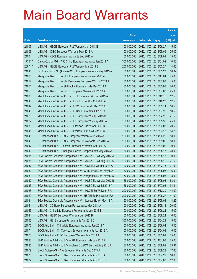|          |                                                               |               |                            |            | <b>Amount</b> |
|----------|---------------------------------------------------------------|---------------|----------------------------|------------|---------------|
|          |                                                               | No. of        |                            |            | raised        |
| Code     | <b>Derivative warrants</b>                                    | issue (units) | <b>Listing date Expiry</b> |            | $(HK$$ mil.)  |
| 21007    | UBS AG - HSCEI European Put Warrants Jun 2013 E               | 100,000,000   | 2012/11/07 2013/06/27      |            | 15.00         |
| 21003    | UBS AG - ICBC European Warrants May 2013 A                    | 100,000,000   | 2012/11/07 2013/05/09      |            | 25.00         |
| 21004    | UBS AG - KECL European Warrants Sep 2013 A                    | 100,000,000   | 2012/11/07 2013/09/09      |            | 15.00         |
| $17711*$ | Daiwa Capital Mkt - A50 China European Warrants Jan 2013 A    | 300,000,000   | 2012/11/07 2013/01/02      |            | 10.50         |
| 20674 #  | UBS AG - HSCEI European Put Warrants Mar 2013 B               | 200,000,000   | 2012/11/07 2013/03/27      |            | 14.60         |
| 21045    | Goldman Sachs Sp (Asia) – ICBC European Warrants May 2013 A   | 60,000,000    | 2012/11/08 2013/05/27      |            | 10.32         |
| 21050    | Macquarie Bank Ltd. - CLP European Warrants Nov 2013 A        | 180,000,000   | 2012/11/08 2013/11/04      |            | 45.00         |
| 21052    | Macquarie Bank Ltd. - Chi Resources European Wts Jul 2013 A   | 180,000,000   | 2012/11/08 2013/07/03      |            | 45.00         |
| 21051    | Macquarie Bank Ltd. - Sh Electric European Wts May 2013 A     | 80,000,000    | 2012/11/08 2013/05/08      |            | 20.00         |
| 21053    | Macquarie Bank Ltd. - Tingyi European Warrants Jul 2013 A     | 180,000,000   | 2012/11/08 2013/07/03      |            | 45.00         |
| 21038    | Merrill Lynch Int'l & Co. C.V. - BOCL European Wt Dec 2013 A  | 50,000,000    | 2012/11/08 2013/12/16      |            | 12.50         |
| 21043    | Merrill Lynch Int'l & Co. C.V. - HKEx Eur Put Wts Oct 2013 A  | 50,000,000    | 2012/11/08 2013/10/28      |            | 12.50         |
| 21042    | Merrill Lynch Int'l & Co. C.V. - HSBC Euro Put Wt May 2013 B  | 50,000,000    | 2012/11/08 2013/05/14      |            | 18.50         |
| 21040    | Merrill Lynch Int'l & Co. C.V. - HS Bank Euro Wts Jul 2013 A  | 50,000,000    | 2012/11/08 2013/07/22      |            | 18.50         |
| 21026    | Merrill Lynch Int'l & Co. C.V. - HSI European Wts Apr 2013 B  | 100,000,000   | 2012/11/08 2013/04/29      |            | 21.50         |
| 21027    | Merrill Lynch Int'l & Co. C.V. - HSI European Wts May 2013 A  | 100,000,000   | 2012/11/08 2013/05/30      |            | 25.00         |
| 21039    | Merrill Lynch Int'l & Co. C.V. - Hutchison Eur Wt Apr 2013 B  | 50,000,000    | 2012/11/08 2013/04/08      |            | 20.50         |
| 21041    | Merrill Lynch Int'l & Co. C.V. - Hutchison Eu Put Wt Mar 13 C | 50,000,000    | 2012/11/08 2013/03/13      |            | 14.25         |
| 21048    | CC Rabobank B.A. - HKEx European Warrants Jun 2014 A          | 120,000,000   | 2012/11/08 2014/06/20      |            | 18.00         |
| 21046    | CC Rabobank B.A. - HKEx European Put Warrants Sep 2013 A      | 120,000,000   | 2012/11/08 2013/09/06      |            | 18.00         |
| 21047    | CC Rabobank B.A. - Lenovo European Warrants Apr 2013 A        | 120,000,000   | 2012/11/08 2013/04/02      |            | 30.00         |
| 21049    | CC Rabobank B.A. - Shanghai Electric European Wts May 2013 A  | 80,000,000    | 2012/11/08 2013/05/13      |            | 28.00         |
| 21035    | SGA Societe Generale Acceptance N.V. - AGBK Eu Wt May 2013 A  | 120,000,000   | 2012/11/08 2013/05/15      |            | 30.00         |
| 21036    | SGA Societe Generale Acceptance N.V. - AGBK Eu Wt Aug 2013 A  | 120,000,000   | 2012/11/08 2013/08/19      |            | 21.60         |
| 21037    | SGA Societe Generale Acceptance N.V. - CCB Eur Wt Mar 2013 A  | 120,000,000   | 2012/11/08 2013/03/13      |            | 27.00         |
| 21030    | SGA Societe Generale Acceptance N.V. - CITIC Pac Eu Wt May13A | 30,000,000    | 2012/11/08 2013/05/08      |            | 16.50         |
| 21031    | SGA Societe Generale Acceptance N.V-Evergrande Eu Wt May13 A  | 50,000,000    | 2012/11/08 2013/05/08      |            | 13.00         |
| 21032    | SGA Societe Generale Acceptance N.V. - HSBC Eu Wt May 2013 B  | 168,000,000   | 2012/11/08 2013/05/08      |            | 68.04         |
| 21033    | SGA Societe Generale Acceptance N.V. - HSBC Eu Wt Jul 2013 A  | 168,000,000   | 2012/11/08 2013/07/08      |            | 34.44         |
| 21028    | SGA Societe Generale Acceptance N.V. - HSCEI Eu Wt Dec 13 A   | 200,000,000   | 2012/11/08 2013/12/30      |            | 44.00         |
| 21029    | SGA Societe Generale Acceptance N.V. - HSCEI Eu Put Wt Jun13A | 200,000,000   | 2012/11/08 2013/06/27      |            | 41.00         |
| 21034    | SGA Societe Generale Acceptance N.V. - Lenovo Eu Wt May 13 A  | 50,000,000    | 2012/11/08 2013/05/08      |            | 14.25         |
| 21054    | UBS AG - CC Bank European Put Warrants May 2013 A             | 100,000,000   | 2012/11/08 2013/05/13      |            | 20.00         |
| 21055    | UBS AG - China Life European Put Warrants Jun 2013 B          | 100,000,000   | 2012/11/08 2013/06/24      |            | 15.00         |
| 21044    | UBS AG - HSBC European Warrants Jun 2013 B                    | 100,000,000   | 2012/11/08 2013/06/24      |            | 16.00         |
| 21056    | UBS AG - HSI European Put Warrants Apr 2013 C                 | 300,000,000   | 2012/11/08 2013/04/29      |            | 45.00         |
| 21072    | BOCI Asia Ltd. - China Life European Warrants Jun 2013 A      | 100,000,000   | 2012/11/09                 | 2013/06/04 | 15.00         |
| 21071    | BOCI Asia Ltd. - Ch Overseas European Warrants Apr 2013 A     | 100,000,000   | 2012/11/09 2013/04/03      |            | 16.00         |
| 21073    | BOCI Asia Ltd. - ICBC European Warrants Mar 2013 A            | 100,000,000   | 2012/11/09 2013/03/01      |            | 15.00         |
| 21083    | BNP Paribas Arbit Issu B.V. - AIA European Wts Jan 2014 A     | 100,000,000   | 2012/11/09 2014/01/03      |            | 25.00         |
| 21085    | BNP Paribas Arbit Issu B.V. - China COSCO Euro Wt Aug 2013 A  | 37,000,000    | 2012/11/09                 | 2013/08/02 | 23.31         |
| 21079    | Credit Suisse AG - AIA European Warrants Sep 2013 A           | 80,000,000    | 2012/11/09 2013/09/23      |            | 17.60         |
| 21076    | Credit Suisse AG - CC Bank European Warrants Apr 2013 A       | 80,000,000    | 2012/11/09 2013/04/29      |            | 16.00         |
| 21077    | Credit Suisse AG - CC Bank European Warrants Apr 2013 B       | 80,000,000    | 2012/11/09 2013/04/08      |            | 12.00         |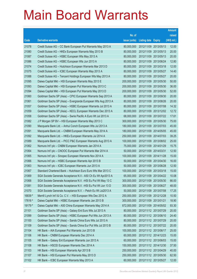|         |                                                               |               |                            | <b>Amount</b> |
|---------|---------------------------------------------------------------|---------------|----------------------------|---------------|
|         |                                                               | No. of        |                            | raised        |
| Code    | <b>Derivative warrants</b>                                    | issue (units) | <b>Listing date Expiry</b> | (HK\$ mil.)   |
| 21078   | Credit Suisse AG - CC Bank European Put Warrants May 2013 A   | 80,000,000    | 2012/11/09 2013/05/13      | 12.00         |
| 21080   | Credit Suisse AG - HKEx European Warrants May 2013 B          | 80,000,000    | 2012/11/09 2013/05/13      | 20.00         |
| 21087   | Credit Suisse AG - HSBC European Wts May 2013 A               | 80,000,000    | 2012/11/09 2013/05/13      | 20.00         |
| 21086   | Credit Suisse AG - HSBC European Wts Jun 2013 A               | 80,000,000    | 2012/11/09 2013/06/24      | 12.80         |
| 21074   | Credit Suisse AG - Hutchison European Warrants Mar 2013 D     | 80,000,000    | 2012/11/09 2013/03/18      | 12.00         |
| 21075   | Credit Suisse AG - ICBC European Warrants May 2013 A          | 80,000,000    | 2012/11/09 2013/05/27      | 14.40         |
| 21088   | Credit Suisse AG - Tencent Holdings European Wts May 2013 A   | 80,000,000    | 2012/11/09 2013/05/27      | 20.00         |
| 21095   | Daiwa Capital Mkt - HSI European Warrants May 2013 E          | 200,000,000   | 2012/11/09 2013/05/30      | 50.00         |
| 21093   | Daiwa Capital Mkt - HSI European Put Warrants May 2013 C      | 200,000,000   | 2012/11/09 2013/05/30      | 36.00         |
| 21094   | Daiwa Capital Mkt - HSI European Put Warrants May 2013 D      | 200,000,000   | 2012/11/09 2013/05/30      | 52.00         |
| 21060   | Goldman Sachs SP (Asia) - CPIC European Warrants Sep 2013 A   | 80,000,000    | 2012/11/09 2013/09/30      | 20.00         |
| 21061   | Goldman Sachs SP (Asia) - Evergrande European Wts Aug 2013 A  | 80,000,000    | 2012/11/09 2013/08/26      | 20.00         |
| 21057   | Goldman Sachs SP (Asia) - HSBC European Warrants Jul 2013 A   | 80,000,000    | 2012/11/09 2013/07/08      | 14.32         |
| 21059   | Goldman Sachs SP (Asia) - KECL European Warrants Dec 2013 A   | 80,000,000    | 2012/11/09 2013/12/02      | 12.72         |
| 21058   | Goldman Sachs SP (Asia) - Swrie Pacific A Euro Wt Jul 2013 A  | 68,000,000    | 2012/11/09 2013/07/22      | 17.61         |
| 21082   | J P Morgan SP BV - HSI European Warrants May 2013 C           | 300,000,000   | 2012/11/09 2013/05/30      | 75.00         |
| 21090   | Macquarie Bank Ltd. - Anhui Conch European Wts Jul 2013 A     | 180,000,000   | 2012/11/09 2013/07/03      | 45.00         |
| 21091   | Macquarie Bank Ltd. - CNBM European Warrants May 2014 A       | 180,000,000   | 2012/11/09 2014/05/05      | 45.00         |
| 21092   | Macquarie Bank Ltd. - HKEx European Warrants Jul 2014 A       | 250,000,000   | 2012/11/09 2014/07/03      | 39.25         |
| 21089   | Macquarie Bank Ltd. - PICC P&C European Warrants Aug 2013 A   | 100,000,000   | 2012/11/09 2013/08/02      | 25.00         |
| 21062   | Nomura Int'l plc - CNBM European Warrants Jan 2014 A          | 75,000,000    | 2012/11/09 2014/01/29      | 15.75         |
| 21064   | Nomura Int'l plc - CNOOC European Put Warrants Mar 2014 A     | 50,000,000    | 2012/11/09 2014/03/31      | 12.50         |
| 21065   | Nomura Int'l plc - Sinopec European Warrants Nov 2014 A       | 100,000,000   | 2012/11/09 2014/11/28      | 15.00         |
| 21066   | Nomura Int'l plc - HSBC European Warrants Apr 2013 B          | 50,000,000    | 2012/11/09 2013/04/30      | 16.00         |
| 21063   | Nomura Int'l plc - ICBC European Warrants Jun 2013 A          | 50,000,000    | 2012/11/09 2013/06/28      | 12.50         |
| 21067   | Standard Chartered Bank - Hutchison Euro Euro Wts Mar 2013 C  | 100,000,000   | 2012/11/09 2013/03/18      | 15.00         |
| 21069   | SGA Societe Generale Acceptance N.V.- A50 Ch Eu Wt Apr2013 A  | 65,000,000    | 2012/11/09 2013/04/22      | 10.08         |
| 21068   | SGA Societe Generale Acceptance N.V. - HSI Eu Put Wt May 13 C | 300,000,000   | 2012/11/09 2013/05/30      | 66.00         |
| 21081   | SGA Societe Generale Acceptance N.V. - HSI Eu Put Wt Jun 13 D | 300,000,000   | 2012/11/09 2013/06/27      | 48.00         |
| 21070   | SGA Societe Generale Acceptance N.V. - Petch Eu Wt Jul2013 A  | 50,000,000    | 2012/11/09 2013/07/08      | 17.25         |
| 16839 # | Merrill Lynch Int'l & Co. C.V. - HSI European Wts Dec 2012 A  | 250,000,000   | 2012/11/09 2012/12/28      | 10.50         |
| 17616 # | Daiwa Capital Mkt - HSBC European Warrants Jan 2013 B         | 300,000,000   | 2012/11/09 2013/01/21      | 18.90         |
| 19179 # | Daiwa Capital Mkt - A50 China European Warrants May 2014 A    | 872,000,000   | 2012/11/09 2014/05/02      | 93.30         |
| 21101   | Goldman Sachs SP (Asia) - Galaxy Ent Euro Wts Jul 2013 A      | 80,000,000    | 2012/11/12 2013/07/29      | 20.00         |
| 21099   | Goldman Sachs SP (Asia) - HSBC European Put Wts Jun 2013 A    | 80,000,000    | 2012/11/12 2013/06/10      | 24.40         |
| 21100   | Goldman Sachs SP (Asia) - Sands China Euro Wts Jul 2013 A     | 80,000,000    | 2012/11/12 2013/07/29      | 20.00         |
| 21109   | Goldman Sachs SP (Asia) - Sands China Eur Put Wts Jul 2013 B  | 80,000,000    | 2012/11/12 2013/07/22      | 20.00         |
| 21104   | HK Bank - AIA European Put Warrants Jun 2013 B                | 100,000,000   | 2012/11/12 2013/06/17      | 25.00         |
| 21106   | HK Bank - CNBM European Warrants Dec 2014 A                   | 60,000,000    | 2012/11/12 2014/12/23      | 15.00         |
| 21105   | HK Bank - Galaxy Ent European Warrants Jun 2013 A             | 60,000,000    | 2012/11/12 2013/06/03      | 15.00         |
| 21108   | HK Bank - HSCEI European Warrants Dec 2014 A                  | 150,000,000   | 2012/11/12 2014/12/30      | 37.50         |
| 21103   | HK Bank - HSI European Warrants Apr 2013 B                    | 250,000,000   | 2012/11/12 2013/04/29      | 40.00         |
| 21107   | HK Bank - HSI European Put Warrants May 2013 D                | 250,000,000   | 2012/11/12 2013/05/30      | 62.50         |
| 21102   | HK Bank - ICBC European Warrants May 2013 A                   | 60,000,000    | 2012/11/12 2013/05/27      | 12.00         |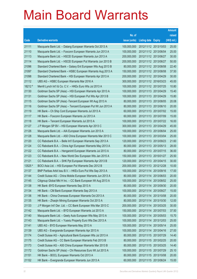|         |                                                              |               |                            | <b>Amount</b> |
|---------|--------------------------------------------------------------|---------------|----------------------------|---------------|
|         |                                                              | No. of        |                            | raised        |
| Code    | <b>Derivative warrants</b>                                   | issue (units) | <b>Listing date Expiry</b> | (HK\$ mil.)   |
| 21111   | Macquarie Bank Ltd. - Datang European Warrants Oct 2013 A    | 100,000,000   | 2012/11/12 2013/10/03      | 25.00         |
| 21110   | Macquarie Bank Ltd. - Foxconn European Warrants Jun 2013 A   | 100,000,000   | 2012/11/12 2013/06/04      | 25.00         |
| 21113   | Macquarie Bank Ltd. - HSCEI European Warrants Jun 2013 A     | 200,000,000   | 2012/11/12 2013/06/27      | 30.00         |
| 21114   | Macquarie Bank Ltd. - HSCEI European Put Warrants Jun 2013 B | 200,000,000   | 2012/11/12 2013/06/27      | 50.00         |
| 21096   | Standard Chartered Bank - Galaxy Ent European Wts Aug 2013 B | 80,000,000    | 2012/11/12 2013/08/08      | 22.40         |
| 21097   | Standard Chartered Bank – HSBC European Warrants Aug 2013 A  | 150,000,000   | 2012/11/12 2013/08/08      | 37.50         |
| 21098   | Standard Chartered Bank - HSI European Warrants Apr 2013 A   | 200,000,000   | 2012/11/12 2013/04/29      | 30.00         |
| 21112   | UBS AG - HSBC European Warrants Mar 2016 A                   | 300,000,000   | 2012/11/12 2016/03/23      | 45.00         |
| 18212 # | Merrill Lynch Int'l & Co. C.V. - HKEx Euro Wts Jul 2013 A    | 100,000,000   | 2012/11/12 2013/07/25      | 10.80         |
| 21130   | Goldman Sachs SP (Asia) - HSI European Warrants Apr 2013 A   | 100,000,000   | 2012/11/13 2013/04/29      | 15.40         |
| 21131   | Goldman Sachs SP (Asia) - HSI European Put Wts Apr 2013 B    | 100,000,000   | 2012/11/13 2013/04/29      | 15.80         |
| 21115   | Goldman Sachs SP (Asia) - Tencent European Wt Aug 2013 A     | 80,000,000    | 2012/11/13 2013/08/05      | 20.08         |
| 21116   | Goldman Sachs SP (Asia) – Tencent European Put Wt Jun 2013 A | 80,000,000    | 2012/11/13 2013/06/10      | 20.00         |
| 21119   | HK Bank - Ch Ship Cont European Warrants Jul 2013 A          | 60,000,000    | 2012/11/13 2013/07/02      | 15.00         |
| 21117   | HK Bank - Foxconn European Warrants Jul 2013 A               | 60,000,000    | 2012/11/13 2013/07/09      | 15.00         |
| 21118   | HK Bank – Tencent European Warrants Jul 2013 A               | 100,000,000   | 2012/11/13 2013/07/22      | 16.00         |
| 21127   | J P Morgan SP BV - HSI European Warrants Apr 2013 C          | 300,000,000   | 2012/11/13 2013/04/29      | 45.00         |
| 21126   | Macquarie Bank Ltd. - AIA European Warrants Jun 2013 A       | 100,000,000   | 2012/11/13 2013/06/04      | 25.00         |
| 21128   | Macquarie Bank Ltd. - A50 China European Warrants Mar 2013 C | 100,000,000   | 2012/11/13 2013/03/04      | 25.00         |
| 21120   | CC Rabobank B.A. - Belle Int'l European Warrants Sep 2013 A  | 120,000,000   | 2012/11/13 2013/09/23      | 21.60         |
| 21124   | CC Rabobank B.A. - China Agri European Warrants May 2013 A   | 80,000,000    | 2012/11/13 2013/05/13      | 28.00         |
| 21122   | CC Rabobank B.A. - Henganintl European Warrants Jul 2013 A   | 80,000,000    | 2012/11/13 2013/07/15      | 36.00         |
| 21123   | CC Rabobank B.A. - New World Dev European Wts Jan 2015 A     | 150,000,000   | 2012/11/13 2015/01/27      | 25.50         |
| 21121   | CC Rabobank B.A. - SHK Ppt European Warrants Apr 2013 B      | 120,000,000   | 2012/11/13 2013/04/15      | 30.00         |
| 13525 # | BOCI Asia Ltd. - HSI European Put Warrants Dec 2012 B        | 200,000,000   | 2012/11/13 2012/12/28      | 10.00         |
| 21137   | BNP Paribas Arbit Issu B.V. - HKEx Euro Put Wts Sep 2013 A   | 100,000,000   | 2012/11/14 2013/09/16      | 17.00         |
| 21144   | Credit Suisse AG – China Mobile European Warrants Jun 2013 A | 80,000,000    | 2012/11/14 2013/06/03      | 20.00         |
| 21145   | Citigroup Global Mkt H Inc. - CC Bank European Wt Aug 2013 A | 100,000,000   | 2012/11/14 2013/08/02      | 25.00         |
| 21138   | HK Bank - BYD European Warrants Sep 2013 A                   | 80,000,000    | 2012/11/14 2013/09/30      | 20.00         |
| 21134   | HK Bank - CM Bank European Warrants Sep 2013 A               | 100,000,000   | 2012/11/14 2013/09/27      | 15.00         |
| 21136   | HK Bank - China Overseas European Warrants Oct 2013 A        | 80,000,000    | 2012/11/14 2013/10/08      | 20.00         |
| 21135   | HK Bank - Zhaojin Mining European Warrants Oct 2013 A        | 80,000,000    | 2012/11/14 2013/10/30      | 12.00         |
| 21133   | J P Morgan Int'l Der. Ltd. - CC Bank European Wts Mar 2013 C | 200,000,000   | 2012/11/14 2013/03/25      | 30.00         |
| 21142   | Macquarie Bank Ltd. - BYD European Warrants Jul 2013 A       | 150,000,000   | 2012/11/14 2013/07/03      | 37.50         |
| 21140   | Macquarie Bank Ltd. - Geely Auto European Wts May 2013 A     | 100,000,000   | 2012/11/14 2013/05/03      | 15.70         |
| 21143   | Macquarie Bank Ltd. - Yuexiu Property Euro Wts Dec 2013 A    | 100,000,000   | 2012/11/14 2013/12/03      | 25.00         |
| 21141   | UBS AG - BYD European Warrants May 2013 A                    | 100,000,000   | 2012/11/14 2013/05/14      | 25.00         |
| 21139   | UBS AG - Evergrande European Warrants Apr 2013 A             | 100,000,000   | 2012/11/14 2013/04/16      | 27.00         |
| 21174   | Credit Suisse AG - Agricultural Bank European Wts Jul 2013 A | 80,000,000    | 2012/11/15 2013/07/29      | 14.40         |
| 21175   | Credit Suisse AG - CC Bank European Warrants Feb 2013 B      | 80,000,000    | 2012/11/15 2013/02/25      | 20.00         |
| 21173   | Credit Suisse AG - A50 China European Warrants Mar 2013 B    | 80,000,000    | 2012/11/15 2013/03/25      | 14.40         |
| 21172   | Goldman Sachs SP (Asia) - Chi Resources Euro Wt Jul 2013 A   | 100,000,000   | 2012/11/15 2013/07/29      | 25.10         |
| 21151   | HK Bank - BOCL European Warrants Oct 2013 A                  | 80,000,000    | 2012/11/15 2013/10/08      | 20.00         |
| 21152   | HK Bank - Evergrande European Warrants Jun 2013 A            | 60,000,000    | 2012/11/15 2013/06/24      | 15.00         |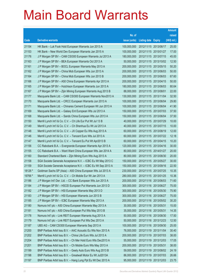|         |                                                              |               |                            | <b>Amount</b> |
|---------|--------------------------------------------------------------|---------------|----------------------------|---------------|
|         |                                                              | No. of        |                            | raised        |
| Code    | <b>Derivative warrants</b>                                   | issue (units) | <b>Listing date Expiry</b> | $(HK$$ mil.)  |
| 21154   | HK Bank - Luk Fook Hold European Warrants Jun 2013 A         | 100,000,000   | 2012/11/15 2013/06/17      | 25.00         |
| 21153   | HK Bank – New World Dev European Warrants Jan 2015 A         | 100,000,000   | 2012/11/15 2015/01/27      | 17.00         |
| 21176   | J P Morgan SP BV - CAM CSI300 European Warrants Jul 2013 A   | 180,000,000   | 2012/11/15 2013/07/15      | 45.00         |
| 21163   | J P Morgan SP BV - BEA European Warrants Oct 2013 A          | 50,000,000    | 2012/11/15 2013/10/02      | 12.50         |
| 21161   | J P Morgan SP BV - BOCL European Warrants May 2013 A         | 200,000,000   | 2012/11/15 2013/05/15      | 50.20         |
| 21162   | J P Morgan SP BV - China Mob European Wts Jun 2013 A         | 200,000,000   | 2012/11/15 2013/06/03      | 50.00         |
| 21164   | J P Morgan SP BV - China Mob European Wts Jun 2013 B         | 200,000,000   | 2012/11/15 2013/06/03      | 67.60         |
| 21166   | J P Morgan SP BV - A50 China European Warrants Apr 2013 A    | 200,000,000   | 2012/11/15 2013/04/15      | 50.00         |
| 21165   | J P Morgan SP BV - Hutchison European Warrants Jun 2013 A    | 180,000,000   | 2012/11/15 2013/06/03      | 80.64         |
| 21167   | J P Morgan SP BV - Zijin Mining European Warrants Aug 2013 B | 88,000,000    | 2012/11/15 2013/08/01      | 22.00         |
| 21177   | Macquarie Bank Ltd. - CAM CSI300 European Warrants Nov2013 A | 130,000,000   | 2012/11/15 2013/11/04      | 32.50         |
| 21170   | Macquarie Bank Ltd. - CRCC European Warrants Jun 2013 A      | 100,000,000   | 2012/11/15 2013/06/04      | 29.80         |
| 21171   | Macquarie Bank Ltd. - Chinares Cement European Wt Jun 2013 A | 100,000,000   | 2012/11/15 2013/06/04      | 41.90         |
| 21169   | Macquarie Bank Ltd. - Galaxy Ent European Wts Jul 2013 A     | 150,000,000   | 2012/11/15 2013/07/03      | 37.50         |
| 21168   | Macquarie Bank Ltd. - Sands China European Wts Jun 2013 A    | 150,000,000   | 2012/11/15 2013/06/04      | 37.50         |
| 21150   | Merrill Lynch Int'l & Co. C.V. - Ch Life Eur Put Wt Jul 13 B | 40,000,000    | 2012/11/15 2013/07/29      | 10.00         |
| 21149   | Merrill Lynch Int'l & Co. C.V. - Ch Shenhua Eu Wt Jul 2013 A | 40,000,000    | 2012/11/15 2013/07/15      | 10.00         |
| 21148   | Merrill Lynch Int'l & Co. C.V. - JX Copper Eu Wts Aug 2013 A | 60,000,000    | 2012/11/15 2013/08/19      | 12.00         |
| 21146   | Merrill Lynch Int'l & Co. C.V. - Tencent Euro Wts Jul 2013 A | 60,000,000    | 2012/11/15 2013/07/22      | 12.18         |
| 21147   | Merrill Lynch Int'l & Co. C.V. - Tencent Eu Put Wt Apr2013 B | 60,000,000    | 2012/11/15 2013/04/15      | 10.20         |
| 21156   | CC Rabobank B.A. - Evergrande European Warrants Apr 2013 A   | 120,000,000   | 2012/11/15 2013/04/16      | 30.00         |
| 21155   | CC Rabobank B.A. - Want Want China European Wts Jan 2014 A   | 80,000,000    | 2012/11/15 2014/01/27      | 20.00         |
| 21160   | Standard Chartered Bank - Zijin Mining Euro Wts Aug 2013 A   | 80,000,000    | 2012/11/15 2013/08/30      | 20.00         |
| 21158   | SGA Societe Generale Acceptance N.V. - ICBC Eu Wt May 2013 C | 150,000,000   | 2012/11/15 2013/05/27      | 30.00         |
| 21159   | SGA Societe Generale Acceptance N.V. - ICBC Eu Wt Sep 2013 A | 150,000,000   | 2012/11/15 2013/09/16      | 22.50         |
| 18126 # | Goldman Sachs SP (Asia) - A50 China European Wts Jul 2013 A  | 230,000,000   | 2012/11/15 2013/07/25      | 10.35         |
| 19766 # | Merrill Lynch Int'l & Co. C.V. - Ch Mobile Eur Wt Jan 2013 A | 280,000,000   | 2012/11/15 2013/01/25      | 10.36         |
| 21186   | J P Morgan Int'l Der. Ltd. - CC Bank European Wts Jun 2013 A | 200,000,000   | 2012/11/16 2013/06/03      | 71.60         |
| 21184   | J P Morgan SP BV - HSCEI European Put Warrants Jun 2013 D    | 300,000,000   | 2012/11/16 2013/06/27      | 75.00         |
| 21182   | J P Morgan SP BV - HSI European Warrants May 2013 D          | 300,000,000   | 2012/11/16 2013/05/30      | 75.90         |
| 21183   | J P Morgan SP BV - HSI European Warrants Jun 2013 B          | 300,000,000   | 2012/11/16 2013/06/27      | 75.00         |
| 21185   | J P Morgan SP BV - ICBC European Warrants May 2013 A         | 200,000,000   | 2012/11/16 2013/05/02      | 30.20         |
| 21180   | Nomura Int'l plc - A50 China European Warrants May 2013 A    | 30,000,000    | 2012/11/16 2013/05/31      | 15.00         |
| 21181   | Nomura Int'l plc - A50 China European Put Wts May 2013 B     | 35,000,000    | 2012/11/16 2013/05/31      | 14.35         |
| 21178   | Nomura Int'l plc - Link REIT European Warrants Aug 2013 A    | 50,000,000    | 2012/11/16 2013/08/30      | 17.50         |
| 21179   | Nomura Int'l plc - Link REIT European Put Wts Dec 2013 A     | 50,000,000    | 2012/11/16 2013/12/23      | 12.50         |
| 21187   | UBS AG - CAM CSI300 European Warrants Sep 2013 A             | 100,000,000   | 2012/11/16 2013/09/30      | 25.00         |
| 21200   | BNP Paribas Arbit Issu B.V. - AAC Acoustic Eu Wts Nov 2013 A | 76,000,000    | 2012/11/19 2013/11/04      | 30.40         |
| 21202   | BNP Paribas Arbit Issu B.V. - China Life Euro Wts Jul 2013 A | 200,000,000   | 2012/11/19 2013/07/03      | 38.00         |
| 21204   | BNP Paribas Arbit Issu B.V. - Ch Mer Hold Euro Wts Dec2013 A | 55,000,000    | 2012/11/19 2013/12/03      | 17.05         |
| 21201   | BNP Paribas Arbit Issu B.V. - Ch Mobile Euro Wts May 2013 A  | 200,000,000   | 2012/11/19 2013/05/31      | 38.00         |
| 21199   | BNP Paribas Arbit Issu B.V. - Geely Auto Euro Wts Aug 2013 B | 59,000,000    | 2012/11/19 2013/08/02      | 24.19         |
| 21198   | BNP Paribas Arbit Issu B.V. - Greatwall Motor Eu Wt Jul2013A | 86,000,000    | 2012/11/19 2013/07/03      | 26.66         |
| 21197   | BNP Paribas Arbit Issu B.V. - Hang Lung Ppt Eu Wt Dec 2013 A | 95,000,000    | 2012/11/19 2013/12/03      | 23.75         |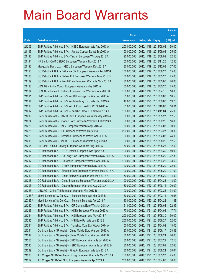|         |                                                               |               |                            |            | <b>Amount</b> |
|---------|---------------------------------------------------------------|---------------|----------------------------|------------|---------------|
|         |                                                               | No. of        |                            |            | raised        |
| Code    | <b>Derivative warrants</b>                                    | issue (units) | <b>Listing date Expiry</b> |            | (HK\$ mil.)   |
| 21203   | BNP Paribas Arbit Issu B.V. - HSBC European Wts Aug 2013 A    | 200,000,000   | 2012/11/19 2013/08/02      |            | 50.00         |
| 21195   | BNP Paribas Arbit Issu B.V. - Jiangxi Copper Eu Wt Sep2013 A  | 100,000,000   | 2012/11/19 2013/09/03      |            | 25.00         |
| 21196   | BNP Paribas Arbit Issu B.V. - Ting Yi European Wts Aug 2013 A | 90,000,000    | 2012/11/19 2013/08/02      |            | 22.50         |
| 21191   | HK Bank - CAM CSI300 European Warrants Nov 2013 A             | 50,000,000    | 2012/11/19 2013/11/25      |            | 12.50         |
| 21192   | Macquarie Bank Ltd. - KECL European Warrants Dec 2013 A       | 180,000,000   | 2012/11/19 2013/12/03      |            | 27.00         |
| 21190   | CC Rabobank B.A. - Brilliance Chi European Warrants Aug2013A  | 100,000,000   | 2012/11/19 2013/08/27      |            | 15.00         |
| 21188   | CC Rabobank B.A. - Galaxy Ent European Warrants May 2013 B    | 100,000,000   | 2012/11/19 2013/05/20      |            | 25.00         |
| 21189   | CC Rabobank B.A. - Poly HK Inv European Warrants May 2013 A   | 80,000,000    | 2012/11/19 2013/05/06      |            | 20.00         |
| 21193   | UBS AG - Anhui Conch European Warrants May 2013 A             | 100,000,000   | 2012/11/19 2013/05/20      |            | 25.00         |
| 21194   | UBS AG - Tencent Holdings European Put Warrants Apr 2013 B    | 100,000,000   | 2012/11/19 2013/04/15      |            | 18.00         |
| 21211   | BNP Paribas Arbit Issu B.V. - CKI Holdings Eu Wts Sep 2013 A  | 35,000,000    | 2012/11/20 2013/09/03      |            | 10.50         |
| 21214   | BNP Paribas Arbit Issu B.V. - Ch Railway Euro Wts Sep 2013 A  | 40,000,000    | 2012/11/20 2013/09/03      |            | 19.20         |
| 21213   | BNP Paribas Arbit Issu B.V. - Luk Fook Hold Eu Wt Oct2013 A   | 61,000,000    | 2012/11/20 2013/10/03      |            | 18.91         |
| 21212   | BNP Paribas Arbit Issu B.V. - Yanzhou Coal Eur Wt Nov 2014 A  | 100,000,000   | 2012/11/20 2014/11/04      |            | 25.00         |
| 21219   | Credit Suisse AG - CAM CSI300 European Warrants May 2013 A    | 50,000,000    | 2012/11/20 2013/05/27      |            | 12.50         |
| 21224   | Credit Suisse AG - Sinopec Corp European Warrants Feb 2013 A  | 60,000,000    | 2012/11/20 2013/02/25      |            | 16.80         |
| 21220   | Credit Suisse AG - HKEx European Warrants Apr 2013 A          | 60,000,000    | 2012/11/20 2013/04/08      |            | 30.00         |
| 21225   | Credit Suisse AG - HSI European Warrants Mar 2013 D           | 200,000,000   | 2012/11/20 2013/03/27      |            | 30.00         |
| 21223   | Credit Suisse AG - Hutchison European Warrants Apr 2013 A     | 60,000,000    | 2012/11/20 2013/04/08      |            | 24.00         |
| 21218   | Credit Suisse AG - Link REIT European Warrants Aug 2013 A     | 50,000,000    | 2012/11/20 2013/08/26      |            | 12.50         |
| 21205   | HK Bank - China Railway European Warrants Aug 2013 A          | 50,000,000    | 2012/11/20 2013/08/26      |            | 12.50         |
| 21207   | CC Rabobank B.A. - CITIC Pacific European Wts Apr 2013 B      | 100,000,000   | 2012/11/20 2013/04/30      |            | 50.00         |
| 21215   | CC Rabobank B.A. - Ch LongYuan European Warrants May 2013 A   | 60,000,000    | 2012/11/20 2013/05/20      |            | 22.80         |
| 21217   | CC Rabobank B.A. - Ch Mobile European Warrants Apr 2013 A     | 120,000,000   | 2012/11/20 2013/04/22      |            | 33.60         |
| 21209   | CC Rabobank B.A. - CNBM European Warrants May 2013 A          | 120,000,000   | 2012/11/20 2013/05/20      |            | 72.00         |
| 21208   | CC Rabobank B.A. - Sinopec Corp European Warrants May 2013 A  | 100,000,000   | 2012/11/20 2013/05/20      |            | 37.00         |
| 21210   | CC Rabobank B.A. – China Railway European Wts May 2013 A      | 50,000,000    | 2012/11/20 2013/05/20      |            | 14.50         |
| 21216   | CC Rabobank B.A. - China Shenhua European Warrants Apr2013 A  | 100,000,000   | 2012/11/20 2013/04/26      |            | 18.00         |
| 21206   | CC Rabobank B.A. - Datang European Warrants Aug 2013 A        | 80,000,000    | 2012/11/20 2013/08/12      |            | 20.00         |
| 21226   | UBS AG - China Tel European Warrants Mar 2013 B               | 100,000,000   | 2012/11/20 2013/03/25      |            | 34.00         |
| 19256 # | Merrill Lynch Int'l & Co. C.V. - Tencent Euro Wts Mar 2013 B  | 150,000,000   | 2012/11/20 2013/03/11      |            | 10.65         |
| 20385 # | Merrill Lynch Int'l & Co. C.V. - Tencent Euro Wts Apr 2013 A  | 140,000,000   | 2012/11/20 2013/04/22      |            | 11.48         |
| 21232   | BNP Paribas Arbit Issu B.V. - CR Cement Euro Wts Jun 2013 A   | 51,000,000    | 2012/11/21                 | 2013/06/04 | 22.95         |
| 21233   | BNP Paribas Arbit Issu B.V. - HKEx European Wts Apr 2013 A    | 77,000,000    | 2012/11/21                 | 2013/04/02 | 17.71         |
| 21234   | BNP Paribas Arbit Issu B.V. - HSI European Wts May 2013 A     | 200,000,000   | 2012/11/21                 | 2013/05/30 | 30.00         |
| 21235   | BNP Paribas Arbit Issu B.V. - HSI Euro Put Wts Jun 2013 B     | 200,000,000   | 2012/11/21                 | 2013/06/27 | 52.00         |
| 21231   | BNP Paribas Arbit Issu B.V. - Yanzhou Coal Eur Wt Apr 2014 A  | 100,000,000   | 2012/11/21                 | 2014/04/02 | 18.00         |
| 21241   | Goldman Sachs SP (Asia) - China Mobile Euro Wts Jun 2013 A    | 80,000,000    | 2012/11/21                 | 2013/06/17 | 28.48         |
| 21242   | Goldman Sachs SP (Asia) - China Mobile Euro Wts Jun 2013 B    | 80,000,000    | 2012/11/21                 | 2013/06/24 | 20.00         |
| 21250   | Goldman Sachs SP (Asia) - CPIC European Warrants Jul 2013 A   | 80,000,000    | 2012/11/21                 | 2013/07/29 | 12.16         |
| 21240   | Goldman Sachs SP (Asia) - HSBC European Warrants Jul 2013 B   | 80,000,000    | 2012/11/21                 | 2013/07/02 | 22.40         |
| 21239   | Goldman Sachs SP (Asia) - Ping An European Wts Jun 2013 A     | 80,000,000    | 2012/11/21 2013/06/24      |            | 28.64         |
| 21230   | J P Morgan SP BV - Cheung Kong European Warrants May 2013 A   | 100,000,000   | 2012/11/21                 | 2013/05/27 | 25.00         |
| 21229   | J P Morgan SP BV - HSBC European Warrants Apr 2013 A          | 200,000,000   | 2012/11/21                 | 2013/04/08 | 30.00         |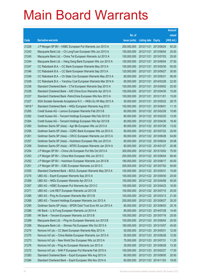|         |                                                              |               |                            |            | <b>Amount</b> |
|---------|--------------------------------------------------------------|---------------|----------------------------|------------|---------------|
|         |                                                              | No. of        |                            |            | raised        |
| Code    | <b>Derivative warrants</b>                                   | issue (units) | <b>Listing date Expiry</b> |            | (HK\$ mil.)   |
| 21228   | J P Morgan SP BV - HSBC European Put Warrants Jun 2013 A     | 200,000,000   | 2012/11/21                 | 2013/06/24 | 50.20         |
| 21243   | Macquarie Bank Ltd. - Ch LongYuan European Wts Jun 2013 A    | 100,000,000   | 2012/11/21                 | 2013/06/04 | 25.00         |
| 21245   | Macquarie Bank Ltd. - China Tel European Warrants Jul 2013 A | 100,000,000   | 2012/11/21                 | 2013/07/03 | 25.00         |
| 21244   | Macquarie Bank Ltd. - Hang Seng Bank European Wts Jun 2013 A | 150,000,000   | 2012/11/21                 | 2013/06/04 | 37.50         |
| 21247   | CC Rabobank B.A. - CC Bank European Warrants May 2013 A      | 100,000,000   | 2012/11/21                 | 2013/05/30 | 50.00         |
| 21246   | CC Rabobank B.A. - CC Bank European Warrants Sep 2013 A      | 120,000,000   | 2012/11/21                 | 2013/09/27 | 30.00         |
| 21248   | CC Rabobank B.A. - Ch State Con European Warrants May 2013 A | 80,000,000    | 2012/11/21                 | 2013/05/21 | 56.00         |
| 21249   | CC Rabobank B.A. - Yanzhou Coal European Warrants Mar 2014 A | 90,000,000    | 2012/11/21 2014/03/28      |            | 22.50         |
| 21236   | Standard Chartered Bank - CTel European Warrants Sep 2013 A  | 100,000,000   | 2012/11/21                 | 2013/09/02 | 25.00         |
| 21238   | Standard Chartered Bank - A50 China Euro Warrants Apr 2013 A | 100,000,000   | 2012/11/21 2013/04/30      |            | 15.00         |
| 21237   | Standard Chartered Bank - PetroChina European Wts Nov 2013 A | 100,000,000   | 2012/11/21                 | 2013/11/01 | 15.00         |
| 21227   | SGA Societe Generale Acceptance N.V. - HKEx Eu Wt May 2013 A | 50,000,000    | 2012/11/21 2013/05/22      |            | 28.75         |
| 14918 # | Standard Chartered Bank - HKEx European Warrants Aug 2013    | 150,000,000   | 2012/11/21 2013/08/01      |            | 11.10         |
| 21265   | Credit Suisse AG - Lenovo European Warrants Feb 2013 B       | 60,000,000    | 2012/11/22 2013/02/28      |            | 10.80         |
| 21262   | Credit Suisse AG - Tencent Holdings European Wts Feb 2013 D  | 80,000,000    | 2012/11/22 2013/02/25      |            | 12.00         |
| 21264   | Credit Suisse AG – Tencent Holdings European Wts Apr 2013 B  | 80,000,000    | 2012/11/22 2013/04/30      |            | 18.40         |
| 21260   | Goldman Sachs SP (Asia) - Agri Bk European Wts Jul 2013 A    | 80,000,000    | 2012/11/22 2013/07/26      |            | 13.52         |
| 21256   | Goldman Sachs SP (Asia) - CQRC Bank European Wts Jul 2013 A  | 80,000,000    | 2012/11/22 2013/07/22      |            | 20.00         |
| 21261   | Goldman Sachs SP (Asia) - CRCC European Warrants Jun 2013 A  | 80,000,000    | 2012/11/22 2013/06/28      |            | 54.80         |
| 21257   | Goldman Sachs SP (Asia) - Hutchison European Wts Jun 2013 A  | 80,000,000    | 2012/11/22 2013/06/24      |            | 20.08         |
| 21258   | Goldman Sachs SP (Asia) – MTRC European Warrants Jan 2014 A  | 80,000,000    | 2012/11/22 2014/01/27      |            | 20.08         |
| 21254   | J P Morgan SP BV - China Life European Put Wts Oct 2013 A    | 300,000,000   | 2012/11/22 2013/10/02      |            | 75.00         |
| 21253   | J P Morgan SP BV - China Mob European Wts Jun 2013 C         | 200,000,000   | 2012/11/22 2013/06/04      |            | 69.40         |
| 21252   | J P Morgan SP BV - Hutchison European Warrants Jun 2013 B    | 180,000,000   | 2012/11/22 2013/06/17      |            | 45.00         |
| 21251   | J P Morgan SP BV - ICBC European Warrants Jul 2013 C         | 200,000,000   | 2012/11/22 2013/07/02      |            | 50.60         |
| 21255   | Standard Chartered Bank - BOCL European Warrants May 2013 A  | 100,000,000   | 2012/11/22 2013/05/31      |            | 15.00         |
| 21270   | UBS AG - Esprit European Warrants Sep 2013 A                 | 100,000,000   | 2012/11/22 2013/09/30      |            | 25.00         |
| 21269   | UBS AG - HKEx European Warrants Apr 2013 A                   | 100,000,000   | 2012/11/22 2013/04/08      |            | 45.00         |
| 21267   | UBS AG - HSBC European Put Warrants Apr 2013 C               | 100,000,000   | 2012/11/22 2013/04/23      |            | 18.50         |
| 21271   | UBS AG - Link REIT European Warrants Jul 2013 B              | 100,000,000   | 2012/11/22 2013/07/15      |            | 25.00         |
| 21266   | UBS AG - Ping An European Warrants Mar 2013 B                | 100,000,000   | 2012/11/22 2013/03/13      |            | 21.00         |
| 21268   | UBS AG - Tencent Holdings European Warrants Jun 2013 A       | 200,000,000   | 2012/11/22 2013/06/27      |            | 35.20         |
| 21290   | Goldman Sachs SP (Asia) - SPDR Gold Trust Euro Wt Jun 2013 A | 80,000,000    | 2012/11/23 2013/06/03      |            | 20.16         |
| 21286   | HK Bank - Li & Fung European Warrants Jul 2014 A             | 80,000,000    | 2012/11/23 2014/07/28      |            | 14.40         |
| 21285   | HK Bank - Tencent European Warrants Jul 2013 B               | 100,000,000   | 2012/11/23 2013/07/16      |            | 25.00         |
| 21289   | Macquarie Bank Ltd. - Ping An European Warrants Jun 2013 B   | 100,000,000   | 2012/11/23 2013/06/04      |            | 25.00         |
| 21288   | Macquarie Bank Ltd. - Shimao Ppt European Wts Oct 2013 A     | 180,000,000   | 2012/11/23 2013/10/07      |            | 45.00         |
| 21274   | Nomura Int'l plc - CC Bank European Warrants May 2013 A      | 50,000,000    | 2012/11/23 2013/05/31      |            | 12.50         |
| 21275   | Nomura Int'l plc - China Mobile European Warrants Jun 2013 A | 50,000,000    | 2012/11/23 2013/06/28      |            | 12.50         |
| 21273   | Nomura Int'l plc - New World Dev European Wts Jul 2013 A     | 75,000,000    | 2012/11/23 2013/07/31      |            | 11.25         |
| 21276   | Nomura Int'l plc - Ping An European Warrants Jun 2013 A      | 35,000,000    | 2012/11/23 2013/06/28      |            | 13.30         |
| 21272   | Nomura Int'l plc - SHK P European Put Warrants Feb 2015 A    | 100,000,000   | 2012/11/23 2015/02/27      |            | 17.00         |
| 21283   | Standard Chartered Bank - Esprit European Wts Aug 2013 A     | 80,000,000    | 2012/11/23 2013/08/05      |            | 20.00         |
| 21284   | Standard Chartered Bank - Esprit European Wts Nov 2014 A     | 60,000,000    | 2012/11/23 2014/11/03      |            | 18.00         |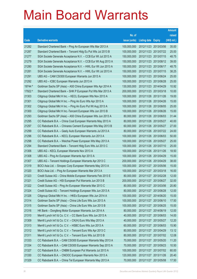|         |                                                              |               |                            |                       | <b>Amount</b> |
|---------|--------------------------------------------------------------|---------------|----------------------------|-----------------------|---------------|
|         |                                                              | No. of        |                            |                       | raised        |
| Code    | <b>Derivative warrants</b>                                   | issue (units) | <b>Listing date Expiry</b> |                       | (HK\$ mil.)   |
| 21282   | Standard Chartered Bank - Ping An European Wts Mar 2013 A    | 100,000,000   |                            | 2012/11/23 2013/03/06 | 35.00         |
| 21287   | Standard Chartered Bank - Tencent Hidg Eu Put Wts Jul 2013 B | 100,000,000   |                            | 2012/11/23 2013/07/22 | 25.00         |
| 21277   | SGA Societe Generale Acceptance N.V. - CCB Eur Wt Jul 2013 A | 150,000,000   | 2012/11/23 2013/07/15      |                       | 48.75         |
| 21279   | SGA Societe Generale Acceptance N.V. - CCB Eur Wt Aug 2013 A | 150,000,000   |                            | 2012/11/23 2013/08/12 | 39.00         |
| 21280   | SGA Societe Generale Acceptance N.V. - HWL Eur Wt Jun 2013 A | 150,000,000   |                            | 2012/11/23 2013/06/17 | 48.75         |
| 21281   | SGA Societe Generale Acceptance N.V. - HWL Eur Wt Jul 2013 A | 150,000,000   |                            | 2012/11/23 2013/07/15 | 38.25         |
| 21291   | UBS AG - CAM CSI300 European Warrants Jun 2013 A             | 100,000,000   | 2012/11/23 2013/06/24      |                       | 25.00         |
| 21292   | UBS AG - ICBC European Warrants Jun 2013 A                   | 100,000,000   |                            | 2012/11/23 2013/06/28 | 25.00         |
| 19744 # | Goldman Sachs SP (Asia) - A50 China European Wts Apr 2014 A  | 130,000,000   |                            | 2012/11/23 2014/04/29 | 10.92         |
| 17922 # | Standard Chartered Bank - SHK P European Put Wts Mar 2013 A  | 200,000,000   |                            | 2012/11/23 2013/03/18 | 10.00         |
| 21303   | Citigroup Global Mkt H Inc. - KECL European Wts Nov 2013 A   | 100,000,000   |                            | 2012/11/26 2013/11/26 | 19.00         |
| 21301   | Citigroup Global Mkt H Inc. - Ping An Euro Wts Apr 2013 A    | 100,000,000   |                            | 2012/11/26 2013/04/26 | 15.00         |
| 21302   | Citigroup Global Mkt H Inc. - Ping An Euro Put Wt Aug 2013 A | 100,000,000   |                            | 2012/11/26 2013/08/05 | 25.00         |
| 21300   | Citigroup Global Mkt H Inc.-Tencent European Wts Jun 2013 B  | 100,000,000   |                            | 2012/11/26 2013/06/26 | 15.00         |
| 21293   | Goldman Sachs SP (Asia) - A50 China European Wts Jun 2013 A  | 80,000,000    |                            | 2012/11/26 2013/06/03 | 31.44         |
| 21295   | CC Rabobank B.A. - China Coal European Warrants May 2013 A   | 80,000,000    | 2012/11/26 2013/05/27      |                       | 40.00         |
| 21297   | CC Rabobank B.A. - Chinares Cement European Wts May 2013 B   | 60,000,000    |                            | 2012/11/26 2013/05/27 | 27.00         |
| 21299   | CC Rabobank B.A. - Geely Auto European Warrants Jul 2013 A   | 80,000,000    |                            | 2012/11/26 2013/07/22 | 24.00         |
| 21296   | CC Rabobank B.A. - KECL European Warrants Jun 2013 A         | 100,000,000   |                            | 2012/11/26 2013/06/03 | 50.00         |
| 21298   | CC Rabobank B.A. - Weichai Power European Wts May 2013 A     | 100,000,000   | 2012/11/26 2013/05/27      |                       | 25.00         |
| 21294   | Standard Chartered Bank - Tencent Hidg Euro Wts Jul 2013 C   | 100,000,000   |                            | 2012/11/26 2013/07/10 | 25.00         |
| 21306   | UBS AG - KECL European Warrants Nov 2013 A                   | 100,000,000   |                            | 2012/11/26 2013/11/26 | 18.50         |
| 21308   | UBS AG - Ping An European Warrants Apr 2013 A                | 100,000,000   |                            | 2012/11/26 2013/04/29 | 15.00         |
| 21307   | UBS AG - Tencent Holdings European Warrants Apr 2013 C       | 200,000,000   | 2012/11/26 2013/04/29      |                       | 38.00         |
| 21319   | BOCI Asia Ltd. - Sinopec Corp European Warrants May 2013 A   | 100,000,000   |                            | 2012/11/27 2013/05/06 | 15.00         |
| 21320   | BOCI Asia Ltd. - Ping An European Warrants Mar 2013 A        | 100,000,000   | 2012/11/27 2013/03/18      |                       | 16.00         |
| 21323   | Credit Suisse AG - China Mobile European Warrants Feb 2013 E | 80,000,000    | 2012/11/27 2013/02/28      |                       | 12.00         |
| 21321   | Credit Suisse AG - HSI European Put Warrants Jun 2013 B      | 200,000,000   | 2012/11/27 2013/06/27      |                       | 32.00         |
| 21322   | Credit Suisse AG - Ping An European Warrants Mar 2013 C      | 80,000,000    | 2012/11/27 2013/03/06      |                       | 20.80         |
| 21324   | Credit Suisse AG - Tencent Holdings European Wts Jun 2013 A  | 80,000,000    | 2012/11/27 2013/06/28      |                       | 12.00         |
| 21326   | Citigroup Global Mkt H Inc. - HKEx European Wts Jun 2014 A   | 100,000,000   | 2012/11/27 2014/06/20      |                       | 15.00         |
| 21314   | Goldman Sachs SP (Asia) - China Life Euro Wts Jun 2013 A     | 100,000,000   | 2012/11/27 2013/06/10      |                       | 17.50         |
| 21315   | Goldman Sachs SP (Asia) - China Life Euro Wts Jun 2013 B     | 100,000,000   | 2012/11/27 2013/06/25      |                       | 15.00         |
| 21316   | HK Bank - Dongfeng Motor European Warrants Jun 2014 A        | 80,000,000    | 2012/11/27 2014/06/19      |                       | 12.00         |
| 21310   | Merrill Lynch Int'l & Co. C.V. - CC Bank Euro Wts Jun 2013 A | 40,000,000    | 2012/11/27 2013/06/03      |                       | 14.00         |
| 21309   | Merrill Lynch Int'l & Co. C.V. - CK(H) Euro Wts May 2013 A   | 40,000,000    | 2012/11/27 2013/05/27      |                       | 12.20         |
| 21313   | Merrill Lynch Int'l & Co. C.V. - HSBC Euro Wts Jun 2013 A    | 60,000,000    | 2012/11/27 2013/06/03      |                       | 15.90         |
| 21312   | Merrill Lynch Int'l & Co. C.V. - Tencent Euro Wts Apr 2013 C | 80,000,000    | 2012/11/27 2013/04/29      |                       | 13.12         |
| 21311   | Merrill Lynch Int'l & Co. C.V. - Tencent Euro Wts Jul 2013 B | 80,000,000    |                            | 2012/11/27 2013/07/02 | 12.08         |
| 21333   | CC Rabobank B.A. - CAM CSI300 European Warrants May 2013 A   | 70,000,000    | 2012/11/27 2013/05/20      |                       | 11.20         |
| 21334   | CC Rabobank B.A. - CAM CSI300 European Warrants Sep 2013 A   | 70,000,000    | 2012/11/27 2013/09/23      |                       | 10.50         |
| 21327   | CC Rabobank B.A. - CNBM European Put Warrants Jul 2013 A     | 100,000,000   |                            | 2012/11/27 2013/07/02 | 60.00         |
| 21330   | CC Rabobank B.A. - CNOOC European Warrants Nov 2013 A        | 120,000,000   | 2012/11/27 2013/11/26      |                       | 20.40         |
| 21329   | CC Rabobank B.A. - China Tel European Warrants May 2013 A    | 70,000,000    | 2012/11/27 2013/05/08      |                       | 17.50         |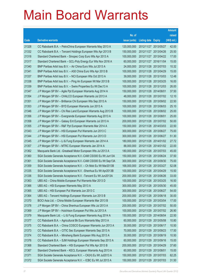|       |                                                               |               |                            |                       | <b>Amount</b> |
|-------|---------------------------------------------------------------|---------------|----------------------------|-----------------------|---------------|
|       |                                                               | No. of        |                            |                       | raised        |
| Code  | <b>Derivative warrants</b>                                    | issue (units) | <b>Listing date Expiry</b> |                       | (HK\$ mil.)   |
| 21328 | CC Rabobank B.A. - PetroChina European Warrants May 2013 A    | 120,000,000   | 2012/11/27 2013/05/27      |                       | 42.00         |
| 21332 | CC Rabobank B.A. - Tencent Holdings European Wts Apr 2013 B   | 150,000,000   |                            | 2012/11/27 2013/04/26 | 25.50         |
| 21318 | Standard Chartered Bank - Sinopec Corp Euro Wts Apr 2013 A    | 100,000,000   |                            | 2012/11/27 2013/04/22 | 17.00         |
| 21317 | Standard Chartered Bank - GCL-Poly Energy Eur Wts Nov 2016 A  | 60,000,000    |                            | 2012/11/27 2016/11/04 | 15.00         |
| 21340 | BNP Paribas Arbit Issu B.V. - Air China Euro Wts Jul 2013 A   | 24,000,000    |                            | 2012/11/28 2013/07/03 | 10.32         |
| 21341 | BNP Paribas Arbit Issu B.V. - A50 China Euro Wts Apr 2013 B   | 100,000,000   |                            | 2012/11/28 2013/04/29 | 15.00         |
| 21337 | BNP Paribas Arbit Issu B.V. - NCI European Wts Oct 2013 A     | 39,000,000    | 2012/11/28 2013/10/03      |                       | 12.48         |
| 21338 | BNP Paribas Arbit Issu B.V. - Ping An European Wt Mar 2013 B  | 100,000,000   |                            | 2012/11/28 2013/03/25 | 16.00         |
| 21339 | BNP Paribas Arbit Issu B.V. - Swire Properties Eu Wt Dec13 A  | 100,000,000   |                            | 2012/11/28 2013/12/03 | 26.00         |
| 21347 | J P Morgan SP BV - Agile Ppt European Warrants Aug 2014 A     | 150,000,000   | 2012/11/28 2014/08/01      |                       | 37.50         |
| 21354 | J P Morgan SP BV - CHALCO European Warrants Jul 2013 A        | 48,000,000    |                            | 2012/11/28 2013/07/02 | 12.10         |
| 21351 | J P Morgan SP BV - Brilliance Chi European Wts Sep 2013 A     | 150,000,000   | 2012/11/28 2013/09/02      |                       | 22.50         |
| 21353 | J P Morgan SP BV - BYD European Warrants Jun 2013 A           | 100,000,000   |                            | 2012/11/28 2013/06/03 | 25.10         |
| 21346 | J P Morgan SP BV - Chi Res Land European Warrants Aug 2013 B  | 100,000,000   |                            | 2012/11/28 2013/08/02 | 25.00         |
| 21356 | J P Morgan SP BV - Evergrande European Warrants Aug 2013 A    | 100,000,000   | 2012/11/28 2013/08/01      |                       | 25.00         |
| 21358 | J P Morgan SP BV - Galaxy Ent European Warrants Jul 2013 A    | 200,000,000   |                            | 2012/11/28 2013/07/02 | 50.00         |
| 21355 | J P Morgan SP BV - R&F Ppt European Warrants Mar 2014 A       | 150,000,000   |                            | 2012/11/28 2014/03/03 | 22.50         |
| 21343 | J P Morgan SP BV - HSI European Put Warrants Jun 2013 C       | 300,000,000   |                            | 2012/11/28 2013/06/27 | 75.00         |
| 21344 | J P Morgan SP BV - HSI European Put Warrants Jun 2013 D       | 300,000,000   | 2012/11/28 2013/06/27      |                       | 51.30         |
| 21345 | J P Morgan SP BV - Li & Fung European Warrants Jan 2014 A     | 180,000,000   |                            | 2012/11/28 2014/01/02 | 27.72         |
| 21357 | J P Morgan SP BV - MTRC European Warrants Jan 2014 A          | 88,000,000    |                            | 2012/11/28 2014/01/02 | 22.00         |
| 21362 | Macquarie Bank Ltd. - Greatwall Motor European Wts Jul 2013 A | 180,000,000   |                            | 2012/11/28 2013/07/03 | 45.00         |
| 21360 | SGA Societe Generale Acceptance N.V.-CAM CSI300 Eu Wt Jun13A  | 150,000,000   | 2012/11/28 2013/06/24      |                       | 37.50         |
| 21361 | SGA Societe Generale Acceptance N.V.-CAM CSI300 Eu Wt Sep13A  | 300,000,000   |                            | 2012/11/28 2013/09/30 | 75.00         |
| 21359 | SGA Societe Generale Acceptance N.V. - Ch Mob Eu Wt Mar2013B  | 168,000,000   | 2012/11/28 2013/03/27      |                       | 52.08         |
| 21335 | SGA Societe Generale Acceptance N.V. - Shenhua Eu Wt Apr2013B | 100,000,000   | 2012/11/28 2013/04/29      |                       | 15.50         |
| 21336 | SGA Societe Generale Acceptance N.V. -Tencent Eu Wt Jun2013A  | 200,000,000   | 2012/11/28 2013/06/26      |                       | 33.00         |
| 21363 | UBS AG - China Mobile European Put Warrants Mar 2013 D        | 100,000,000   | 2012/11/28 2013/03/25      |                       | 16.50         |
| 21366 | UBS AG - HSI European Warrants May 2013 A                     | 300,000,000   | 2012/11/28 2013/05/30      |                       | 45.00         |
| 21365 | UBS AG - HSI European Put Warrants Jun 2013 C                 | 300,000,000   | 2012/11/28 2013/06/27      |                       | 54.00         |
| 21364 | UBS AG - Tencent Holdings European Warrants Jun 2013 B        | 200,000,000   | 2012/11/28 2013/06/18      |                       | 30.00         |
| 21370 | BOCI Asia Ltd. - China Mobile European Warrants Mar 2013 B    | 100,000,000   | 2012/11/29 2013/03/04      |                       | 17.00         |
| 21378 | J P Morgan SP BV - China Shenhua European Wts Jul 2013 A      | 200,000,000   | 2012/11/29 2013/07/02      |                       | 50.00         |
| 21369 | J P Morgan SP BV - Hutchison European Put Wts Jul 2013 A      | 100,000,000   |                            | 2012/11/29 2013/07/02 | 26.90         |
| 21379 | Macquarie Bank Ltd. - Li & Fung European Warrants Aug 2014 A  | 150,000,000   | 2012/11/29 2014/08/04      |                       | 22.50         |
| 21377 | CC Rabobank B.A. - Agricultural Bk Euro Warrants May 2013 A   | 60,000,000    | 2012/11/29 2013/05/08      |                       | 10.80         |
| 21375 | CC Rabobank B.A. - China COSCO European Warrants Jun 2013 A   | 30,000,000    | 2012/11/29 2013/06/17      |                       | 10.50         |
| 21373 | CC Rabobank B.A. - CITIC Sec European Warrants Sep 2013 A     | 70,000,000    | 2012/11/29 2013/09/23      |                       | 17.50         |
| 21374 | CC Rabobank B.A. - Minsheng Bank European Wts Aug 2013 A      | 30,000,000    | 2012/11/29 2013/08/19      |                       | 10.50         |
| 21376 | CC Rabobank B.A. - SJM Holdings European Warrants Sep 2013 A  | 60,000,000    | 2012/11/29 2013/09/16      |                       | 15.00         |
| 21368 | Standard Chartered Bank - HSI European Put Wts Apr 2013 B     | 200,000,000   | 2012/11/29 2013/04/29      |                       | 37.60         |
| 21367 | Standard Chartered Bank - KECL European Warrants Aug 2013 A   | 60,000,000    | 2012/11/29 2013/08/01      |                       | 15.00         |
| 21371 | SGA Societe Generale Acceptance N.V. - CK(H) Eu Wt Jul2013 A  | 150,000,000   | 2012/11/29 2013/07/03      |                       | 62.25         |
| 21372 | SGA Societe Generale Acceptance N.V. - ICBC Eu Wt Jul 2013 A  | 150,000,000   | 2012/11/29 2013/07/03      |                       | 31.50         |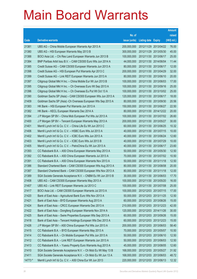|         |                                                               |               |                            |                       | <b>Amount</b> |
|---------|---------------------------------------------------------------|---------------|----------------------------|-----------------------|---------------|
|         |                                                               | No. of        |                            |                       | raised        |
| Code    | <b>Derivative warrants</b>                                    | issue (units) | <b>Listing date Expiry</b> |                       | (HK\$ mil.)   |
| 21381   | UBS AG – China Mobile European Warrants Apr 2013 A            | 200,000,000   |                            | 2012/11/29 2013/04/22 | 76.00         |
| 21380   | UBS AG - HSI European Warrants May 2013 B                     | 300,000,000   | 2012/11/29 2013/05/30      |                       | 45.00         |
| 21388   | BOCI Asia Ltd. - Chi Res Land European Warrants Jun 2013 B    | 100,000,000   | 2012/11/30 2013/06/17      |                       | 25.00         |
| 21384   | BNP Paribas Arbit Issu B.V. - CAM CSI300 Euro Wts Jun 2014 A  | 44,000,000    | 2012/11/30 2014/06/04      |                       | 11.44         |
| 21385   | Credit Suisse AG - CAM CSI300 European Warrants Jun 2013 A    | 80,000,000    |                            | 2012/11/30 2013/06/17 | 12.00         |
| 21398   | Credit Suisse AG - HSI European Put Warrants Apr 2013 C       | 200,000,000   | 2012/11/30 2013/04/29      |                       | 32.00         |
| 21399   | Credit Suisse AG - Link REIT European Warrants Jun 2013 A     | 80,000,000    | 2012/11/30 2013/06/10      |                       | 20.00         |
| 21397   | Citigroup Global Mkt H Inc. - China Mobile Eur Wt Jun 2013 B  | 100,000,000   | 2012/11/30 2013/06/03      |                       | 17.00         |
| 21395   | Citigroup Global Mkt H Inc. - Ch Overseas Euro Wt Sep 2013 A  | 100,000,000   |                            | 2012/11/30 2013/09/16 | 25.00         |
| 21396   | Citigroup Global Mkt H Inc. - Ch Overseas Eu Put Wt Oct 13 A  | 100,000,000   |                            | 2012/11/30 2013/10/02 | 25.00         |
| 21390   | Goldman Sachs SP (Asia) - CAM CSI300 European Wts Jun 2013 A  | 120,000,000   | 2012/11/30 2013/06/17      |                       | 18.00         |
| 21409   | Goldman Sachs SP (Asia) - Ch Overseas European Wts Sep 2013 A | 80,000,000    | 2012/11/30 2013/09/30      |                       | 20.56         |
| 21383   | HK Bank - HSI European Put Warrants Jun 2013 A                | 150,000,000   |                            | 2012/11/30 2013/06/27 | 22.50         |
| 21382   | HK Bank - KECL European Warrants Dec 2014 A                   | 80,000,000    |                            | 2012/11/30 2014/12/22 | 20.00         |
| 21394   | J P Morgan SP BV - China Mob European Put Wts Jul 2013 A      | 100,000,000   |                            | 2012/11/30 2013/07/02 | 26.60         |
| 21400   | J P Morgan SP BV - Tencent European Warrants May 2013 A       | 200,000,000   | 2012/11/30 2013/05/27      |                       | 30.00         |
| 21401   | Merrill Lynch Int'l & Co. C.V. - China Life Eu Wt Jun 2013 C  | 60,000,000    |                            | 2012/11/30 2013/06/25 | 10.32         |
| 21406   | Merrill Lynch Int'l & Co. C.V. - HSBC Euro Wts Jul 2013 A     | 40,000,000    |                            | 2012/11/30 2013/07/15 | 10.00         |
| 21402   | Merrill Lynch Int'l & Co. C.V. - ICBC Euro Wts Jun 2013 A     | 40,000,000    |                            | 2012/11/30 2013/06/24 | 12.60         |
| 21403   | Merrill Lynch Int'l & Co. C.V. - ICBC Euro Wts Jul 2013 B     | 40,000,000    | 2012/11/30 2013/07/29      |                       | 10.00         |
| 21405   | Merrill Lynch Int'l & Co. C.V. - PetroChina Eu Wt Jun 2013 A  | 40,000,000    |                            | 2012/11/30 2013/06/17 | 23.60         |
| 21393   | CC Rabobank B.A. - A50 China European Warrants May 2013 A     | 50,000,000    | 2012/11/30 2013/05/30      |                       | 12.50         |
| 21392   | CC Rabobank B.A. - A50 China European Warrants Jul 2013 A     | 70,000,000    |                            | 2012/11/30 2013/07/02 | 10.50         |
| 21391   | CC Rabobank B.A. - A50 China European Warrants Nov 2013 A     | 50,000,000    | 2012/11/30 2013/11/18      |                       | 12.50         |
| 21386   | Standard Chartered Bank - CAM CSI300 European Wts Aug 2013 A  | 80,000,000    |                            | 2012/11/30 2013/08/08 | 20.00         |
| 21387   | Standard Chartered Bank - CAM CSI300 European Wts Nov 2013 A  | 80,000,000    | 2012/11/30 2013/11/18      |                       | 12.00         |
| 21389   | SGA Societe Generale Acceptance N.V. - CNBM Eu Wt Jun 2013 B  | 30,000,000    | 2012/11/30 2013/06/03      |                       | 17.70         |
| 21408   | UBS AG - CAM CSI300 European Warrants May 2013 A              | 100,000,000   | 2012/11/30 2013/05/20      |                       | 16.00         |
| 21407   | UBS AG - Link REIT European Warrants Jul 2013 C               | 100,000,000   | 2012/11/30 2013/07/08      |                       | 25.00         |
| 21417   | BOCI Asia Ltd. - CAM CSI300 European Warrants Jul 2013 A      | 100,000,000   | 2012/12/03 2013/07/15      |                       | 17.00         |
| 21420   | Bank of East Asia - Agricultural Bank Euro Wts Nov 2013 A     | 50,000,000    | 2012/12/03 2013/11/25      |                       | 12.50         |
| 21421   | Bank of East Asia - BYD European Warrants Aug 2013 A          | 60,000,000    | 2012/12/03 2013/08/26      |                       | 15.00         |
| 21424   | Bank of East Asia - CRCC European Warrants Dec 2013 A         | 210,000,000   | 2012/12/03 2013/12/23      |                       | 42.00         |
| 21422   | Bank of East Asia - Dongfeng European Warrants Nov 2014 A     | 120,000,000   | 2012/12/03 2014/11/26      |                       | 30.00         |
| 21425   | Bank of East Asia - Swire Properties European Wts Sep 2013 A  | 60,000,000    | 2012/12/03 2013/09/26      |                       | 15.00         |
| 21418   | Bank of East Asia - Tencent Holdings European Wts Dec 2013 A  | 60,000,000    | 2012/12/03 2013/12/23      |                       | 15.00         |
| 21426   | J P Morgan SP BV - A50 China European Put Wts Jun 2013 A      | 200,000,000   | 2012/12/03 2013/06/03      |                       | 58.40         |
| 21415   | CC Rabobank B.A. - BYD European Warrants May 2013 A           | 70,000,000    | 2012/12/03 2013/05/07      |                       | 10.50         |
| 21414   | CC Rabobank B.A. - Ch Mobile European Put Wts Jun 2013 A      | 50,000,000    | 2012/12/03 2013/06/10      |                       | 12.50         |
| 21412   | CC Rabobank B.A. - Link REIT European Warrants Jun 2013 A     | 50,000,000    | 2012/12/03 2013/06/03      |                       | 12.50         |
| 21413   | CC Rabobank B.A. - Yuexiu Property Euro Warrants Aug 2013 A   | 45,000,000    | 2012/12/03 2013/08/05      |                       | 12.60         |
| 21410   | SGA Societe Generale Acceptance N.V. - Ch Mob Eu Wt May 13 B  | 168,000,000   | 2012/12/03 2013/05/27      |                       | 31.92         |
| 21411   | SGA Societe Generale Acceptance N.V. - Ch Mob Eu Wt Jun 13 A  | 168,000,000   | 2012/12/03 2013/06/03      |                       | 48.72         |
| 14773 # | Merrill Lynch Int'l & Co. C.V. - A50 China Eur Wt Jun 2013    | 220,000,000   | 2012/12/03 2013/06/13      |                       | 12.32         |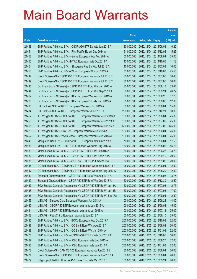|       |                                                              |               |                            |                       | <b>Amount</b> |
|-------|--------------------------------------------------------------|---------------|----------------------------|-----------------------|---------------|
|       |                                                              | No. of        |                            |                       | raised        |
| Code  | <b>Derivative warrants</b>                                   | issue (units) | <b>Listing date Expiry</b> |                       | $(HK$$ mil.)  |
| 21448 | BNP Paribas Arbit Issu B.V. - CSOP A50 ETF Eu Wts Jun 2013 A | 30,000,000    | 2012/12/04                 | 2013/06/03            | 10.20         |
| 21451 | BNP Paribas Arbit Issu B.V. - First Pacific Eu Wt Dec 2014 A | 61,000,000    | 2012/12/04 2014/12/02      |                       | 15.25         |
| 21452 | BNP Paribas Arbit Issu B.V. - Gome European Wts Aug 2014 A   | 100,000,000   | 2012/12/04                 | 2014/08/04            | 25.00         |
| 21450 | BNP Paribas Arbit Issu B.V. - MTRC European Wts Oct 2014 A   | 43,000,000    | 2012/12/04 2014/10/06      |                       | 11.18         |
| 21454 | BNP Paribas Arbit Issu B.V. - Shougang Res Eu Wts Jul 2013 A | 40,000,000    |                            | 2012/12/04 2013/07/03 | 16.00         |
| 21453 | BNP Paribas Arbit Issu B.V. - Wharf European Wts Oct 2013 A  | 73,000,000    | 2012/12/04 2013/10/03      |                       | 25.55         |
| 21442 | Credit Suisse AG - CSOP A50 ETF European Warrants Jul 2013 B | 80,000,000    | 2012/12/04                 | 2013/07/05            | 38.40         |
| 21449 | Credit Suisse AG – CSOP A50 ETF European Warrants Jul 2013 C | 80,000,000    | 2012/12/04 2013/07/05      |                       | 56.00         |
| 21445 | Goldman Sachs SP (Asia) - CSOP A50 ETF Euro Wts Jun 2013 A   | 80,000,000    | 2012/12/04 2013/06/18      |                       | 33.44         |
| 21444 | Goldman Sachs SP (Asia) – CSOP A50 ETF Euro Wts Sep 2013 A   | 80,000,000    | 2012/12/04 2013/09/24      |                       | 26.72         |
| 21427 | Goldman Sachs SP (Asia) - HKEx European Warrants Jun 2013 A  | 80,000,000    | 2012/12/04                 | 2013/06/25            | 37.28         |
| 21428 | Goldman Sachs SP (Asia) – HKEx European Put Wts Sep 2013 A   | 80,000,000    | 2012/12/04 2013/09/06      |                       | 12.08         |
| 21435 | HK Bank – CSOP A50 ETF European Warrants Jun 2013 A          | 60,000,000    |                            | 2012/12/04 2013/06/04 | 15.00         |
| 21434 | HK Bank - CSOP A50 ETF European Warrants Dec 2015 A          | 200,000,000   | 2012/12/04 2015/12/21      |                       | 50.00         |
| 21457 | J P Morgan SP BV - CSOP A50 ETF European Warrants Jun 2013 A | 100,000,000   | 2012/12/04                 | 2013/06/04            | 25.00         |
| 21456 | J P Morgan SP BV - CSOP A50 ETF European Warrants Jul 2013 A | 100,000,000   | 2012/12/04 2013/07/02      |                       | 25.00         |
| 21455 | J P Morgan SP BV - CSOP A50 ETF European Warrants Jul 2015 A | 500,000,000   |                            | 2012/12/04 2015/07/02 | 125.00        |
| 21429 | J P Morgan SP BV - Link Reit European Warrants Jun 2013 A    | 100,000,000   | 2012/12/04 2013/06/04      |                       | 25.00         |
| 21462 | J P Morgan SP BV - Wynn Macau European Warrants Jun 2013 A   | 100,000,000   | 2012/12/04                 | 2013/06/04            | 25.00         |
| 21443 | Macquarie Bank Ltd. - CSOP A50 ETF European Wts Jun 2013 A   | 70,000,000    | 2012/12/04 2013/06/04      |                       | 17.50         |
| 21430 | Macquarie Bank Ltd. - Link REIT European Warrants Aug 2013 A | 180,000,000   |                            | 2012/12/04 2013/08/02 | 45.72         |
| 21433 | Merrill Lynch Int'l & Co. C.V. - CSOP A50 ETF Eu Wt Jun2013A | 80,000,000    | 2012/12/04 2013/06/26      |                       | 33.20         |
| 21432 | Merrill Lynch Int'l & Co. C.V. - CSOP A50 ETF Eu Wt Sep2013A | 80,000,000    | 2012/12/04 2013/09/19      |                       | 29.60         |
| 21431 | Merrill Lynch Int'l & Co. C.V.-CSOP A50 ETF Eu Put Wt Jan15A | 80,000,000    | 2012/12/04 2015/01/02      |                       | 20.00         |
| 21446 | CC Rabobank B.A. - CSOP A50 ETF European Warrants Jun 2013 A | 25,000,000    |                            | 2012/12/04 2013/06/04 | 12.50         |
| 21447 | CC Rabobank B.A. - CSOP A50 ETF European Warrants Aug 2013 A | 25,000,000    | 2012/12/04 2013/08/29      |                       | 12.50         |
| 21440 | Standard Chartered Bank - CSOP A50 ETF Euro Wts Aug 2013 A   | 50,000,000    | 2012/12/04 2013/08/08      |                       | 13.75         |
| 21439 | Standard Chartered Bank - CSOP A50 ETF Euro Wts Dec 2013 A   | 50,000,000    | 2012/12/04 2013/12/30      |                       | 12.50         |
| 21437 | SGA Societe Generale Acceptance NV-CSOP A50 ETF Eu Wt Jul13A | 50,000,000    | 2012/12/04 2013/07/03      |                       | 12.75         |
| 21438 | SGA Societe Generale Acceptance NV-CSOP A50 ETF Eu Wt Jul13B | 50,000,000    | 2012/12/04 2013/07/03      |                       | 17.00         |
| 21436 | SGA Societe Generale Acceptance NV-CSOP A50 ETF Eu Wt Sep13A | 50,000,000    | 2012/12/04 2013/09/04      |                       | 12.50         |
| 21459 | UBS AG - Sinopec Corp European Warrants Jun 2013 A           | 100,000,000   | 2012/12/04 2013/06/24      |                       | 44.00         |
| 21460 | UBS AG - CSOP A50 ETF European Warrants Jun 2013 A           | 100,000,000   | 2012/12/04                 | 2013/06/04            | 45.00         |
| 21461 | UBS AG - CSOP A50 ETF European Warrants Jul 2015 A           | 100,000,000   | 2012/12/04 2015/07/13      |                       | 25.00         |
| 21458 | UBS AG - PetroChina European Warrants Jun 2013 A             | 100,000,000   | 2012/12/04 2013/06/10      |                       | 35.00         |
| 21485 | BNP Paribas Arbit Issu B.V. - BOCL European Wts Oct 2013 A   | 200,000,000   | 2012/12/05 2013/10/03      |                       | 32.00         |
| 21488 | BNP Paribas Arbit Issu B.V. - CC Bank Euro Wts Aug 2013 A    | 200,000,000   | 2012/12/05 2013/08/02      |                       | 30.00         |
| 21489 | BNP Paribas Arbit Issu B.V. - CC Bank Euro Wts Jan 2014 A    | 200,000,000   | 2012/12/05 2014/01/03      |                       | 52.00         |
| 21475 | BNP Paribas Arbit Issu B.V. - CSOP A50 ETF Eu Wts Oct 2015 A | 200,000,000   | 2012/12/05 2015/10/05      |                       | 50.00         |
| 21487 | BNP Paribas Arbit Issu B.V. - ICBC European Wts Sep 2013 A   | 200,000,000   | 2012/12/05 2013/09/27      |                       | 32.00         |
| 21486 | BNP Paribas Arbit Issu B.V. - ICBC European Wts Jan 2014 A   | 200,000,000   | 2012/12/05 2014/01/03      |                       | 62.00         |
| 21478 | Credit Suisse AG - CAM CSI300 European Warrants Jun 2013 B   | 80,000,000    | 2012/12/05 2013/06/04      |                       | 20.00         |
| 21474 | Credit Suisse AG - CSOP A50 ETF European Warrants Jun 2013 A | 80,000,000    | 2012/12/05 2013/06/04      |                       | 20.00         |
| 21479 | Citigroup Global Mkt H Inc. - A50 China Euro Wts May 2013 B  | 100,000,000   | 2012/12/05 2013/05/24      |                       | 40.00         |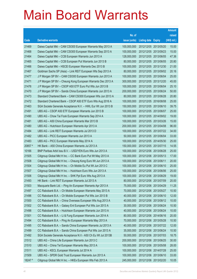|         |                                                              |               |                            | <b>Amount</b> |
|---------|--------------------------------------------------------------|---------------|----------------------------|---------------|
|         |                                                              | No. of        |                            | raised        |
| Code    | <b>Derivative warrants</b>                                   | issue (units) | <b>Listing date Expiry</b> | (HK\$ mil.)   |
| 21469   | Daiwa Capital Mkt - CAM CSI300 European Warrants May 2013 A  | 100,000,000   | 2012/12/05 2013/05/20      | 15.00         |
| 21468   | Daiwa Capital Mkt - CAM CSI300 European Warrants Sep 2013 A  | 100,000,000   | 2012/12/05 2013/09/23      | 15.00         |
| 21464   | Daiwa Capital Mkt - CCB European Warrants Jun 2013 A         | 128,000,000   | 2012/12/05 2013/06/05      | 47.36         |
| 21465   | Daiwa Capital Mkt – CCB European Put Warrants Jun 2013 B     | 80,000,000    | 2012/12/05 2013/06/05      | 20.80         |
| 21466   | Daiwa Capital Mkt - HSCEI European Warrants Dec 2013 B       | 100,000,000   | 2012/12/05 2013/12/30      | 21.00         |
| 21467   | Goldman Sachs SP (Asia) - Link REIT European Wts Sep 2013 A  | 80,000,000    | 2012/12/05 2013/09/02      | 20.16         |
| 21477   | J P Morgan SP BV - CAM CSI300 European Warrants Jun 2013 A   | 100,000,000   | 2012/12/05 2013/06/04      | 25.00         |
| 21471   | J P Morgan SP BV - Cheung Kong European Warrants Dec 2013 A  | 300,000,000   | 2012/12/05 2013/12/20      | 45.00         |
| 21476   | J P Morgan SP BV - CSOP A50 ETF Euro Put Wts Jun 2013 B      | 100,000,000   | 2012/12/05 2013/06/04      | 25.10         |
| 21470   | J P Morgan SP BV - Sands China European Warrants Jun 2013 A  | 200,000,000   | 2012/12/05 2013/06/24      | 50.00         |
| 21473   | Standard Chartered Bank - CAM CSI300 European Wts Jun 2013 A | 80,000,000    | 2012/12/05 2013/06/28      | 20.80         |
| 21472   | Standard Chartered Bank - CSOP A50 ETF Euro Wts Aug 2016 A   | 100,000,000   | 2012/12/05 2016/08/08      | 25.00         |
| 21463   | SGA Societe Generale Acceptance N.V. - HWL Eur Wt Jun 2013 B | 150,000,000   | 2012/12/05 2013/06/10      | 39.75         |
| 21491   | UBS AG - CSOP A50 ETF European Warrants Jun 2013 B           | 100,000,000   | 2012/12/05 2013/06/07      | 25.00         |
| 21490   | UBS AG - Chow Tai Fook European Warrants Sep 2014 A          | 100,000,000   | 2012/12/05 2014/09/02      | 19.00         |
| 21481   | UBS AG - A50 China European Warrants Mar 2013 B              | 100,000,000   | 2012/12/05 2013/03/26      | 15.00         |
| 21480   | UBS AG - Hutchison European Warrants Apr 2013 A              | 200,000,000   | 2012/12/05 2013/04/08      | 96.00         |
| 21484   | UBS AG - Link REIT European Warrants Jul 2013 D              | 100,000,000   | 2012/12/05 2013/07/22      | 34.00         |
| 21482   | UBS AG - PICC European Warrants Jun 2013 A                   | 50,000,000    | 2012/12/05 2013/06/04      | 33.00         |
| 21483   | UBS AG - PICC European Warrants May 2014 A                   | 100,000,000   | 2012/12/05 2014/05/30      | 25.00         |
| 20857 # | HK Bank - A50 China European Warrants Jul 2013 A             | 150,000,000   | 2012/12/05 2013/07/15      | 14.55         |
| 10166   | BNP Paribas Arbit Issu B.V. - USD/YEN Euro Wts Jun 2013 A    | 100,000,000   | 2012/12/06 2013/06/28      | 25.00         |
| 21505   | Citigroup Global Mkt H Inc. - CC Bank Euro Put Wt May 2013 A | 100,000,000   | 2012/12/06 2013/05/13      | 17.00         |
| 21508   | Citigroup Global Mkt H Inc. - Cheung Kong Euro Wt Jun 2013 A | 100,000,000   | 2012/12/06 2013/06/11      | 20.00         |
| 21504   | Citigroup Global Mkt H Inc. - Ch Mobile Eu Put Wt Jun 2013 C | 100,000,000   | 2012/12/06 2013/06/10      | 25.00         |
| 21507   | Citigroup Global Mkt H Inc. - Hutchison Euro Wts Jun 2013 A  | 100,000,000   | 2012/12/06 2013/06/06      | 25.00         |
| 21506   | Citigroup Global Mkt H Inc. - SHK Ppt Euro Wts Aug 2013 A    | 100,000,000   | 2012/12/06 2013/08/29      | 19.00         |
| 21493   | HK Bank - Link REIT European Warrants Jul 2013 A             | 80,000,000    | 2012/12/06 2013/07/09      | 20.00         |
| 21503   | Macquarie Bank Ltd. - Ping An European Warrants Apr 2013 A   | 75,000,000    | 2012/12/06 2013/04/29      | 11.25         |
| 21497   | CC Rabobank B.A. - Ch Mobile European Warrants May 2013 A    | 70,000,000    | 2012/12/06 2013/05/27      | 10.50         |
| 21496   | CC Rabobank B.A. - Ch Mobile European Put Wts Jun 2013 B     | 40,000,000    | 2012/12/06 2013/06/10      | 12.00         |
| 21500   | CC Rabobank B.A. - China Overseas European Wts Aug 2013 A    | 40,000,000    | 2012/12/06 2013/08/12      | 10.00         |
| 21502   | CC Rabobank B.A. - Galaxy Ent European Put Wts Jun 2013 A    | 30,000,000    | 2012/12/06 2013/06/24      | 10.50         |
| 21498   | CC Rabobank B.A. - Hutchison European Warrants Jun 2013 A    | 40,000,000    | 2012/12/06 2013/06/24      | 10.00         |
| 21501   | CC Rabobank B.A. - Li & Fung European Warrants Jun 2014 A    | 80,000,000    | 2012/12/06 2014/06/16      | 20.00         |
| 21494   | CC Rabobank B.A. - Ping An European Warrants May 2013 A      | 70,000,000    | 2012/12/06 2013/05/28      | 10.50         |
| 21495   | CC Rabobank B.A. - Sands China European Warrants Jul 2013 A  | 40,000,000    | 2012/12/06 2013/07/22      | 12.00         |
| 21499   | CC Rabobank B.A. - Sands China European Put Wts Jun 2013 A   | 35,000,000    | 2012/12/06 2013/06/24      | 10.50         |
| 21492   | SGA Societe Generale Acceptance N.V.- A50 Ch Eu Wt Jul 2013B | 50,000,000    | 2012/12/06 2013/07/03      | 18.75         |
| 21512   | UBS AG - China Life European Warrants Jun 2013 C             | 200,000,000   | 2012/12/06 2013/06/25      | 30.00         |
| 21510   | UBS AG - China Tel European Warrants May 2013 A              | 100,000,000   | 2012/12/06 2013/05/08      | 28.00         |
| 21511   | UBS AG - KECL European Warrants Jul 2014 A                   | 100,000,000   | 2012/12/06 2014/07/28      | 25.00         |
| 21509   | UBS AG - SPDR Gold Trust European Warrants Jun 2013 A        | 100,000,000   | 2012/12/06 2013/06/10      | 33.00         |
| 18247 # | Citigroup Global Mkt H Inc. - HKEx European Wts Feb 2013 A   | 245,000,000   | 2012/12/06 2013/02/20      | 10.05         |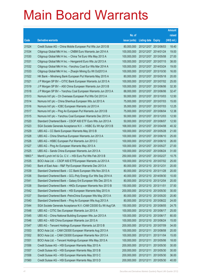|         |                                                               |               |                            |            | <b>Amount</b> |
|---------|---------------------------------------------------------------|---------------|----------------------------|------------|---------------|
|         |                                                               | No. of        |                            |            | raised        |
| Code    | <b>Derivative warrants</b>                                    | issue (units) | <b>Listing date Expiry</b> |            | (HK\$ mil.)   |
| 21524   | Credit Suisse AG – China Mobile European Put Wts Jun 2013 B   | 80,000,000    | 2012/12/07 2013/06/03      |            | 18.40         |
| 21534   | Citigroup Global Mkt H Inc. - CNBM Euro Warrants Jan 2014 A   | 100,000,000   | 2012/12/07 2014/01/24      |            | 19.00         |
| 21530   | Citigroup Global Mkt H Inc. - China Tel Euro Wts May 2013 A   | 100,000,000   | 2012/12/07 2013/05/08      |            | 27.00         |
| 21531   | Citigroup Global Mkt H Inc. - Henganintl Euro Wts Jul 2013 A  | 100,000,000   | 2012/12/07 2013/07/15      |            | 38.00         |
| 21532   | Citigroup Global Mkt H Inc. - Yanzhou Coal Eur Wts Mar 2014 A | 100,000,000   | 2012/12/07 2014/03/24      |            | 19.00         |
| 21533   | Citigroup Global Mkt H Inc. - Zhaojin Mining Eu Wt Oct2013 A  | 100,000,000   | 2012/12/07 2013/10/30      |            | 16.00         |
| 21522   | HK Bank - Minsheng Bank European Put Warrants May 2015 A      | 80,000,000    | 2012/12/07 2015/05/18      |            | 20.00         |
| 21521   | J P Morgan SP BV - CITIC Bank European Warrants Jul 2013 A    | 100,000,000   | 2012/12/07 2013/07/02      |            | 25.00         |
| 21519   | J P Morgan SP BV - A50 China European Warrants Jun 2013 B     | 100,000,000   | 2012/12/07 2013/06/06      |            | 32.30         |
| 21518   | J P Morgan SP BV - Yanzhou Coal European Warrants Jun 2013 A  | 88,000,000    | 2012/12/07 2013/06/06      |            | 32.47         |
| 21513   | Nomura Int'l plc - Ch Overseas European Put Wts Oct 2013 A    | 50,000,000    | 2012/12/07 2013/10/03      |            | 12.50         |
| 21514   | Nomura Int'l plc - China Shenhua European Wts Jul 2013 A      | 75,000,000    | 2012/12/07 2013/07/03      |            | 15.00         |
| 21516   | Nomura Int'l plc - ICBC European Warrants Jul 2013 A          | 35,000,000    | 2012/12/07 2013/07/03      |            | 12.25         |
| 21517   | Nomura Int'l plc - Ping An European Put Warrants Jun 2013 B   | 75,000,000    | 2012/12/07 2013/06/04      |            | 12.38         |
| 21515   | Nomura Int'l plc - Yanzhou Coal European Warrants Dec 2013 A  | 50,000,000    | 2012/12/07 2013/12/03      |            | 12.50         |
| 21520   | Standard Chartered Bank - CSOP A50 ETF Euro Wts Jun 2013 A    | 50,000,000    | 2012/12/07 2013/06/07      |            | 12.50         |
| 21523   | SGA Societe Generale Acceptance N.V. - HSBC Eu Wt Apr 2013 B  | 168,000,000   | 2012/12/07 2013/04/08      |            | 40.32         |
| 21529   | UBS AG - CC Bank European Warrants May 2013 B                 | 100,000,000   | 2012/12/07 2013/05/28      |            | 21.00         |
| 21528   | UBS AG – China Shenhua European Warrants Jun 2013 A           | 100,000,000   | 2012/12/07 2013/06/10      |            | 25.00         |
| 21526   | UBS AG - HSBC European Put Warrants Jun 2013 C                | 100,000,000   | 2012/12/07 2013/06/10      |            | 26.00         |
| 21527   | UBS AG – Ping An European Warrants May 2013 A                 | 100,000,000   | 2012/12/07 2013/05/27      |            | 27.00         |
| 21525   | UBS AG - Sands China European Warrants Jun 2013 A             | 100,000,000   | 2012/12/07 2013/06/24      |            | 31.00         |
| 19903 # | Merrill Lynch Int'l & Co. C.V. - HSI Euro Put Wts Feb 2013 B  | 250,000,000   | 2012/12/07 2013/02/27      |            | 10.75         |
| 21535   | BOCI Asia Ltd. - CSOP A50 ETFEuropean Warrants Jul 2013 A     | 100,000,000   | 2012/12/10 2013/07/02      |            | 25.00         |
| 21543   | Bank of East Asia – R&F Ppt European Warrants Dec 2013 A      | 80,000,000    | 2012/12/10 2013/12/31      |            | 20.00         |
| 21539   | Standard Chartered Bank - CC Bank European Wts Nov 2013 A     | 80,000,000    | 2012/12/10 2013/11/28      |            | 20.00         |
| 21536   | Standard Chartered Bank - GCL-Poly Energy Eur Wts Sep 2014 A  | 40,000,000    | 2012/12/10 2014/09/30      |            | 10.00         |
| 21541   | Standard Chartered Bank - Galaxy Ent European Wts Dec 2013 A  | 80,000,000    | 2012/12/10 2013/12/04      |            | 20.00         |
| 21538   | Standard Chartered Bank - HKEx European Warrants Nov 2013 B   | 150,000,000   | 2012/12/10 2013/11/01      |            | 37.50         |
| 21542   | Standard Chartered Bank - HSI European Warrants May 2013 A    | 200,000,000   | 2012/12/10 2013/05/30      |            | 30.00         |
| 21537   | Standard Chartered Bank - PetroChina European Wts May 2013 A  | 80,000,000    | 2012/12/10 2013/05/20      |            | 20.80         |
| 21540   | Standard Chartered Bank - Ping An European Wts Aug 2013 A     | 80,000,000    | 2012/12/10 2013/08/22      |            | 24.00         |
| 21544   | SGA Societe Generale Acceptance N.V.-CAM CSI300 Eu Wt Aug13A  | 150,000,000   | 2012/12/10 2013/08/05      |            | 24.75         |
| 21548   | UBS AG - CITIC Sec European Warrants Jun 2013 A               | 100,000,000   | 2012/12/10 2013/06/17      |            | 25.00         |
| 21545   | UBS AG - China National Building European Wts Jun 2013 A      | 100,000,000   | 2012/12/10 2013/06/17      |            | 80.00         |
| 21546   | UBS AG - A50 China European Warrants Jun 2013 A               | 100,000,000   | 2012/12/10 2013/06/24      |            | 15.00         |
| 21547   | UBS AG - Tencent Holdings European Warrants Jul 2013 B        | 200,000,000   | 2012/12/10 2013/07/09      |            | 34.00         |
| 21553   | BOCI Asia Ltd. - CAM CSI300 European Warrants Aug 2013 A      | 100,000,000   | 2012/12/11 2013/08/08      |            | 20.00         |
| 21552   | BOCI Asia Ltd. - CAM CSI300 European Warrants Nov 2013 A      | 100,000,000   | 2012/12/11                 | 2013/11/04 | 15.00         |
| 21551   | BOCI Asia Ltd. - Tencent Holdings European Wts May 2013 A     | 100,000,000   | 2012/12/11                 | 2013/05/06 | 18.00         |
| 21556   | Credit Suisse AG - HSI European Warrants May 2013 A           | 200,000,000   | 2012/12/11                 | 2013/05/30 | 30.00         |
| 21557   | Credit Suisse AG - HSI European Warrants May 2013 B           | 200,000,000   | 2012/12/11                 | 2013/05/30 | 30.00         |
| 21558   | Credit Suisse AG - HSI European Warrants May 2013 C           | 200,000,000   | 2012/12/11                 | 2013/05/30 | 36.00         |
| 21560   | Credit Suisse AG - HSI European Warrants May 2013 D           | 200,000,000   | 2012/12/11                 | 2013/05/30 | 40.00         |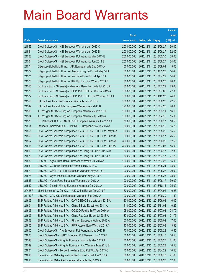|         |                                                               |               |                            |            | <b>Amount</b> |
|---------|---------------------------------------------------------------|---------------|----------------------------|------------|---------------|
|         |                                                               | No. of        |                            |            | raised        |
| Code    | <b>Derivative warrants</b>                                    | issue (units) | <b>Listing date Expiry</b> |            | (HK\$ mil.)   |
| 21559   | Credit Suisse AG - HSI European Warrants Jun 2013 C           | 200,000,000   | 2012/12/11                 | 2013/06/27 | 30.00         |
| 21561   | Credit Suisse AG - HSI European Warrants Jun 2013 D           | 200,000,000   | 2012/12/11                 | 2013/06/27 | 52.00         |
| 21562   | Credit Suisse AG - HSI European Put Warrants May 2013 E       | 200,000,000   | 2012/12/11                 | 2013/05/30 | 38.00         |
| 21564   | Credit Suisse AG - HSI European Put Warrants Jun 2013 E       | 200,000,000   | 2012/12/11                 | 2013/06/27 | 34.00         |
| 21574   | Citigroup Global Mkt H Inc. - AIA European Wts Sep 2013 A     | 100,000,000   | 2012/12/11                 | 2013/09/09 | 15.00         |
| 21572   | Citigroup Global Mkt H Inc. - Cheung Kong Eu Put Wt May 14 A  | 80,000,000    | 2012/12/11                 | 2014/05/28 | 14.40         |
| 21571   | Citigroup Global Mkt H Inc. - Hutchison Euro Put Wt Apr 13 A  | 80,000,000    | 2012/12/11                 | 2013/04/22 | 14.40         |
| 21573   | Citigroup Global Mkt H Inc. - SHK Ppt Euro Put Wt Aug 2013 B  | 80,000,000    | 2012/12/11                 | 2013/08/26 | 20.00         |
| 21555   | Goldman Sachs SP (Asia) – Minsheng Bank Euro Wts Jul 2013 A   | 80,000,000    | 2012/12/11                 | 2013/07/22 | 29.68         |
| 21576   | Goldman Sachs SP (Asia) - CSOP A50 ETF Euro Wts Jul 2015 A    | 150,000,000   | 2012/12/11                 | 2015/07/06 | 27.30         |
| 21577   | Goldman Sachs SP (Asia) - CSOP A50 ETF Eu Put Wts Dec 2014 A  | 150,000,000   | 2012/12/11                 | 2014/12/23 | 24.60         |
| 21550   | HK Bank - China Life European Warrants Jun 2013 B             | 150,000,000   | 2012/12/11                 | 2013/06/25 | 22.50         |
| 21549   | HK Bank - China Mobile European Warrants Apr 2013 B           | 120,000,000   | 2012/12/11                 | 2013/04/26 | 40.80         |
| 21585   | J P Morgan SP BV - Ping An European Warrants Mar 2013 A       | 100,000,000   | 2012/12/11                 | 2013/03/11 | 16.10         |
| 21584   | J P Morgan SP BV - Ping An European Warrants Apr 2013 A       | 100,000,000   | 2012/12/11                 | 2013/04/15 | 15.00         |
| 21575   | CC Rabobank B.A. - CAM CSI300 European Warrants Jun 2013 A    | 70,000,000    | 2012/12/11                 | 2013/06/17 | 10.50         |
| 21554   | Standard Chartered Bank - Link REIT European Wts Jun 2013 A   | 80,000,000    | 2012/12/11                 | 2013/06/10 | 15.20         |
| 21565   | SGA Societe Generale Acceptance NV-CSOP A50 ETF Eu Wt May13A  | 50,000,000    | 2012/12/11                 | 2013/05/29 | 15.50         |
| 21566   | SGA Societe Generale Acceptance NV-CSOP A50 ETF Eu Wt Jun13A  | 50,000,000    | 2012/12/11                 | 2013/06/17 | 26.50         |
| 21567   | SGA Societe Generale Acceptance NV-CSOP A50 ETF Eu Wt Jun15A  | 300,000,000   | 2012/12/11                 | 2015/06/29 | 52.50         |
| 21568   | SGA Societe Generale Acceptance NV-CSOP A50 ETF Eu Wt Jul15A  | 300,000,000   | 2012/12/11                 | 2015/07/06 | 45.00         |
| 21569   | SGA Societe Generale Acceptance N.V. - Ping An Eu Wt Jun 13 B | 80,000,000    | 2012/12/11                 | 2013/06/17 | 32.80         |
| 21570   | SGA Societe Generale Acceptance N.V. - Ping An Eu Wt Jul 13 A | 80,000,000    | 2012/12/11                 | 2013/07/17 | 27.20         |
| 21580   | UBS AG - Agricultural Bank European Warrants Jul 2013 A       | 100,000,000   | 2012/12/11                 | 2013/07/26 | 15.00         |
| 21581   | UBS AG - CC Bank European Warrants May 2013 C                 | 100,000,000   | 2012/12/11                 | 2013/05/24 | 33.00         |
| 21579   | UBS AG - CSOP A50 ETF European Warrants May 2013 A            | 100,000,000   | 2012/12/11                 | 2013/05/27 | 20.00         |
| 21578   | UBS AG - Wynn Macau European Warrants May 2013 A              | 100,000,000   | 2012/12/11 2013/05/28      |            | 28.00         |
| 21583   | UBS AG - Yurun Food European Warrants Jun 2013 A              | 100,000,000   | 2012/12/11 2013/06/17      |            | 39.00         |
| 21582   | UBS AG - Zhaojin Mining European Warrants Oct 2013 A          | 100,000,000   | 2012/12/11                 | 2013/10/15 | 25.00         |
| 20428 # | Merrill Lynch Int'l & Co. C.V. - A50 China Eur Wt Apr 2013 A  | 60,000,000    | 2012/12/11 2013/04/02      |            | 10.26         |
| 21187 # | UBS AG - CAM CSI300 European Warrants Sep 2013 A              | 100,000,000   | 2012/12/11                 | 2013/09/30 | 11.50         |
| 21609   | BNP Paribas Arbit Issu B.V. - CAM CSI300 Euro Wts Jun 2013 A  | 80,000,000    | 2012/12/12 2013/06/03      |            | 16.00         |
| 21604   | BNP Paribas Arbit Issu B.V. - China EB Ltd Eu Wt Nov 2014 A   | 41,000,000    | 2012/12/12 2014/11/04      |            | 10.25         |
| 21606   | BNP Paribas Arbit Issu B.V. - COSCO Pacific Eu Wt Jul 2014 A  | 95,000,000    | 2012/12/12 2014/07/03      |            | 24.70         |
| 21607   | BNP Paribas Arbit Issu B.V. - China Res Gas Eu Wt Jul 2013 A  | 87,000,000    | 2012/12/12 2013/07/03      |            | 21.75         |
| 21608   | BNP Paribas Arbit Issu B.V. - Ping An European Wt May 2013 A  | 100,000,000   | 2012/12/12 2013/05/02      |            | 17.00         |
| 21605   | BNP Paribas Arbit Issu B.V. - PWR Assets Euro Wts Jul 2013 A  | 43,000,000    | 2012/12/12 2013/07/03      |            | 13.33         |
| 21602   | Credit Suisse AG - AIA European Put Warrants May 2013 B       | 70,000,000    | 2012/12/12 2013/05/28      |            | 10.50         |
| 21600   | Credit Suisse AG - HSBC European Put Warrants Jun 2013 B      | 70,000,000    | 2012/12/12 2013/06/17      |            | 10.50         |
| 21598   | Credit Suisse AG - Ping An European Warrants May 2013 A       | 70,000,000    | 2012/12/12 2013/05/27      |            | 21.00         |
| 21599   | Credit Suisse AG - Ping An European Put Warrants May 2013 B   | 70,000,000    | 2012/12/12 2013/05/28      |            | 10.50         |
| 21601   | Credit Suisse AG - Tencent Holdings Euro Put Wts Apr 2013 C   | 70,000,000    | 2012/12/12 2013/04/22      |            | 10.50         |
| 21618   | Daiwa Capital Mkt - Agricultural Bank Euro Put Wt Jun 2013 A  | 80,000,000    | 2012/12/12 2013/06/18      |            | 21.60         |
| 21615   | Daiwa Capital Mkt - AIA European Warrants Sep 2013 A          | 80,000,000    | 2012/12/12 2013/09/23      |            | 12.00         |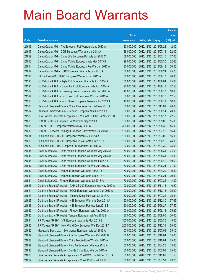|       |                                                              |               |                            | <b>Amount</b> |
|-------|--------------------------------------------------------------|---------------|----------------------------|---------------|
|       |                                                              | No. of        |                            | raised        |
| Code  | <b>Derivative warrants</b>                                   | issue (units) | <b>Listing date Expiry</b> | (HK\$ mil.)   |
| 21616 | Daiwa Capital Mkt - AIA European Put Warrants May 2013 A     | 80,000,000    | 2012/12/12 2013/05/28      | 12.00         |
| 21617 | Daiwa Capital Mkt - CCB European Warrants Jul 2013 A         | 128,000,000   | 2012/12/12 2013/07/15      | 32.00         |
| 21619 | Daiwa Capital Mkt - China Life European Put Wts Jul 2013 C   | 108,000,000   | 2012/12/12 2013/07/15      | 27.00         |
| 21613 | Daiwa Capital Mkt - China Mobile European Wts May 2013 B     | 128,000,000   | 2012/12/12 2013/05/30      | 22.66         |
| 21614 | Daiwa Capital Mkt - China Mobile European Put Wts Jun 2013 A | 80,000,000    | 2012/12/12 2013/06/13      | 30.40         |
| 21612 | Daiwa Capital Mkt - HSBC European Warrants Jun 2013 A        | 158,000,000   | 2012/12/12 2013/06/24      | 25.28         |
| 21595 | HK Bank - CAM CSI300 European Warrants Jun 2013 A            | 80,000,000    | 2012/12/12 2013/06/17      | 20.00         |
| 21593 | CC Rabobank B.A. - Agile Ppt European Warrants Aug 2014 A    | 100,000,000   | 2012/12/12 2014/08/04      | 25.00         |
| 21591 | CC Rabobank B.A. - Chow Tai Fook European Wts Aug 2014 A     | 90,000,000    | 2012/12/12 2014/08/18      | 22.50         |
| 21589 | CC Rabobank B.A. - Huaneng Power European Wts Jun 2013 A     | 40,000,000    | 2012/12/12 2013/06/17      | 10.00         |
| 21594 | CC Rabobank B.A. - Luk Fook Hold European Wts Jun 2013 A     | 50,000,000    | 2012/12/12 2013/06/10      | 12.50         |
| 21590 | CC Rabobank B.A. - Xinyi Glass European Warrants Jun 2013 A  | 40,000,000    | 2012/12/12 2013/06/11      | 10.00         |
| 21586 | Standard Chartered Bank - China Overseas Euro Wt Nov 2013 A  | 80,000,000    | 2012/12/12 2013/11/01      | 20.00         |
| 21587 | Standard Chartered Bank - Lenovo European Wts Jun 2013 A     | 80,000,000    | 2012/12/12 2013/06/14      | 20.00         |
| 21596 | SGA Societe Generale Acceptance N.V.-CAM CSI300 Eu Wt Jun13B | 150,000,000   | 2012/12/12 2013/06/17      | 22.50         |
| 21603 | UBS AG - HKEx European Put Warrants Sep 2013 A               | 100,000,000   | 2012/12/12 2013/09/06      | 15.00         |
| 21611 | UBS AG - HSI European Warrants May 2013 C                    | 300,000,000   | 2012/12/12 2013/05/30      | 45.00         |
| 21610 | UBS AG - Tencent Holdings European Put Warrants Jul 2013 C   | 100,000,000   | 2012/12/12 2013/07/15      | 16.40         |
| 21634 | BOCI Asia Ltd. - HSBC European Warrants Jul 2013 A           | 100,000,000   | 2012/12/13 2013/07/02      | 16.00         |
| 21633 | BOCI Asia Ltd. - HSBC European Put Warrants Jun 2013 A       | 100,000,000   | 2012/12/13 2013/06/10      | 24.00         |
| 21632 | BOCI Asia Ltd. - HSI European Put Warrants Jul 2013 A        | 100,000,000   | 2012/12/13 2013/07/30      | 25.00         |
| 21644 | Credit Suisse AG - China Mobile European Warrants May 2013 A | 70,000,000    | 2012/12/13 2013/05/31      | 24.50         |
| 21646 | Credit Suisse AG - China Mobile European Warrants May 2013 B | 70,000,000    | 2012/12/13 2013/05/31      | 14.00         |
| 21645 | Credit Suisse AG - China Mobile European Warrants Jun 2013 C | 70,000,000    | 2012/12/13 2013/06/10      | 19.60         |
| 21647 | Credit Suisse AG - China Mobile European Put Wts Jun 2013 D  | 70,000,000    | 2012/12/13 2013/06/24      | 21.00         |
| 21642 | Credit Suisse AG - Ping An European Warrants Apr 2013 A      | 70,000,000    | 2012/12/13 2013/04/29      | 10.50         |
| 21643 | Credit Suisse AG - Ping An European Warrants Jun 2013 A      | 70,000,000    | 2012/12/13 2013/06/24      | 29.40         |
| 21641 | Credit Suisse AG - Ping An European Warrants Jul 2013 A      | 70,000,000    | 2012/12/13 2013/07/22      | 14.00         |
| 21626 | Goldman Sachs SP (Asia) - CAM CSI300 European Wts Nov 2013 A | 100,000,000   | 2012/12/13 2013/11/18      | 16.20         |
| 21621 | Goldman Sachs SP (Asia) - BOCL European Warrants Dec 2013 A  | 100,000,000   | 2012/12/13 2013/12/16      | 25.00         |
| 21623 | Goldman Sachs SP (Asia) - Cheung Kong Euro Wts Jul 2013 A    | 80,000,000    | 2012/12/13 2013/07/22      | 25.44         |
| 21635 | Goldman Sachs SP (Asia) - HSI European Warrants Dec 2013 A   | 150,000,000   | 2012/12/13 2013/12/30      | 37.65         |
| 21636 | Goldman Sachs SP (Asia) - HSI European Put Wts Jun 2013 B    | 150,000,000   | 2012/12/13 2013/06/27      | 37.50         |
| 21622 | Goldman Sachs SP (Asia) - Ping An European Wts Aug 2013 A    | 100,000,000   | 2012/12/13 2013/08/12      | 25.20         |
| 21625 | Goldman Sachs SP (Asia) - Tencent European Wt Aug 2013 B     | 80,000,000    | 2012/12/13 2013/08/05      | 20.00         |
| 21631 | J P Morgan SP BV - HSI European Warrants May 2013 E          | 300,000,000   | 2012/12/13 2013/05/30      | 45.00         |
| 21630 | J P Morgan SP BV - New World Dev European Wts Dec 2014 A     | 200,000,000   | 2012/12/13 2014/12/31      | 50.00         |
| 21620 | Macquarie Bank Ltd. - Evergrande European Wts Jul 2013 A     | 100,000,000   | 2012/12/13 2013/07/03      | 25.10         |
| 21639 | Standard Chartered Bank - AIA European Warrants Oct 2013 B   | 100,000,000   | 2012/12/13 2013/10/04      | 15.00         |
| 21638 | Standard Chartered Bank - China Mobile Euro Wts Oct 2013 A   | 100,000,000   | 2012/12/13 2013/10/04      | 25.00         |
| 21637 | Standard Chartered Bank - Ping An European Wts Apr 2013 A    | 100,000,000   | 2012/12/13 2013/04/26      | 15.00         |
| 21640 | Standard Chartered Bank - Sands China Euro Wts Jul 2013 A    | 100,000,000   | 2012/12/13 2013/07/03      | 25.00         |
| 21628 | SGA Societe Generale Acceptance N.V. - BOCL Eu Wt Dec 2013 A | 150,000,000   | 2012/12/13 2013/12/09      | 31.50         |
| 21629 | SGA Societe Generale Acceptance N.V. - CCB Eur Wt Jul 2013 B | 150,000,000   | 2012/12/13 2013/07/31      | 29.25         |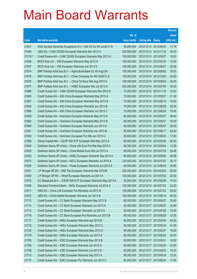|         |                                                              |               |                            |                       | <b>Amount</b> |
|---------|--------------------------------------------------------------|---------------|----------------------------|-----------------------|---------------|
|         |                                                              | No. of        |                            |                       | raised        |
| Code    | <b>Derivative warrants</b>                                   | issue (units) | <b>Listing date Expiry</b> |                       | (HK\$ mil.)   |
| 21627   | SGA Societe Generale Acceptance N.V.- A50 Ch Eu Wt Jun2013 B | 50,000,000    | 2012/12/13 2013/06/24      |                       | 11.75         |
| 21649   | UBS AG - CAM CSI300 European Warrants Nov 2013 A             | 200,000,000   | 2012/12/13 2013/11/18      |                       | 30.00         |
| 21219 # | Credit Suisse AG - CAM CSI300 European Warrants May 2013 A   | 100,000,000   | 2012/12/13 2013/05/27      |                       | 19.20         |
| 21658   | BOCI Asia Ltd. - HSI European Warrants May 2013 A            | 100,000,000   |                            | 2012/12/14 2013/05/30 | 15.00         |
| 21657   | BOCI Asia Ltd. - HSI European Warrants Jun 2013 D            | 100,000,000   |                            | 2012/12/14 2013/06/27 | 25.00         |
| 21674   | BNP Paribas Arbit Issu B.V. - Agricultural Bank Eu Wt Aug13A | 100,000,000   |                            | 2012/12/14 2013/08/02 | 18.00         |
| 21678   | BNP Paribas Arbit Issu B.V. - China Overseas Eu Wt Oct2013 A | 100,000,000   | 2012/12/14 2013/10/03      |                       | 25.00         |
| 21676   | BNP Paribas Arbit Issu B.V. - China Tel Euro Wts Aug 2013 A  | 100,000,000   |                            | 2012/12/14 2013/08/02 | 30.00         |
| 21677   | BNP Paribas Arbit Issu B.V. - HSBC European Wts Jul 2013 A   | 200,000,000   |                            | 2012/12/14 2013/07/03 | 32.00         |
| 21668   | Credit Suisse AG - CAM CSI300 European Warrants Nov 2013 A   | 70,000,000    |                            | 2012/12/14 2013/11/18 | 10.50         |
| 21665   | Credit Suisse AG - A50 China European Warrants May 2013 A    | 70,000,000    | 2012/12/14 2013/05/27      |                       | 21.00         |
| 21667   | Credit Suisse AG - A50 China European Warrants May 2013 B    | 70,000,000    | 2012/12/14 2013/05/13      |                       | 10.50         |
| 21664   | Credit Suisse AG - A50 China European Warrants Jun 2013 B    | 70,000,000    |                            | 2012/12/14 2013/06/28 | 42.00         |
| 21666   | Credit Suisse AG - A50 China European Warrants Jun 2013 C    | 70,000,000    | 2012/12/14 2013/06/24      |                       | 15.40         |
| 21659   | Credit Suisse AG - Hutchison European Warrants May 2013 A    | 80,000,000    | 2012/12/14 2013/05/27      |                       | 38.40         |
| 21662   | Credit Suisse AG - Hutchison European Warrants May 2013 B    | 80,000,000    | 2012/12/14 2013/05/31      |                       | 16.00         |
| 21660   | Credit Suisse AG - Hutchison European Warrants Jun 2013 A    | 80,000,000    | 2012/12/14 2013/06/07      |                       | 28.00         |
| 21661   | Credit Suisse AG - Hutchison European Warrants Jun 2013 B    | 80,000,000    | 2012/12/14 2013/06/17      |                       | 22.40         |
| 21663   | Credit Suisse AG - Hutchison European Put Wts Jun 2013 C     | 80,000,000    | 2012/12/14 2013/06/24      |                       | 17.60         |
| 21669   | Daiwa Capital Mkt - CSOP A50 ETF European Wts May 2013 A     | 80,000,000    |                            | 2012/12/14 2013/05/28 | 26.40         |
| 21654   | Goldman Sachs SP (Asia) - China Life Euro Put Wts Sep 2013 A | 80,000,000    |                            | 2012/12/14 2013/09/24 | 13.28         |
| 21653   | Goldman Sachs SP (Asia) - China Mobile Euro Wts Jul 2013 A   | 80,000,000    |                            | 2012/12/14 2013/07/23 | 20.48         |
| 21652   | Goldman Sachs SP (Asia) - HSBC European Warrants Sep 2013 A  | 80,000,000    | 2012/12/14 2013/09/09      |                       | 20.08         |
| 21673   | Goldman Sachs SP (Asia) - KECL European Warrants Jul 2014 A  | 120,000,000   | 2012/12/14 2014/07/07      |                       | 30.12         |
| 21655   | Goldman Sachs SP (Asia) - Prada European Warrants Jun 2013 A | 80,000,000    |                            | 2012/12/14 2013/06/24 | 36.80         |
| 21651   | J P Morgan SP BV - R&F Ppt European Warrants Mar 2014 B      | 200,000,000   | 2012/12/14 2014/03/03      |                       | 50.00         |
| 21650   | J P Morgan SP BV - Wharf European Warrants Jul 2013 A        | 100,000,000   |                            | 2012/12/14 2013/07/02 | 25.00         |
| 21670   | CC Rabobank B.A. - CSOP A50 ETF European Warrants May 2013 A | 35,000,000    | 2012/12/14 2013/05/28      |                       | 10.50         |
| 21656   | Standard Chartered Bank - HKEx European Warrants Jul 2014 A  | 150,000,000   | 2012/12/14 2014/07/03      |                       | 22.50         |
| 21671   | UBS AG - China Life European Put Warrants Jul 2013 B         | 100,000,000   |                            | 2012/12/14 2013/07/22 | 20.00         |
| 21672   | UBS AG - China Mobile European Warrants Jun 2013 B           | 100,000,000   | 2012/12/14 2013/06/10      |                       | 26.00         |
| 21713   | Credit Suisse AG - CC Bank European Warrants May 2013 B      | 80,000,000    | 2012/12/17 2013/05/27      |                       | 33.60         |
| 21714   | Credit Suisse AG - CC Bank European Warrants Jun 2013 A      | 80,000,000    | 2012/12/17 2013/06/27      |                       | 16.80         |
| 21715   | Credit Suisse AG - CC Bank European Warrants Jul 2013 A      | 80,000,000    | 2012/12/17 2013/07/29      |                       | 14.40         |
| 21716   | Credit Suisse AG - CC Bank European Put Warrants Jun 2013 B  | 80,000,000    | 2012/12/17 2013/06/28      |                       | 12.00         |
| 21717   | Credit Suisse AG - HKEx European Warrants Apr 2013 B         | 80,000,000    | 2012/12/17 2013/04/30      |                       | 64.00         |
| 21718   | Credit Suisse AG - HKEx European Warrants May 2013 C         | 80,000,000    | 2012/12/17 2013/05/16      |                       | 41.60         |
| 21720   | Credit Suisse AG - HKEx European Warrants May 2013 D         | 80,000,000    | 2012/12/17 2013/05/27      |                       | 16.80         |
| 21719   | Credit Suisse AG - HKEx European Warrants Jun 2013 A         | 80,000,000    | 2012/12/17 2013/06/24      |                       | 40.00         |
| 21709   | Credit Suisse AG - ICBC European Warrants May 2013 B         | 80,000,000    | 2012/12/17 2013/05/31      |                       | 16.00         |
| 21706   | Credit Suisse AG - ICBC European Warrants Jun 2013 A         | 80,000,000    | 2012/12/17 2013/06/24      |                       | 24.80         |
| 21708   | Credit Suisse AG - ICBC European Warrants Jun 2013 B         | 80,000,000    | 2012/12/17 2013/06/24      |                       | 19.20         |
| 21710   | Credit Suisse AG - ICBC European Warrants Sep 2013 A         | 80,000,000    | 2012/12/17 2013/09/16      |                       | 12.00         |
| 21712   | Credit Suisse AG - ICBC European Put Warrants Jun 2013 C     | 80,000,000    | 2012/12/17 2013/06/24      |                       | 17.60         |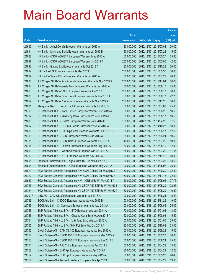|         |                                                              |               |                            |            | <b>Amount</b> |
|---------|--------------------------------------------------------------|---------------|----------------------------|------------|---------------|
|         |                                                              | No. of        |                            |            | raised        |
| Code    | <b>Derivative warrants</b>                                   | issue (units) | <b>Listing date Expiry</b> |            | $(HK$$ mil.)  |
| 21690   | HK Bank – Anhui Conch European Warrants Jul 2013 A           | 80,000,000    | 2012/12/17 2013/07/02      |            | 20.00         |
| 21691   | HK Bank – Minsheng Bank European Warrants Jul 2013 B         | 60,000,000    | 2012/12/17 2013/07/22      |            | 15.00         |
| 21688   | HK Bank - CSOP A50 ETF European Warrants May 2013 A          | 60,000,000    | 2012/12/17                 | 2013/05/27 | 25.80         |
| 21687   | HK Bank – CSOP A50 ETF European Warrants Jul 2015 A          | 200,000,000   | 2012/12/17 2015/07/06      |            | 42.00         |
| 21693   | HK Bank – Galaxy Ent European Warrants Oct 2013 A            | 80,000,000    | 2012/12/17 2013/10/28      |            | 20.00         |
| 21692   | HK Bank - HSI European Warrants May 2013 E                   | 200,000,000   | 2012/12/17 2013/05/30      |            | 30.00         |
| 21689   | HK Bank - Sands China European Warrants Jul 2013 A           | 80,000,000    | 2012/12/17 2013/07/22      |            | 20.00         |
| 21686   | J P Morgan SP BV - Anhui Conch European Warrants Nov 2013 A  | 200,000,000   | 2012/12/17 2013/11/04      |            | 50.00         |
| 21684   | J P Morgan SP BV - Geely Auto European Warrants Jun 2013 A   | 100,000,000   | 2012/12/17 2013/06/17      |            | 25.00         |
| 21683   | J P Morgan SP BV - HSBC European Warrants Jun 2013 B         | 200,000,000   | 2012/12/17 2013/06/17      |            | 50.00         |
| 21685   | J P Morgan SP BV - Yurun Food European Warrants Jun 2013 A   | 50,000,000    | 2012/12/17                 | 2013/06/17 | 22.70         |
| 21682   | J P Morgan SP BV - Zoomlion European Warrants Nov 2013 A     | 200,000,000   | 2012/12/17 2013/11/25      |            | 50.00         |
| 21681   | Macquarie Bank Ltd. - CC Bank European Warrants Jul 2013 B   | 100,000,000   | 2012/12/17 2013/07/03      |            | 25.00         |
| 21700   | CC Rabobank B.A. - Anhui Conch European Warrants Jun 2013 A  | 50,000,000    | 2012/12/17 2013/06/25      |            | 10.50         |
| 21702   | CC Rabobank B.A. - Minsheng Bank European Wts Jun 2013 A     | 35,000,000    | 2012/12/17                 | 2013/06/17 | 10.50         |
| 21696   | CC Rabobank B.A. - CNBM European Warrants Apr 2014 C         | 150,000,000   | 2012/12/17 2014/04/22      |            | 37.50         |
| 21697   | CC Rabobank B.A. - COSCO Pacific European Wts Oct 2014 A     | 90,000,000    | 2012/12/17 2014/10/28      |            | 18.90         |
| 21698   | CC Rabobank B.A. - Ch Ship Cont European Warrants Jun 2013 B | 50,000,000    | 2012/12/17 2013/06/17      |            | 12.50         |
| 21705   | CC Rabobank B.A. - CSR European Warrants Jun 2013 A          | 35,000,000    | 2012/12/17                 | 2013/06/24 | 10.50         |
| 21701   | CC Rabobank B.A. - CSR Times European Warrants Jul 2013 A    | 40,000,000    | 2012/12/17 2013/07/29      |            | 10.00         |
| 21704   | CC Rabobank B.A. - Lenovo European Put Warrants Aug 2013 A   | 30,000,000    | 2012/12/17 2013/08/19      |            | 12.00         |
| 21699   | CC Rabobank B.A. - Weichai Power European Wts Jul 2013 A     | 35,000,000    | 2012/12/17 2013/07/29      |            | 11.55         |
| 21703   | CC Rabobank B.A. - ZTE European Warrants Nov 2013 A          | 80,000,000    | 2012/12/17 2013/11/12      |            | 20.00         |
| 21695   | Standard Chartered Bank - Agricultural Bk Eur Wts Jul 2013 A | 80,000,000    | 2012/12/17 2013/07/26      |            | 13.60         |
| 21694   | Standard Chartered Bank - KECL European Warrants May 2014 A  | 100,000,000   | 2012/12/17 2014/05/07      |            | 25.00         |
| 21679   | SGA Societe Generale Acceptance N.V.-CAM CSI300 Eu Wt Sep13B | 150,000,000   | 2012/12/17 2013/09/30      |            | 22.50         |
| 21722   | SGA Societe Generale Acceptance N.V.-CAM CSI300 Eu Wt Nov13A | 150,000,000   | 2012/12/17 2013/11/18      |            | 22.50         |
| 21680   | SGA Societe Generale Acceptance N.V. - CNBM Eu Wt May 2014 A | 150,000,000   | 2012/12/17 2014/05/05      |            | 27.75         |
| 21723   | SGA Societe Generale Acceptance NV-CSOP A50 ETF Eu Wt May13B | 50,000,000    | 2012/12/17 2013/05/29      |            | 22.25         |
| 21724   | SGA Societe Generale Acceptance NV-CSOP A50 ETF Eu Wt May13C | 50,000,000    | 2012/12/17 2013/05/29      |            | 16.50         |
| 21291 # | UBS AG - CAM CSI300 European Warrants Jun 2013 A             | 100,000,000   | 2012/12/17                 | 2013/06/24 | 15.20         |
| 21736   | BOCI Asia Ltd. - CNOOC European Warrants Nov 2013 B          | 100,000,000   | 2012/12/18 2013/11/26      |            | 19.00         |
| 21735   | BOCI Asia Ltd. - Ch Overseas European Warrants Aug 2013 A    | 100,000,000   | 2012/12/18                 | 2013/08/05 | 25.00         |
| 21763   | BNP Paribas Arbit Issu B.V. - BYD European Wts Jan 2014 A    | 72,000,000    | 2012/12/18 2014/01/03      |            | 18.00         |
| 21766   | BNP Paribas Arbit Issu B.V. - Cheung Kong Euro Wt Aug 2013 A | 62,000,000    | 2012/12/18 2013/08/02      |            | 15.50         |
| 21764   | BNP Paribas Arbit Issu B.V. - Li & Fung Euro Wts Jan 2015 A  | 100,000,000   | 2012/12/18 2015/01/05      |            | 25.00         |
| 21765   | BNP Paribas Arbit Issu B.V. - SHK Ppt Euro Wts Oct 2013 A    | 92,000,000    | 2012/12/18 2013/10/03      |            | 23.00         |
| 21750   | Credit Suisse AG - CAM CSI300 European Warrants Sep 2013 A   | 100,000,000   | 2012/12/18 2013/09/23      |            | 15.00         |
| 21752   | Credit Suisse AG - CSOP A50 ETF European Warrants May 2013 A | 100,000,000   | 2012/12/18 2013/05/28      |            | 30.00         |
| 21753   | Credit Suisse AG - CSOP A50 ETF European Warrants Jun 2013 B | 100,000,000   | 2012/12/18 2013/06/24      |            | 25.00         |
| 21751   | Credit Suisse AG - A50 China European Warrants Apr 2013 B    | 100,000,000   | 2012/12/18 2013/04/22      |            | 15.00         |
| 21758   | Credit Suisse AG - SHK Ppt European Warrants Apr 2013 A      | 80,000,000    | 2012/12/18 2013/04/29      |            | 12.00         |
| 21757   | Credit Suisse AG - SHK Ppt European Warrants May 2013 A      | 80,000,000    | 2012/12/18 2013/05/28      |            | 26.40         |
| 21754   | Credit Suisse AG - Tencent Holdings European Wts Apr 2013 D  | 100,000,000   | 2012/12/18 2013/04/29      |            | 19.00         |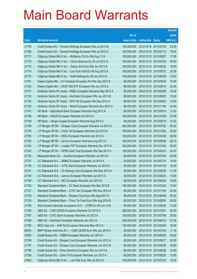|       |                                                              |               |                       |            | <b>Amount</b> |
|-------|--------------------------------------------------------------|---------------|-----------------------|------------|---------------|
|       |                                                              | No. of        |                       |            | raised        |
| Code  | <b>Derivative warrants</b>                                   | issue (units) | Listing date Expiry   |            | (HK\$ mil.)   |
| 21755 | Credit Suisse AG – Tencent Holdings European Wts Jul 2013 B  | 100,000,000   | 2012/12/18 2013/07/03 |            | 23.00         |
| 21756 | Credit Suisse AG - Tencent Holdings European Wts Jul 2013 C  | 100,000,000   | 2012/12/18 2013/07/12 |            | 16.00         |
| 21771 | Citigroup Global Mkt H Inc. - Brilliance Chi Eu Wts Aug 13 A | 100,000,000   | 2012/12/18 2013/08/27 |            | 17.00         |
| 21773 | Citigroup Global Mkt H Inc. - China Shenhua Eu Wt Jul 2013 A | 100,000,000   | 2012/12/18 2013/07/22 |            | 16.00         |
| 21770 | Citigroup Global Mkt H Inc. - Galaxy Ent Euro Wts Jun 2013 A | 100,000,000   | 2012/12/18 2013/06/26 |            | 19.00         |
| 21774 | Citigroup Global Mkt H Inc. - Luk Fook Hold Eu Wt Aug 2013 A | 100,000,000   | 2012/12/18 2013/08/12 |            | 25.00         |
| 21772 | Citigroup Global Mkt H Inc. - SJM Holdings Eu Wt Jun 2013 A  | 100,000,000   | 2012/12/18 2013/06/25 |            | 15.00         |
| 21761 | Daiwa Capital Mkt - Ch Overseas European Put Wts Sep 2013 A  | 98,000,000    | 2012/12/18 2013/09/25 |            | 15.68         |
| 21762 | Daiwa Capital Mkt - CSOP A50 ETF European Wts Jun 2013 A     | 98,000,000    | 2012/12/18 2013/06/18 |            | 24.50         |
| 21731 | Goldman Sachs SP (Asia) – HSBC European Warrants May 2013 A  | 80,000,000    | 2012/12/18 2013/05/06 |            | 12.24         |
| 21732 | Goldman Sachs SP (Asia) - Hutchison European Wts Jun 2013 B  | 80,000,000    | 2012/12/18 2013/06/03 |            | 16.40         |
| 21733 | Goldman Sachs SP (Asia) - SHK Ppt European Wts Sep 2013 A    | 80,000,000    | 2012/12/18 2013/09/02 |            | 12.64         |
| 21730 | Goldman Sachs SP (Asia) - Wharf European Warrants Nov 2013 A | 80,000,000    | 2012/12/18 2013/11/04 |            | 23.68         |
| 21747 | HK Bank - Agricultural Bank European Warrants Aug 2013 A     | 80,000,000    | 2012/12/18 2013/08/19 |            | 12.00         |
| 21748 | HK Bank - HSCEI European Warrants Oct 2013 A                 | 150,000,000   | 2012/12/18 2013/10/30 |            | 37.50         |
| 21749 | HK Bank - Jiangxi Copper European Warrants Aug 2013 A        | 80,000,000    | 2012/12/18 2013/08/19 |            | 12.00         |
| 21746 | J P Morgan SP BV - Sinopec Corp European Warrants Jul 2013 A | 200,000,000   | 2012/12/18 2013/07/02 |            | 50.20         |
| 21745 | J P Morgan SP BV - China Tel European Warrants Oct 2013 A    | 100,000,000   | 2012/12/18 2013/10/02 |            | 25.00         |
| 21760 | J P Morgan SP BV - HKEx European Warrants Apr 2013 A         | 100,000,000   | 2012/12/18 2013/04/08 |            | 28.00         |
| 21743 | J P Morgan SP BV - Lenovo European Warrants Aug 2013 A       | 100,000,000   | 2012/12/18 2013/08/05 |            | 28.10         |
| 21744 | J P Morgan SP BV - Longfor PPT European Warrants Dec 2013 A  | 200,000,000   | 2012/12/18 2013/12/02 |            | 50.00         |
| 21742 | J P Morgan SP BV - SPDR Gold Trust European Wts Sep 2013 A   | 100,000,000   | 2012/12/18 2013/09/23 |            | 43.40         |
| 21734 | Macquarie Bank Ltd. - Avichina European Warrants Jul 2013 A  | 80,000,000    | 2012/12/18 2013/07/04 |            | 20.00         |
| 21737 | CC Rabobank B.A. - BBMG European Warrants Jul 2013 A         | 20,000,000    | 2012/12/18 2013/07/15 |            | 14.00         |
| 21739 | CC Rabobank B.A. - CITIC Bank European Warrants Jul 2013 A   | 40,000,000    | 2012/12/18 2013/07/02 |            | 10.00         |
| 21741 | CC Rabobank B.A. - Ch Railway Cons European Wts May 2013 A   | 25,000,000    | 2012/12/18 2013/05/28 |            | 11.25         |
| 21740 | CC Rabobank B.A. - Lenovo European Warrants Jun 2013 A       | 30,000,000    | 2012/12/18 2013/06/24 |            | 13.50         |
| 21738 | CC Rabobank B.A. - NCI European Warrants Jun 2013 A          | 40,000,000    | 2012/12/18 2013/06/24 |            | 10.00         |
| 21725 | Standard Chartered Bank - CC Bank European Wts Mar 2013 B    | 100,000,000   | 2012/12/18 2013/03/28 |            | 15.00         |
| 21727 | Standard Chartered Bank - CITIC Sec European Wts Nov 2013 A  | 80,000,000    | 2012/12/18 2013/11/05 |            | 20.00         |
| 21728 | Standard Chartered Bank - Sinopec Corp Euro Wts Aug 2013 A   | 80,000,000    | 2012/12/18 2013/08/08 |            | 20.00         |
| 21726 | Standard Chartered Bank - Chow Tai Fook Euro Wts Aug 2014 B  | 80,000,000    | 2012/12/18 2014/08/05 |            | 20.00         |
| 21759 | SGA Societe Generale Acceptance N.V. - CITBK Eu Wt Jun 13 A  | 50,000,000    | 2012/12/18 2013/06/26 |            | 13.25         |
| 21769 | UBS AG - CAM CSI300 European Warrants Oct 2013 A             | 200,000,000   | 2012/12/18 2013/10/21 |            | 50.00         |
| 21767 | UBS AG - CITIC Bank European Warrants Jul 2013 A             | 100,000,000   | 2012/12/18 2013/07/09 |            | 29.00         |
| 21768 | UBS AG - Hutchison European Warrants Jun 2013 A              | 200,000,000   | 2012/12/18 2013/06/10 |            | 51.00         |
| 21790 | BOCI Asia Ltd. - SHK Ppt European Warrants May 2013 A        | 100,000,000   | 2012/12/19 2013/05/02 |            | 16.00         |
| 89000 | BNP Paribas Arbit Issu B.V. - CAM CSI300 Euro Wts Jan 2014 A | 36,000,000    | 2012/12/19 2014/01/03 |            | 11.16         |
| 21800 | Credit Suisse AG - CNBM European Warrants Jun 2013 A         | 60,000,000    | 2012/12/19 2013/06/28 |            | 33.00         |
| 21796 | Credit Suisse AG - Sinopec Corp European Warrants Jun 2013 A | 60,000,000    | 2012/12/19 2013/06/17 |            | 30.00         |
| 21797 | Credit Suisse AG - Sinopec Corp European Warrants Jun 2013 B | 60,000,000    | 2012/12/19            | 2013/06/28 | 18.60         |
| 21799 | Credit Suisse AG - China Shenhua European Wts Jun 2013 A     | 60,000,000    | 2012/12/19 2013/06/28 |            | 12.00         |
| 21798 | Credit Suisse AG - China Tel European Warrants Jun 2013 A    | 60,000,000    | 2012/12/19 2013/06/28 |            | 15.00         |
| 21802 | Citigroup Global Mkt H Inc. - Link Reit Euro Wts Jul 2013 A  | 100,000,000   | 2012/12/19 2013/07/02 |            | 16.00         |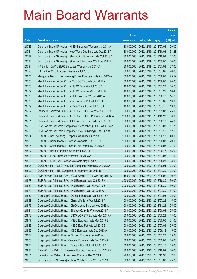|       |                                                               |               |                            | <b>Amount</b> |
|-------|---------------------------------------------------------------|---------------|----------------------------|---------------|
|       |                                                               | No. of        |                            | raised        |
| Code  | <b>Derivative warrants</b>                                    | issue (units) | <b>Listing date Expiry</b> | (HK\$ mil.)   |
| 21786 | Goldman Sachs SP (Asia) - HKEx European Warrants Jul 2013 A   | 80,000,000    | 2012/12/19 2013/07/03      | 20.00         |
| 21781 | Goldman Sachs SP (Asia) – New World Dev Euro Wts Oct 2013 A   | 80,000,000    | 2012/12/19 2013/10/03      | 51.28         |
| 21787 | Goldman Sachs SP (Asia) – Shimao Ppt European Wts Oct 2013 A  | 80,000,000    | 2012/12/19 2013/10/03      | 12.00         |
| 21784 | Goldman Sachs SP (Asia) – Sino Land European Wts May 2014 A   | 80,000,000    | 2012/12/19 2014/05/07      | 20.00         |
| 21794 | HK Bank - CAM CSI300 European Warrants Jul 2013 A             | 180,000,000   | 2012/12/19 2013/07/08      | 27.00         |
| 21795 | HK Bank - ICBC European Warrants Jul 2013 B                   | 80,000,000    | 2012/12/19 2013/07/02      | 20.00         |
| 21801 | Macquarie Bank Ltd. - Huaneng Power European Wts Aug 2013 A   | 80,000,000    | 2012/12/19 2013/08/02      | 25.12         |
| 21780 | Merrill Lynch Int'l & Co. C.V. - CNOOC Euro Wts Jun 2014 A    | 80,000,000    | 2012/12/19 2014/06/06      | 20.00         |
| 21778 | Merrill Lynch Int'l & Co. C.V. - HSBC Euro Wts Jul 2013 C     | 40,000,000    | 2012/12/19 2013/07/22      | 10.20         |
| 21777 | Merrill Lynch Int'l & Co. C.V. - HSBC Euro Put Wt Jul 2013 B  | 40,000,000    | 2012/12/19 2013/07/29      | 10.40         |
| 21776 | Merrill Lynch Int'l & Co. C.V. - Hutchison Eur Wt Jun 2013 A  | 40,000,000    | 2012/12/19 2013/06/10      | 14.20         |
| 21775 | Merrill Lynch Int'l & Co. C.V. - Hutchison Eu Put Wt Jul 13 A | 40,000,000    | 2012/12/19 2013/07/02      | 13.80         |
| 21779 | Merrill Lynch Int'l & Co. C.V. - PetroChina Eu Wt Jul 2013 A  | 40,000,000    | 2012/12/19 2013/07/15      | 19.80         |
| 21792 | Standard Chartered Bank - CSOP A50 ETF Euro Wts Sep 2013 A    | 100,000,000   | 2012/12/19 2013/09/03      | 25.00         |
| 21793 | Standard Chartered Bank - CSOP A50 ETF Eu Put Wts Dec 2014 A  | 200,000,000   | 2012/12/19 2014/12/23      | 30.00         |
| 21791 | Standard Chartered Bank - Hutchison Euro Euro Wts Jun 2013 A  | 100,000,000   | 2012/12/19 2013/06/10      | 24.00         |
| 21788 | SGA Societe Generale Acceptance NV-Minsheng Bk Eu Wt Jul13 A  | 30,000,000    | 2012/12/19 2013/07/08      | 11.70         |
| 21789 | SGA Societe Generale Acceptance NV-Zijin Mining Eu Wt Jul13A  | 50,000,000    | 2012/12/19 2013/07/15      | 12.50         |
| 21804 | UBS AG - Cheung Kong European Warrants Jun 2013 B             | 100,000,000   | 2012/12/19 2013/06/18      | 40.00         |
| 21806 | UBS AG – China Mobile European Warrants Jun 2013 D            | 200,000,000   | 2012/12/19 2013/06/03      | 70.00         |
| 21805 | UBS AG – China Mobile European Put Warrants Jun 2013 C        | 100,000,000   | 2012/12/19 2013/06/03      | 27.00         |
| 21807 | UBS AG - HKEx European Warrants Jun 2013 A                    | 100,000,000   | 2012/12/19 2013/06/18      | 45.00         |
| 21808 | UBS AG - ICBC European Warrants Jul 2013 A                    | 100,000,000   | 2012/12/19 2013/07/08      | 31.00         |
| 21803 | UBS AG - SHK Ppt European Warrants May 2013 A                 | 100,000,000   | 2012/12/19 2013/05/23      | 53.00         |
| 21826 | BOCI Asia Ltd. - CSOP A50 ETFEuropean Warrants Jun 2013 A     | 100,000,000   | 2012/12/20 2013/06/04      | 23.00         |
| 21827 | BOCI Asia Ltd. - HSI European Put Warrants Jul 2013 B         | 100,000,000   | 2012/12/20 2013/07/30      | 25.00         |
| 89001 | BNP Paribas Arbit Issu B.V. - CSOP A50 ETF Eu Wts Aug 2013 A  | 15,000,000    | 2012/12/20 2013/08/02      | 10.23         |
| 21878 | BNP Paribas Arbit Issu B.V. - HSI European Wts Oct 2013 A     | 200,000,000   | 2012/12/20 2013/10/30      | 50.00         |
| 21880 | BNP Paribas Arbit Issu B.V. - HSI Euro Put Wts May 2013 B     | 200,000,000   | 2012/12/20 2013/05/30      | 30.00         |
| 21879 | BNP Paribas Arbit Issu B.V. - HSI Euro Put Wts Jul 2013 A     | 200,000,000   | 2012/12/20 2013/07/30      | 34.00         |
| 21832 | Citigroup Global Mkt H Inc. - CC Bank European Wt Jul 2013 A  | 100,000,000   | 2012/12/20 2013/07/03      | 25.00         |
| 21828 | Citigroup Global Mkt H Inc. - China Life Euro Wts Jul 2013 A  | 100,000,000   | 2012/12/20 2013/07/22      | 15.00         |
| 21875 | Citigroup Global Mkt H Inc. - Ch Overseas Euro Wt Nov 2013 A  | 100,000,000   | 2012/12/20 2013/11/25      | 25.00         |
| 21831 | Citigroup Global Mkt H Inc. - Sinopec Corp Eu Wts Aug 2013 A  | 100,000,000   | 2012/12/20 2013/08/05      | 25.00         |
| 21873 | Citigroup Global Mkt H Inc. - CSOP A50 ETF Eu Wts May 2013 A  | 100,000,000   | 2012/12/20 2013/05/28      | 18.00         |
| 21877 | Citigroup Global Mkt H Inc. - HSBC European Wts May 2013 B    | 100,000,000   | 2012/12/20 2013/05/06      | 21.00         |
| 21829 | Citigroup Global Mkt H Inc. - HSBC Euro Put Wts Jul 2013 B    | 100,000,000   | 2012/12/20 2013/07/03      | 25.00         |
| 21833 | Citigroup Global Mkt H Inc. - ICBC European Wts Sep 2013 A    | 100,000,000   | 2012/12/20 2013/09/12      | 15.00         |
| 21874 | Citigroup Global Mkt H Inc. - Ping An Euro Wts Jul 2013 A     | 100,000,000   | 2012/12/20 2013/07/22      | 15.00         |
| 21830 | Citigroup Global Mkt H Inc.-Tencent European Wts Sep 2013 A   | 100,000,000   | 2012/12/20 2013/09/02      | 18.00         |
| 21872 | Citigroup Global Mkt H Inc. - Tencent Euro Put Wt Jul 2013 A  | 100,000,000   | 2012/12/20 2013/07/15      | 15.00         |
| 21882 | Daiwa Capital Mkt - Ch Overseas European Warrants Oct 2013 A  | 80,000,000    | 2012/12/20 2013/10/02      | 20.00         |
| 21881 | Daiwa Capital Mkt - HSI European Warrants Dec 2013 A          | 128,000,000   | 2012/12/20 2013/12/30      | 32.00         |
| 21860 | Goldman Sachs SP (Asia) - China Mobile Eu Put Wts Jul 2013 B  | 80,000,000    | 2012/12/20 2013/07/03      | 25.76         |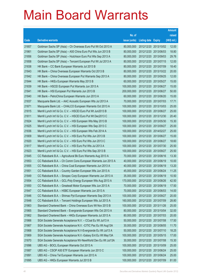|       |                                                               |               |                            | <b>Amount</b> |
|-------|---------------------------------------------------------------|---------------|----------------------------|---------------|
|       |                                                               | No. of        |                            | raised        |
| Code  | <b>Derivative warrants</b>                                    | issue (units) | <b>Listing date Expiry</b> | (HK\$ mil.)   |
| 21857 | Goldman Sachs SP (Asia) – Ch Overseas Euro Put Wt Oct 2013 A  | 80,000,000    | 2012/12/20 2013/10/02      | 12.00         |
| 21861 | Goldman Sachs SP (Asia) - A50 China Euro Put Wts Jun 2013 B   | 80,000,000    | 2012/12/20 2013/06/03      | 18.80         |
| 21856 | Goldman Sachs SP (Asia) – Hutchison Euro Put Wts Sep 2013 A   | 80,000,000    | 2012/12/20 2013/09/03      | 29.76         |
| 21858 | Goldman Sachs SP (Asia) – Tencent European Put Wt Jul 2013 A  | 80,000,000    | 2012/12/20 2013/07/15      | 12.00         |
| 21838 | HK Bank - CC Bank European Warrants Jul 2013 B                | 80,000,000    | 2012/12/20 2013/07/09      | 18.40         |
| 21843 | HK Bank – China Overseas European Warrants Oct 2013 B         | 80,000,000    | 2012/12/20 2013/10/22      | 20.00         |
| 21842 | HK Bank – China Overseas European Put Warrants Sep 2013 A     | 80,000,000    | 2012/12/20 2013/09/25      | 12.00         |
| 21844 | HK Bank – HKEx European Warrants May 2013 B                   | 60,000,000    | 2012/12/20 2013/05/27      | 15.00         |
| 21839 | HK Bank - HSCEI European Put Warrants Jun 2013 A              | 100,000,000   | 2012/12/20 2013/06/27      | 15.00         |
| 21841 | HK Bank - HSI European Put Warrants Jun 2013 B                | 200,000,000   | 2012/12/20 2013/06/27      | 50.00         |
| 21840 | HK Bank - PetroChina European Warrants Jun 2013 A             | 60,000,000    | 2012/12/20 2013/06/20      | 15.00         |
| 21837 | Macquarie Bank Ltd. - AAC Acoustic European Wts Jul 2013 A    | 70,000,000    | 2012/12/20 2013/07/03      | 17.71         |
| 21871 | Macquarie Bank Ltd. - CHALCO European Warrants Oct 2013 A     | 100,000,000   | 2012/12/20 2013/10/03      | 25.00         |
| 21815 | Merrill Lynch Int'l & Co. C.V. - HSCEI Euro Put Wt Jun2013 B  | 100,000,000   | 2012/12/20 2013/06/27      | 25.00         |
| 21811 | Merrill Lynch Int'l & Co. C.V. - HSCEI Euro Put Wt Dec2013 C  | 100,000,000   | 2012/12/20 2013/12/30      | 20.40         |
| 21824 | Merrill Lynch Int'l & Co. C.V. - HSI European Wts May 2013 B  | 100,000,000   | 2012/12/20 2013/05/30      | 15.30         |
| 21825 | Merrill Lynch Int'l & Co. C.V. - HSI European Wts Sep 2013 C  | 100,000,000   | 2012/12/20 2013/09/27      | 25.00         |
| 21836 | Merrill Lynch Int'l & Co. C.V. - HSI European Wts Feb 2014 A  | 100,000,000   | 2012/12/20 2014/02/27      | 25.00         |
| 21809 | Merrill Lynch Int'l & Co. C.V. - HSI Euro Put Wts Jun 2013 B  | 100,000,000   | 2012/12/20 2013/06/27      | 15.00         |
| 21820 | Merrill Lynch Int'l & Co. C.V. - HSI Euro Put Wts Jun 2013 C  | 100,000,000   | 2012/12/20 2013/06/27      | 18.60         |
| 21817 | Merrill Lynch Int'l & Co. C.V. - HSI Euro Put Wts Jul 2013 A  | 100,000,000   | 2012/12/20 2013/07/30      | 25.50         |
| 21823 | Merrill Lynch Int'l & Co. C.V. - HSI Euro Put Wts Sep 2013 B  | 100,000,000   | 2012/12/20 2013/09/27      | 25.50         |
| 21845 | CC Rabobank B.A. - Agricultural Bk Euro Warrants Aug 2013 A   | 70,000,000    | 2012/12/20 2013/08/16      | 13.30         |
| 21853 | CC Rabobank B.A. – Ch Comm Cons European Warrants Jun 2013 A  | 40,000,000    | 2012/12/20 2013/06/19      | 10.00         |
| 21855 | CC Rabobank B.A. - China Coal European Warrants Jun 2013 A    | 40,000,000    | 2012/12/20 2013/06/19      | 13.20         |
| 21851 | CC Rabobank B.A. - Country Garden European Wts Jun 2013 A     | 45,000,000    | 2012/12/20 2013/06/24      | 11.25         |
| 21849 | CC Rabobank B.A. - Sinopec Corp European Warrants Jun 2013 A  | 35,000,000    | 2012/12/20 2013/06/19      | 10.50         |
| 21854 | CC Rabobank B.A. - GCL-Poly Energy European Wts Aug 2013 A    | 170,000,000   | 2012/12/20 2013/08/26      | 42.50         |
| 21850 | CC Rabobank B.A. - Greatwall Motor European Wts Jun 2013 A    | 70,000,000    | 2012/12/20 2013/06/19      | 17.50         |
| 21847 | CC Rabobank B.A. - HSBC European Warrants Jun 2013 A          | 70,000,000    | 2012/12/20 2013/06/03      | 14.00         |
| 21846 | CC Rabobank B.A. - Shimao Ppt European Warrants Sep 2013 A    | 100,000,000   | 2012/12/20 2013/09/27      | 20.00         |
| 21848 | CC Rabobank B.A. - Tencent Holdings European Wts Jul 2013 A   | 160,000,000   | 2012/12/20 2013/07/09      | 28.80         |
| 21863 | Standard Chartered Bank - China Overseas Euro Wt Nov 2013 B   | 100,000,000   | 2012/12/20 2013/11/26      | 25.00         |
| 21865 | Standard Chartered Bank - Evergrande European Wts Oct 2013 A  | 80,000,000    | 2012/12/20 2013/10/04      | 32.00         |
| 21862 | Standard Chartered Bank - HKEx European Warrants Jul 2013 A   | 80,000,000    | 2012/12/20 2013/07/03      | 20.00         |
| 21866 | SGA Societe Generale Acceptance N.V. - CCoal Eu Wt Jul13 A    | 50,000,000    | 2012/12/20 2013/07/08      | 17.50         |
| 21867 | SGA Societe Generale Acceptance N.V. - CITIC Pac Eu Wt Aug13A | 30,000,000    | 2012/12/20 2013/08/05      | 11.70         |
| 21868 | SGA Societe Generale Acceptance N.V-Evergrande Eu Wt Jul13 A  | 50,000,000    | 2012/12/20 2013/07/10      | 18.25         |
| 21869 | SGA Societe Generale Acceptance N.V.-Galaxy Ent Eu Wt May13A  | 100,000,000   | 2012/12/20 2013/05/15      | 17.00         |
| 21870 | SGA Societe Generale Acceptance NV-NewWorld Dev Eu Wt Jul13A  | 30,000,000    | 2012/12/20 2013/07/08      | 15.30         |
| 21896 | UBS AG - BOCL European Warrants Oct 2013 A                    | 100,000,000   | 2012/12/20 2013/10/09      | 25.00         |
| 21887 | UBS AG - CSOP A50 ETF European Warrants Jun 2013 C            | 100,000,000   | 2012/12/20 2013/06/24      | 25.00         |
| 21891 | UBS AG - China Tel European Warrants Jun 2013 A               | 100,000,000   | 2012/12/20 2013/06/24      | 25.00         |
| 21895 | UBS AG - HKEx European Warrants Jul 2013 B                    | 100,000,000   | 2012/12/20 2013/07/09      | 81.00         |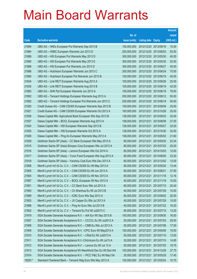|         |                                                               |               |                            |                       | <b>Amount</b> |
|---------|---------------------------------------------------------------|---------------|----------------------------|-----------------------|---------------|
|         |                                                               | No. of        |                            |                       | raised        |
| Code    | <b>Derivative warrants</b>                                    | issue (units) | <b>Listing date Expiry</b> |                       | (HK\$ mil.)   |
| 21894   | UBS AG – HKEx European Put Warrants Sep 2013 B                | 100,000,000   |                            | 2012/12/20 2013/09/16 | 15.00         |
| 21884   | UBS AG - HSBC European Warrants Jun 2013 D                    | 200,000,000   | 2012/12/20 2013/06/03      |                       | 93.00         |
| 21889   | UBS AG - HSI European Put Warrants May 2013 D                 | 300,000,000   | 2012/12/20 2013/05/30      |                       | 45.00         |
| 21890   | UBS AG - HSI European Put Warrants May 2013 E                 | 300,000,000   | 2012/12/20 2013/05/30      |                       | 52.50         |
| 21888   | UBS AG - HSI European Put Warrants Jun 2013 D                 | 300,000,000   |                            | 2012/12/20 2013/06/27 | 45.00         |
| 21886   | UBS AG - Hutchison European Warrants Jun 2013 C               | 200,000,000   | 2012/12/20 2013/06/24      |                       | 70.00         |
| 21885   | UBS AG - Hutchison European Put Warrants Jun 2013 B           | 100,000,000   | 2012/12/20 2013/06/19      |                       | 40.00         |
| 21834   | UBS AG - Link REIT European Warrants Aug 2013 A               | 100,000,000   | 2012/12/20 2013/08/26      |                       | 20.00         |
| 21835   | UBS AG - Link REIT European Warrants Aug 2013 B               | 100,000,000   | 2012/12/20 2013/08/19      |                       | 42.00         |
| 21883   | UBS AG - SHK Ppt European Warrants Jun 2013 A                 | 100,000,000   | 2012/12/20 2013/06/19      |                       | 78.00         |
| 21893   | UBS AG - Tencent Holdings European Warrants Aug 2013 A        | 200,000,000   | 2012/12/20 2013/08/12      |                       | 50.00         |
| 21892   | UBS AG - Tencent Holdings European Put Warrants Jun 2013 C    | 200,000,000   | 2012/12/20 2013/06/19      |                       | 50.00         |
| 21920   | Credit Suisse AG - CAM CSI300 European Warrants Sep 2013 B    | 100,000,000   | 2012/12/21                 | 2013/09/09            | 25.00         |
| 21921   | Credit Suisse AG - CAM CSI300 European Warrants Oct 2013 A    | 100,000,000   | 2012/12/21 2013/10/28      |                       | 25.00         |
| 21928   | Daiwa Capital Mkt -Agricultural Bank European Wts Sep 2013 B  | 128,000,000   | 2012/12/21                 | 2013/09/23            | 32.00         |
| 21927   | Daiwa Capital Mkt - BOCL European Warrants Aug 2013 A         | 108,000,000   | 2012/12/21 2013/08/08      |                       | 27.00         |
| 21924   | Daiwa Capital Mkt - HSI European Warrants Sep 2013 B          | 128,000,000   | 2012/12/21                 | 2013/09/27            | 32.00         |
| 21925   | Daiwa Capital Mkt - HSI European Warrants Oct 2013 A          | 128,000,000   | 2012/12/21                 | 2013/10/30            | 32.00         |
| 21926   | Daiwa Capital Mkt - Ping An European Warrants May 2013 A      | 108,000,000   | 2012/12/21                 | 2013/05/02            | 21.60         |
| 21929   | Goldman Sachs SP (Asia) - CC Bank European Wts May 2013 A     | 80,000,000    | 2012/12/21 2013/05/20      |                       | 22.24         |
| 21915   | Goldman Sachs SP (Asia)-Sinopec Corp European Wts Jul 2013 A  | 80,000,000    | 2012/12/21                 | 2013/07/03            | 20.00         |
| 21916   | Goldman Sachs SP (Asia) – Lenovo European Wts Oct 2014 A      | 80,000,000    | 2012/12/21                 | 2014/10/03            | 12.00         |
| 21917   | Goldman Sachs SP (Asia) - Yurun Food European Wts Aug 2013 A  | 80,000,000    | 2012/12/21                 | 2013/08/05            | 23.20         |
| 21918   | Goldman Sachs SP (Asia) - Yanzhou Coal Euro Wts Dec 2013 A    | 80,000,000    | 2012/12/21 2013/12/02      |                       | 12.00         |
| 21906   | Merrill Lynch Int'l & Co. C.V. - CAM CSI300 Eu Wt May 2013 A  | 80,000,000    | 2012/12/21                 | 2013/05/20            | 13.44         |
| 21905   | Merrill Lynch Int'l & Co. C.V. - CAM CSI300 Eu Wt Jun 2013 A  | 80,000,000    | 2012/12/21 2013/06/21      |                       | 27.60         |
| 21904   | Merrill Lynch Int'l & Co. C.V. - CAM CSI300 Eu Wt Nov 2013 A  | 80,000,000    | 2012/12/21 2013/11/18      |                       | 12.16         |
| 21897   | Merrill Lynch Int'l & Co. C.V. - BOCL European Wt Nov 2013 A  | 40,000,000    | 2012/12/21 2013/11/18      |                       | 10.00         |
| 21901   | Merrill Lynch Int'l & Co. C.V. - CC Bank Euro Wts Jul 2013 A  | 80,000,000    | 2012/12/21                 | 2013/07/15            | 20.40         |
| 21900   | Merrill Lynch Int'l & Co. C.V. - Ch Shenhua Eu Wt Jul 2013 B  | 40,000,000    | 2012/12/21 2013/07/29      |                       | 10.00         |
| 21899   | Merrill Lynch Int'l & Co. C.V. - ICBC Euro Wts Sep 2013 A     | 80,000,000    | 2012/12/21                 | 2013/09/02            | 20.00         |
| 21903   | Merrill Lynch Int'l & Co. C.V. - JX Copper Eu Wts Jul 2013 A  | 40,000,000    | 2012/12/21 2013/07/29      |                       | 10.00         |
| 21898   | Merrill Lynch Int'l & Co. C.V. - Ping An Euro Wts Jul 2013 B  | 40,000,000    | 2012/12/21                 | 2013/07/22            | 16.20         |
| 21902   | Merrill Lynch Int'l & Co. C.V. - Tencent Eu Put Wt Jul2013 C  | 80,000,000    | 2012/12/21 2013/07/15      |                       | 13.20         |
| 21919   | SGA Societe Generale Acceptance N.V. - AIA Eur Wt Sep 2013 B  | 100,000,000   | 2012/12/21                 | 2013/09/30            | 16.00         |
| 21907   | SGA Societe Generale Acceptance N.V. - CCCCL Eu Wt Jul2013 A  | 50,000,000    | 2012/12/21                 | 2013/07/03            | 29.50         |
| 21908   | SGA Societe Generale Acceptance N.V. - CMB Eu Wts Jul 2013 A  | 50,000,000    | 2012/12/21                 | 2013/07/08            | 17.00         |
| 21909   | SGA Societe Generale Acceptance N.V. - CPIC Euro Wt May2013 A | 100,000,000   | 2012/12/21                 | 2013/05/06            | 19.50         |
| 21910   | SGA Societe Generale Acceptance N.V. - CRail Eu Wt Jul2013 A  | 50,000,000    | 2012/12/21                 | 2013/07/10            | 13.00         |
| 21911   | SGA Societe Generale Acceptance N.V.-ChiUnicom Eu Wt Jul13 A  | 30,000,000    | 2012/12/21                 | 2013/07/10            | 14.85         |
| 21912   | SGA Societe Generale Acceptance N.V. - Lenovo Eu Wt Jul 13 A  | 50,000,000    | 2012/12/21                 | 2013/07/03            | 19.75         |
| 21913   | SGA Societe Generale Acceptance NV-NewWorld Dev Eu Wt Dec14A  | 150,000,000   | 2012/12/21 2014/12/29      |                       | 27.75         |
| 21914   | SGA Societe Generale Acceptance N.V. - PICC P&C Eu Wt May13A  | 30,000,000    | 2012/12/21                 | 2013/05/29            | 17.40         |
| 18283 # | Standard Chartered Bank - Tencent Hidg Euro Wts May 2013 A    | 100,000,000   | 2012/12/21                 | 2013/05/24            | 10.70         |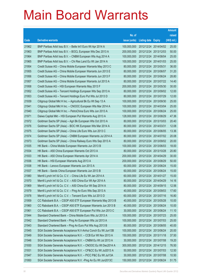|       |                                                               |               |                            |            | <b>Amount</b> |
|-------|---------------------------------------------------------------|---------------|----------------------------|------------|---------------|
|       |                                                               | No. of        |                            |            | raised        |
| Code  | <b>Derivative warrants</b>                                    | issue (units) | <b>Listing date Expiry</b> |            | (HK\$ mil.)   |
| 21962 | BNP Paribas Arbit Issu B.V. - Belle Int'l Euro Wt Apr 2014 A  | 100,000,000   | 2012/12/24 2014/04/02      |            | 25.00         |
| 21963 | BNP Paribas Arbit Issu B.V. - BOCL European Wts Dec 2013 A    | 200,000,000   | 2012/12/24 2013/12/03      |            | 50.00         |
| 21964 | BNP Paribas Arbit Issu B.V. - CNBM European Wts Aug 2014 A    | 100,000,000   | 2012/12/24 2014/08/04      |            | 25.00         |
| 21965 | BNP Paribas Arbit Issu B.V. - Chi Res Land Eu Wt Jan 2014 A   | 100,000,000   | 2012/12/24 2014/01/03      |            | 25.00         |
| 21954 | Credit Suisse AG - China Mobile European Warrants May 2013 C  | 80,000,000    | 2012/12/24 2013/05/31      |            | 36.00         |
| 21955 | Credit Suisse AG - China Mobile European Warrants Jun 2013 E  | 80,000,000    | 2012/12/24 2013/06/07      |            | 31.20         |
| 21956 | Credit Suisse AG - China Mobile European Warrants Jun 2013 F  | 80,000,000    | 2012/12/24 2013/06/24      |            | 28.80         |
| 21957 | Credit Suisse AG - China Mobile European Warrants Jul 2013 A  | 80,000,000    | 2012/12/24 2013/07/22      |            | 14.40         |
| 21958 | Credit Suisse AG - HSI European Warrants May 2013 F           | 200,000,000   | 2012/12/24 2013/05/30      |            | 30.00         |
| 21952 | Credit Suisse AG - Tencent Holdings European Wts Sep 2013 A   | 80,000,000    | 2012/12/24 2013/09/02      |            | 12.00         |
| 21953 | Credit Suisse AG - Tencent Holdings Euro Put Wts Jul 2013 D   | 80,000,000    | 2012/12/24 2013/07/29      |            | 12.00         |
| 21939 | Citigroup Global Mkt H Inc. - Agricultural Bk Eu Wt Sep 13 A  | 100,000,000   | 2012/12/24 2013/09/30      |            | 25.00         |
| 21941 | Citigroup Global Mkt H Inc. - CNOOC European Wts Mar 2014 A   | 100,000,000   | 2012/12/24 2014/03/04      |            | 25.00         |
| 21940 | Citigroup Global Mkt H Inc. - PetroChina Euro Wts Jun 2013 A  | 100,000,000   | 2012/12/24 2013/06/24      |            | 25.00         |
| 21971 | Daiwa Capital Mkt - HSI European Put Warrants Aug 2013 A      | 128,000,000   | 2012/12/24 2013/08/29      |            | 47.36         |
| 21972 | Goldman Sachs SP (Asia) - Agri Bk European Wts Oct 2013 A     | 80,000,000    | 2012/12/24 2013/10/03      |            | 20.40         |
| 21976 | Goldman Sachs SP (Asia) - BOC HK European Wts Mar 2014 A      | 80,000,000    | 2012/12/24 2014/03/31      |            | 12.08         |
| 21975 | Goldman Sachs SP (Asia) - China Life Euro Wts Jun 2013 C      | 80,000,000    | 2012/12/24 2013/06/05      |            | 13.36         |
| 21974 | Goldman Sachs SP (Asia) - CNBM European Warrants Jul 2014 A   | 80,000,000    | 2012/12/24 2014/07/02      |            | 20.08         |
| 21973 | Goldman Sachs SP (Asia) - China Railway Euro Wts Sep 2013 A   | 80,000,000    | 2012/12/24 2013/09/02      |            | 20.00         |
| 21935 | HK Bank - China Mobile European Warrants Jun 2013 B           | 100,000,000   | 2012/12/24 2013/06/03      |            | 18.00         |
| 21934 | HK Bank - A50 China European Warrants Oct 2013 A              | 80,000,000    | 2012/12/24 2013/10/28      |            | 20.80         |
| 21933 | HK Bank - A50 China European Warrants Apr 2014 A              | 200,000,000   | 2012/12/24 2014/04/29      |            | 30.00         |
| 21936 | HK Bank - HSI European Warrants Aug 2013 A                    | 200,000,000   | 2012/12/24 2013/08/29      |            | 50.00         |
| 21938 | HK Bank - Lenovo European Warrants Jun 2013 A                 | 60,000,000    | 2012/12/24 2013/06/24      |            | 15.00         |
| 21937 | HK Bank - Sands China European Warrants Jun 2013 B            | 60,000,000    | 2012/12/24 2013/06/24      |            | 15.00         |
| 21980 | Merrill Lynch Int'l & Co. C.V. - China Life Eu Wt Jan 2014 A  | 60,000,000    | 2012/12/24 2014/01/27      |            | 15.00         |
| 21970 | Merrill Lynch Int'l & Co. C.V. - A50 China Eur Wt Apr 2014 A  | 80,000,000    | 2012/12/24 2014/04/29      |            | 14.16         |
| 21969 | Merrill Lynch Int'l & Co. C.V. - A50 China Eur Wt Sep 2014 A  | 80,000,000    | 2012/12/24 2014/09/15      |            | 12.56         |
| 21979 | Merrill Lynch Int'l & Co. C.V. - Ping An Euro Wts Sep 2013 A  | 40,000,000    | 2012/12/24 2013/09/03      |            | 17.60         |
| 21978 | Merrill Lynch Int'l & Co. C.V. - Tencent Euro Wts Jul 2013 D  | 60,000,000    | 2012/12/24 2013/07/16      |            | 16.80         |
| 21959 | CC Rabobank B.A. - CSOP A50 ETF European Warrants May 2013 B  | 40,000,000    | 2012/12/24 2013/05/28      |            | 10.00         |
| 21960 | CC Rabobank B.A. - CSOP A50 ETF European Warrants Jun 2013 B  | 40,000,000    | 2012/12/24                 | 2013/06/24 | 10.00         |
| 21961 | CC Rabobank B.A. - CSOP A50 ETF European Put Wts Jun 2013 C   | 30,000,000    | 2012/12/24 2013/06/24      |            | 11.10         |
| 21944 | Standard Chartered Bank - China Mobile Euro Wts Jul 2013 A    | 100,000,000   | 2012/12/24 2013/07/23      |            | 25.00         |
| 21942 | Standard Chartered Bank - Ping An European Wts Jul 2013 A     | 100,000,000   | 2012/12/24 2013/07/03      |            | 25.00         |
| 21943 | Standard Chartered Bank - Ping An Euro Put Wts Aug 2013 B     | 80,000,000    | 2012/12/24                 | 2013/08/05 | 40.00         |
| 21945 | SGA Societe Generale Acceptance N.V-Anhui Conch Eu Wt Jun13B  | 100,000,000   | 2012/12/24 2013/06/24      |            | 20.00         |
| 21949 | SGA Societe Generale Acceptance N.V. - CCB Eur Wt Nov 2013 A  | 150,000,000   | 2012/12/24 2013/11/18      |            | 37.50         |
| 21946 | SGA Societe Generale Acceptance N.V. - CNBM Eu Wt Jul 2013 A  | 30,000,000    | 2012/12/24 2013/07/08      |            | 19.20         |
| 21930 | SGA Societe Generale Acceptance N.V. - CNOOC Eu Wt Dec2014 A  | 300,000,000   | 2012/12/24                 | 2014/12/15 | 76.50         |
| 21931 | SGA Societe Generale Acceptance N.V. - CP&CC Eu Wt Jul2013 A  | 50,000,000    | 2012/12/24 2013/07/03      |            | 12.50         |
| 21947 | SGA Societe Generale Acceptance N.V. - PICC P&C Eu Wt Jul13A  | 30,000,000    | 2012/12/24 2013/07/08      |            | 10.50         |
| 21950 | SGA Societe Generale Acceptance N.V. - Ping An Eu Wt Jun2013C | 150,000,000   | 2012/12/24 2013/06/24      |            | 51.75         |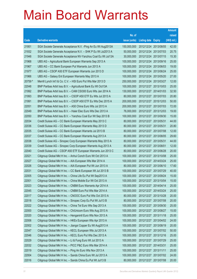|         |                                                               |               |                            |            | <b>Amount</b> |
|---------|---------------------------------------------------------------|---------------|----------------------------|------------|---------------|
|         |                                                               | No. of        |                            |            | raised        |
| Code    | <b>Derivative warrants</b>                                    | issue (units) | <b>Listing date Expiry</b> |            | (HK\$ mil.)   |
| 21951   | SGA Societe Generale Acceptance N.V. - Ping An Eu Wt Aug2013A | 150,000,000   | 2012/12/24 2013/08/05      |            | 42.00         |
| 21932   | SGA Societe Generale Acceptance N.V. - SHK P Eu Wt Jul2013 A  | 50,000,000    | 2012/12/24 2013/07/03      |            | 20.75         |
| 21948   | SGA Societe Generale Acceptance NV-Yanzhou Coal Eu Wt Jul13A  | 30,000,000    | 2012/12/24 2013/07/15      |            | 15.30         |
| 21968   | UBS AG - Agricultural Bank European Warrants Sep 2013 A       | 100,000,000   | 2012/12/24 2013/09/16      |            | 25.00         |
| 21967   | UBS AG - CC Bank European Put Warrants Jun 2013 A             | 100,000,000   | 2012/12/24 2013/06/03      |            | 19.00         |
| 21977   | UBS AG - CSOP A50 ETF European Warrants Jun 2013 D            | 100,000,000   | 2012/12/24 2013/06/24      |            | 25.00         |
| 21966   | UBS AG - Galaxy Ent European Warrants May 2013 A              | 100,000,000   | 2012/12/24 2013/05/20      |            | 27.00         |
| 20759 # | Merrill Lynch Int'l & Co. C.V. - HSI Euro Put Wts Mar 2013 D  | 250,000,000   | 2012/12/24 2013/03/27      |            | 12.00         |
| 22048   | BNP Paribas Arbit Issu B.V. - Agricultural Bank Eu Wt Oct13A  | 100,000,000   | 2012/12/27 2013/10/03      |            | 25.00         |
| 21992   | BNP Paribas Arbit Issu B.V. - CAM CSI300 Euro Wts Jan 2014 A  | 130,000,000   | 2012/12/27 2014/01/03      |            | 32.50         |
| 21993   | BNP Paribas Arbit Issu B.V. - CSOP A50 ETF Eu Wts Jul 2013 A  | 80,000,000    | 2012/12/27 2013/07/03      |            | 20.80         |
| 21991   | BNP Paribas Arbit Issu B.V. - CSOP A50 ETF Eu Wts Dec 2015 A  | 200,000,000   | 2012/12/27 2015/12/03      |            | 50.00         |
| 22051   | BNP Paribas Arbit Issu B.V. - A50 China Euro Wts Jul 2013 A   | 200,000,000   | 2012/12/27 2013/07/03      |            | 72.00         |
| 22049   | BNP Paribas Arbit Issu B.V. - Haier Elec Euro Wts Dec 2013 A  | 76,000,000    | 2012/12/27 2013/12/03      |            | 19.00         |
| 22050   | BNP Paribas Arbit Issu B.V. - Yanzhou Coal Eur Wt Sep 2013 B  | 100,000,000   | 2012/12/27 2013/09/30      |            | 15.00         |
| 22034   | Credit Suisse AG - CC Bank European Warrants May 2013 C       | 80,000,000    | 2012/12/27 2013/05/31      |            | 44.00         |
| 22036   | Credit Suisse AG - CC Bank European Warrants May 2013 D       | 80,000,000    | 2012/12/27 2013/05/31      |            | 20.80         |
| 22035   | Credit Suisse AG - CC Bank European Warrants Jul 2013 B       | 80,000,000    | 2012/12/27 2013/07/08      |            | 12.00         |
| 22037   | Credit Suisse AG - CC Bank European Warrants Aug 2013 A       | 80,000,000    | 2012/12/27 2013/08/05      |            | 29.60         |
| 22038   | Credit Suisse AG - Sinopec Corp European Warrants May 2013 A  | 80,000,000    | 2012/12/27 2013/05/31      |            | 44.00         |
| 22039   | Credit Suisse AG - Sinopec Corp European Warrants Aug 2013 A  | 80,000,000    | 2012/12/27 2013/08/01      |            | 12.00         |
| 22040   | Credit Suisse AG - CSOP A50 ETF European Warrants Jun 2013 C  | 80,000,000    | 2012/12/27 2013/06/28      |            | 20.00         |
| 22021   | Citigroup Global Mkt H Inc. - Anhui Conch Euro Wt Oct 2013 A  | 100,000,000   | 2012/12/27 2013/10/08      |            | 25.00         |
| 22027   | Citigroup Global Mkt H Inc. - AIA European Wts Mar 2014 A     | 100,000,000   | 2012/12/27 2014/03/24      |            | 25.00         |
| 22026   | Citigroup Global Mkt H Inc. - AIA European Put Wt Jun 2013 A  | 80,000,000    | 2012/12/27 2013/06/10      |            | 17.60         |
| 22031   | Citigroup Global Mkt H Inc. - CC Bank European Wt Jul 2013 B  | 100,000,000   | 2012/12/27 2013/07/29      |            | 40.00         |
| 22005   | Citigroup Global Mkt H Inc. – China Life Eu Put Wt Sep2013 A  | 100,000,000   | 2012/12/27 2013/09/24      |            | 15.00         |
| 22001   | Citigroup Global Mkt H Inc. - China Mobile Eur Wt Oct 2013 A  | 100,000,000   | 2012/12/27 2013/10/04      |            | 15.00         |
| 22023   | Citigroup Global Mkt H Inc. - CNBM Euro Warrants Apr 2014 A   | 100,000,000   | 2012/12/27 2014/04/14      |            | 25.00         |
| 22045   | Citigroup Global Mkt H Inc. - CNBM Euro Put Wts Mar 2014 A    | 100,000,000   | 2012/12/27 2014/03/24      |            | 25.00         |
| 22017   | Citigroup Global Mkt H Inc. - CNOOC Euro Put Wts Oct 2013 A   | 80,000,000    | 2012/12/27 2013/10/28      |            | 20.00         |
| 22018   | Citigroup Global Mkt H Inc. - Sinopec Corp Eu Put Wt Jul13 B  | 80,000,000    | 2012/12/27 2013/07/08      |            | 20.00         |
| 22022   | Citigroup Global Mkt H Inc. - China Tel Euro Wts Sep 2013 A   | 100,000,000   | 2012/12/27                 | 2013/09/30 | 25.00         |
| 22000   | Citigroup Global Mkt H Inc. - ChiUnicom Euro Wts Aug 2013 A   | 100,000,000   | 2012/12/27 2013/08/27      |            | 15.00         |
| 22020   | Citigroup Global Mkt H Inc. - Henganintl Euro Wts Nov 2013 A  | 100,000,000   | 2012/12/27 2013/11/18      |            | 25.00         |
| 22006   | Citigroup Global Mkt H Inc. - HKEx European Wts Apr 2013 A    | 100,000,000   | 2012/12/27 2013/04/02      |            | 24.00         |
| 22002   | Citigroup Global Mkt H Inc. - Jiangxi Copper Eu Wt Aug2013 A  | 100,000,000   | 2012/12/27                 | 2013/08/19 | 20.00         |
| 22047   | Citigroup Global Mkt H Inc. - KECL European Wts Jul 2013 A    | 100,000,000   | 2012/12/27 2013/07/02      |            | 50.00         |
| 22046   | Citigroup Global Mkt H Inc. - KECL Euro Put Wts Dec 2013 A    | 100,000,000   | 2012/12/27 2013/12/16      |            | 25.00         |
| 22029   | Citigroup Global Mkt H Inc. - Li & Fung Euro Wt Jul 2013 A    | 100,000,000   | 2012/12/27 2013/07/29      |            | 25.00         |
| 22032   | Citigroup Global Mkt H Inc. - PICC P&C Euro Wts Mar 2014 A    | 100,000,000   | 2012/12/27 2014/03/31      |            | 25.00         |
| 22019   | Citigroup Global Mkt H Inc. - Ping An Euro Wts Nov 2013 A     | 100,000,000   | 2012/12/27 2013/11/11      |            | 25.00         |
| 22004   | Citigroup Global Mkt H Inc. - Sands China Euro Wt Jul 2013 A  | 100,000,000   | 2012/12/27 2013/07/02      |            | 24.00         |
| 22016   | Citigroup Global Mkt H Inc. - Sands China Eu Put Wt Jul13 B   | 80,000,000    | 2012/12/27 2013/07/08      |            | 20.00         |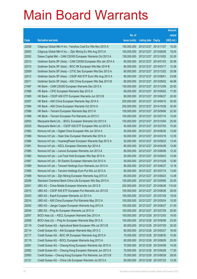|       |                                                               |               |                            |                       | <b>Amount</b> |
|-------|---------------------------------------------------------------|---------------|----------------------------|-----------------------|---------------|
|       |                                                               | No. of        |                            |                       | raised        |
| Code  | <b>Derivative warrants</b>                                    | issue (units) | <b>Listing date Expiry</b> |                       | (HK\$ mil.)   |
| 22028 | Citigroup Global Mkt H Inc. - Yanzhou Coal Eur Wts Nov 2013 A | 100,000,000   |                            | 2012/12/27 2013/11/27 | 15.00         |
| 22003 | Citigroup Global Mkt H Inc. - Zijin Mining Eu Wts Aug 2013 A  | 100,000,000   |                            | 2012/12/27 2013/08/26 | 18.00         |
| 22052 | Daiwa Capital Mkt - CAM CSI300 European Warrants Oct 2013 A   | 128,000,000   |                            | 2012/12/27 2013/10/02 | 32.00         |
| 22013 | Goldman Sachs SP (Asia) - CAM CSI300 European Wts Jan 2014 A  | 80,000,000    |                            | 2012/12/27 2014/01/03 | 20.08         |
| 22010 | Goldman Sachs SP (Asia) - BOC HK European Wts Mar 2014 B      | 80,000,000    |                            | 2012/12/27 2014/03/17 | 12.08         |
| 22009 | Goldman Sachs SP (Asia) - CITIC Sec European Wts Dec 2013 A   | 80,000,000    |                            | 2012/12/27 2013/12/02 | 20.08         |
| 22012 | Goldman Sachs SP (Asia) - CSOP A50 ETF Euro Wts Aug 2013 A    | 80,000,000    | 2012/12/27 2013/08/01      |                       | 23.68         |
| 22011 | Goldman Sachs SP (Asia) - A50 China European Wts Sep 2013 B   | 80,000,000    |                            | 2012/12/27 2013/09/02 | 46.88         |
| 21997 | HK Bank - CAM CSI300 European Warrants Dec 2013 A             | 100,000,000   |                            | 2012/12/27 2013/12/09 | 25.00         |
| 21999 | HK Bank - CPIC European Warrants Sep 2013 A                   | 68,000,000    |                            | 2012/12/27 2013/09/02 | 17.00         |
| 21995 | HK Bank - CSOP A50 ETF European Warrants Jun 2013 B           | 80,000,000    |                            | 2012/12/27 2013/06/27 | 20.00         |
| 22007 | HK Bank - A50 China European Warrants Sep 2014 A              | 200,000,000   |                            | 2012/12/27 2014/09/15 | 30.00         |
| 21994 | HK Bank - A50 China European Warrants Oct 2014 A              | 200,000,000   |                            | 2012/12/27 2014/10/28 | 30.00         |
| 21996 | HK Bank - Tencent European Warrants Sep 2013 A                | 150,000,000   |                            | 2012/12/27 2013/09/06 | 22.50         |
| 21998 | HK Bank - Tencent European Put Warrants Jul 2013 C            | 100,000,000   |                            | 2012/12/27 2013/07/15 | 15.00         |
| 22053 | Macquarie Bank Ltd. - BOCL European Warrants Oct 2013 A       | 100,000,000   |                            | 2012/12/27 2013/10/04 | 25.00         |
| 22025 | Macquarie Bank Ltd. - CSOP A50 ETF European Wts Jul 2013 A    | 40,000,000    |                            | 2012/12/27 2013/07/03 | 10.00         |
| 21983 | Nomura Int'l plc - Digital China European Wts Jun 2014 A      | 50,000,000    |                            | 2012/12/27 2014/06/30 | 12.60         |
| 21986 | Nomura Int'l plc - Haier Elec European Warrants Mar 2014 A    | 50,000,000    |                            | 2012/12/27 2014/03/18 | 12.55         |
| 21984 | Nomura Int'l plc - HuanengPower European Warrants Sep 2013 A  | 50,000,000    |                            | 2012/12/27 2013/09/23 | 13.40         |
| 21981 | Nomura Int'l plc - KECL European Warrants Apr 2014 A          | 80,000,000    |                            | 2012/12/27 2014/04/28 | 12.80         |
| 21985 | Nomura Int'l plc - Lenovo European Warrants Jun 2013 A        | 80,000,000    |                            | 2012/12/27 2013/06/06 | 12.32         |
| 21982 | Nomura Int'l plc - Luk Fook Hold European Wts Sep 2013 A      | 50,000,000    |                            | 2012/12/27 2013/09/23 | 12.80         |
| 21987 | Nomura Int'l plc - Sh Electric European Warrants Oct 2013 A   | 50,000,000    |                            | 2012/12/27 2013/10/28 | 12.90         |
| 21989 | Nomura Int'l plc - Tencent Holdings Euro Warrants Jun 2013 A  | 80,000,000    |                            | 2012/12/27 2013/06/27 | 12.16         |
| 21990 | Nomura Int'l plc - Tencent Holdings Euro Put Wts Jul 2013 A   | 80,000,000    |                            | 2012/12/27 2013/07/15 | 13.60         |
| 21988 | Nomura Int'l plc – Zijin Mining European Warrants Aug 2013 A  | 80,000,000    |                            | 2012/12/27 2013/08/23 | 12.48         |
| 22008 | Standard Chartered Bank-China Life European Wts Sep 2013 A    | 100,000,000   | 2012/12/27 2013/09/06      |                       | 25.00         |
| 22041 | UBS AG - China Mobile European Warrants Jun 2013 E            | 200,000,000   |                            | 2012/12/27 2013/06/26 | 110.00        |
| 22015 | UBS AG - CSOP A50 ETF European Put Warrants Jun 2013 E        | 100,000,000   |                            | 2012/12/27 2013/06/26 | 28.00         |
| 22043 | UBS AG - Esprit European Warrants Jul 2013 A                  | 100,000,000   |                            | 2012/12/27 2013/07/29 | 19.00         |
| 22014 | UBS AG - A50 China European Put Warrants May 2013 A           | 100,000,000   |                            | 2012/12/27 2013/05/24 | 15.00         |
| 22042 | UBS AG - Jiangxi Copper European Warrants Aug 2013 A          | 100,000,000   |                            | 2012/12/27 2013/08/27 | 21.00         |
| 22044 | UBS AG - Ping An European Warrants Jul 2013 A                 | 100,000,000   |                            | 2012/12/27 2013/07/29 | 25.00         |
| 22057 | BOCI Asia Ltd. - KECL European Warrants Dec 2013 A            | 100,000,000   |                            | 2012/12/28 2013/12/03 | 19.00         |
| 22056 | BOCI Asia Ltd. - Ping An European Warrants May 2013 A         | 100,000,000   |                            | 2012/12/28 2013/05/06 | 23.00         |
| 22118 | Credit Suisse AG - Agricultural Bank European Wts Jul 2013 B  | 80,000,000    |                            | 2012/12/28 2013/07/29 | 20.00         |
| 22114 | Credit Suisse AG - AIA European Warrants May 2013 C           | 80,000,000    |                            | 2012/12/28 2013/05/27 | 16.00         |
| 22117 | Credit Suisse AG - BOC HK European Warrants Aug 2013 A        | 70,000,000    |                            | 2012/12/28 2013/08/30 | 10.50         |
| 22119 | Credit Suisse AG - BOCL European Warrants Aug 2013 A          | 80,000,000    |                            | 2012/12/28 2013/08/26 | 20.00         |
| 22091 | Credit Suisse AG - Cheung Kong European Warrants Apr 2013 A   | 70,000,000    |                            | 2012/12/28 2013/04/08 | 14.00         |
| 22092 | Credit Suisse AG - Cheung Kong European Warrants Jun 2013 A   | 70,000,000    | 2012/12/28 2013/06/28      |                       | 17.50         |
| 22093 | Credit Suisse - Cheung Kong European Put Warrants Jun 2013 B  | 70,000,000    |                            | 2012/12/28 2013/06/28 | 28.00         |
| 22121 | Credit Suisse AG - China Life European Warrants Jul 2013 A    | 80,000,000    |                            | 2012/12/28 2013/07/22 | 12.00         |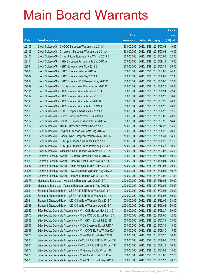|       |                                                              |               |                            | <b>Amount</b> |
|-------|--------------------------------------------------------------|---------------|----------------------------|---------------|
|       |                                                              | No. of        |                            | raised        |
| Code  | <b>Derivative warrants</b>                                   | issue (units) | <b>Listing date Expiry</b> | (HK\$ mil.)   |
| 22107 | Credit Suisse AG - CNOOC European Warrants Jul 2013 A        | 80,000,000    | 2012/12/28 2013/07/08      | 49.60         |
| 22105 | Credit Suisse AG - ChiUnicom European Warrants Jul 2013 A    | 80,000,000    | 2012/12/28 2013/07/08      | 40.00         |
| 22106 | Credit Suisse AG – China Unicom European Put Wts Jul 2013 B  | 80,000,000    | 2012/12/28 2013/07/08      | 32.00         |
| 22104 | Credit Suisse AG - HKEx European Put Warrants Sep 2013 A     | 100,000,000   | 2012/12/28 2013/09/13      | 15.00         |
| 22094 | Credit Suisse AG - HSBC European Wts May 2013 B              | 80,000,000    | 2012/12/28 2013/05/31      | 36.00         |
| 22095 | Credit Suisse AG - HSBC European Wts Jul 2013 A              | 80,000,000    | 2012/12/28 2013/07/08      | 24.00         |
| 22097 | Credit Suisse AG - HSBC European Wts Sep 2013 A              | 80,000,000    | 2012/12/28 2013/09/02      | 12.80         |
| 22098 | Credit Suisse AG - HSBC European Put Warrants May 2013 C     | 80,000,000    | 2012/12/28 2013/05/07      | 12.00         |
| 22099 | Credit Suisse AG - Hutchison European Warrants Jun 2013 D    | 80,000,000    | 2012/12/28 2013/06/28      | 20.00         |
| 22111 | Credit Suisse AG - ICBC European Warrants Jun 2013 D         | 80,000,000    | 2012/12/28 2013/06/24      | 22.40         |
| 22112 | Credit Suisse AG - ICBC European Warrants Jun 2013 E         | 80,000,000    | 2012/12/28 2013/06/28      | 30.40         |
| 22110 | Credit Suisse AG - ICBC European Warrants Jul 2013 B         | 80,000,000    | 2012/12/28 2013/07/22      | 20.00         |
| 22113 | Credit Suisse AG - ICBC European Warrants Aug 2013 A         | 80,000,000    | 2012/12/28 2013/08/26      | 20.00         |
| 22103 | Credit Suisse AG - KECL European Warrants Jun 2013 A         | 70,000,000    | 2012/12/28 2013/06/28      | 52.50         |
| 22108 | Credit Suisse AG - Lenovo European Warrants Jul 2013 A       | 80,000,000    | 2012/12/28 2013/07/08      | 20.00         |
| 22122 | Credit Suisse AG - Link REIT European Warrants Jul 2013 A    | 80,000,000    | 2012/12/28 2013/07/22      | 14.40         |
| 22102 | Credit Suisse AG - MTRC European Warrants Dec 2013 A         | 70,000,000    | 2012/12/28 2013/12/23      | 14.00         |
| 22120 | Credit Suisse AG - Ping An European Warrants Aug 2013 A      | 80,000,000    | 2012/12/28 2013/08/26      | 20.00         |
| 22115 | Credit Suisse AG - Sands China European Warrants May 2013 A  | 70,000,000    | 2012/12/28 2013/05/31      | 14.00         |
| 22101 | Credit Suisse AG - SHK Ppt European Warrants Jun 2013 A      | 70,000,000    | 2012/12/28 2013/06/28      | 17.50         |
| 22100 | Credit Suisse AG - SHK Ppt European Put Warrants Aug 2013 A  | 70,000,000    | 2012/12/28 2013/08/26      | 10.50         |
| 22109 | Credit Suisse AG - Yanzhou Coal European Warrants Jul 2013 A | 80,000,000    | 2012/12/28 2013/07/08      | 25.60         |
| 22085 | Goldman Sachs SP (Asia) - CM Bank European Wts Oct 2013 A    | 80,000,000    | 2012/12/28 2013/10/03      | 59.68         |
| 22089 | Goldman Sachs SP (Asia) - Chow Tai Fook Euro Wts Aug 2014 A  | 80,000,000    | 2012/12/28 2014/08/04      | 20.00         |
| 22087 | Goldman Sachs SP (Asia) – China Mengniu Euro Wt Nov 2013 A   | 80,000,000    | 2012/12/28 2013/11/05      | 20.00         |
| 22086 | Goldman Sachs SP (Asia) - PICC European Warrants Aug 2013 A  | 80,000,000    | 2012/12/28 2013/08/01      | 49.76         |
| 22088 | Goldman Sachs SP (Asia) - Ping An European Wts Jul 2013 A    | 80,000,000    | 2012/12/28 2013/07/02      | 27.04         |
| 22075 | Macquarie Bank Ltd. - Henganintl European Wts Oct 2015 A     | 200,000,000   | 2012/12/28 2015/10/05      | 30.00         |
| 22054 | Macquarie Bank Ltd. - Tencent European Warrants Aug 2013 B   | 200,000,000   | 2012/12/28 2013/08/02      | 35.20         |
| 22081 | Standard Chartered Bank - CSOP A50 ETF Euro Wts Jul 2013 A   | 100,000,000   | 2012/12/28 2013/07/05      | 25.00         |
| 22082 | Standard Chartered Bank - CSOP A50 ETF Euro Wts Aug 2014 A   | 200,000,000   | 2012/12/28 2014/08/08      | 50.00         |
| 22084 | Standard Chartered Bank - A50 China Euro Warrants Dec 2013 A | 100,000,000   | 2012/12/28 2013/12/09      | 38.00         |
| 22083 | Standard Chartered Bank - A50 China Euro Warrants Aug 2014 A | 200,000,000   | 2012/12/28 2014/08/08      | 50.00         |
| 22059 | SGA Societe Generale Acceptance N.V. - CCB Eur Wt May 2013 D | 150,000,000   | 2012/12/28 2013/05/27      | 39.00         |
| 22070 | SGA Societe Generale Acceptance N.V-Chi COSCO Eu Wt Jun 13 A | 80,000,000    | 2012/12/28 2013/06/05      | 12.00         |
| 22058 | SGA Societe Generale Acceptance N.V. - CK(H) Eu Wt Jul 2013B | 100,000,000   | 2012/12/28 2013/07/31      | 23.00         |
| 22066 | SGA Societe Generale Acceptance N.V-Ch Overseas Eu Wt Jul13A | 100,000,000   | 2012/12/28 2013/07/31      | 18.00         |
| 22067 | SGA Societe Generale Acceptance N.V. - COVS Eu Put Wt Sep13A | 100,000,000   | 2012/12/28 2013/09/30      | 15.50         |
| 22071 | SGA Societe Generale Acceptance N.V. - CRail Eu Wt May 2013A | 30,000,000    | 2012/12/28 2013/05/20      | 10.35         |
| 22060 | SGA Societe Generale Acceptance NV-CSOP A50 ETF Eu Wt Jun13B | 80,000,000    | 2012/12/28 2013/06/03      | 32.00         |
| 22061 | SGA Societe Generale Acceptance NV-CSOP A50 ETF Eu Wt Jun13C | 80,000,000    | 2012/12/28 2013/06/19      | 20.00         |
| 22072 | SGA Societe Generale Acceptance N.V.-Galaxy Ent Eu Wt Jul13A | 100,000,000   | 2012/12/28 2013/07/03      | 15.00         |
| 22073 | SGA Societe Generale Acceptance N.V. - HLand Eur Wt Jul 13 A | 50,000,000    | 2012/12/28 2013/07/03      | 12.25         |
| 22068 | SGA Societe Generale Acceptance N.V. - HSBC Eu Wt May 2013 C | 168,000,000   | 2012/12/28 2013/05/27      | 46.20         |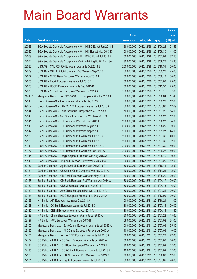|         |                                                              |               |                            |                       | <b>Amount</b> |
|---------|--------------------------------------------------------------|---------------|----------------------------|-----------------------|---------------|
|         |                                                              | No. of        |                            |                       | raised        |
| Code    | <b>Derivative warrants</b>                                   | issue (units) | <b>Listing date Expiry</b> |                       | (HK\$ mil.)   |
| 22063   | SGA Societe Generale Acceptance N.V. - HSBC Eu Wt Jun 2013 B | 168,000,000   |                            | 2012/12/28 2013/06/26 | 28.56         |
| 22062   | SGA Societe Generale Acceptance N.V. - HSI Eur Wt May 2013 D | 300,000,000   |                            | 2012/12/28 2013/05/30 | 48.00         |
| 22069   | SGA Societe Generale Acceptance N.V. - ICBC Eu Wt Jul 2013 B | 150,000,000   | 2012/12/28 2013/07/03      |                       | 37.50         |
| 22074   | SGA Societe Generale Acceptance NV-Zijin Mining Eu Wt Aug13A | 80,000,000    | 2012/12/28 2013/08/26      |                       | 13.20         |
| 22080   | UBS AG - CAM CSI300 European Warrants Oct 2013 B             | 200,000,000   | 2012/12/28 2013/10/31      |                       | 50.00         |
| 22079   | UBS AG - CAM CSI300 European Put Warrants Sep 2013 B         | 100,000,000   |                            | 2012/12/28 2013/09/23 | 25.00         |
| 22077   | UBS AG - CITIC Bank European Warrants Aug 2013 A             | 100,000,000   | 2012/12/28 2013/08/19      |                       | 30.00         |
| 22055   | UBS AG - Esprit European Warrants Jul 2013 B                 | 100,000,000   |                            | 2012/12/28 2013/07/09 | 25.00         |
| 22078   | UBS AG - HSCEI European Warrants Dec 2013 B                  | 100,000,000   |                            | 2012/12/28 2013/12/30 | 25.00         |
| 22076   | UBS AG - Yurun Food European Warrants Jul 2013 A             | 100,000,000   |                            | 2012/12/28 2013/07/15 | 67.00         |
| 21443 # | Macquarie Bank Ltd. - CSOP A50 ETF European Wts Jun 2013 A   | 30,000,000    | 2012/12/28 2013/06/04      |                       | 11.40         |
| 22146   | Credit Suisse AG - AIA European Warrants Sep 2013 B          | 80,000,000    |                            | 2012/12/31 2013/09/23 | 12.00         |
| 89002   | Credit Suisse AG - CAM CSI300 European Warrants Jul 2013 A   | 50,000,000    | 2012/12/31                 | 2013/07/08            | 12.69         |
| 22144   | Credit Suisse AG - China Shenhua European Wts Jul 2013 A     | 70,000,000    |                            | 2012/12/31 2013/07/22 | 14.00         |
| 22149   | Credit Suisse AG - A50 China European Put Wts May 2013 C     | 80,000,000    | 2012/12/31                 | 2013/05/27            | 12.00         |
| 22141   | Credit Suisse AG - HSI European Warrants Jun 2013 F          | 200,000,000   |                            | 2012/12/31 2013/06/27 | 34.00         |
| 22143   | Credit Suisse AG - HSI European Warrants Aug 2013 A          | 200,000,000   | 2012/12/31                 | 2013/08/29            | 50.00         |
| 22142   | Credit Suisse AG - HSI European Warrants Sep 2013 B          | 200,000,000   | 2012/12/31                 | 2013/09/27            | 44.00         |
| 22138   | Credit Suisse AG - HSI European Put Warrants Jul 2013 A      | 200,000,000   | 2012/12/31                 | 2013/07/30            | 40.00         |
| 22139   | Credit Suisse AG - HSI European Put Warrants Jul 2013 B      | 200,000,000   | 2012/12/31                 | 2013/07/30            | 32.00         |
| 22140   | Credit Suisse AG - HSI European Put Warrants Jul 2013 C      | 200,000,000   | 2012/12/31                 | 2013/07/30            | 50.00         |
| 22137   | Credit Suisse AG - HSI European Put Warrants Sep 2013 A      | 200,000,000   | 2012/12/31                 | 2013/09/27            | 40.00         |
| 22145   | Credit Suisse AG - Jiangxi Copper European Wts Aug 2013 A    | 70,000,000    | 2012/12/31                 | 2013/08/19            | 10.50         |
| 22148   | Credit Suisse AG - Ping An European Put Warrants Jul 2013 B  | 80,000,000    |                            | 2012/12/31 2013/07/29 | 12.00         |
| 22157   | Bank of East Asia - Agricultural Bk Euro Put Wts Oct 2013 A  | 50,000,000    | 2012/12/31                 | 2013/10/16            | 12.50         |
| 22161   | Bank of East Asia - Ch Comm Cons European Wts Nov 2014 A     | 80,000,000    | 2012/12/31                 | 2014/11/26            | 12.00         |
| 22160   | Bank of East Asia – CM Bank European Warrants May 2014 A     | 80,000,000    |                            | 2012/12/31 2014/05/29 | 20.00         |
| 22158   | Bank of East Asia - CM Bank European Put Warrants Apr 2014 A | 80,000,000    | 2012/12/31 2014/04/17      |                       | 20.00         |
| 22162   | Bank of East Asia - CNBM European Warrants Apr 2014 A        | 80,000,000    | 2012/12/31                 | 2014/04/16            | 16.00         |
| 22159   | Bank of East Asia - A50 China European Put Wts Jan 2015 A    | 80,000,000    | 2012/12/31 2015/01/21      |                       | 20.00         |
| 22155   | Bank of East Asia - PICC European Put Warrants Dec 2014 A    | 80,000,000    | 2012/12/31                 | 2014/12/09            | 20.00         |
| 22126   | HK Bank - AIA European Warrants Oct 2013 A                   | 100,000,000   | 2012/12/31                 | 2013/10/21            | 18.00         |
| 22128   | HK Bank - CC Bank European Warrants Jul 2013 C               | 80,000,000    | 2012/12/31                 | 2013/07/15            | 20.00         |
| 22130   | HK Bank - CNBM European Warrants Apr 2014 A                  | 80,000,000    | 2012/12/31                 | 2014/04/15            | 14.40         |
| 22129   | HK Bank - China Shenhua European Warrants Jul 2013 A         | 80,000,000    | 2012/12/31                 | 2013/07/22            | 13.60         |
| 22127   | HK Bank - HWL European Warrants Jul 2013 B                   | 68,000,000    | 2012/12/31                 | 2013/07/02            | 34.00         |
| 22150   | Macquarie Bank Ltd. - BankComm European Warrants Jul 2013 A  | 100,000,000   | 2012/12/31                 | 2013/07/03            | 35.10         |
| 22136   | Macquarie Bank Ltd. - A50 China European Put Wts Jul 2013 A  | 40,000,000    | 2012/12/31                 | 2013/07/03            | 10.00         |
| 22151   | Macquarie Bank Ltd. - Link REIT European Warrants Jul 2013 A | 150,000,000   | 2012/12/31                 | 2013/07/22            | 27.00         |
| 22132   | CC Rabobank B.A. - CC Bank European Warrants Jul 2013 A      | 80,000,000    | 2012/12/31                 | 2013/07/02            | 16.00         |
| 22134   | CC Rabobank B.A. - CM Bank European Warrants Jul 2013 A      | 30,000,000    | 2012/12/31                 | 2013/07/02            | 12.00         |
| 22135   | CC Rabobank B.A. - CQRC Bank European Warrants Jul 2013 A    | 40,000,000    | 2012/12/31                 | 2013/07/02            | 12.00         |
| 22133   | CC Rabobank B.A. - HSBC European Put Warrants Jun 2013 B     | 70,000,000    | 2012/12/31                 | 2013/06/03            | 12.60         |
| 22131   | CC Rabobank B.A. - Ping An European Warrants Jul 2013 A      | 80,000,000    | 2012/12/31                 | 2013/07/02            | 20.00         |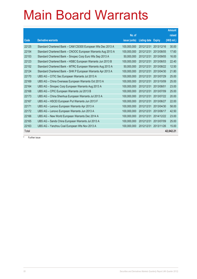|       |                                                              |               |                     |               | <b>Amount</b> |
|-------|--------------------------------------------------------------|---------------|---------------------|---------------|---------------|
|       |                                                              | No. of        |                     |               | raised        |
| Code  | <b>Derivative warrants</b>                                   | issue (units) | <b>Listing date</b> | <b>Expiry</b> | (HK\$ mil.)   |
| 22125 | Standard Chartered Bank - CAM CSI300 European Wts Dec 2013 A | 100.000.000   | 2012/12/31          | 2013/12/16    | 30.00         |
| 22154 | Standard Chartered Bank - CNOOC European Warrants Aug 2013 A | 100.000.000   | 2012/12/31          | 2013/08/05    | 17.60         |
| 22153 | Standard Chartered Bank - Sinopec Corp Euro Wts Sep 2013 A   | 50,000,000    | 2012/12/31          | 2013/09/05    | 16.00         |
| 22123 | Standard Chartered Bank - HSBC European Warrants Jun 2013 B  | 100.000.000   | 2012/12/31          | 2013/06/03    | 22.40         |
| 22152 | Standard Chartered Bank - MTRC European Warrants Aug 2013 A  | 50,000,000    | 2012/12/31          | 2013/08/22    | 12.50         |
| 22124 | Standard Chartered Bank - SHK P European Warrants Apr 2013 A | 100,000,000   | 2012/12/31          | 2013/04/30    | 21.80         |
| 22170 | UBS AG - CITIC Sec European Warrants Jul 2013 A              | 100,000,000   | 2012/12/31          | 2013/07/29    | 25.00         |
| 22169 | UBS AG - China Overseas European Warrants Oct 2013 A         | 100,000,000   | 2012/12/31          | 2013/10/09    | 25.00         |
| 22164 | UBS AG - Sinopec Corp European Warrants Aug 2013 A           | 100,000,000   | 2012/12/31          | 2013/08/01    | 23.00         |
| 22168 | UBS AG - CPIC European Warrants Jul 2013 B                   | 100,000,000   | 2012/12/31          | 2013/07/09    | 25.00         |
| 22173 | UBS AG - China Shenhua European Warrants Jul 2013 A          | 100,000,000   | 2012/12/31          | 2013/07/22    | 20.00         |
| 22167 | UBS AG - HSCEI European Put Warrants Jun 2013 F              | 100,000,000   | 2012/12/31          | 2013/06/27    | 22.00         |
| 22171 | UBS AG - Lenovo European Warrants Apr 2013 A                 | 100,000,000   | 2012/12/31          | 2013/04/30    | 58.00         |
| 22172 | UBS AG - Lenovo European Warrants Jun 2013 A                 | 100.000.000   | 2012/12/31          | 2013/06/17    | 42.50         |
| 22166 | UBS AG - New World European Warrants Dec 2014 A              | 100,000,000   | 2012/12/31          | 2014/12/22    | 23.00         |
| 22165 | UBS AG - Sands China European Warrants Jul 2013 A            | 100,000,000   | 2012/12/31          | 2013/07/09    | 25.00         |
| 22163 | UBS AG - Yanzhou Coal European Wts Nov 2013 A                | 100,000,000   | 2012/12/31          | 2013/11/26    | 15.00         |
| Total |                                                              |               |                     |               | 42,042.21     |

# Further issue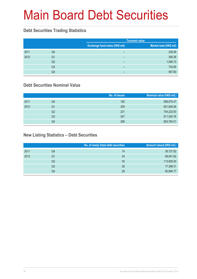# Main Board Debt Securities

### **Debt Securities Trading Statistics**

|      |                |                                | <b>Turnover value</b>   |
|------|----------------|--------------------------------|-------------------------|
|      |                | Exchange fund notes (HK\$ mil) | Market total (HK\$ mil) |
| 2011 | Q4             | -                              | 229.59                  |
| 2012 | Q1             | -                              | 390.38                  |
|      | Q2             | -                              | 1,069.72                |
|      | Q <sub>3</sub> | -                              | 742.85                  |
|      | Q4             | -                              | 567.60                  |

### **Debt Securities Nominal Value**

|      |                | No. of issues | Nominal value (HK\$ mil.) |
|------|----------------|---------------|---------------------------|
| 2011 | Q <sub>4</sub> | 192           | 588,875.47                |
| 2012 | Q1             | 209           | 651,849.26                |
|      | Q2             | 231           | 754,232.63                |
|      | Q <sub>3</sub> | 247           | 811,545.76                |
|      | Q4             | 269           | 883,784.51                |

### **New Listing Statistics – Debt Securities**

|                | No. of newly listed debt securities | Amount raised (HK\$ mil.) |
|----------------|-------------------------------------|---------------------------|
| Q4             | 14                                  | 36,727.82                 |
| Q1             | 24                                  | 69,041.82                 |
| Q2             | 30                                  | 113,905.00                |
| Q <sub>3</sub> | 26                                  | 77,396.31                 |
| Q4             | 29                                  | 80,894.77                 |
|                |                                     |                           |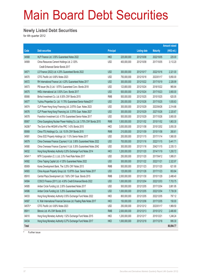# Main Board Debt Securities

#### **Newly Listed Debt Securities**

for 4th quarter 2012

|         |                                                                       |                  |               |                     |                 | <b>Amount raised</b> |
|---------|-----------------------------------------------------------------------|------------------|---------------|---------------------|-----------------|----------------------|
| Code    | <b>Debt securities</b>                                                | <b>Principal</b> |               | <b>Listing date</b> | <b>Maturity</b> | (HK\$ mil.)          |
| 04568   | HLP Finance Ltd. 3.55% Guaranteed Notes 2022                          | <b>HKD</b>       | 225,000,000   | 2012/10/08          | 2022/10/05      | 225.00               |
| 04569   | China Resources Cement Holdings Ltd. 2.125%                           | <b>USD</b>       | 400,000,000   | 2012/10/08          | 2017/10/05      | 3,112.20             |
|         | Credit Enhanced Senior Bonds 2017                                     |                  |               |                     |                 |                      |
| 04571   | LS Finance (2022) Ltd. 4.25% Guaranteed Bonds 2022                    | <b>USD</b>       | 300,000,000   | 2012/10/17          | 2022/10/16      | 2,321.00             |
| 04570   | CITIC Pacific Ltd. 6.80% Notes 2023                                   | <b>USD</b>       | 750,000,000   | 2012/10/18          | 2023/01/17      | 5,850.00             |
| 04572   | RH International Finance Ltd. 4.25% Guaranteed Notes 2017             | <b>USD</b>       | 300,000,000   | 2012/10/22          | 2017/10/19      | 2,326.99             |
| 04573   | PB Issuer (No.3) Ltd. 1.875% Guaranteed Conv. Bonds 2018              | <b>USD</b>       | 123,800,000   | 2012/10/24          | 2018/10/22      | 965.64               |
| 04575   | HKEx International Ltd. 0.50% Conv. Bonds 2017                        | <b>USD</b>       | 500,000,000   | 2012/10/24          | 2017/10/23      | 3,900.00             |
| 85906   | Binhai Investment Co. Ltd. 6.50% CNY Bonds 2015                       | <b>RMB</b>       | 500,000,000   | 2012/10/25          | 2015/10/25      | 620.05               |
| 04577   | Yuzhou Properties Co. Ltd. 11.75% Guaranteed Senior Notes2017         | <b>USD</b>       | 250,000,000   | 2012/10/26          | 2017/10/25      | 1,935.63             |
| 04574   | CLP Power Hong Kong Financing Ltd. 2.875% Guar. Notes 2023            | <b>USD</b>       | 300,000,000   | 2012/10/29          | 2023/04/26      | 2,314.66             |
| 04576   | CLP Power Hong Kong Financing Ltd. 3.375% Guar. Notes 2027            | <b>USD</b>       | 300,000,000   | 2012/10/29          | 2027/10/26      | 2,320.67             |
| 04578   | Franshion Investment Ltd. 4.70% Guaranteed Senior Notes 2017          | <b>USD</b>       | 500,000,000   | 2012/10/29          | 2017/10/26      | 3,900.00             |
| 85907   | China Guangdong Nuclear Power Holding Co., Ltd. 3.75% CNY Bonds 2015  | <b>RMB</b>       | 1,500,000,000 | 2012/11/02          | 2015/11/02      | 1,863.30             |
| 04206 # | The Govt of the HKSAR of the PRC 1.43% Bonds 2015                     | <b>HKD</b>       | 3,000,000,000 | 2012/11/08          | 2015/12/02      | 3,093.30             |
| 85908   | China ITS (Holdings) Co., Ltd. 10.0% CNY Bonds 2015                   | <b>RMB</b>       | 210,000,000   | 2012/11/09          | 2015/11/08      | 260.61               |
| 04581   | China SCE Property Holdings Ltd. 11.5% Senior Notes 2017              | <b>USD</b>       | 200,000,000   | 2012/11/15          | 2017/11/14      | 1,560.00             |
| 04579   | China Overseas Finance (Cayman) V Ltd. 3.95% Guaranteed Notes 2022    | <b>USD</b>       | 700,000,000   | 2012/11/16          | 2022/11/15      | 5,441.71             |
| 04580   | China Overseas Finance (Cayman) V Ltd. 5.35% Guaranteed Notes 2042    | <b>USD</b>       | 300,000,000   | 2012/11/16          | 2042/11/15      | 2,335.13             |
| 04032   | Hong Kong Monetary Authority 0.20% Exchange Fund Notes 2014           | <b>HKD</b>       | 1,200,000,000 | 2012/11/20          | 2014/11/19      | 1,200.72             |
| 04541#  | MTR Corporation (C.I.) Ltd. 2.0% Fixed Rate Notes 2017                | <b>USD</b>       | 250,000,000   | 2012/11/20          | 2017/04/12      | 1,995.01             |
| 04582   | China Taiping Capital Ltd. 4.125% Guaranteed Notes 2022               | <b>USD</b>       | 300,000,000   | 2012/11/22          | 2022/11/21      | 2,322.97             |
| 85909   | Korea Development Bank, The 3.25% CNY Notes 2013                      | <b>RMB</b>       | 500,000,000   | 2012/11/23          | 2013/11/20      | 621.90               |
| 04583   | China Aoyuan Property Group Ltd. 13.875% Guar. Senior Notes 2017      | <b>USD</b>       | 125,000,000   | 2012/11/26          | 2017/11/23      | 953.84               |
| 85910   | Central Plaza Development Ltd. 7.60% CNY Guar. Bonds 2015             | <b>RMB</b>       | 2,000,000,000 | 2012/11/30          | 2015/11/29      | 2,488.40             |
| 04584   | COSCO Finance (2011) Ltd. 4.00% Credit Enhanced Bonds 2022            | <b>USD</b>       | 1,000,000,000 | 2012/12/04          | 2022/12/03      | 7,703.75             |
| 04585   | Amber Circle Funding Ltd. 2.00% Guaranteed Notes 2017                 | <b>USD</b>       | 500,000,000   | 2012/12/05          | 2017/12/04      | 3,881.95             |
| 04586   | Amber Circle Funding Ltd. 3.25% Guaranteed Notes 2022                 | <b>USD</b>       | 1,000,000,000 | 2012/12/05          | 2022/12/04      | 7,739.39             |
| 04033   | Hong Kong Monetary Authority 0.55% Exchange Fund Notes 2022           | <b>HKD</b>       | 800,000,000   | 2012/12/05          | 2022/12/05      | 797.12               |
| 04587   | K. Wah International Financial Services Ltd. Floating Rate Notes 2017 | <b>HKD</b>       | 150,000,000   | 2012/12/06          | 2017/12/05      | 150.00               |
| 04570 # | CITIC Pacific Ltd. 6.80% Notes 2023                                   | <b>USD</b>       | 250,000,000   | 2012/12/12          | 2023/01/17      | 1,969.50             |
| 85911   | Bitronic Ltd. 4% CNY Bonds 2015                                       | <b>RMB</b>       | 2,000,000,000 | 2012/12/13          | 2015/12/12      | 2,480.80             |
| 04010   | Hong Kong Monetary Authority 1.52% Exchange Fund Notes 2015           | <b>HKD</b>       | 1,200,000,000 | 2012/12/17          | 2015/12/21      | 1,248.24             |
| 04034   | Hong Kong Monetary Authority 0.27% Exchange Fund Notes 2017           | <b>HKD</b>       | 1,000,000,000 | 2012/12/18          | 2017/12/18      | 995.30               |
| Total   |                                                                       |                  |               |                     |                 | 80,894.77            |

# Further issue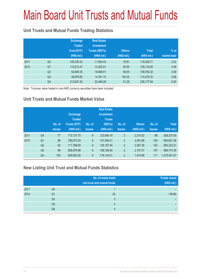# Main Board Unit Trusts and Mutual Funds

### **Unit Trusts and Mutual Funds Trading Statistics**

|      |                | <b>Exchange</b><br><b>Traded</b><br>Fund (ETF)<br>(HK\$ mil.) | <b>Real Estate</b><br><b>Investment</b><br><b>Trusts (REITs)</b><br>(HK\$ mil.) | <b>Others</b><br>(HK\$ mil.) | <b>Total</b><br>(HK\$ mil.) | $%$ of<br>market total |
|------|----------------|---------------------------------------------------------------|---------------------------------------------------------------------------------|------------------------------|-----------------------------|------------------------|
| 2011 | Q4             | 106,330.42                                                    | 11,900.43                                                                       | 78.91                        | 118,309.77                  | 3.22                   |
| 2012 | Q <sub>1</sub> | 115,613.41                                                    | 13,420.51                                                                       | 82.93                        | 129,116.85                  | 3.36                   |
|      | Q <sub>2</sub> | 92,849.35                                                     | 16,848.41                                                                       | 66.55                        | 109,764.32                  | 3.59                   |
|      | Q <sub>3</sub> | 99,979.83                                                     | 14,391.15                                                                       | 105.35                       | 114,476.33                  | 3.86                   |
|      | Q4             | 213,637.42                                                    | 22,489.26                                                                       | 51.26                        | 236, 177.94                 | 6.93                   |

Note: Turnover value traded in non-HKD currency securities have been included

### **Unit Trusts and Mutual Funds Market Value**

|      |                | No. of<br><b>issues</b> | <b>Exchange</b><br><b>Traded</b><br><b>Funds (ETF)</b><br>(HK\$ mil.) | No. of<br><b>issues</b> | <b>Real Estate</b><br><b>Investment</b><br><b>Trusts</b><br>(REITs)<br>(HK\$ mil.) | No. of<br><b>issues</b> | <b>Others</b><br>(HK\$ mil.) | No. of<br><b>issues</b> | <b>Total</b><br>(HK\$ mil.) |
|------|----------------|-------------------------|-----------------------------------------------------------------------|-------------------------|------------------------------------------------------------------------------------|-------------------------|------------------------------|-------------------------|-----------------------------|
| 2011 | Q <sub>4</sub> | 77                      | 712,137.75                                                            | 9                       | 123,990.18                                                                         | $\overline{2}$          | 2,210.02                     | 88                      | 838,337.95                  |
| 2012 | Q <sub>1</sub> | 89                      | 759,673.29                                                            | $\boldsymbol{9}$        | 131,556.21                                                                         | $\overline{2}$          | 2,391.86                     | 100                     | 893,621.36                  |
|      | Q <sub>2</sub> | 92                      | 711,788.89                                                            | 9                       | 136, 167.04                                                                        | $\overline{2}$          | 2,367.38                     | 103                     | 850,323.31                  |
|      | Q <sub>3</sub> | 96                      | 808,879.98                                                            | 9                       | 158,736.84                                                                         | $\overline{2}$          | 2,157.57                     | 107                     | 969,774.39                  |
|      | Q4             | 100                     | 839,802.08                                                            | 9                       | 174,124.01                                                                         | $\overline{2}$          | 1,474.98                     | 111                     | 1,015,401.07                |

### **New Listing Unit Trust and Mutual Funds Statistics**

|      |                | No. of newly listed<br>unit trust and mutual funds | <b>Funds raised</b><br>(HK\$ mil.) |
|------|----------------|----------------------------------------------------|------------------------------------|
| 2011 | Q4             |                                                    |                                    |
| 2012 | Q1             | 24                                                 | 136.80                             |
|      | Q <sub>2</sub> | 3                                                  |                                    |
|      | Q3             | 4                                                  |                                    |
|      | Q4             |                                                    |                                    |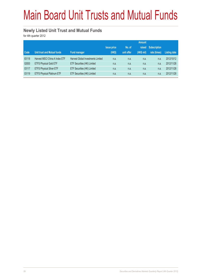# Main Board Unit Trusts and Mutual Funds

#### **Newly Listed Unit Trust and Mutual Funds**

for 4th quarter 2012

|       |                                    |                                    | <b>Amount</b>      |            |            |                     |                     |
|-------|------------------------------------|------------------------------------|--------------------|------------|------------|---------------------|---------------------|
|       |                                    |                                    | <b>Issue price</b> | No. of     | raised     | <b>Subscription</b> |                     |
| Code  | <b>Unit trust and Mutual funds</b> | <b>Fund manager</b>                | (HK\$)             | unit offer | (HK\$ mil) | rate (times)        | <b>Listing date</b> |
| 83118 | Harvest MSCI China A Index ETF     | Harvest Global Investments Limited | n.a.               | n.a.       | n.a.       | n.a.                | 2012/10/12          |
| 02830 | <b>ETFS Physical Gold ETF</b>      | ETF Securities (HK) Limited        | n.a.               | n.a.       | n.a.       | n.a.                | 2012/11/28          |
| 03117 | <b>ETFS Physical Silver ETF</b>    | ETF Securities (HK) Limited        | n.a.               | n.a.       | n.a.       | n.a.                | 2012/11/28          |
| 03119 | <b>ETFS Physical Platinum ETF</b>  | ETF Securities (HK) Limited        | n.a.               | n.a.       | n.a.       | n.a.                | 2012/11/28          |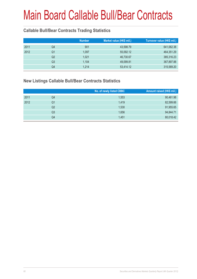### **Callable Bull/Bear Contracts Trading Statistics**

|    | <b>Number</b> | Market value (HK\$ mil.) | Turnover value (HK\$ mil.) |
|----|---------------|--------------------------|----------------------------|
| Q4 | 901           | 43,598.79                | 641,062.38                 |
| Q1 | 1,097         | 55,092.12                | 464,351.29                 |
| Q2 | 1,021         | 46,730.67                | 385,316.23                 |
| Q3 | 1,104         | 49,099.81                | 367,897.88                 |
| Q4 | 1,214         | 53,414.12                | 315,589.20                 |
|    |               |                          |                            |

#### **New Listings Callable Bull/Bear Contracts Statistics**

|      |    | No. of newly listed CBBC | Amount raised (HK\$ mil.) |
|------|----|--------------------------|---------------------------|
| 2011 | Q4 | 1,553                    | 90,461.98                 |
| 2012 | Q1 | 1,419                    | 82,599.66                 |
|      | Q2 | 1,530                    | 91,955.65                 |
|      | Q3 | 1,656                    | 94,844.71                 |
|      | Q4 | 1,451                    | 80,018.42                 |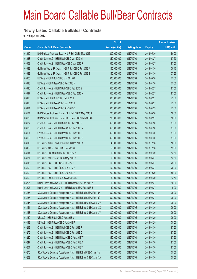#### **Newly Listed Callable Bull/Bear Contracts**

for 4th quarter 2012

|       |                                                                | No. of        |                     |               | <b>Amount raised</b> |
|-------|----------------------------------------------------------------|---------------|---------------------|---------------|----------------------|
| Code  | <b>Callable Bull/Bear Contracts</b>                            | issue (units) | <b>Listing date</b> | <b>Expiry</b> | (HK\$ mil.)          |
| 68619 | BNP Paribas Arbit Issu B.V. - HSI R Bull CBBC May 2013 I       | 200,000,000   | 2012/10/03          | 2013/05/30    | 50.00                |
| 63038 | Credit Suisse AG - HSI R Bull CBBC Mar 2013 M                  | 350,000,000   | 2012/10/03          | 2013/03/27    | 87.50                |
| 63062 | Credit Suisse AG - HSI R Bear CBBC Mar 2013 P                  | 350,000,000   | 2012/10/03          | 2013/03/27    | 87.50                |
| 63083 | Goldman Sachs SP (Asia) - HSI R Bull CBBC Jan 2013 A           | 150,000,000   | 2012/10/03          | 2013/01/30    | 38.10                |
| 63088 | Goldman Sachs SP (Asia) - HSI R Bull CBBC Jan 2013 B           | 150,000,000   | 2012/10/03          | 2013/01/30    | 37.65                |
| 63065 | UBS AG - HSI R Bull CBBC May 2013 O                            | 300,000,000   | 2012/10/03          | 2013/05/30    | 75.00                |
| 63093 | UBS AG - HSI R Bear CBBC Jan 2013 N                            | 300,000,000   | 2012/10/03          | 2013/01/30    | 75.00                |
| 63096 | Credit Suisse AG - HSI R Bull CBBC Feb 2013 Z                  | 350,000,000   | 2012/10/04          | 2013/02/27    | 87.50                |
| 63097 | Credit Suisse AG - HSI R Bear CBBC Feb 2013 K                  | 350,000,000   | 2012/10/04          | 2013/02/27    | 87.50                |
| 63095 | UBS AG - HSI R Bull CBBC Feb 2013 T                            | 300,000,000   | 2012/10/04          | 2013/02/27    | 75.00                |
| 63098 | UBS AG - HSI R Bear CBBC Mar 2013 T                            | 300,000,000   | 2012/10/04          | 2013/03/27    | 75.00                |
| 63094 | UBS AG - HSI R Bear CBBC Apr 2013 Q                            | 300,000,000   | 2012/10/04          | 2013/04/29    | 75.00                |
| 63134 | BNP Paribas Arbit Issu B.V. - HSI R Bull CBBC May 2013 J       | 200,000,000   | 2012/10/05          | 2013/05/30    | 50.00                |
| 63133 | BNP Paribas Arbit Issu B.V. - HSI R Bear CBBC Feb 2013 K       | 200,000,000   | 2012/10/05          | 2013/02/27    | 50.00                |
| 63137 | Credit Suisse AG - HSI R Bull CBBC Jan 2013 G                  | 350,000,000   | 2012/10/05          | 2013/01/30    | 87.50                |
| 63188 | Credit Suisse AG - HSI R Bear CBBC Jan 2013 R                  | 350,000,000   | 2012/10/05          | 2013/01/30    | 87.50                |
| 63191 | Credit Suisse AG - HSI R Bear CBBC Jan 2013 T                  | 350,000,000   | 2012/10/05          | 2013/01/30    | 87.50                |
| 63198 | Credit Suisse AG - HSI R Bear CBBC Jan 2013 U                  | 350,000,000   | 2012/10/05          | 2013/01/30    | 87.50                |
| 63113 | HK Bank - Anhui Conch R Bull CBBC Dec 2013 A                   | 40,000,000    | 2012/10/05          | 2013/12/18    | 10.00                |
| 63099 | HK Bank - AIA R Bear CBBC Dec 2013 A                           | 50,000,000    | 2012/10/05          | 2013/12/18    | 12.50                |
| 63114 | HK Bank - CNBM R Bull CBBC Jul 2013 A                          | 50,000,000    | 2012/10/05          | 2013/07/29    | 12.50                |
| 63131 | HK Bank - A50 R Bear CBBC May 2013 A                           | 50,000,000    | 2012/10/05          | 2013/05/27    | 12.50                |
| 63115 | HK Bank - HSI R Bull CBBC Jun 2013 E                           | 100,000,000   | 2012/10/05          | 2013/06/27    | 25.00                |
| 63109 | HK Bank - HSI R Bear CBBC Jun 2013 A                           | 100,000,000   | 2012/10/05          | 2013/06/27    | 25.00                |
| 63100 | HK Bank - HSI R Bear CBBC Oct 2013 A                           | 200,000,000   | 2012/10/05          | 2013/10/30    | 50.00                |
| 63102 | HK Bank - PetCh R Bull CBBC Apr 2013 A                         | 50,000,000    | 2012/10/05          | 2013/04/29    | 12.50                |
| 63206 | Merrill Lynch Int'l & Co. C.V. - HSI R Bear CBBC Feb 2013 A    | 60,000,000    | 2012/10/05          | 2013/02/27    | 15.00                |
| 63207 | Merrill Lynch Int'l & Co. C.V. - HSI R Bear CBBC Feb 2013 B    | 60,000,000    | 2012/10/05          | 2013/02/27    | 15.00                |
| 63135 | SGA Societe Generale Acceptance N.V. - HSI R Bull CBBC Feb 13N | 300,000,000   | 2012/10/05          | 2013/02/27    | 75.00                |
| 63136 | SGA Societe Generale Acceptance N.V. - HSI R Bull CBBC Feb 13O | 300,000,000   | 2012/10/05          | 2013/02/27    | 75.00                |
| 63145 | SGA Societe Generale Acceptance N.V. - HSI R Bear CBBC Jan 13W | 300,000,000   | 2012/10/05          | 2013/01/30    | 75.00                |
| 63151 | SGA Societe Generale Acceptance N.V. - HSI R Bear CBBC Jan 13X | 300,000,000   | 2012/10/05          | 2013/01/30    | 75.00                |
| 63153 | SGA Societe Generale Acceptance N.V. - HSI R Bear CBBC Jan 13Y | 300,000,000   | 2012/10/05          | 2013/01/30    | 75.00                |
| 63139 | UBS AG - HSI R Bull CBBC Apr 2013 M                            | 300,000,000   | 2012/10/05          | 2013/04/29    | 75.00                |
| 63199 | UBS AG - HSI R Bear CBBC Apr 2013 R                            | 300,000,000   | 2012/10/05          | 2013/04/29    | 75.00                |
| 63219 | Credit Suisse AG - HSI R Bull CBBC Jan 2013 R                  | 350,000,000   | 2012/10/08          | 2013/01/30    | 87.50                |
| 63275 | Credit Suisse AG - HSI R Bull CBBC Jan 2013 Z                  | 350,000,000   | 2012/10/08          | 2013/01/30    | 87.50                |
| 63220 | Credit Suisse AG - HSI R Bear CBBC Jan 2013 W                  | 350,000,000   | 2012/10/08          | 2013/01/30    | 87.50                |
| 63247 | Credit Suisse AG - HSI R Bear CBBC Jan 2013 X                  | 350,000,000   | 2012/10/08          | 2013/01/30    | 87.50                |
| 63251 | Credit Suisse AG - HSI R Bear CBBC Jan 2013 Y                  | 350,000,000   | 2012/10/08          | 2013/01/30    | 87.50                |
| 63276 | SGA Societe Generale Acceptance N.V. - HSI R Bull CBBC Jan 13M | 300,000,000   | 2012/10/08          | 2013/01/30    | 75.00                |
| 63259 | SGA Societe Generale Acceptance N.V. - HSI R Bear CBBC Jan 13A | 300,000,000   | 2012/10/08          | 2013/01/30    | 75.00                |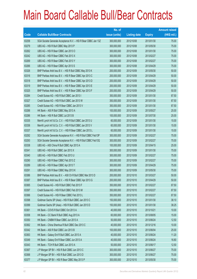|       |                                                                | No. of        |                     |               | <b>Amount raised</b> |
|-------|----------------------------------------------------------------|---------------|---------------------|---------------|----------------------|
| Code  | <b>Callable Bull/Bear Contracts</b>                            | issue (units) | <b>Listing date</b> | <b>Expiry</b> | (HK\$ mil.)          |
| 63258 | SGA Societe Generale Acceptance N.V. - HSI R Bear CBBC Jan 13Z | 300,000,000   | 2012/10/08          | 2013/01/30    | 75.00                |
| 63279 | UBS AG - HSI R Bull CBBC May 2013 P                            | 300,000,000   | 2012/10/08          | 2013/05/30    | 75.00                |
| 63262 | UBS AG - HSI R Bear CBBC Jan 2013 O                            | 300,000,000   | 2012/10/08          | 2013/01/30    | 75.00                |
| 63242 | UBS AG - HSI R Bear CBBC Feb 2013 X                            | 300,000,000   | 2012/10/08          | 2013/02/27    | 75.00                |
| 63269 | UBS AG - HSI R Bear CBBC Feb 2013 Y                            | 300,000,000   | 2012/10/08          | 2013/02/27    | 75.00                |
| 63266 | UBS AG - HSI R Bear CBBC Apr 2013 S                            | 300,000,000   | 2012/10/08          | 2013/04/29    | 75.00                |
| 63326 | BNP Paribas Arbit Issu B.V. - HSI R Bull CBBC May 2013 K       | 200,000,000   | 2012/10/09          | 2013/05/30    | 50.00                |
| 63316 | BNP Paribas Arbit Issu B.V. - HSI R Bear CBBC Apr 2013 C       | 200,000,000   | 2012/10/09          | 2013/04/29    | 50.00                |
| 63318 | BNP Paribas Arbit Issu B.V. - HSI R Bear CBBC Apr 2013 D       | 200,000,000   | 2012/10/09          | 2013/04/29    | 50.00                |
| 63319 | BNP Paribas Arbit Issu B.V. - HSI R Bear CBBC Apr 2013 E       | 200,000,000   | 2012/10/09          | 2013/04/29    | 50.00                |
| 63325 | BNP Paribas Arbit Issu B.V. - HSI R Bear CBBC Apr 2013 F       | 200,000,000   | 2012/10/09          | 2013/04/29    | 50.00                |
| 63284 | Credit Suisse AG - HSI R Bull CBBC Jan 2013 I                  | 350,000,000   | 2012/10/09          | 2013/01/30    | 87.50                |
| 63327 | Credit Suisse AG - HSI R Bull CBBC Jan 2013 W                  | 350,000,000   | 2012/10/09          | 2013/01/30    | 87.50                |
| 63285 | Credit Suisse AG - HSI R Bear CBBC Jan 2013 V                  | 350,000,000   | 2012/10/09          | 2013/01/30    | 87.50                |
| 63288 | HK Bank - A50 R Bull CBBC May 2013 A                           | 100,000,000   | 2012/10/09          | 2013/05/27    | 25.00                |
| 63286 | HK Bank - HSI R Bull CBBC Jul 2013 B                           | 100,000,000   | 2012/10/09          | 2013/07/30    | 25.00                |
| 63335 | Merrill Lynch Int'l & Co. C.V. - HSI R Bull CBBC Jan 2013 U    | 60,000,000    | 2012/10/09          | 2013/01/30    | 15.00                |
| 63336 | Merrill Lynch Int'l & Co. C.V. - HSI R Bull CBBC Jan 2013 V    | 60,000,000    | 2012/10/09          | 2013/01/30    | 15.00                |
| 63337 | Merrill Lynch Int'l & Co. C.V. - HSI R Bear CBBC Jan 2013 L    | 60,000,000    | 2012/10/09          | 2013/01/30    | 15.00                |
| 63292 | SGA Societe Generale Acceptance N.V. - HSI R Bull CBBC Feb13P  | 300,000,000   | 2012/10/09          | 2013/02/27    | 75.00                |
| 63293 | SGA Societe Generale Acceptance N.V. - HSI R Bull CBBC Feb13Q  | 300,000,000   | 2012/10/09          | 2013/02/27    | 75.00                |
| 63338 | UBS AG - A50 China R Bull CBBC Apr 2013 A                      | 100,000,000   | 2012/10/09          | 2013/04/15    | 25.00                |
| 63341 | UBS AG - HSI R Bull CBBC Jan 2013 X                            | 300,000,000   | 2012/10/09          | 2013/01/30    | 75.00                |
| 63340 | UBS AG - HSI R Bull CBBC Feb 2013 U                            | 300,000,000   | 2012/10/09          | 2013/02/27    | 75.00                |
| 63290 | UBS AG - HSI R Bear CBBC Feb 2013 Z                            | 300,000,000   | 2012/10/09          | 2013/02/27    | 75.00                |
| 63289 | UBS AG - HSI R Bear CBBC Apr 2013 T                            | 300,000,000   | 2012/10/09          | 2013/04/29    | 75.00                |
| 63291 | UBS AG - HSI R Bear CBBC May 2013 K                            | 300,000,000   | 2012/10/09          | 2013/05/30    | 75.00                |
| 63386 | BNP Paribas Arbit Issu B.V. - A50 Ch R Bull CBBC Mar 2013 D    | 200,000,000   | 2012/10/10          | 2013/03/27    | 50.00                |
| 63387 | BNP Paribas Arbit Issu B.V. - HSI R Bear CBBC Apr 2013 G       | 200,000,000   | 2012/10/10          | 2013/04/29    | 50.00                |
| 63365 | Credit Suisse AG - HSI R Bull CBBC Feb 2013 F                  | 350,000,000   | 2012/10/10          | 2013/02/27    | 87.50                |
| 63397 | Credit Suisse AG - HSI R Bull CBBC Feb 2013 M                  | 350,000,000   | 2012/10/10          | 2013/02/27    | 87.50                |
| 63366 | Credit Suisse AG - HSI R Bear CBBC Feb 2013 L                  | 350,000,000   | 2012/10/10          | 2013/02/27    | 87.50                |
| 63398 | Goldman Sachs SP (Asia) - HSI R Bull CBBC Jan 2013 C           | 150,000,000   | 2012/10/10          | 2013/01/30    | 38.10                |
| 63399 | Goldman Sachs SP (Asia) - HSI R Bull CBBC Jan 2013 D           | 150,000,000   | 2012/10/10          | 2013/01/30    | 38.25                |
| 63361 | HK Bank - COVS R Bull CBBC Oct 2013 A                          | 40,000,000    | 2012/10/10          | 2013/10/21    | 10.00                |
| 63358 | HK Bank - CC Bank R Bull CBBC Aug 2013 A                       | 60,000,000    | 2012/10/10          | 2013/08/05    | 15.00                |
| 63350 | HK Bank - CNBM R Bear CBBC Jun 2013 A                          | 50,000,000    | 2012/10/10          | 2013/06/24    | 12.50                |
| 63362 | HK Bank - China Shenhua R Bull CBBC Dec 2013 C                 | 40,000,000    | 2012/10/10          | 2013/12/16    | 10.00                |
| 63342 | HK Bank - A50 R Bull CBBC Jun 2013 B                           | 100,000,000   | 2012/10/10          | 2013/06/04    | 25.00                |
| 63363 | HK Bank - Galaxy Ent R Bull CBBC Jun 2013 A                    | 40,000,000    | 2012/10/10          | 2013/06/24    | 11.20                |
| 63349 | HK Bank - Galaxy Ent R Bear CBBC Jun 2013 A                    | 40,000,000    | 2012/10/10          | 2013/06/24    | 16.80                |
| 63343 | HK Bank - TCH R Bull CBBC Jun 2013 A                           | 50,000,000    | 2012/10/10          | 2013/06/17    | 12.50                |
| 63367 | J P Morgan SP BV - HSI R Bull CBBC Jun 2013 C                  | 300,000,000   | 2012/10/10          | 2013/06/27    | 75.00                |
| 63368 | J P Morgan SP BV - HSI R Bull CBBC Jun 2013 D                  | 300,000,000   | 2012/10/10          | 2013/06/27    | 75.00                |
| 63377 | J P Morgan SP BV - HSI R Bear CBBC May 2013 P                  | 300,000,000   | 2012/10/10          | 2013/05/30    | 75.00                |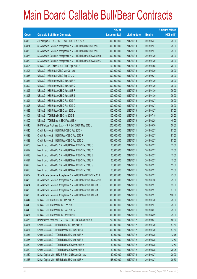|       |                                                                | No. of        |                     |               | <b>Amount raised</b> |
|-------|----------------------------------------------------------------|---------------|---------------------|---------------|----------------------|
| Code  | <b>Callable Bull/Bear Contracts</b>                            | issue (units) | <b>Listing date</b> | <b>Expiry</b> | $(HK$$ mil.)         |
| 63369 | J P Morgan SP BV - HSI R Bear CBBC Jun 2013 A                  | 300,000,000   | 2012/10/10          | 2013/06/27    | 75.00                |
| 63384 | SGA Societe Generale Acceptance N.V. - HSI R Bull CBBC Feb13 R | 300,000,000   | 2012/10/10          | 2013/02/27    | 75.00                |
| 63385 | SGA Societe Generale Acceptance N.V. - HSI R Bull CBBC Feb13 S | 300,000,000   | 2012/10/10          | 2013/02/27    | 75.00                |
| 63378 | SGA Societe Generale Acceptance N.V. - HSI R Bear CBBC Jan13 B | 300,000,000   | 2012/10/10          | 2013/01/30    | 75.00                |
| 63382 | SGA Societe Generale Acceptance N.V. - HSI R Bear CBBC Jan13 C | 300,000,000   | 2012/10/10          | 2013/01/30    | 75.00                |
| 63405 | UBS AG - A50 China R Bull CBBC Apr 2013 B                      | 100,000,000   | 2012/10/10          | 2013/04/08    | 25.00                |
| 63407 | UBS AG - HSI R Bull CBBC May 2013 Q                            | 300,000,000   | 2012/10/10          | 2013/05/30    | 75.00                |
| 63388 | UBS AG - HSI R Bull CBBC Sep 2013 C                            | 300,000,000   | 2012/10/10          | 2013/09/27    | 75.00                |
| 63364 | UBS AG - HSI R Bear CBBC Jan 2013 P                            | 300,000,000   | 2012/10/10          | 2013/01/30    | 75.00                |
| 63392 | UBS AG - HSI R Bear CBBC Jan 2013 Q                            | 300,000,000   | 2012/10/10          | 2013/01/30    | 75.00                |
| 63395 | UBS AG - HSI R Bear CBBC Jan 2013 R                            | 300,000,000   | 2012/10/10          | 2013/01/30    | 75.00                |
| 63396 | UBS AG - HSI R Bear CBBC Jan 2013 S                            | 300,000,000   | 2012/10/10          | 2013/01/30    | 75.00                |
| 63391 | UBS AG - HSI R Bear CBBC Feb 2013 A                            | 300,000,000   | 2012/10/10          | 2013/02/27    | 75.00                |
| 63393 | UBS AG - HSI R Bear CBBC Feb 2013 D                            | 300,000,000   | 2012/10/10          | 2013/02/27    | 75.00                |
| 63389 | UBS AG - HSI R Bear CBBC Mar 2013 U                            | 300,000,000   | 2012/10/10          | 2013/03/27    | 87.00                |
| 63401 | UBS AG - TCH R Bull CBBC Jul 2013 B                            | 100,000,000   | 2012/10/10          | 2013/07/15    | 25.00                |
| 63400 | UBS AG - TCH R Bear CBBC Feb 2013 A                            | 100,000,000   | 2012/10/10          | 2013/02/25    | 45.00                |
| 63446 | BNP Paribas Arbit Issu B.V. - HSI R Bull CBBC May 2013 L       | 200,000,000   | 2012/10/11          | 2013/05/30    | 50.00                |
| 63445 | Credit Suisse AG - HSI R Bull CBBC Feb 2013 N                  | 350,000,000   | 2012/10/11          | 2013/02/27    | 87.50                |
| 63428 | Credit Suisse AG - HSI R Bear CBBC Feb 2013 P                  | 350,000,000   | 2012/10/11          | 2013/02/27    | 87.50                |
| 63429 | Credit Suisse AG - HSI R Bear CBBC Feb 2013 Q                  | 350,000,000   | 2012/10/11          | 2013/02/27    | 87.50                |
| 63408 | Merrill Lynch Int'l & Co. C.V. - HSI R Bear CBBC Feb 2013 C    | 60,000,000    | 2012/10/11          | 2013/02/27    | 15.00                |
| 63422 | Merrill Lynch Int'l & Co. C.V. - HSI R Bear CBBC Feb 2013 D    | 60,000,000    | 2012/10/11          | 2013/02/27    | 15.00                |
| 63423 | Merrill Lynch Int'l & Co. C.V. - HSI R Bear CBBC Feb 2013 E    | 60,000,000    | 2012/10/11          | 2013/02/27    | 15.00                |
| 63424 | Merrill Lynch Int'l & Co. C.V. - HSI R Bear CBBC Feb 2013 F    | 60,000,000    | 2012/10/11          | 2013/02/27    | 15.00                |
| 63425 | Merrill Lynch Int'l & Co. C.V. - HSI R Bear CBBC Feb 2013 G    | 60,000,000    | 2012/10/11          | 2013/02/27    | 15.00                |
| 63426 | Merrill Lynch Int'l & Co. C.V. - HSI R Bear CBBC Feb 2013 H    | 60,000,000    | 2012/10/11          | 2013/02/27    | 15.00                |
| 63432 | SGA Societe Generale Acceptance N.V. - HSI R Bull CBBC Feb13 T | 300,000,000   | 2012/10/11          | 2013/02/27    | 75.00                |
| 63433 | SGA Societe Generale Acceptance N.V. - HSI R Bear CBBC Jan13 D | 300,000,000   | 2012/10/11          | 2013/01/30    | 75.00                |
| 63434 | SGA Societe Generale Acceptance N.V. - HSI R Bear CBBC Feb13 G | 300,000,000   | 2012/10/11          | 2013/02/27    | 93.00                |
| 63435 | SGA Societe Generale Acceptance N.V. - HSI R Bear CBBC Feb13 H | 300,000,000   | 2012/10/11          | 2013/02/27    | 97.50                |
| 63436 | SGA Societe Generale Acceptance N.V. - HSI R Bear CBBC Feb13 I | 300,000,000   | 2012/10/11          | 2013/02/27    | 100.50               |
| 63447 | UBS AG - HSI R Bull CBBC Jan 2013 Z                            | 300,000,000   | 2012/10/11          | 2013/01/30    | 75.00                |
| 63448 | UBS AG - HSI R Bear CBBC Feb 2013 C                            | 300,000,000   | 2012/10/11          | 2013/02/27    | 75.00                |
| 63449 | UBS AG - HSI R Bear CBBC Mar 2013 V                            | 300,000,000   | 2012/10/11          | 2013/03/27    | 75.00                |
| 63431 | UBS AG - HSI R Bear CBBC Apr 2013 U                            | 300,000,000   | 2012/10/11          | 2013/04/29    | 75.00                |
| 63478 | BNP Paribas Arbit Issu B.V. - HSI R Bull CBBC Sep 2013 B       | 200,000,000   | 2012/10/12          | 2013/09/27    | 50.00                |
| 63464 | Credit Suisse AG - HSI R Bull CBBC Jan 2013 Y                  | 350,000,000   | 2012/10/12          | 2013/01/30    | 87.50                |
| 63461 | Credit Suisse AG - HSI R Bear CBBC Jan 2013 A                  | 350,000,000   | 2012/10/12          | 2013/01/30    | 87.50                |
| 63454 | Credit Suisse AG - TCH R Bull CBBC Mar 2013 A                  | 50,000,000    | 2012/10/12          | 2013/03/25    | 12.75                |
| 63455 | Credit Suisse AG - TCH R Bull CBBC Mar 2013 B                  | 50,000,000    | 2012/10/12          | 2013/03/25    | 12.50                |
| 63459 | Credit Suisse AG - TCH R Bear CBBC Mar 2013 A                  | 50,000,000    | 2012/10/12          | 2013/03/25    | 12.50                |
| 63460 | Credit Suisse AG - TCH R Bear CBBC Mar 2013 B                  | 50,000,000    | 2012/10/12          | 2013/03/25    | 20.25                |
| 63469 | Daiwa Capital Mkt - HSCEI R Bull CBBC Jun 2013 A               | 80,000,000    | 2012/10/12          | 2013/06/27    | 20.00                |
| 63466 | Daiwa Capital Mkt - HSI R Bull CBBC Mar 2013 H                 | 158,000,000   | 2012/10/12          | 2013/03/27    | 39.50                |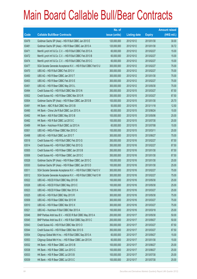|       |                                                                | No. of        |                     |               | <b>Amount raised</b> |
|-------|----------------------------------------------------------------|---------------|---------------------|---------------|----------------------|
| Code  | <b>Callable Bull/Bear Contracts</b>                            | issue (units) | <b>Listing date</b> | <b>Expiry</b> | (HK\$ mil.)          |
| 63479 | Goldman Sachs SP (Asia) - HSI R Bull CBBC Jan 2013 E           | 120,000,000   | 2012/10/12          | 2013/01/30    | 30.00                |
| 63481 | Goldman Sachs SP (Asia) - HSI R Bear CBBC Jan 2013 A           | 120,000,000   | 2012/10/12          | 2013/01/30    | 30.72                |
| 63471 | Merrill Lynch Int'l & Co. C.V. - HSI R Bull CBBC Feb 2013 A    | 60,000,000    | 2012/10/12          | 2013/02/27    | 15.00                |
| 63472 | Merrill Lynch Int'l & Co. C.V. - HSI R Bull CBBC Feb 2013 B    | 60,000,000    | 2012/10/12          | 2013/02/27    | 15.00                |
| 63474 | Merrill Lynch Int'l & Co. C.V. - HSI R Bull CBBC Feb 2013 C    | 60,000,000    | 2012/10/12          | 2013/02/27    | 15.00                |
| 63477 | SGA Societe Generale Acceptance N.V. - HSI R Bull CBBC Feb13 U | 300,000,000   | 2012/10/12          | 2013/02/27    | 75.00                |
| 63470 | UBS AG - HSI R Bull CBBC Feb 2013 V                            | 300,000,000   | 2012/10/12          | 2013/02/27    | 75.00                |
| 63450 | UBS AG - HSI R Bear CBBC Jan 2013 T                            | 300,000,000   | 2012/10/12          | 2013/01/30    | 75.00                |
| 63453 | UBS AG - HSI R Bear CBBC Feb 2013 E                            | 300,000,000   | 2012/10/12          | 2013/02/27    | 75.00                |
| 63451 | UBS AG - HSI R Bear CBBC May 2013 L                            | 300,000,000   | 2012/10/12          | 2013/05/30    | 75.00                |
| 63494 | Credit Suisse AG - HSI R Bull CBBC Mar 2013 N                  | 350,000,000   | 2012/10/15          | 2013/03/27    | 87.50                |
| 63502 | Credit Suisse AG - HSI R Bear CBBC Mar 2013 R                  | 350,000,000   | 2012/10/15          | 2013/03/27    | 87.50                |
| 63504 | Goldman Sachs SP (Asia) - HSI R Bear CBBC Jan 2013 B           | 100,000,000   | 2012/10/15          | 2013/01/30    | 25.70                |
| 63491 | HK Bank - ABC R Bull CBBC Nov 2013 B                           | 50,000,000    | 2012/10/15          | 2013/11/18    | 12.50                |
| 63490 | HK Bank - China Life R Bull CBBC Jun 2013 A                    | 60,000,000    | 2012/10/15          | 2013/06/24    | 15.00                |
| 63492 | HK Bank - A50 R Bull CBBC May 2013 B                           | 100,000,000   | 2012/10/15          | 2013/05/06    | 25.00                |
| 63482 | HK Bank - HSI R Bull CBBC Jul 2013 C                           | 100,000,000   | 2012/10/15          | 2013/07/30    | 25.00                |
| 63489 | HK Bank - Hutchison R Bull CBBC Jul 2013 A                     | 60,000,000    | 2012/10/15          | 2013/07/08    | 15.00                |
| 63501 | UBS AG - HKEx R Bear CBBC Mar 2013 C                           | 100,000,000   | 2012/10/15          | 2013/03/11    | 25.00                |
| 63498 | UBS AG - HSI R Bull CBBC Jun 2013 T                            | 300,000,000   | 2012/10/15          | 2013/06/27    | 75.00                |
| 63518 | Credit Suisse AG - HSI R Bull CBBC Feb 2013 G                  | 350,000,000   | 2012/10/16          | 2013/02/27    | 87.50                |
| 63514 | Credit Suisse AG - HSI R Bull CBBC Feb 2013 Q                  | 350,000,000   | 2012/10/16          | 2013/02/27    | 87.50                |
| 63505 | Credit Suisse AG - HSI R Bear CBBC Jan 2013 B                  | 350,000,000   | 2012/10/16          | 2013/01/30    | 87.50                |
| 63506 | Credit Suisse AG - HSI R Bear CBBC Jan 2013 C                  | 350,000,000   | 2012/10/16          | 2013/01/30    | 87.50                |
| 63528 | Goldman Sachs SP (Asia) - HSI R Bear CBBC Jan 2013 C           | 100,000,000   | 2012/10/16          | 2013/01/30    | 25.00                |
| 63530 | Goldman Sachs SP (Asia) - HSI R Bear CBBC Jan 2013 D           | 100,000,000   | 2012/10/16          | 2013/01/30    | 25.00                |
| 63511 | SGA Societe Generale Acceptance N.V. - HSI R Bull CBBC Feb13 V | 300,000,000   | 2012/10/16          | 2013/02/27    | 75.00                |
| 63512 | SGA Societe Generale Acceptance N.V. - HSI R Bull CBBC Feb13 W | 300,000,000   | 2012/10/16          | 2013/02/27    | 75.00                |
| 63522 | UBS AG - HSCEI R Bull CBBC May 2013 B                          | 100,000,000   | 2012/10/16          | 2013/05/30    | 25.00                |
| 63526 | UBS AG - HSCEI R Bull CBBC May 2013 C                          | 100,000,000   | 2012/10/16          | 2013/05/30    | 25.00                |
| 63523 | UBS AG - HSCEI R Bear CBBC Mar 2013 A                          | 100,000,000   | 2012/10/16          | 2013/03/27    | 25.00                |
| 63525 | UBS AG - HSI R Bull CBBC May 2013 R                            | 300,000,000   | 2012/10/16          | 2013/05/30    | 75.00                |
| 63509 | UBS AG - HSI R Bear CBBC Mar 2013 W                            | 300,000,000   | 2012/10/16          | 2013/03/27    | 75.00                |
| 63510 | UBS AG - HSI R Bear CBBC Mar 2013 X                            | 300,000,000   | 2012/10/16          | 2013/03/27    | 75.00                |
| 63521 | UBS AG - Hutchison R Bull CBBC Mar 2013 A                      | 100,000,000   | 2012/10/16          | 2013/03/18    | 25.00                |
| 63546 | BNP Paribas Arbit Issu B.V. - HSCEI R Bull CBBC May 2013 A     | 200,000,000   | 2012/10/17          | 2013/05/30    | 50.00                |
| 63545 | BNP Paribas Arbit Issu B.V. - HSI R Bull CBBC Sep 2013 C       | 200,000,000   | 2012/10/17          | 2013/09/27    | 50.00                |
| 63543 | Credit Suisse AG - HSI R Bull CBBC Mar 2013 O                  | 350,000,000   | 2012/10/17          | 2013/03/27    | 87.50                |
| 63544 | Credit Suisse AG - HSI R Bear CBBC Mar 2013 S                  | 350,000,000   | 2012/10/17          | 2013/03/27    | 87.50                |
| 63554 | Citigroup Global Mkt H Inc. - HSI R Bull CBBC Sep 2013 A       | 60,000,000    | 2012/10/17          | 2013/09/27    | 15.00                |
| 63553 | Citigroup Global Mkt H Inc. - HSI R Bear CBBC Jan 2013 K       | 60,000,000    | 2012/10/17          | 2013/01/30    | 15.00                |
| 63532 | HK Bank - HSI R Bear CBBC Jun 2013 B                           | 100,000,000   | 2012/10/17          | 2013/06/27    | 25.00                |
| 63538 | HK Bank - HSI R Bear CBBC Jun 2013 C                           | 100,000,000   | 2012/10/17          | 2013/06/27    | 25.00                |
| 63533 | HK Bank - HSI R Bear CBBC Jul 2013 B                           | 100,000,000   | 2012/10/17          | 2013/07/30    | 25.00                |
| 63539 | HK Bank - HSI R Bear CBBC Jul 2013 C                           | 100,000,000   | 2012/10/17          | 2013/07/30    | 25.00                |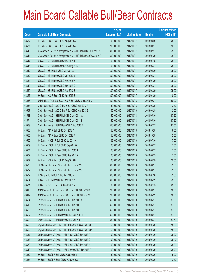|        |                                                                | No. of        |                     |               | <b>Amount raised</b> |
|--------|----------------------------------------------------------------|---------------|---------------------|---------------|----------------------|
| Code   | <b>Callable Bull/Bear Contracts</b>                            | issue (units) | <b>Listing date</b> | <b>Expiry</b> | (HK\$ mil.)          |
| 63537  | HK Bank - HSI R Bear CBBC Aug 2013 A                           | 100,000,000   | 2012/10/17          | 2013/08/29    | 25.00                |
| 63531  | HK Bank - HSI R Bear CBBC Sep 2013 A                           | 200,000,000   | 2012/10/17          | 2013/09/27    | 50.00                |
| 63540  | SGA Societe Generale Acceptance N.V. - HSI R Bull CBBC Feb13 X | 300,000,000   | 2012/10/17          | 2013/02/27    | 75.00                |
| 63541  | SGA Societe Generale Acceptance N.V. - HSI R Bear CBBC Jan13 E | 300,000,000   | 2012/10/17          | 2013/01/30    | 75.00                |
| 63547  | UBS AG - CC Bank R Bull CBBC Jul 2013 C                        | 100,000,000   | 2012/10/17          | 2013/07/15    | 25.00                |
| 63548  | UBS AG - CC Bank R Bear CBBC May 2013 B                        | 100,000,000   | 2012/10/17          | 2013/05/27    | 25.00                |
| 63542  | UBS AG - HSI R Bull CBBC May 2013 S                            | 300,000,000   | 2012/10/17          | 2013/05/30    | 75.00                |
| 63552  | UBS AG - HSI R Bear CBBC Mar 2013 Y                            | 300,000,000   | 2012/10/17          | 2013/03/27    | 75.00                |
| 63551  | UBS AG - HSI R Bear CBBC Apr 2013 V                            | 300,000,000   | 2012/10/17          | 2013/04/29    | 78.00                |
| 63549  | UBS AG - HSI R Bear CBBC Jun 2013 G                            | 300,000,000   | 2012/10/17          | 2013/06/27    | 75.00                |
| 63550  | UBS AG - HSI R Bear CBBC Aug 2013 B                            | 300,000,000   | 2012/10/17          | 2013/08/29    | 75.00                |
| 63827# | HK Bank - HSI R Bear CBBC Apr 2013 B                           | 200,000,000   | 2012/10/17          | 2013/04/29    | 18.20                |
| 63563  | BNP Paribas Arbit Issu B.V. - HSI R Bull CBBC Sep 2013 D       | 200,000,000   | 2012/10/18          | 2013/09/27    | 50.00                |
| 63565  | Credit Suisse AG - A50 China R Bull CBBC Mar 2013 A            | 50,000,000    | 2012/10/18          | 2013/03/25    | 12.50                |
| 63567  | Credit Suisse AG - A50 China R Bull CBBC Mar 2013 B            | 50,000,000    | 2012/10/18          | 2013/03/25    | 12.50                |
| 63568  | Credit Suisse AG - HSI R Bull CBBC May 2013 A                  | 350,000,000   | 2012/10/18          | 2013/05/30    | 87.50                |
| 63574  | Credit Suisse AG - HSI R Bull CBBC May 2013 B                  | 350,000,000   | 2012/10/18          | 2013/05/30    | 87.50                |
| 63569  | Credit Suisse AG - HSI R Bear CBBC Feb 2013 T                  | 350,000,000   | 2012/10/18          | 2013/02/27    | 87.50                |
| 63556  | HK Bank - AIA R Bull CBBC Oct 2013 A                           | 50,000,000    | 2012/10/18          | 2013/10/28    | 16.00                |
| 63555  | HK Bank - AIA R Bear CBBC Oct 2013 A                           | 50,000,000    | 2012/10/18          | 2013/10/28    | 12.50                |
| 63560  | HK Bank - HSCEI R Bull CBBC Jul 2013 A                         | 68,000,000    | 2012/10/18          | 2013/07/30    | 17.00                |
| 63559  | HK Bank - HSCEI R Bull CBBC Sep 2013 A                         | 68,000,000    | 2012/10/18          | 2013/09/27    | 17.00                |
| 63561  | HK Bank - HSCEI R Bear CBBC Jun 2013 A                         | 68,000,000    | 2012/10/18          | 2013/06/27    | 17.00                |
| 63562  | HK Bank - HSCEI R Bear CBBC Aug 2013 A                         | 68,000,000    | 2012/10/18          | 2013/08/29    | 17.00                |
| 63557  | HK Bank - HSI R Bear CBBC Aug 2013 B                           | 100,000,000   | 2012/10/18          | 2013/08/29    | 25.00                |
| 63575  | J P Morgan SP BV - HSI R Bull CBBC Jun 2013 E                  | 300,000,000   | 2012/10/18          | 2013/06/27    | 75.00                |
| 63577  | J P Morgan SP BV - HSI R Bull CBBC Jun 2013 F                  | 300,000,000   | 2012/10/18          | 2013/06/27    | 75.00                |
| 63572  | UBS AG - HSI R Bull CBBC Jan 2013 Y                            | 300,000,000   | 2012/10/18          | 2013/01/30    | 75.00                |
| 63564  | UBS AG - HSI R Bear CBBC Apr 2013 W                            | 300,000,000   | 2012/10/18          | 2013/04/29    | 75.00                |
| 63571  | UBS AG - ICBC R Bull CBBC Jul 2013 A                           | 100,000,000   | 2012/10/18          | 2013/07/15    | 25.00                |
| 63616  | BNP Paribas Arbit Issu B.V. - HSI R Bull CBBC Sep 2013 E       | 200,000,000   | 2012/10/19          | 2013/09/27    | 50.00                |
| 63617  | BNP Paribas Arbit Issu B.V. - HSI R Bear CBBC Apr 2013 H       | 200,000,000   | 2012/10/19          | 2013/04/29    | 50.00                |
| 63594  | Credit Suisse AG - HSI R Bull CBBC Jun 2013 A                  | 350,000,000   | 2012/10/19          | 2013/06/27    | 87.50                |
| 63619  | Credit Suisse AG - HSI R Bull CBBC Jun 2013 B                  | 350,000,000   | 2012/10/19          | 2013/06/27    | 87.50                |
| 63620  | Credit Suisse AG - HSI R Bull CBBC Jun 2013 C                  | 350,000,000   | 2012/10/19          | 2013/06/27    | 87.50                |
| 63592  | Credit Suisse AG - HSI R Bear CBBC Mar 2013 T                  | 350,000,000   | 2012/10/19          | 2013/03/27    | 87.50                |
| 63593  | Credit Suisse AG - HSI R Bear CBBC Mar 2013 U                  | 350,000,000   | 2012/10/19          | 2013/03/27    | 87.50                |
| 63598  | Citigroup Global Mkt H Inc. - HSI R Bear CBBC Jan 2013 L       | 60,000,000    | 2012/10/19          | 2013/01/30    | 15.00                |
| 63602  | Citigroup Global Mkt H Inc. - HSI R Bear CBBC Jan 2013 M       | 60,000,000    | 2012/10/19          | 2013/01/30    | 15.00                |
| 63637  | Goldman Sachs SP (Asia) - HSI R Bull CBBC Jan 2013 F           | 100,000,000   | 2012/10/19          | 2013/01/30    | 25.30                |
| 63638  | Goldman Sachs SP (Asia) - HSI R Bull CBBC Jan 2013 G           | 100,000,000   | 2012/10/19          | 2013/01/30    | 25.10                |
| 63639  | Goldman Sachs SP (Asia) - HSI R Bull CBBC Jan 2013 H           | 100,000,000   | 2012/10/19          | 2013/01/30    | 25.30                |
| 63643  | Goldman Sachs SP (Asia) - HSI R Bear CBBC Jan 2013 E           | 100,000,000   | 2012/10/19          | 2013/01/30    | 25.20                |
| 63582  | HK Bank - BOCL R Bull CBBC Aug 2013 A                          | 60,000,000    | 2012/10/19          | 2013/08/26    | 15.00                |
| 63585  | HK Bank - BOCL R Bear CBBC Aug 2013 A                          | 50,000,000    | 2012/10/19          | 2013/08/26    | 12.50                |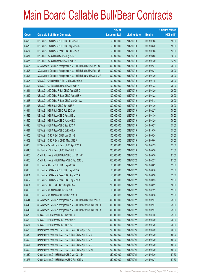|         |                                                                | No. of        |                     |               | <b>Amount raised</b> |
|---------|----------------------------------------------------------------|---------------|---------------------|---------------|----------------------|
| Code    | <b>Callable Bull/Bear Contracts</b>                            | issue (units) | <b>Listing date</b> | <b>Expiry</b> | $(HK$$ mil.)         |
| 63580   | HK Bank - CC Bank R Bull CBBC Jul 2013 B                       | 60,000,000    | 2012/10/19          | 2013/07/08    | 15.00                |
| 63579   | HK Bank - CC Bank R Bull CBBC Aug 2013 B                       | 60,000,000    | 2012/10/19          | 2013/08/30    | 15.00                |
| 63587   | HK Bank - CC Bank R Bear CBBC Jul 2013 A                       | 50,000,000    | 2012/10/19          | 2013/07/08    | 12.50                |
| 63581   | HK Bank - ICBC R Bull CBBC Aug 2013 A                          | 60,000,000    | 2012/10/19          | 2013/08/05    | 15.00                |
| 63586   | HK Bank - ICBC R Bear CBBC Jul 2013 A                          | 50,000,000    | 2012/10/19          | 2013/07/29    | 12.50                |
| 63595   | SGA Societe Generale Acceptance N.V. - HSI R Bull CBBC Feb 13Y | 300,000,000   | 2012/10/19          | 2013/02/27    | 75.00                |
| 63596   | SGA Societe Generale Acceptance N.V. - HSI R Bull CBBC Feb 13Z | 300,000,000   | 2012/10/19          | 2013/02/27    | 75.00                |
| 63597   | SGA Societe Generale Acceptance N.V. - HSI R Bear CBBC Jan 13F | 300,000,000   | 2012/10/19          | 2013/01/30    | 75.00                |
| 63605   | UBS AG - China Mobile R Bull CBBC Jul 2013 A                   | 100,000,000   | 2012/10/19          | 2013/07/15    | 25.00                |
| 63604   | UBS AG - CC Bank R Bear CBBC Jul 2013 A                        | 100,000,000   | 2012/10/19          | 2013/07/22    | 25.00                |
| 63611   | UBS AG - A50 China R Bull CBBC Apr 2013 C                      | 100,000,000   | 2012/10/19          | 2013/04/29    | 25.00                |
| 63612   | UBS AG - A50 China R Bear CBBC Apr 2013 A                      | 100,000,000   | 2012/10/19          | 2013/04/22    | 25.00                |
| 63613   | UBS AG - A50 China R Bear CBBC May 2013 A                      | 100,000,000   | 2012/10/19          | 2013/05/13    | 25.00                |
| 63615   | UBS AG - HSI R Bull CBBC Jan 2013 A                            | 300,000,000   | 2012/10/19          | 2013/01/30    | 75.00                |
| 63614   | UBS AG - HSI R Bull CBBC Feb 2013 W                            | 300,000,000   | 2012/10/19          | 2013/02/27    | 75.00                |
| 63589   | UBS AG - HSI R Bear CBBC Jan 2013 U                            | 300,000,000   | 2012/10/19          | 2013/01/30    | 75.00                |
| 63590   | UBS AG - HSI R Bear CBBC Apr 2013 X                            | 300,000,000   | 2012/10/19          | 2013/04/29    | 75.00                |
| 63626   | UBS AG - HSI R Bear CBBC Sep 2013 A                            | 300,000,000   | 2012/10/19          | 2013/09/27    | 75.00                |
| 63631   | UBS AG - HSI R Bear CBBC Oct 2013 A                            | 300,000,000   | 2012/10/19          | 2013/10/30    | 75.00                |
| 63606   | UBS AG - ICBC R Bull CBBC Jun 2013 B                           | 100,000,000   | 2012/10/19          | 2013/06/24    | 25.00                |
| 63609   | UBS AG - ICBC R Bear CBBC May 2013 A                           | 100,000,000   | 2012/10/19          | 2013/05/06    | 25.00                |
| 63603   | UBS AG - Petrochina R Bear CBBC Apr 2013 A                     | 100,000,000   | 2012/10/19          | 2013/04/29    | 25.00                |
| 63848 # | HK Bank - HSI R Bear CBBC May 2013 E                           | 200,000,000   | 2012/10/19          | 2013/05/30    | 27.80                |
| 63665   | Credit Suisse AG - HSI R Bull CBBC May 2013 C                  | 350,000,000   | 2012/10/22          | 2013/05/30    | 87.50                |
| 63666   | Credit Suisse AG - HSI R Bear CBBC Feb 2013 U                  | 350,000,000   | 2012/10/22          | 2013/02/27    | 87.50                |
| 63655   | HK Bank - ABC R Bull CBBC Sep 2013 A                           | 60,000,000    | 2012/10/22          | 2013/09/02    | 15.00                |
| 63650   | HK Bank - CC Bank R Bull CBBC Sep 2013 A                       | 60,000,000    | 2012/10/22          | 2013/09/16    | 15.00                |
| 63651   | HK Bank - CC Bank R Bear CBBC Aug 2013 A                       | 50,000,000    | 2012/10/22          | 2013/08/30    | 12.50                |
| 63652   | HK Bank - CC Bank R Bear CBBC Sep 2013 A                       | 50,000,000    | 2012/10/22          | 2013/09/23    | 12.50                |
| 63661   | HK Bank - HSI R Bull CBBC Aug 2013 A                           | 200,000,000   | 2012/10/22          | 2013/08/29    | 50.00                |
| 63653   | HK Bank - ICBC R Bull CBBC Jul 2013 B                          | 60,000,000    | 2012/10/22          | 2013/07/29    | 15.00                |
| 63658   | HK Bank - ICBC R Bear CBBC Sep 2013 A                          | 50,000,000    | 2012/10/22          | 2013/09/16    | 12.50                |
| 63644   | SGA Societe Generale Acceptance N.V. - HSI R Bull CBBC Feb13 A | 300,000,000   | 2012/10/22          | 2013/02/27    | 75.00                |
| 63646   | SGA Societe Generale Acceptance N.V. - HSI R Bear CBBC Feb13 J | 300,000,000   | 2012/10/22          | 2013/02/27    | 75.00                |
| 63649   | SGA Societe Generale Acceptance N.V. - HSI R Bear CBBC Feb13 K | 300,000,000   | 2012/10/22          | 2013/02/27    | 75.00                |
| 63675   | UBS AG - HSI R Bear CBBC Jan 2013 V                            | 300,000,000   | 2012/10/22          | 2013/01/30    | 75.00                |
| 63669   | UBS AG - HSI R Bear CBBC Apr 2013 Y                            | 300,000,000   | 2012/10/22          | 2013/04/29    | 75.00                |
| 63667   | UBS AG - HSI R Bear CBBC Jul 2013 D                            | 300,000,000   | 2012/10/22          | 2013/07/30    | 75.00                |
| 63688   | BNP Paribas Arbit Issu B.V. - HSI R Bear CBBC Apr 2013 I       | 200,000,000   | 2012/10/24          | 2013/04/29    | 60.00                |
| 63689   | BNP Paribas Arbit Issu B.V. - HSI R Bear CBBC Apr 2013 J       | 200,000,000   | 2012/10/24          | 2013/04/29    | 50.00                |
| 63690   | BNP Paribas Arbit Issu B.V. - HSI R Bear CBBC Apr 2013 K       | 200,000,000   | 2012/10/24          | 2013/04/29    | 50.00                |
| 63691   | BNP Paribas Arbit Issu B.V. - HSI R Bear CBBC Apr 2013 L       | 200,000,000   | 2012/10/24          | 2013/04/29    | 50.00                |
| 63692   | BNP Paribas Arbit Issu B.V. - HSI R Bear CBBC Apr 2013 M       | 200,000,000   | 2012/10/24          | 2013/04/29    | 50.00                |
| 63680   | Credit Suisse AG - HSI R Bull CBBC May 2013 D                  | 350,000,000   | 2012/10/24          | 2013/05/30    | 87.50                |
| 63677   | Credit Suisse AG - HSI R Bear CBBC Feb 2013 M                  | 350,000,000   | 2012/10/24          | 2013/02/27    | 87.50                |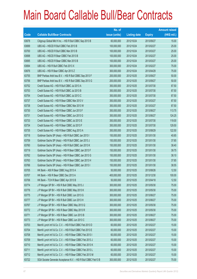|       |                                                                | No. of        |                     |               | <b>Amount raised</b> |
|-------|----------------------------------------------------------------|---------------|---------------------|---------------|----------------------|
| Code  | <b>Callable Bull/Bear Contracts</b>                            | issue (units) | <b>Listing date</b> | <b>Expiry</b> | $(HK$$ mil.)         |
| 63678 | Citigroup Global Mkt H Inc. - HSI R Bull CBBC Sep 2013 B       | 60,000,000    | 2012/10/24          | 2013/09/27    | 15.00                |
| 63699 | UBS AG - HSCEI R Bull CBBC Feb 2013 B                          | 100,000,000   | 2012/10/24          | 2013/02/27    | 25.00                |
| 63700 | UBS AG - HSCEI R Bull CBBC Mar 2013 B                          | 100,000,000   | 2012/10/24          | 2013/03/27    | 25.00                |
| 63698 | UBS AG - HSCEI R Bear CBBC Feb 2013 B                          | 100,000,000   | 2012/10/24          | 2013/02/27    | 25.00                |
| 63695 | UBS AG - HSCEI R Bear CBBC Mar 2013 B                          | 100,000,000   | 2012/10/24          | 2013/03/27    | 25.00                |
| 63694 | UBS AG - HSI R Bull CBBC Feb 2013 X                            | 300,000,000   | 2012/10/24          | 2013/02/27    | 75.00                |
| 63676 | UBS AG - HSI R Bear CBBC Apr 2013 Z                            | 300,000,000   | 2012/10/24          | 2013/04/29    | 75.00                |
| 63755 | BNP Paribas Arbit Issu B.V. - HSI R Bull CBBC Sep 2013 F       | 200,000,000   | 2012/10/25          | 2013/09/27    | 50.00                |
| 63756 | BNP Paribas Arbit Issu B.V. - HSI R Bull CBBC Sep 2013 G       | 200,000,000   | 2012/10/25          | 2013/09/27    | 50.00                |
| 63752 | Credit Suisse AG - HSI R Bull CBBC Jul 2013 A                  | 350,000,000   | 2012/10/25          | 2013/07/30    | 87.50                |
| 63753 | Credit Suisse AG - HSI R Bull CBBC Jul 2013 B                  | 350,000,000   | 2012/10/25          | 2013/07/30    | 87.50                |
| 63754 | Credit Suisse AG - HSI R Bull CBBC Jul 2013 C                  | 350,000,000   | 2012/10/25          | 2013/07/30    | 87.50                |
| 63737 | Credit Suisse AG - HSI R Bear CBBC Mar 2013 V                  | 350,000,000   | 2012/10/25          | 2013/03/27    | 87.50                |
| 63738 | Credit Suisse AG - HSI R Bear CBBC Mar 2013 W                  | 350,000,000   | 2012/10/25          | 2013/03/27    | 87.50                |
| 63730 | Credit Suisse AG - HSI R Bear CBBC Jun 2013 F                  | 350,000,000   | 2012/10/25          | 2013/06/27    | 113.75               |
| 63731 | Credit Suisse AG - HSI R Bear CBBC Jun 2013 G                  | 350,000,000   | 2012/10/25          | 2013/06/27    | 124.25               |
| 63733 | Credit Suisse AG - HSI R Bear CBBC Jul 2013 E                  | 350,000,000   | 2012/10/25          | 2013/07/30    | 119.00               |
| 63734 | Credit Suisse AG - HSI R Bear CBBC Jul 2013 F                  | 350,000,000   | 2012/10/25          | 2013/07/30    | 129.50               |
| 63735 | Credit Suisse AG - HSI R Bear CBBC Aug 2013 A                  | 350,000,000   | 2012/10/25          | 2013/08/29    | 122.50               |
| 63718 | Goldman Sachs SP (Asia) - HSI R Bull CBBC Jan 2013 I           | 150,000,000   | 2012/10/25          | 2013/01/30    | 40.65                |
| 63759 | Goldman Sachs SP (Asia) - HSI R Bull CBBC Jan 2013 J           | 150,000,000   | 2012/10/25          | 2013/01/30    | 37.65                |
| 63760 | Goldman Sachs SP (Asia) - HSI R Bull CBBC Jan 2013 K           | 150,000,000   | 2012/10/25          | 2013/01/30    | 38.40                |
| 63719 | Goldman Sachs SP (Asia) - HSI R Bear CBBC Jan 2013 F           | 150,000,000   | 2012/10/25          | 2013/01/30    | 39.75                |
| 63762 | Goldman Sachs SP (Asia) - HSI R Bear CBBC Jan 2013 G           | 150,000,000   | 2012/10/25          | 2013/01/30    | 38.10                |
| 63763 | Goldman Sachs SP (Asia) - HSI R Bear CBBC Jan 2013 H           | 150,000,000   | 2012/10/25          | 2013/01/30    | 37.65                |
| 63766 | Goldman Sachs SP (Asia) - HSI R Bear CBBC Jan 2013 I           | 150,000,000   | 2012/10/25          | 2013/01/30    | 38.55                |
| 63705 | HK Bank - A50 R Bear CBBC Aug 2013 A                           | 50,000,000    | 2012/10/25          | 2013/08/26    | 12.50                |
| 63707 | HK Bank - HSI R Bear CBBC Dec 2013 A                           | 400,000,000   | 2012/10/25          | 2013/12/30    | 100.00               |
| 63706 | HK Bank - TCH R Bear CBBC Apr 2013 B                           | 50,000,000    | 2012/10/25          | 2013/04/18    | 12.50                |
| 63774 | J P Morgan SP BV - HSI R Bull CBBC May 2013 J                  | 300,000,000   | 2012/10/25          | 2013/05/30    | 75.00                |
| 63776 | J P Morgan SP BV - HSI R Bull CBBC May 2013 K                  | 300,000,000   | 2012/10/25          | 2013/05/30    | 75.00                |
| 63775 | J P Morgan SP BV - HSI R Bull CBBC Jun 2013 G                  | 300,000,000   | 2012/10/25          | 2013/06/27    | 75.00                |
| 63777 | J P Morgan SP BV - HSI R Bull CBBC Jun 2013 H                  | 300,000,000   | 2012/10/25          | 2013/06/27    | 75.00                |
| 63767 | J P Morgan SP BV - HSI R Bear CBBC May 2013 Q                  | 300,000,000   | 2012/10/25          | 2013/05/30    | 75.00                |
| 63772 | J P Morgan SP BV - HSI R Bear CBBC May 2013 R                  | 300,000,000   | 2012/10/25          | 2013/05/30    | 75.00                |
| 63771 | J P Morgan SP BV - HSI R Bear CBBC Jun 2013 B                  | 300,000,000   | 2012/10/25          | 2013/06/27    | 75.00                |
| 63773 | J P Morgan SP BV - HSI R Bear CBBC Jun 2013 C                  | 300,000,000   | 2012/10/25          | 2013/06/27    | 75.00                |
| 63703 | Merrill Lynch Int'l & Co. C.V. - HSI R Bull CBBC Feb 2013 D    | 60,000,000    | 2012/10/25          | 2013/02/27    | 15.00                |
| 63704 | Merrill Lynch Int'l & Co. C.V. - HSI R Bull CBBC Feb 2013 E    | 60,000,000    | 2012/10/25          | 2013/02/27    | 15.00                |
| 63708 | Merrill Lynch Int'l & Co. C.V. - HSI R Bear CBBC Feb 2013 I    | 60,000,000    | 2012/10/25          | 2013/02/27    | 15.00                |
| 63709 | Merrill Lynch Int'l & Co. C.V. - HSI R Bear CBBC Feb 2013 J    | 60,000,000    | 2012/10/25          | 2013/02/27    | 15.00                |
| 63710 | Merrill Lynch Int'l & Co. C.V. - HSI R Bear CBBC Feb 2013 K    | 60,000,000    | 2012/10/25          | 2013/02/27    | 15.00                |
| 63711 | Merrill Lynch Int'l & Co. C.V. - HSI R Bear CBBC Feb 2013 L    | 60,000,000    | 2012/10/25          | 2013/02/27    | 15.00                |
| 63712 | Merrill Lynch Int'l & Co. C.V. - HSI R Bear CBBC Feb 2013 M    | 60,000,000    | 2012/10/25          | 2013/02/27    | 15.00                |
| 63722 | SGA Societe Generale Acceptance N.V. - HSI R Bull CBBC Feb13 B | 300,000,000   | 2012/10/25          | 2013/02/27    | 75.00                |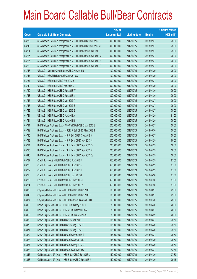|       |                                                                | No. of        |                     |               | <b>Amount raised</b> |
|-------|----------------------------------------------------------------|---------------|---------------------|---------------|----------------------|
| Code  | <b>Callable Bull/Bear Contracts</b>                            | issue (units) | <b>Listing date</b> | <b>Expiry</b> | $(HK$$ mil.)         |
| 63739 | SGA Societe Generale Acceptance N.V. - HSI R Bull CBBC Feb13 L | 300,000,000   | 2012/10/25          | 2013/02/27    | 75.00                |
| 63740 | SGA Societe Generale Acceptance N.V. - HSI R Bull CBBC Feb13 M | 300,000,000   | 2012/10/25          | 2013/02/27    | 75.00                |
| 63724 | SGA Societe Generale Acceptance N.V. - HSI R Bear CBBC Feb13 L | 300,000,000   | 2012/10/25          | 2013/02/27    | 75.00                |
| 63725 | SGA Societe Generale Acceptance N.V. - HSI R Bear CBBC Feb13 M | 300,000,000   | 2012/10/25          | 2013/02/27    | 75.00                |
| 63726 | SGA Societe Generale Acceptance N.V. - HSI R Bear CBBC Feb13 N | 300,000,000   | 2012/10/25          | 2013/02/27    | 75.00                |
| 63729 | SGA Societe Generale Acceptance N.V. - HSI R Bear CBBC Feb13 O | 300,000,000   | 2012/10/25          | 2013/02/27    | 75.00                |
| 63748 | UBS AG - Sinopec Corp R Bear CBBC Apr 2013 B                   | 100,000,000   | 2012/10/25          | 2013/04/29    | 25.00                |
| 63747 | UBS AG - HSCEI R Bear CBBC Apr 2013 A                          | 100,000,000   | 2012/10/25          | 2013/04/29    | 25.00                |
| 63751 | UBS AG - HSI R Bull CBBC Feb 2013 Y                            | 300,000,000   | 2012/10/25          | 2013/02/27    | 75.00                |
| 63749 | UBS AG - HSI R Bull CBBC Apr 2013 N                            | 300,000,000   | 2012/10/25          | 2013/04/29    | 75.00                |
| 63720 | UBS AG - HSI R Bear CBBC Jan 2013 W                            | 300,000,000   | 2012/10/25          | 2013/01/30    | 75.00                |
| 63743 | UBS AG - HSI R Bear CBBC Jan 2013 X                            | 300,000,000   | 2012/10/25          | 2013/01/30    | 75.00                |
| 63745 | UBS AG - HSI R Bear CBBC Mar 2013 A                            | 300,000,000   | 2012/10/25          | 2013/03/27    | 75.00                |
| 63746 | UBS AG - HSI R Bear CBBC Mar 2013 B                            | 300,000,000   | 2012/10/25          | 2013/03/27    | 75.00                |
| 63742 | UBS AG - HSI R Bear CBBC Mar 2013 Z                            | 300,000,000   | 2012/10/25          | 2013/03/27    | 75.00                |
| 63741 | UBS AG - HSI R Bear CBBC Apr 2013 A                            | 300,000,000   | 2012/10/25          | 2013/04/29    | 81.00                |
| 63744 | UBS AG - HSI R Bear CBBC Apr 2013 B                            | 300,000,000   | 2012/10/25          | 2013/04/29    | 75.00                |
| 63791 | BNP Paribas Arbit Issu B.V. - A50 Ch R Bull CBBC Mar 2013 E    | 200,000,000   | 2012/10/26          | 2013/03/27    | 50.00                |
| 63792 | BNP Paribas Arbit Issu B.V. - HSCEI R Bull CBBC May 2013 B     | 200,000,000   | 2012/10/26          | 2013/05/30    | 50.00                |
| 63796 | BNP Paribas Arbit Issu B.V. - HSI R Bull CBBC Sep 2013 H       | 200,000,000   | 2012/10/26          | 2013/09/27    | 50.00                |
| 63793 | BNP Paribas Arbit Issu B.V. - HSI R Bear CBBC Apr 2013 N       | 200,000,000   | 2012/10/26          | 2013/04/29    | 60.00                |
| 63794 | BNP Paribas Arbit Issu B.V. - HSI R Bear CBBC Apr 2013 O       | 200,000,000   | 2012/10/26          | 2013/04/29    | 50.00                |
| 63795 | BNP Paribas Arbit Issu B.V. - HSI R Bear CBBC Apr 2013 P       | 200,000,000   | 2012/10/26          | 2013/04/29    | 50.00                |
| 63846 | BNP Paribas Arbit Issu B.V. - HSI R Bear CBBC Apr 2013 Q       | 200,000,000   | 2012/10/26          | 2013/04/29    | 50.00                |
| 63787 | Credit Suisse AG - HSI R Bull CBBC Apr 2013 F                  | 350,000,000   | 2012/10/26          | 2013/04/29    | 87.50                |
| 63788 | Credit Suisse AG - HSI R Bull CBBC Apr 2013 G                  | 350,000,000   | 2012/10/26          | 2013/04/29    | 87.50                |
| 63789 | Credit Suisse AG - HSI R Bull CBBC Apr 2013 H                  | 350,000,000   | 2012/10/26          | 2013/04/29    | 87.50                |
| 63790 | Credit Suisse AG - HSI R Bull CBBC May 2013 E                  | 350,000,000   | 2012/10/26          | 2013/05/30    | 87.50                |
| 63786 | Credit Suisse AG - HSI R Bear CBBC Jan 2013 J                  | 350,000,000   | 2012/10/26          | 2013/01/30    | 87.50                |
| 63784 | Credit Suisse AG - HSI R Bear CBBC Jan 2013 Z                  | 350,000,000   | 2012/10/26          | 2013/01/30    | 87.50                |
| 63838 | Citigroup Global Mkt H Inc. - HSI R Bull CBBC Sep 2013 C       | 100,000,000   | 2012/10/26          | 2013/09/27    | 25.00                |
| 63845 | Citigroup Global Mkt H Inc. - HSI R Bull CBBC Sep 2013 D       | 100,000,000   | 2012/10/26          | 2013/09/27    | 25.00                |
| 63837 | Citigroup Global Mkt H Inc. - HSI R Bear CBBC Jan 2013 N       | 100,000,000   | 2012/10/26          | 2013/01/30    | 25.00                |
| 63860 | Daiwa Capital Mkt - HSCEI R Bull CBBC May 2013 A               | 80,000,000    | 2012/10/26          | 2013/05/30    | 20.00                |
| 63863 | Daiwa Capital Mkt - HSCEI R Bear CBBC Mar 2013 A               | 80,000,000    | 2012/10/26          | 2013/03/27    | 20.00                |
| 63865 | Daiwa Capital Mkt - HSCEI R Bear CBBC Apr 2013 A               | 80,000,000    | 2012/10/26          | 2013/04/29    | 20.00                |
| 63869 | Daiwa Capital Mkt - HSI R Bull CBBC Mar 2013 I                 | 158,000,000   | 2012/10/26          | 2013/03/27    | 39.50                |
| 63870 | Daiwa Capital Mkt - HSI R Bull CBBC May 2013 D                 | 158,000,000   | 2012/10/26          | 2013/05/30    | 39.50                |
| 63871 | Daiwa Capital Mkt - HSI R Bull CBBC May 2013 E                 | 158,000,000   | 2012/10/26          | 2013/05/30    | 39.50                |
| 63872 | Daiwa Capital Mkt - HSI R Bear CBBC Mar 2013 E                 | 158,000,000   | 2012/10/26          | 2013/03/27    | 39.50                |
| 63873 | Daiwa Capital Mkt - HSI R Bear CBBC Apr 2013 B                 | 158,000,000   | 2012/10/26          | 2013/04/29    | 39.50                |
| 63877 | Daiwa Capital Mkt - HSI R Bear CBBC May 2013 D                 | 158,000,000   | 2012/10/26          | 2013/05/30    | 39.50                |
| 63878 | Daiwa Capital Mkt - HSI R Bear CBBC Jun 2013 C                 | 158,000,000   | 2012/10/26          | 2013/06/27    | 42.66                |
| 63847 | Goldman Sachs SP (Asia) - HSI R Bull CBBC Jan 2013 L           | 150,000,000   | 2012/10/26          | 2013/01/30    | 37.80                |
| 63853 | Goldman Sachs SP (Asia) - HSI R Bear CBBC Jan 2013 J           | 150,000,000   | 2012/10/26          | 2013/01/30    | 39.15                |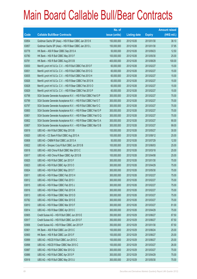|       |                                                                | No. of        |                     |               | <b>Amount raised</b> |
|-------|----------------------------------------------------------------|---------------|---------------------|---------------|----------------------|
| Code  | <b>Callable Bull/Bear Contracts</b>                            | issue (units) | <b>Listing date</b> | <b>Expiry</b> | $(HK$$ mil.)         |
| 63854 | Goldman Sachs SP (Asia) - HSI R Bear CBBC Jan 2013 K           | 150,000,000   | 2012/10/26          | 2013/01/30    | 38.10                |
| 63857 | Goldman Sachs SP (Asia) - HSI R Bear CBBC Jan 2013 L           | 150,000,000   | 2012/10/26          | 2013/01/30    | 37.95                |
| 63778 | HK Bank - A50 R Bear CBBC Sep 2013 A                           | 50,000,000    | 2012/10/26          | 2013/09/23    | 12.50                |
| 63780 | HK Bank - HSI R Bull CBBC May 2013 F                           | 100,000,000   | 2012/10/26          | 2013/05/30    | 25.00                |
| 63781 | HK Bank - HSI R Bull CBBC Aug 2013 B                           | 400,000,000   | 2012/10/26          | 2013/08/29    | 100.00               |
| 63830 | Merrill Lynch Int'l & Co. C.V. - HSI R Bull CBBC Feb 2013 F    | 60,000,000    | 2012/10/26          | 2013/02/27    | 15.00                |
| 63831 | Merrill Lynch Int'l & Co. C.V. - HSI R Bull CBBC Feb 2013 G    | 60,000,000    | 2012/10/26          | 2013/02/27    | 15.00                |
| 63835 | Merrill Lynch Int'l & Co. C.V. - HSI R Bull CBBC Feb 2013 H    | 60,000,000    | 2012/10/26          | 2013/02/27    | 15.00                |
| 63826 | Merrill Lynch Int'l & Co. C.V. - HSI R Bear CBBC Feb 2013 N    | 60,000,000    | 2012/10/26          | 2013/02/27    | 15.00                |
| 63828 | Merrill Lynch Int'l & Co. C.V. - HSI R Bear CBBC Feb 2013 O    | 60,000,000    | 2012/10/26          | 2013/02/27    | 15.00                |
| 63829 | Merrill Lynch Int'l & Co. C.V. - HSI R Bear CBBC Feb 2013 P    | 60,000,000    | 2012/10/26          | 2013/02/27    | 15.00                |
| 63798 | SGA Societe Generale Acceptance N.V. - HSI R Bull CBBC Feb13 P | 300,000,000   | 2012/10/26          | 2013/02/27    | 75.00                |
| 63799 | SGA Societe Generale Acceptance N.V. - HSI R Bull CBBC Feb13 T | 300,000,000   | 2012/10/26          | 2013/02/27    | 75.00                |
| 63797 | SGA Societe Generale Acceptance N.V. - HSI R Bull CBBC Mar13 C | 300,000,000   | 2012/10/26          | 2013/03/27    | 75.00                |
| 63800 | SGA Societe Generale Acceptance N.V. - HSI R Bear CBBC Feb13 P | 300,000,000   | 2012/10/26          | 2013/02/27    | 75.00                |
| 63801 | SGA Societe Generale Acceptance N.V. - HSI R Bear CBBC Feb13 Q | 300,000,000   | 2012/10/26          | 2013/02/27    | 75.00                |
| 63802 | SGA Societe Generale Acceptance N.V. - HSI R Bear CBBC Mar13 A | 300,000,000   | 2012/10/26          | 2013/03/27    | 90.00                |
| 63807 | SGA Societe Generale Acceptance N.V. - HSI R Bear CBBC Mar13 B | 300,000,000   | 2012/10/26          | 2013/03/27    | 99.00                |
| 63819 | UBS AG - AIA R Bull CBBC May 2013 B                            | 100,000,000   | 2012/10/26          | 2013/05/27    | 30.00                |
| 63820 | UBS AG - CC Bank R Bull CBBC Aug 2013 A                        | 100,000,000   | 2012/10/26          | 2013/08/12    | 25.00                |
| 63808 | UBS AG - CNBM R Bull CBBC Jul 2013 A                           | 50,000,000    | 2012/10/26          | 2013/07/29    | 12.50                |
| 63822 | UBS AG - Sinopec Corp R Bull CBBC Jun 2013 B                   | 100,000,000   | 2012/10/26          | 2013/06/03    | 25.00                |
| 63818 | UBS AG - A50 China R Bull CBBC Mar 2013 C                      | 100,000,000   | 2012/10/26          | 2013/03/18    | 25.00                |
| 63817 | UBS AG - A50 China R Bear CBBC Apr 2013 B                      | 100,000,000   | 2012/10/26          | 2013/04/08    | 25.00                |
| 63825 | UBS AG - HSI R Bull CBBC Jan 2013 F                            | 300,000,000   | 2012/10/26          | 2013/01/30    | 75.00                |
| 63823 | UBS AG - HSI R Bull CBBC Apr 2013 O                            | 300,000,000   | 2012/10/26          | 2013/04/29    | 75.00                |
| 63824 | UBS AG - HSI R Bull CBBC May 2013 T                            | 300,000,000   | 2012/10/26          | 2013/05/30    | 75.00                |
| 63811 | UBS AG - HSI R Bear CBBC Feb 2013 H                            | 300,000,000   | 2012/10/26          | 2013/02/27    | 75.00                |
| 63812 | UBS AG - HSI R Bear CBBC Feb 2013 I                            | 300,000,000   | 2012/10/26          | 2013/02/27    | 75.00                |
| 63815 | UBS AG - HSI R Bear CBBC Feb 2013 J                            | 300,000,000   | 2012/10/26          | 2013/02/27    | 75.00                |
| 63816 | UBS AG - HSI R Bear CBBC Feb 2013 K                            | 300,000,000   | 2012/10/26          | 2013/02/27    | 75.00                |
| 63813 | UBS AG - HSI R Bear CBBC Mar 2013 D                            | 300,000,000   | 2012/10/26          | 2013/03/27    | 75.00                |
| 63782 | UBS AG - HSI R Bear CBBC Mar 2013 E                            | 300,000,000   | 2012/10/26          | 2013/03/27    | 75.00                |
| 63810 | UBS AG - HSI R Bear CBBC Mar 2013 F                            | 300,000,000   | 2012/10/26          | 2013/03/27    | 81.00                |
| 63814 | UBS AG - HSI R Bear CBBC Apr 2013 C                            | 300,000,000   | 2012/10/26          | 2013/04/29    | 75.00                |
| 63905 | Credit Suisse AG - HSI R Bull CBBC Jun 2013 E                  | 350,000,000   | 2012/10/29          | 2013/06/27    | 87.50                |
| 63917 | Credit Suisse AG - HSI R Bull CBBC Jun 2013 F                  | 350,000,000   | 2012/10/29          | 2013/06/27    | 87.50                |
| 63906 | Credit Suisse AG - HSI R Bear CBBC Jan 2013 P                  | 350,000,000   | 2012/10/29          | 2013/01/30    | 87.50                |
| 63901 | HK Bank - A50 R Bull CBBC Jun 2013 C                           | 100,000,000   | 2012/10/29          | 2013/06/24    | 25.00                |
| 63900 | HK Bank - HSI R Bull CBBC Jun 2013 F                           | 100,000,000   | 2012/10/29          | 2013/06/27    | 25.00                |
| 63899 | UBS AG - HSCEI R Bull CBBC Jun 2013 C                          | 100,000,000   | 2012/10/29          | 2013/06/27    | 25.00                |
| 63898 | UBS AG - HSCEI R Bear CBBC Mar 2013 C                          | 100,000,000   | 2012/10/29          | 2013/03/27    | 26.00                |
| 63887 | UBS AG - HSI R Bull CBBC Mar 2013 Q                            | 300,000,000   | 2012/10/29          | 2013/03/27    | 75.00                |
| 63886 | UBS AG - HSI R Bull CBBC Apr 2013 P                            | 300,000,000   | 2012/10/29          | 2013/04/29    | 75.00                |
| 63918 | UBS AG - HSI R Bull CBBC May 2013 U                            | 300,000,000   | 2012/10/29          | 2013/05/30    | 75.00                |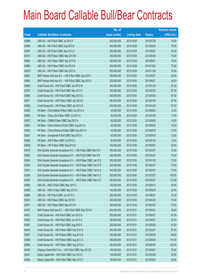|       |                                                                | No. of        |                     |               | <b>Amount raised</b> |
|-------|----------------------------------------------------------------|---------------|---------------------|---------------|----------------------|
| Code  | <b>Callable Bull/Bear Contracts</b>                            | issue (units) | <b>Listing date</b> | <b>Expiry</b> | $(HK$$ mil.)         |
| 63888 | UBS AG - HSI R Bull CBBC Jul 2013 F                            | 300,000,000   | 2012/10/29          | 2013/07/30    | 75.00                |
| 63896 | UBS AG - HSI R Bull CBBC Aug 2013 E                            | 300,000,000   | 2012/10/29          | 2013/08/29    | 75.00                |
| 63895 | UBS AG - HSI R Bull CBBC Sep 2013 D                            | 300,000,000   | 2012/10/29          | 2013/09/27    | 75.00                |
| 63915 | UBS AG - HSI R Bear CBBC May 2013 M                            | 300,000,000   | 2012/10/29          | 2013/05/30    | 75.00                |
| 63884 | UBS AG - HSI R Bear CBBC Sep 2013 B                            | 300,000,000   | 2012/10/29          | 2013/09/27    | 75.00                |
| 63880 | UBS AG - HSI R Bear CBBC Oct 2013 B                            | 300,000,000   | 2012/10/29          | 2013/10/30    | 75.00                |
| 63879 | UBS AG - HSI R Bear CBBC Nov 2013 A                            | 300,000,000   | 2012/10/29          | 2013/11/28    | 75.00                |
| 63981 | BNP Paribas Arbit Issu B.V. - HSI R Bull CBBC Sep 2013 I       | 200,000,000   | 2012/10/30          | 2013/09/27    | 50.00                |
| 63983 | BNP Paribas Arbit Issu B.V. - HSI R Bull CBBC Sep 2013 J       | 200,000,000   | 2012/10/30          | 2013/09/27    | 50.00                |
| 63964 | Credit Suisse AG - HSI R Bull CBBC Jan 2013 W                  | 350,000,000   | 2012/10/30          | 2013/01/30    | 87.50                |
| 63979 | Credit Suisse AG - HSI R Bull CBBC May 2013 F                  | 350,000,000   | 2012/10/30          | 2013/05/30    | 87.50                |
| 63980 | Credit Suisse AG - HSI R Bull CBBC May 2013 G                  | 350,000,000   | 2012/10/30          | 2013/05/30    | 87.50                |
| 63971 | Credit Suisse AG - HSI R Bear CBBC Jan 2013 D                  | 350,000,000   | 2012/10/30          | 2013/01/30    | 87.50                |
| 63969 | Credit Suisse AG - HSI R Bear CBBC Jan 2013 Q                  | 350,000,000   | 2012/10/30          | 2013/01/30    | 87.50                |
| 63950 | HK Bank - China Mobile R Bear CBBC Jun 2013 A                  | 50,000,000    | 2012/10/30          | 2013/06/24    | 12.50                |
| 63939 | HK Bank - China Life R Bear CBBC Jul 2013 A                    | 50,000,000    | 2012/10/30          | 2013/07/29    | 17.50                |
| 63937 | HK Bank - CNBM R Bear CBBC Sep 2013 A                          | 50,000,000    | 2012/10/30          | 2013/09/09    | 14.00                |
| 63963 | HK Bank - China Shenhua R Bull CBBC Aug 2013 A                 | 40,000,000    | 2012/10/30          | 2013/08/29    | 10.00                |
| 63952 | HK Bank - China Shenhua R Bear CBBC Aug 2013 A                 | 40,000,000    | 2012/10/30          | 2013/08/29    | 10.00                |
| 63951 | HK Bank - Evergrande R Bull CBBC Sep 2013 A                    | 50,000,000    | 2012/10/30          | 2013/09/16    | 12.50                |
| 63940 | HK Bank - A50 R Bear CBBC Jul 2013 A                           | 50,000,000    | 2012/10/30          | 2013/07/29    | 12.50                |
| 63936 | HK Bank - HSI R Bear CBBC Sep 2013 B                           | 100,000,000   | 2012/10/30          | 2013/09/27    | 25.00                |
| 63919 | SGA Societe Generale Acceptance N.V. - HSI R Bull CBBC Mar13 D | 300,000,000   | 2012/10/30          | 2013/03/27    | 75.00                |
| 63920 | SGA Societe Generale Acceptance N.V. - HSI R Bull CBBC Mar13 E | 300,000,000   | 2012/10/30          | 2013/03/27    | 75.00                |
| 63924 | SGA Societe Generale Acceptance N.V. - HSI R Bear CBBC Jan13 G | 300,000,000   | 2012/10/30          | 2013/01/30    | 75.00                |
| 63930 | SGA Societe Generale Acceptance N.V. - HSI R Bear CBBC Feb13 R | 300,000,000   | 2012/10/30          | 2013/02/27    | 75.00                |
| 63931 | SGA Societe Generale Acceptance N.V. - HSI R Bear CBBC Feb13 S | 300,000,000   | 2012/10/30          | 2013/02/27    | 75.00                |
| 63934 | SGA Societe Generale Acceptance N.V. - HSI R Bear CBBC Mar13 C | 300,000,000   | 2012/10/30          | 2013/03/27    | 105.00               |
| 63935 | SGA Societe Generale Acceptance N.V. - HSI R Bear CBBC Mar13 D | 300,000,000   | 2012/10/30          | 2013/03/27    | 112.50               |
| 63984 | UBS AG - HKEx R Bull CBBC May 2013 C                           | 100,000,000   | 2012/10/30          | 2013/05/13    | 25.00                |
| 63985 | UBS AG - HKEx R Bear CBBC May 2013 A                           | 100,000,000   | 2012/10/30          | 2013/05/20    | 35.50                |
| 63986 | UBS AG - HSI R Bull CBBC Jun 2013 U                            | 300,000,000   | 2012/10/30          | 2013/06/27    | 75.00                |
| 63972 | UBS AG - HSI R Bear CBBC Apr 2013 E                            | 300,000,000   | 2012/10/30          | 2013/04/29    | 75.00                |
| 63977 | UBS AG - HSI R Bear CBBC May 2013 N                            | 300,000,000   | 2012/10/30          | 2013/05/30    | 75.00                |
| 64053 | BNP Paribas Arbit Issu B.V. - HSI R Bull CBBC Sep 2013 K       | 200,000,000   | 2012/10/31          | 2013/09/27    | 50.00                |
| 64051 | Credit Suisse AG - HSI R Bull CBBC Jun 2013 G                  | 350,000,000   | 2012/10/31          | 2013/06/27    | 87.50                |
| 64052 | Credit Suisse AG - HSI R Bull CBBC Jun 2013 H                  | 350,000,000   | 2012/10/31          | 2013/06/27    | 87.50                |
| 63997 | Credit Suisse AG - HSI R Bull CBBC Aug 2013 A                  | 350,000,000   | 2012/10/31          | 2013/08/29    | 87.50                |
| 64044 | Credit Suisse AG - HSI R Bear CBBC Feb 2013 S                  | 350,000,000   | 2012/10/31          | 2013/02/27    | 87.50                |
| 63987 | Credit Suisse AG - HSI R Bear CBBC Aug 2013 B                  | 350,000,000   | 2012/10/31          | 2013/08/29    | 94.50                |
| 63988 | Credit Suisse AG - HSI R Bear CBBC Aug 2013 C                  | 350,000,000   | 2012/10/31          | 2013/08/29    | 115.50               |
| 63995 | Credit Suisse AG - HSI R Bear CBBC Aug 2013 D                  | 350,000,000   | 2012/10/31          | 2013/08/29    | 122.50               |
| 64034 | Citigroup Global Mkt H Inc. - HSI R Bull CBBC Sep 2013 E       | 100,000,000   | 2012/10/31          | 2013/09/27    | 25.00                |
| 64031 | Daiwa Capital Mkt - HSI R Bull CBBC Apr 2013 C                 | 158,000,000   | 2012/10/31          | 2013/04/29    | 39.50                |
| 64032 | Daiwa Capital Mkt - HSI R Bull CBBC May 2013 F                 | 158,000,000   | 2012/10/31          | 2013/05/30    | 39.50                |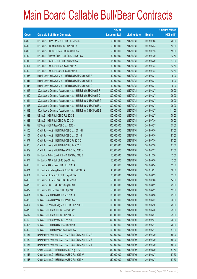|       |                                                                | No. of        |                     |               | <b>Amount raised</b> |
|-------|----------------------------------------------------------------|---------------|---------------------|---------------|----------------------|
| Code  | <b>Callable Bull/Bear Contracts</b>                            | issue (units) | <b>Listing date</b> | <b>Expiry</b> | $(HK$$ mil.)         |
| 63998 | HK Bank - China Life R Bull CBBC Jul 2013 A                    | 50,000,000    | 2012/10/31          | 2013/07/08    | 20.00                |
| 64008 | HK Bank - CNBM R Bull CBBC Jun 2013 A                          | 50,000,000    | 2012/10/31          | 2013/06/24    | 12.50                |
| 63999 | HK Bank - CNOOC R Bear CBBC Jul 2013 A                         | 50,000,000    | 2012/10/31          | 2013/07/15    | 15.00                |
| 64000 | HK Bank - Sinopec Corp R Bull CBBC Jul 2013 A                  | 50,000,000    | 2012/10/31          | 2013/07/29    | 12.50                |
| 64010 | HK Bank - HSCEI R Bull CBBC May 2013 A                         | 68,000,000    | 2012/10/31          | 2013/05/30    | 17.00                |
| 64001 | HK Bank - PetCh R Bull CBBC Jul 2013 A                         | 50,000,000    | 2012/10/31          | 2013/07/22    | 12.50                |
| 64002 | HK Bank - PetCh R Bear CBBC Jul 2013 A                         | 50,000,000    | 2012/10/31          | 2013/07/22    | 12.50                |
| 64038 | Merrill Lynch Int'l & Co. C.V. - HSI R Bull CBBC Mar 2013 A    | 60,000,000    | 2012/10/31          | 2013/03/27    | 15.00                |
| 64041 | Merrill Lynch Int'l & Co. C.V. - HSI R Bull CBBC Mar 2013 B    | 60,000,000    | 2012/10/31          | 2013/03/27    | 15.00                |
| 64043 | Merrill Lynch Int'l & Co. C.V. - HSI R Bull CBBC Mar 2013 C    | 60,000,000    | 2012/10/31          | 2013/03/27    | 15.00                |
| 64017 | SGA Societe Generale Acceptance N.V. - HSI R Bull CBBC Mar13 F | 300,000,000   | 2012/10/31          | 2013/03/27    | 75.00                |
| 64019 | SGA Societe Generale Acceptance N.V. - HSI R Bull CBBC Mar13 G | 300,000,000   | 2012/10/31          | 2013/03/27    | 75.00                |
| 64014 | SGA Societe Generale Acceptance N.V. - HSI R Bear CBBC Feb13 T | 300,000,000   | 2012/10/31          | 2013/02/27    | 75.00                |
| 64016 | SGA Societe Generale Acceptance N.V. - HSI R Bear CBBC Feb13 U | 300,000,000   | 2012/10/31          | 2013/02/27    | 75.00                |
| 64013 | SGA Societe Generale Acceptance N.V. - HSI R Bear CBBC Mar13 E | 300,000,000   | 2012/10/31          | 2013/03/27    | 111.00               |
| 64028 | UBS AG - HSI R Bull CBBC Feb 2013 Z                            | 300,000,000   | 2012/10/31          | 2013/02/27    | 75.00                |
| 64023 | UBS AG - HSI R Bull CBBC Jul 2013 G                            | 300,000,000   | 2012/10/31          | 2013/07/30    | 75.00                |
| 64022 | UBS AG - HSI R Bear CBBC Mar 2013 H                            | 300,000,000   | 2012/10/31          | 2013/03/27    | 75.00                |
| 64100 | Credit Suisse AG - HSI R Bull CBBC May 2013 H                  | 350,000,000   | 2012/11/01          | 2013/05/30    | 87.50                |
| 64101 | Credit Suisse AG - HSI R Bull CBBC May 2013 I                  | 350,000,000   | 2012/11/01          | 2013/05/30    | 87.50                |
| 64077 | Credit Suisse AG - HSI R Bull CBBC Jul 2013 D                  | 350,000,000   | 2012/11/01          | 2013/07/30    | 87.50                |
| 64078 | Credit Suisse AG - HSI R Bull CBBC Jul 2013 E                  | 350,000,000   | 2012/11/01          | 2013/07/30    | 87.50                |
| 64079 | Credit Suisse AG - HSI R Bear CBBC Feb 2013 V                  | 350,000,000   | 2012/11/01          | 2013/02/27    | 87.50                |
| 64067 | HK Bank - Anhui Conch R Bull CBBC Dec 2013 B                   | 50,000,000    | 2012/11/01          | 2013/12/20    | 12.50                |
| 64074 | HK Bank - AIA R Bull CBBC Sep 2013 A                           | 50,000,000    | 2012/11/01          | 2013/09/30    | 12.50                |
| 64066 | HK Bank - AIA R Bear CBBC Jun 2013 A                           | 50,000,000    | 2012/11/01          | 2013/06/24    | 12.50                |
| 64071 | HK Bank - Minsheng Bank R Bull CBBC Oct 2013 A                 | 40,000,000    | 2012/11/01          | 2013/10/21    | 10.00                |
| 64054 | HK Bank - HKEx R Bull CBBC Sep 2013 A                          | 60,000,000    | 2012/11/01          | 2013/09/23    | 15.00                |
| 64056 | HK Bank - HKEx R Bear CBBC Jul 2013 A                          | 50,000,000    | 2012/11/01          | 2013/07/08    | 14.00                |
| 64075 | HK Bank - HSI R Bull CBBC Aug 2013 C                           | 100,000,000   | 2012/11/01          | 2013/08/29    | 25.00                |
| 64072 | HK Bank - TCH R Bear CBBC Apr 2013 C                           | 50,000,000    | 2012/11/01          | 2013/04/22    | 12.50                |
| 64091 | UBS AG - ABC R Bull CBBC Aug 2013 A                            | 100,000,000   | 2012/11/01          | 2013/08/26    | 25.00                |
| 64080 | UBS AG - AIA R Bear CBBC Apr 2013 A                            | 100,000,000   | 2012/11/01          | 2013/04/22    | 36.00                |
| 64097 | UBS AG - Cheung Kong R Bull CBBC Jun 2013 B                    | 100,000,000   | 2012/11/01          | 2013/06/10    | 25.00                |
| 64076 | UBS AG - HSI R Bull CBBC May 2013 V                            | 300,000,000   | 2012/11/01          | 2013/05/30    | 75.00                |
| 64112 | UBS AG - HSI R Bull CBBC Jun 2013 V                            | 300,000,000   | 2012/11/01          | 2013/06/27    | 75.00                |
| 64102 | UBS AG - HSI R Bear CBBC Feb 2013 L                            | 300,000,000   | 2012/11/01          | 2013/02/27    | 75.00                |
| 64096 | UBS AG - TCH R Bull CBBC Jun 2013 B                            | 100,000,000   | 2012/11/01          | 2013/06/17    | 25.00                |
| 64092 | UBS AG - TCH R Bear CBBC Jun 2013 A                            | 100,000,000   | 2012/11/01          | 2013/06/17    | 57.00                |
| 64151 | BNP Paribas Arbit Issu B.V. - HSI R Bear CBBC Apr 2013 R       | 200,000,000   | 2012/11/02          | 2013/04/29    | 50.00                |
| 64152 | BNP Paribas Arbit Issu B.V. - HSI R Bear CBBC Apr 2013 S       | 200,000,000   | 2012/11/02          | 2013/04/29    | 50.00                |
| 64154 | BNP Paribas Arbit Issu B.V. - HSI R Bear CBBC Apr 2013 T       | 200,000,000   | 2012/11/02          | 2013/04/29    | 50.00                |
| 64130 | Credit Suisse AG - HSI R Bull CBBC Aug 2013 B                  | 350,000,000   | 2012/11/02          | 2013/08/29    | 87.50                |
| 64147 | Credit Suisse AG - HSI R Bear CBBC Feb 2013 W                  | 350,000,000   | 2012/11/02          | 2013/02/27    | 87.50                |
| 64148 | Credit Suisse AG - HSI R Bear CBBC Feb 2013 X                  | 350,000,000   | 2012/11/02          | 2013/02/27    | 87.50                |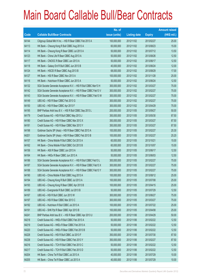|       |                                                                | No. of        |                     |               | <b>Amount raised</b> |
|-------|----------------------------------------------------------------|---------------|---------------------|---------------|----------------------|
| Code  | <b>Callable Bull/Bear Contracts</b>                            | issue (units) | <b>Listing date</b> | <b>Expiry</b> | (HK\$ mil.)          |
| 64144 | Citigroup Global Mkt H Inc. - HSI R Bear CBBC Feb 2013 A       | 100,000,000   | 2012/11/02          | 2013/02/27    | 25.00                |
| 64113 | HK Bank - Cheung Kong R Bull CBBC Aug 2013 A                   | 60,000,000    | 2012/11/02          | 2013/08/23    | 15.00                |
| 64114 | HK Bank - Cheung Kong R Bear CBBC Jul 2013 A                   | 50,000,000    | 2012/11/02          | 2013/07/12    | 13.50                |
| 64123 | HK Bank - China Life R Bear CBBC Aug 2013 A                    | 50,000,000    | 2012/11/02          | 2013/08/26    | 12.50                |
| 64117 | HK Bank - CNOOC R Bear CBBC Jun 2013 A                         | 50,000,000    | 2012/11/02          | 2013/06/17    | 12.50                |
| 64118 | HK Bank - Galaxy Ent R Bull CBBC Jun 2013 B                    | 40,000,000    | 2012/11/02          | 2013/06/24    | 12.00                |
| 64124 | HK Bank - HSCEI R Bear CBBC Aug 2013 B                         | 68,000,000    | 2012/11/02          | 2013/08/29    | 17.00                |
| 64127 | HK Bank - HSI R Bear CBBC Nov 2013 A                           | 100,000,000   | 2012/11/02          | 2013/11/28    | 25.00                |
| 64116 | HK Bank - Hutchison R Bear CBBC Jun 2013 A                     | 50,000,000    | 2012/11/02          | 2013/06/24    | 12.50                |
| 64132 | SGA Societe Generale Acceptance N.V. - HSI R Bull CBBC Mar13 H | 300,000,000   | 2012/11/02          | 2013/03/27    | 75.00                |
| 64142 | SGA Societe Generale Acceptance N.V. - HSI R Bear CBBC Feb13 V | 300,000,000   | 2012/11/02          | 2013/02/27    | 75.00                |
| 64143 | SGA Societe Generale Acceptance N.V. - HSI R Bear CBBC Feb13 W | 300,000,000   | 2012/11/02          | 2013/02/27    | 75.00                |
| 64149 | UBS AG - HSI R Bear CBBC Feb 2013 G                            | 300,000,000   | 2012/11/02          | 2013/02/27    | 75.00                |
| 64150 | UBS AG - HSI R Bear CBBC Apr 2013 F                            | 300,000,000   | 2012/11/02          | 2013/04/29    | 75.00                |
| 64195 | BNP Paribas Arbit Issu B.V. - HSI R Bull CBBC Sep 2013 L       | 200,000,000   | 2012/11/05          | 2013/09/27    | 50.00                |
| 64179 | Credit Suisse AG - HSI R Bull CBBC May 2013 J                  | 350,000,000   | 2012/11/05          | 2013/05/30    | 87.50                |
| 64180 | Credit Suisse AG - HSI R Bear CBBC Mar 2013 X                  | 350,000,000   | 2012/11/05          | 2013/03/27    | 87.50                |
| 64181 | Credit Suisse AG - HSI R Bear CBBC Mar 2013 Y                  | 350,000,000   | 2012/11/05          | 2013/03/27    | 87.50                |
| 64198 | Goldman Sachs SP (Asia) - HSI R Bear CBBC Feb 2013 A           | 100,000,000   | 2012/11/05          | 2013/02/27    | 25.30                |
| 64201 | Goldman Sachs SP (Asia) - HSI R Bear CBBC Feb 2013 B           | 100,000,000   | 2012/11/05          | 2013/02/27    | 25.20                |
| 64157 | HK Bank - China Mobile R Bull CBBC Oct 2013 A                  | 60,000,000    | 2012/11/05          | 2013/10/21    | 15.00                |
| 64162 | HK Bank - China Mobile R Bull CBBC Oct 2013 B                  | 60,000,000    | 2012/11/05          | 2013/10/07    | 15.00                |
| 64156 | HK Bank - A50 R Bear CBBC Jun 2013 A                           | 50,000,000    | 2012/11/05          | 2013/06/17    | 12.50                |
| 64164 | HK Bank - HKEx R Bear CBBC Jun 2013 A                          | 50,000,000    | 2012/11/05          | 2013/06/03    | 12.50                |
| 64186 | SGA Societe Generale Acceptance N.V. - HSI R Bull CBBC Feb13 L | 300,000,000   | 2012/11/05          | 2013/02/27    | 75.00                |
| 64187 | SGA Societe Generale Acceptance N.V. - HSI R Bear CBBC Feb13 X | 300,000,000   | 2012/11/05          | 2013/02/27    | 75.00                |
| 64188 | SGA Societe Generale Acceptance N.V. - HSI R Bear CBBC Feb13 Y | 300,000,000   | 2012/11/05          | 2013/02/27    | 75.00                |
| 64190 | UBS AG - China Mobile R Bull CBBC Aug 2013 A                   | 100,000,000   | 2012/11/05          | 2013/08/12    | 25.00                |
| 64194 | UBS AG - Cheung Kong R Bull CBBC Jul 2013 A                    | 100,000,000   | 2012/11/05          | 2013/07/08    | 25.00                |
| 64193 | UBS AG - Cheung Kong R Bear CBBC Apr 2013 B                    | 100,000,000   | 2012/11/05          | 2013/04/15    | 25.00                |
| 64189 | UBS AG - Evergrande R Bull CBBC Jul 2013 B                     | 50,000,000    | 2012/11/05          | 2013/07/29    | 12.50                |
| 64167 | UBS AG - HSI R Bull CBBC Jun 2013 W                            | 300,000,000   | 2012/11/05          | 2013/06/27    | 75.00                |
| 64197 | UBS AG - HSI R Bear CBBC Mar 2013 C                            | 300,000,000   | 2012/11/05          | 2013/03/27    | 75.00                |
| 64192 | UBS AG - Hutchison R Bull CBBC Jul 2013 A                      | 100,000,000   | 2012/11/05          | 2013/07/22    | 25.00                |
| 64191 | UBS AG - SHK Ppt R Bear CBBC Apr 2013 B                        | 100,000,000   | 2012/11/05          | 2013/04/08    | 25.00                |
| 64241 | BNP Paribas Arbit Issu B.V. - HSI R Bear CBBC Apr 2013 U       | 200,000,000   | 2012/11/06          | 2013/04/29    | 50.00                |
| 64218 | Credit Suisse AG - HKEx R Bull CBBC Feb 2013 A                 | 50,000,000    | 2012/11/06          | 2013/02/22    | 12.50                |
| 64219 | Credit Suisse AG - HKEx R Bear CBBC Feb 2013 A                 | 50,000,000    | 2012/11/06          | 2013/02/22    | 12.50                |
| 64220 | Credit Suisse AG - HKEx R Bear CBBC Feb 2013 B                 | 50,000,000    | 2012/11/06          | 2013/02/22    | 12.50                |
| 64228 | Credit Suisse AG - HSI R Bull CBBC Jul 2013 F                  | 350,000,000   | 2012/11/06          | 2013/07/30    | 87.50                |
| 64238 | Credit Suisse AG - HSI R Bear CBBC Feb 2013 Y                  | 350,000,000   | 2012/11/06          | 2013/02/27    | 87.50                |
| 64216 | Credit Suisse AG - TCH R Bull CBBC Feb 2013 C                  | 50,000,000    | 2012/11/06          | 2013/02/22    | 12.50                |
| 64217 | Credit Suisse AG - TCH R Bull CBBC Feb 2013 D                  | 50,000,000    | 2012/11/06          | 2013/02/22    | 12.50                |
| 64204 | HK Bank - China Tel R Bull CBBC Jul 2013 A                     | 40,000,000    | 2012/11/06          | 2013/07/29    | 10.00                |
| 64205 | HK Bank - China Tel R Bear CBBC Jul 2013 A                     | 40,000,000    | 2012/11/06          | 2013/07/29    | 10.00                |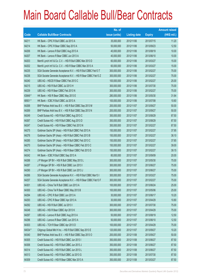|         |                                                                | No. of        |                     |               | <b>Amount raised</b> |
|---------|----------------------------------------------------------------|---------------|---------------------|---------------|----------------------|
| Code    | <b>Callable Bull/Bear Contracts</b>                            | issue (units) | <b>Listing date</b> | <b>Expiry</b> | $(HK$$ mil.)         |
| 64211   | HK Bank - CPIC R Bull CBBC Jul 2013 A                          | 35,000,000    | 2012/11/06          | 2013/07/15    | 11.20                |
| 64214   | HK Bank - CPIC R Bear CBBC Sep 2013 A                          | 50,000,000    | 2012/11/06          | 2013/09/23    | 12.50                |
| 64206   | HK Bank - Lenovo R Bull CBBC Aug 2013 A                        | 40,000,000    | 2012/11/06          | 2013/08/19    | 10.00                |
| 64207   | HK Bank - Lenovo R Bear CBBC Jun 2013 A                        | 40,000,000    | 2012/11/06          | 2013/06/10    | 10.00                |
| 64203   | Merrill Lynch Int'l & Co. C.V. - HSI R Bull CBBC Mar 2013 D    | 60,000,000    | 2012/11/06          | 2013/03/27    | 15.00                |
| 64202   | Merrill Lynch Int'l & Co. C.V. - HSI R Bear CBBC Mar 2013 A    | 60,000,000    | 2012/11/06          | 2013/03/27    | 15.00                |
| 64235   | SGA Societe Generale Acceptance N.V. - HSI R Bull CBBC Feb13 T | 300,000,000   | 2012/11/06          | 2013/02/27    | 75.00                |
| 64236   | SGA Societe Generale Acceptance N.V. - HSI R Bear CBBC Feb13 Z | 300,000,000   | 2012/11/06          | 2013/02/27    | 75.00                |
| 64240   | UBS AG - HSCEI R Bear CBBC Feb 2013 C                          | 100,000,000   | 2012/11/06          | 2013/02/27    | 25.00                |
| 64215   | UBS AG - HSI R Bull CBBC Jul 2013 H                            | 300,000,000   | 2012/11/06          | 2013/07/30    | 75.00                |
| 64239   | UBS AG - HSI R Bear CBBC Feb 2013 N                            | 300,000,000   | 2012/11/06          | 2013/02/27    | 75.00                |
| 63848 # | HK Bank - HSI R Bear CBBC May 2013 E                           | 280,000,000   | 2012/11/06          | 2013/05/30    | 31.64                |
| 68501#  | HK Bank - ICBC R Bull CBBC Jul 2013 A                          | 100,000,000   | 2012/11/06          | 2013/07/08    | 10.60                |
| 64268   | BNP Paribas Arbit Issu B.V. - HSI R Bull CBBC Sep 2013 M       | 200,000,000   | 2012/11/07          | 2013/09/27    | 50.00                |
| 64269   | BNP Paribas Arbit Issu B.V. - HSI R Bull CBBC Sep 2013 N       | 200,000,000   | 2012/11/07          | 2013/09/27    | 50.00                |
| 64249   | Credit Suisse AG - HSI R Bull CBBC Aug 2013 C                  | 350,000,000   | 2012/11/07          | 2013/08/29    | 87.50                |
| 64267   | Credit Suisse AG - HSI R Bull CBBC Aug 2013 D                  | 350,000,000   | 2012/11/07          | 2013/08/29    | 87.50                |
| 64247   | Credit Suisse AG - HSI R Bear CBBC Feb 2013 N                  | 350,000,000   | 2012/11/07          | 2013/02/27    | 87.50                |
| 64275   | Goldman Sachs SP (Asia) - HSI R Bull CBBC Feb 2013 A           | 150,000,000   | 2012/11/07          | 2013/02/27    | 37.95                |
| 64276   | Goldman Sachs SP (Asia) - HSI R Bull CBBC Feb 2013 B           | 150,000,000   | 2012/11/07          | 2013/02/27    | 38.10                |
| 64285   | Goldman Sachs SP (Asia) - HSI R Bull CBBC Feb 2013 C           | 150,000,000   | 2012/11/07          | 2013/02/27    | 37.65                |
| 64270   | Goldman Sachs SP (Asia) - HSI R Bear CBBC Feb 2013 C           | 150,000,000   | 2012/11/07          | 2013/02/27    | 39.00                |
| 64274   | Goldman Sachs SP (Asia) - HSI R Bear CBBC Feb 2013 D           | 150,000,000   | 2012/11/07          | 2013/02/27    | 39.15                |
| 64242   | HK Bank - ICBC R Bull CBBC Sep 2013 A                          | 80,000,000    | 2012/11/07          | 2013/09/09    | 20.00                |
| 64288   | J P Morgan SP BV - HSI R Bull CBBC May 2013 L                  | 300,000,000   | 2012/11/07          | 2013/05/30    | 75.00                |
| 64287   | J P Morgan SP BV - HSI R Bull CBBC Jun 2013 I                  | 300,000,000   | 2012/11/07          | 2013/06/27    | 75.00                |
| 64290   | J P Morgan SP BV - HSI R Bull CBBC Jun 2013 J                  | 300,000,000   | 2012/11/07          | 2013/06/27    | 75.00                |
| 64266   | SGA Societe Generale Acceptance N.V. - HSI R Bull CBBC Mar13 I | 300,000,000   | 2012/11/07          | 2013/03/27    | 75.00                |
| 64257   | SGA Societe Generale Acceptance N.V. - HSI R Bear CBBC Feb13 F | 300,000,000   | 2012/11/07          | 2013/02/27    | 75.00                |
| 64301   | UBS AG - China Tel R Bull CBBC Jun 2013 A                      | 100,000,000   | 2012/11/07          | 2013/06/24    | 25.00                |
| 64300   | UBS AG - China Tel R Bear CBBC May 2013 B                      | 100,000,000   | 2012/11/07          | 2013/05/06    | 25.00                |
| 64294   | UBS AG - CPIC R Bull CBBC Jun 2013 A                           | 30,000,000    | 2012/11/07          | 2013/06/17    | 10.20                |
| 64293   | UBS AG - CPIC R Bear CBBC Apr 2013 A                           | 30,000,000    | 2012/11/07          | 2013/04/29    | 10.80                |
| 64292   | UBS AG - HSI R Bull CBBC Jul 2013 I                            | 300,000,000   | 2012/11/07          | 2013/07/30    | 75.00                |
| 64248   | UBS AG - HSI R Bear CBBC Apr 2013 K                            | 300,000,000   | 2012/11/07          | 2013/04/29    | 75.00                |
| 64297   | UBS AG - Lenovo R Bull CBBC Aug 2013 A                         | 50,000,000    | 2012/11/07          | 2013/08/19    | 12.50                |
| 64296   | UBS AG - Lenovo R Bear CBBC Jun 2013 A                         | 50,000,000    | 2012/11/07          | 2013/06/10    | 12.50                |
| 64303   | UBS AG - TCH R Bear CBBC Apr 2013 D                            | 100,000,000   | 2012/11/07          | 2013/04/29    | 75.00                |
| 64034 # | Citigroup Global Mkt H Inc. - HSI R Bull CBBC Sep 2013 E       | 120,000,000   | 2012/11/07          | 2013/09/27    | 10.20                |
| 64340   | BNP Paribas Arbit Issu B.V. - HSI R Bull CBBC Sep 2013 O       | 200,000,000   | 2012/11/08          | 2013/09/27    | 50.00                |
| 64305   | Credit Suisse AG - HSI R Bull CBBC Jun 2013 I                  | 350,000,000   | 2012/11/08          | 2013/06/27    | 87.50                |
| 64306   | Credit Suisse AG - HSI R Bull CBBC Jun 2013 J                  | 350,000,000   | 2012/11/08          | 2013/06/27    | 87.50                |
| 64314   | Credit Suisse AG - HSI R Bull CBBC Jun 2013 L                  | 350,000,000   | 2012/11/08          | 2013/06/27    | 87.50                |
| 64313   | Credit Suisse AG - HSI R Bull CBBC Jul 2013 G                  | 350,000,000   | 2012/11/08          | 2013/07/30    | 87.50                |
| 64309   | Credit Suisse AG - HSI R Bear CBBC Mar 2013 A                  | 350,000,000   | 2012/11/08          | 2013/03/27    | 87.50                |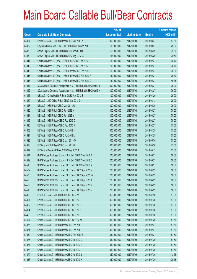|       |                                                                | No. of        |                     |               | <b>Amount raised</b> |
|-------|----------------------------------------------------------------|---------------|---------------------|---------------|----------------------|
| Code  | <b>Callable Bull/Bear Contracts</b>                            | issue (units) | <b>Listing date</b> | <b>Expiry</b> | $(HK$$ mil.)         |
| 64307 | Credit Suisse AG - HSI R Bear CBBC Mar 2013 Z                  | 350,000,000   | 2012/11/08          | 2013/03/27    | 87.50                |
| 64352 | Citigroup Global Mkt H Inc. - HSI R Bull CBBC Sep 2013 F       | 100,000,000   | 2012/11/08          | 2013/09/27    | 25.00                |
| 64335 | Daiwa Capital Mkt - HSI R Bull CBBC Apr 2013 D                 | 158,000,000   | 2012/11/08          | 2013/04/29    | 39.50                |
| 64339 | Daiwa Capital Mkt - HSI R Bull CBBC May 2013 G                 | 158,000,000   | 2012/11/08          | 2013/05/30    | 39.50                |
| 64341 | Goldman Sachs SP (Asia) - HSI R Bull CBBC Feb 2013 D           | 150,000,000   | 2012/11/08          | 2013/02/27    | 38.70                |
| 64342 | Goldman Sachs SP (Asia) - HSI R Bull CBBC Feb 2013 E           | 150,000,000   | 2012/11/08          | 2013/02/27    | 38.10                |
| 64343 | Goldman Sachs SP (Asia) - HSI R Bear CBBC Feb 2013 E           | 150,000,000   | 2012/11/08          | 2013/02/27    | 39.00                |
| 64345 | Goldman Sachs SP (Asia) - HSI R Bear CBBC Feb 2013 F           | 150,000,000   | 2012/11/08          | 2013/02/27    | 39.30                |
| 64348 | Goldman Sachs SP (Asia) - HSI R Bear CBBC Feb 2013 G           | 150,000,000   | 2012/11/08          | 2013/02/27    | 40.35                |
| 64311 | SGA Societe Generale Acceptance N.V. - HSI R Bull CBBC Mar13 J | 300,000,000   | 2012/11/08          | 2013/03/27    | 75.00                |
| 64312 | SGA Societe Generale Acceptance N.V. - HSI R Bull CBBC Mar13 K | 300,000,000   | 2012/11/08          | 2013/03/27    | 75.00                |
| 64315 | UBS AG - China Mobile R Bear CBBC Apr 2013 B                   | 100,000,000   | 2012/11/08          | 2013/04/29    | 25.00                |
| 64329 | UBS AG - A50 China R Bull CBBC Mar 2013 D                      | 100,000,000   | 2012/11/08          | 2013/03/18    | 25.00                |
| 64318 | UBS AG - HSI R Bull CBBC May 2013 W                            | 300,000,000   | 2012/11/08          | 2013/05/30    | 75.00                |
| 64330 | UBS AG - HSI R Bull CBBC Jun 2013 X                            | 300,000,000   | 2012/11/08          | 2013/06/27    | 75.00                |
| 64331 | UBS AG - HSI R Bull CBBC Jun 2013 Y                            | 300,000,000   | 2012/11/08          | 2013/06/27    | 75.00                |
| 64319 | UBS AG - HSI R Bear CBBC Feb 2013 Q                            | 300,000,000   | 2012/11/08          | 2013/02/27    | 75.00                |
| 64320 | UBS AG - HSI R Bear CBBC Feb 2013 R                            | 300,000,000   | 2012/11/08          | 2013/02/27    | 75.00                |
| 64308 | UBS AG - HSI R Bear CBBC Apr 2013 J                            | 300,000,000   | 2012/11/08          | 2013/04/29    | 75.00                |
| 64324 | UBS AG - HSI R Bear CBBC Apr 2013 L                            | 300,000,000   | 2012/11/08          | 2013/04/29    | 75.00                |
| 64325 | UBS AG - HSI R Bear CBBC May 2013 O                            | 300,000,000   | 2012/11/08          | 2013/05/30    | 75.00                |
| 64326 | UBS AG - HSI R Bear CBBC May 2013 P                            | 300,000,000   | 2012/11/08          | 2013/05/30    | 75.00                |
| 64317 | UBS AG - Ping An R Bear CBBC May 2013 A                        | 100,000,000   | 2012/11/08          | 2013/05/13    | 25.00                |
| 64511 | BNP Paribas Arbit Issu B.V. - HSI R Bull CBBC Sep 2013 P       | 200,000,000   | 2012/11/09          | 2013/09/27    | 50.00                |
| 64512 | BNP Paribas Arbit Issu B.V. - HSI R Bull CBBC Sep 2013 Q       | 200,000,000   | 2012/11/09          | 2013/09/27    | 50.00                |
| 64513 | BNP Paribas Arbit Issu B.V. - HSI R Bull CBBC Sep 2013 R       | 200,000,000   | 2012/11/09          | 2013/09/27    | 50.00                |
| 64502 | BNP Paribas Arbit Issu B.V. - HSI R Bear CBBC Apr 2013 V       | 200,000,000   | 2012/11/09          | 2013/04/29    | 50.00                |
| 64505 | BNP Paribas Arbit Issu B.V. - HSI R Bear CBBC Apr 2013 W       | 200,000,000   | 2012/11/09          | 2013/04/29    | 50.00                |
| 64506 | BNP Paribas Arbit Issu B.V. - HSI R Bear CBBC Apr 2013 X       | 200,000,000   | 2012/11/09          | 2013/04/29    | 50.00                |
| 64509 | BNP Paribas Arbit Issu B.V. - HSI R Bear CBBC Apr 2013 Y       | 200,000,000   | 2012/11/09          | 2013/04/29    | 50.00                |
| 64510 | BNP Paribas Arbit Issu B.V. - HSI R Bear CBBC Apr 2013 Z       | 200,000,000   | 2012/11/09          | 2013/04/29    | 50.00                |
| 64390 | Credit Suisse AG - HSI R Bull CBBC Jul 2013 H                  | 350,000,000   | 2012/11/09          | 2013/07/30    | 87.50                |
| 64391 | Credit Suisse AG - HSI R Bull CBBC Jul 2013 I                  | 350,000,000   | 2012/11/09          | 2013/07/30    | 87.50                |
| 64392 | Credit Suisse AG - HSI R Bull CBBC Jul 2013 J                  | 350,000,000   | 2012/11/09          | 2013/07/30    | 87.50                |
| 64394 | Credit Suisse AG - HSI R Bull CBBC Jul 2013 K                  | 350,000,000   | 2012/11/09          | 2013/07/30    | 87.50                |
| 64490 | Credit Suisse AG - HSI R Bull CBBC Jul 2013 L                  | 350,000,000   | 2012/11/09          | 2013/07/30    | 87.50                |
| 64491 | Credit Suisse AG - HSI R Bull CBBC Jul 2013 M                  | 350,000,000   | 2012/11/09          | 2013/07/30    | 87.50                |
| 64385 | Credit Suisse AG - HSI R Bear CBBC Feb 2013 E                  | 350,000,000   | 2012/11/09          | 2013/02/27    | 87.50                |
| 64384 | Credit Suisse AG - HSI R Bear CBBC Feb 2013 R                  | 350,000,000   | 2012/11/09          | 2013/02/27    | 87.50                |
| 64389 | Credit Suisse AG - HSI R Bear CBBC Feb 2013 Z                  | 350,000,000   | 2012/11/09          | 2013/02/27    | 87.50                |
| 64376 | Credit Suisse AG - HSI R Bear CBBC Jul 2013 G                  | 350,000,000   | 2012/11/09          | 2013/07/30    | 87.50                |
| 64377 | Credit Suisse AG - HSI R Bear CBBC Jul 2013 H                  | 350,000,000   | 2012/11/09          | 2013/07/30    | 87.50                |
| 64378 | Credit Suisse AG - HSI R Bear CBBC Jul 2013 I                  | 350,000,000   | 2012/11/09          | 2013/07/30    | 87.50                |
| 64379 | Credit Suisse AG - HSI R Bear CBBC Jul 2013 J                  | 350,000,000   | 2012/11/09          | 2013/07/30    | 113.75               |
| 64383 | Credit Suisse AG - HSI R Bear CBBC Jul 2013 K                  | 350,000,000   | 2012/11/09          | 2013/07/30    | 120.75               |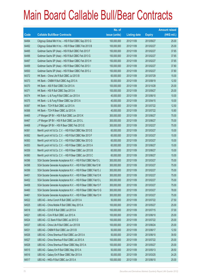|       |                                                                | No. of        |                     |               | <b>Amount raised</b> |
|-------|----------------------------------------------------------------|---------------|---------------------|---------------|----------------------|
| Code  | <b>Callable Bull/Bear Contracts</b>                            | issue (units) | <b>Listing date</b> | <b>Expiry</b> | $(HK$$ mil.)         |
| 64494 | Citigroup Global Mkt H Inc. - HSI R Bull CBBC Sep 2013 G       | 100,000,000   | 2012/11/09          | 2013/09/27    | 25.00                |
| 64492 | Citigroup Global Mkt H Inc. - HSI R Bear CBBC Feb 2013 B       | 100,000,000   | 2012/11/09          | 2013/02/27    | 25.00                |
| 64495 | Goldman Sachs SP (Asia) - HSI R Bull CBBC Feb 2013 F           | 150,000,000   | 2012/11/09          | 2013/02/27    | 37.65                |
| 64496 | Goldman Sachs SP (Asia) - HSI R Bull CBBC Feb 2013 G           | 150,000,000   | 2012/11/09          | 2013/02/27    | 37.65                |
| 64497 | Goldman Sachs SP (Asia) - HSI R Bear CBBC Feb 2013 H           | 150,000,000   | 2012/11/09          | 2013/02/27    | 37.65                |
| 64499 | Goldman Sachs SP (Asia) - HSI R Bear CBBC Feb 2013 I           | 150,000,000   | 2012/11/09          | 2013/02/27    | 37.80                |
| 64500 | Goldman Sachs SP (Asia) - HSI R Bear CBBC Feb 2013 J           | 150,000,000   | 2012/11/09          | 2013/02/27    | 37.80                |
| 64372 | HK Bank - China Life R Bull CBBC Jul 2013 B                    | 60,000,000    | 2012/11/09          | 2013/07/29    | 15.00                |
| 64373 | HK Bank - CNBM R Bull CBBC Aug 2013 A                          | 50,000,000    | 2012/11/09          | 2013/08/19    | 12.50                |
| 64370 | HK Bank - A50 R Bull CBBC Oct 2013 A                           | 100,000,000   | 2012/11/09          | 2013/10/28    | 25.00                |
| 64371 | HK Bank - HSI R Bull CBBC Sep 2013 A                           | 100,000,000   | 2012/11/09          | 2013/09/27    | 25.00                |
| 64374 | HK Bank - Li & Fung R Bull CBBC Jun 2013 A                     | 40,000,000    | 2012/11/09          | 2013/06/10    | 10.00                |
| 64375 | HK Bank - Li & Fung R Bear CBBC Apr 2013 A                     | 40,000,000    | 2012/11/09          | 2013/04/15    | 10.00                |
| 64367 | HK Bank - TCH R Bull CBBC Jul 2013 A                           | 50,000,000    | 2012/11/09          | 2013/07/22    | 12.50                |
| 64368 | HK Bank - TCH R Bear CBBC Jul 2013 A                           | 40,000,000    | 2012/11/09          | 2013/07/22    | 10.80                |
| 64465 | J P Morgan SP BV - HSI R Bull CBBC Jun 2013 K                  | 300,000,000   | 2012/11/09          | 2013/06/27    | 75.00                |
| 64467 | J P Morgan SP BV - HSI R Bull CBBC Jun 2013 L                  | 300,000,000   | 2012/11/09          | 2013/06/27    | 75.00                |
| 64468 | J P Morgan SP BV - HSI R Bear CBBC Feb 2013 E                  | 300,000,000   | 2012/11/09          | 2013/02/27    | 75.00                |
| 64361 | Merrill Lynch Int'l & Co. C.V. - HSI R Bull CBBC Mar 2013 E    | 60,000,000    | 2012/11/09          | 2013/03/27    | 15.00                |
| 64362 | Merrill Lynch Int'l & Co. C.V. - HSI R Bull CBBC Mar 2013 F    | 60,000,000    | 2012/11/09          | 2013/03/27    | 15.00                |
| 64363 | Merrill Lynch Int'l & Co. C.V. - HSI R Bull CBBC Mar 2013 G    | 60,000,000    | 2012/11/09          | 2013/03/27    | 15.00                |
| 64353 | Merrill Lynch Int'l & Co. C.V. - HSI R Bear CBBC Jun 2013 A    | 60,000,000    | 2012/11/09          | 2013/06/27    | 15.00                |
| 64359 | Merrill Lynch Int'l & Co. C.V. - HSI R Bear CBBC Jun 2013 B    | 60,000,000    | 2012/11/09          | 2013/06/27    | 15.00                |
| 64360 | Merrill Lynch Int'l & Co. C.V. - HSI R Bear CBBC Jun 2013 C    | 60,000,000    | 2012/11/09          | 2013/06/27    | 15.00                |
| 64396 | SGA Societe Generale Acceptance N.V. - HSI R Bull CBBC Mar13 L | 300,000,000   | 2012/11/09          | 2013/03/27    | 75.00                |
| 64398 | SGA Societe Generale Acceptance N.V. - HSI R Bull CBBC Mar13 M | 300,000,000   | 2012/11/09          | 2013/03/27    | 75.00                |
| 64399 | SGA Societe Generale Acceptance N.V. - HSI R Bear CBBC Feb13 J | 300,000,000   | 2012/11/09          | 2013/02/27    | 75.00                |
| 64451 | SGA Societe Generale Acceptance N.V. - HSI R Bear CBBC Feb13 K | 300,000,000   | 2012/11/09          | 2013/02/27    | 75.00                |
| 64452 | SGA Societe Generale Acceptance N.V. - HSI R Bear CBBC Feb13 L | 300,000,000   | 2012/11/09          | 2013/02/27    | 75.00                |
| 64458 | SGA Societe Generale Acceptance N.V. - HSI R Bear CBBC Mar13 F | 300,000,000   | 2012/11/09          | 2013/03/27    | 75.00                |
| 64460 | SGA Societe Generale Acceptance N.V. - HSI R Bear CBBC Mar13 G | 300,000,000   | 2012/11/09          | 2013/03/27    | 78.00                |
| 64461 | SGA Societe Generale Acceptance N.V. - HSI R Bear CBBC Mar13 H | 300,000,000   | 2012/11/09          | 2013/03/27    | 75.00                |
| 64522 | UBS AG - Anhui Conch R Bull CBBC Jul 2013 A                    | 50,000,000    | 2012/11/09          | 2013/07/22    | 27.50                |
| 64525 | UBS AG - China Mobile R Bull CBBC May 2013 A                   | 100,000,000   | 2012/11/09          | 2013/05/27    | 25.00                |
| 64518 | UBS AG - COVS R Bull CBBC Jul 2013 A                           | 100,000,000   | 2012/11/09          | 2013/07/15    | 37.00                |
| 64521 | UBS AG - CUni R Bull CBBC Jun 2013 A                           | 100,000,000   | 2012/11/09          | 2013/06/10    | 25.00                |
| 64524 | UBS AG - CC Bank R Bull CBBC Jul 2013 D                        | 100,000,000   | 2012/11/09          | 2013/07/22    | 25.00                |
| 64537 | UBS AG - China Life R Bull CBBC Jun 2013 B                     | 100,000,000   | 2012/11/09          | 2013/06/24    | 25.00                |
| 64531 | UBS AG - CNBM R Bull CBBC Jun 2013 B                           | 50,000,000    | 2012/11/09          | 2013/06/17    | 12.50                |
| 64526 | UBS AG - China Shenhua R Bull CBBC Jun 2013 A                  | 50,000,000    | 2012/11/09          | 2013/06/10    | 39.50                |
| 64527 | UBS AG - China Shenhua R Bull CBBC Jul 2013 A                  | 100,000,000   | 2012/11/09          | 2013/07/22    | 25.00                |
| 64528 | UBS AG - China Shenhua R Bear CBBC May 2013 A                  | 100,000,000   | 2012/11/09          | 2013/05/27    | 25.00                |
| 64515 | UBS AG - Galaxy Ent R Bull CBBC May 2013 A                     | 50,000,000    | 2012/11/09          | 2013/05/13    | 28.50                |
| 64516 | UBS AG - Galaxy Ent R Bear CBBC Mar 2013 A                     | 50,000,000    | 2012/11/09          | 2013/03/25    | 24.25                |
| 64517 | UBS AG - HKEx R Bull CBBC Jun 2013 A                           | 100,000,000   | 2012/11/09          | 2013/06/10    | 25.00                |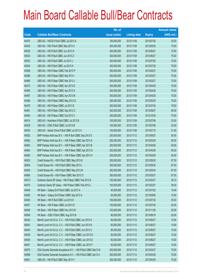|       |                                                                | No. of        |                     |               | <b>Amount raised</b> |
|-------|----------------------------------------------------------------|---------------|---------------------|---------------|----------------------|
| Code  | <b>Callable Bull/Bear Contracts</b>                            | issue (units) | <b>Listing date</b> | <b>Expiry</b> | $(HK$$ mil.)         |
| 64470 | UBS AG - HSCEI R Bull CBBC Jul 2013 A                          | 100,000,000   | 2012/11/09          | 2013/07/30    | 25.00                |
| 64535 | UBS AG - HSI R Bull CBBC May 2013 X                            | 300,000,000   | 2012/11/09          | 2013/05/30    | 75.00                |
| 64536 | UBS AG - HSI R Bull CBBC Jun 2013 H                            | 300,000,000   | 2012/11/09          | 2013/06/27    | 75.00                |
| 64533 | UBS AG - HSI R Bull CBBC Jun 2013 Z                            | 300,000,000   | 2012/11/09          | 2013/06/27    | 75.00                |
| 64532 | UBS AG - HSI R Bull CBBC Jul 2013 J                            | 300,000,000   | 2012/11/09          | 2013/07/30    | 75.00                |
| 64534 | UBS AG - HSI R Bull CBBC Jul 2013 K                            | 300,000,000   | 2012/11/09          | 2013/07/30    | 75.00                |
| 64388 | UBS AG - HSI R Bear CBBC Feb 2013 P                            | 300,000,000   | 2012/11/09          | 2013/02/27    | 75.00                |
| 64386 | UBS AG - HSI R Bear CBBC Mar 2013 I                            | 300,000,000   | 2012/11/09          | 2013/03/27    | 75.00                |
| 64486 | UBS AG - HSI R Bear CBBC Mar 2013 J                            | 300,000,000   | 2012/11/09          | 2013/03/27    | 75.00                |
| 64473 | UBS AG - HSI R Bear CBBC Apr 2013 D                            | 300,000,000   | 2012/11/09          | 2013/04/29    | 75.00                |
| 64485 | UBS AG - HSI R Bear CBBC Apr 2013 H                            | 300,000,000   | 2012/11/09          | 2013/04/29    | 75.00                |
| 64487 | UBS AG - HSI R Bear CBBC Apr 2013 M                            | 300,000,000   | 2012/11/09          | 2013/04/29    | 75.00                |
| 64488 | UBS AG - HSI R Bear CBBC May 2013 Q                            | 300,000,000   | 2012/11/09          | 2013/05/30    | 75.00                |
| 64476 | UBS AG - HSI R Bear CBBC Jul 2013 E                            | 300,000,000   | 2012/11/09          | 2013/07/30    | 79.50                |
| 64481 | UBS AG - HSI R Bear CBBC Sep 2013 C                            | 300,000,000   | 2012/11/09          | 2013/09/27    | 94.50                |
| 64483 | UBS AG - HSI R Bear CBBC Oct 2013 C                            | 300,000,000   | 2012/11/09          | 2013/10/30    | 75.00                |
| 64514 | UBS AG - Hutchison R Bull CBBC Jul 2013 B                      | 100,000,000   | 2012/11/09          | 2013/07/08    | 25.00                |
| 64529 | UBS AG - ICBC R Bull CBBC Jul 2013 B                           | 100,000,000   | 2012/11/09          | 2013/07/08    | 25.00                |
| 64530 | UBS AG - Sands China R Bull CBBC Jul 2013 A                    | 100,000,000   | 2012/11/09          | 2013/07/15    | 51.00                |
| 64552 | BNP Paribas Arbit Issu B.V. - HSI R Bull CBBC Sep 2013 S       | 200,000,000   | 2012/11/12          | 2013/09/27    | 50.00                |
| 64562 | BNP Paribas Arbit Issu B.V. - HSI R Bear CBBC Apr 2013 A       | 200,000,000   | 2012/11/12          | 2013/04/29    | 50.00                |
| 64563 | BNP Paribas Arbit Issu B.V. - HSI R Bear CBBC Apr 2013 B       | 200,000,000   | 2012/11/12          | 2013/04/29    | 50.00                |
| 64564 | BNP Paribas Arbit Issu B.V. - HSI R Bear CBBC Apr 2013 G       | 200,000,000   | 2012/11/12          | 2013/04/29    | 50.00                |
| 64565 | BNP Paribas Arbit Issu B.V. - HSI R Bear CBBC Apr 2013 H       | 200,000,000   | 2012/11/12          | 2013/04/29    | 50.00                |
| 64553 | Credit Suisse AG - HSI R Bull CBBC May 2013 K                  | 350,000,000   | 2012/11/12          | 2013/05/30    | 87.50                |
| 64554 | Credit Suisse AG - HSI R Bull CBBC May 2013 L                  | 350,000,000   | 2012/11/12          | 2013/05/30    | 87.50                |
| 64555 | Credit Suisse AG - HSI R Bull CBBC May 2013 M                  | 350,000,000   | 2012/11/12          | 2013/05/30    | 87.50                |
| 64566 | Credit Suisse AG - HSI R Bear CBBC Mar 2013 O                  | 350,000,000   | 2012/11/12          | 2013/03/27    | 87.50                |
| 64573 | Goldman Sachs SP (Asia) - HSI R Bear CBBC Feb 2013 K           | 150,000,000   | 2012/11/12          | 2013/02/27    | 38.10                |
| 64575 | Goldman Sachs SP (Asia) - HSI R Bear CBBC Feb 2013 L           | 150,000,000   | 2012/11/12          | 2013/02/27    | 39.30                |
| 64549 | HK Bank - Galaxy Ent R Bull CBBC Jul 2013 A                    | 40,000,000    | 2012/11/12          | 2013/07/22    | 16.40                |
| 64550 | HK Bank - Galaxy Ent R Bear CBBC Sep 2013 A                    | 60,000,000    | 2012/11/12          | 2013/09/09    | 15.00                |
| 64545 | HK Bank - HSI R Bull CBBC Jul 2013 D                           | 100,000,000   | 2012/11/12          | 2013/07/30    | 25.00                |
| 64551 | HK Bank - HSI R Bear CBBC Jul 2013 D                           | 100,000,000   | 2012/11/12          | 2013/07/30    | 25.00                |
| 64546 | HK Bank - HSI R Bear CBBC Nov 2013 B                           | 100,000,000   | 2012/11/12          | 2013/11/28    | 25.00                |
| 64548 | HK Bank - ICBC R Bull CBBC Aug 2013 B                          | 80,000,000    | 2012/11/12          | 2013/08/19    | 20.00                |
| 64542 | Merrill Lynch Int'l & Co. C.V. - HSI R Bull CBBC Jun 2013 A    | 60,000,000    | 2012/11/12          | 2013/06/27    | 15.00                |
| 64543 | Merrill Lynch Int'l & Co. C.V. - HSI R Bull CBBC Jun 2013 B    | 60,000,000    | 2012/11/12          | 2013/06/27    | 15.00                |
| 64544 | Merrill Lynch Int'l & Co. C.V. - HSI R Bull CBBC Jun 2013 C    | 60,000,000    | 2012/11/12          | 2013/06/27    | 15.00                |
| 64538 | Merrill Lynch Int'l & Co. C.V. - HSI R Bear CBBC Jun 2013 D    | 60,000,000    | 2012/11/12          | 2013/06/27    | 15.00                |
| 64540 | Merrill Lynch Int'l & Co. C.V. - HSI R Bear CBBC Jun 2013 E    | 60,000,000    | 2012/11/12          | 2013/06/27    | 15.00                |
| 64541 | Merrill Lynch Int'l & Co. C.V. - HSI R Bear CBBC Jun 2013 F    | 60,000,000    | 2012/11/12          | 2013/06/27    | 15.00                |
| 64570 | SGA Societe Generale Acceptance N.V. - HSI R Bull CBBC Mar13 N | 300,000,000   | 2012/11/12          | 2013/03/27    | 75.00                |
| 64568 | SGA Societe Generale Acceptance N.V. - HSI R Bull CBBC Apr13 A | 300,000,000   | 2012/11/12          | 2013/04/29    | 75.00                |
| 64561 | UBS AG - HSI R Bull CBBC May 2013 Y                            | 300,000,000   | 2012/11/12          | 2013/05/30    | 75.00                |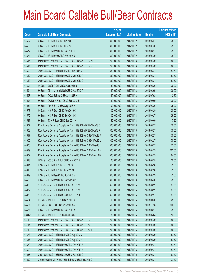|         |                                                                | No. of        |                     |               | <b>Amount raised</b> |
|---------|----------------------------------------------------------------|---------------|---------------------|---------------|----------------------|
| Code    | <b>Callable Bull/Bear Contracts</b>                            | issue (units) | <b>Listing date</b> | <b>Expiry</b> | $(HK$$ mil.)         |
| 64557   | UBS AG - HSI R Bull CBBC Jun 2013 I                            | 300,000,000   | 2012/11/12          | 2013/06/27    | 75.00                |
| 64558   | UBS AG - HSI R Bull CBBC Jul 2013 L                            | 300,000,000   | 2012/11/12          | 2013/07/30    | 75.00                |
| 64572   | UBS AG - HSI R Bear CBBC Mar 2013 N                            | 300,000,000   | 2012/11/12          | 2013/03/27    | 75.00                |
| 64571   | UBS AG - HSI R Bear CBBC Apr 2013 N                            | 300,000,000   | 2012/11/12          | 2013/04/29    | 75.00                |
| 64616   | BNP Paribas Arbit Issu B.V. - HSI R Bear CBBC Apr 2013 M       | 200,000,000   | 2012/11/13          | 2013/04/29    | 50.00                |
| 64614   | BNP Paribas Arbit Issu B.V. - HSI R Bear CBBC Apr 2013 Q       | 200,000,000   | 2012/11/13          | 2013/04/29    | 50.00                |
| 64609   | Credit Suisse AG - HSI R Bull CBBC Jun 2013 M                  | 350,000,000   | 2012/11/13          | 2013/06/27    | 87.50                |
| 64612   | Credit Suisse AG - HSI R Bear CBBC Mar 2013 P                  | 350,000,000   | 2012/11/13          | 2013/03/27    | 87.50                |
| 64613   | Credit Suisse AG - HSI R Bear CBBC Mar 2013 Q                  | 350,000,000   | 2012/11/13          | 2013/03/27    | 87.50                |
| 64591   | HK Bank - BOCL R Bull CBBC Aug 2013 B                          | 80,000,000    | 2012/11/13          | 2013/08/26    | 20.00                |
| 64594   | HK Bank - China Mobile R Bull CBBC Aug 2013 A                  | 80,000,000    | 2012/11/13          | 2013/08/05    | 20.00                |
| 64598   | HK Bank - COVS R Bear CBBC Jul 2013 A                          | 40,000,000    | 2012/11/13          | 2013/07/08    | 13.60                |
| 64595   | HK Bank - CC Bank R Bull CBBC Sep 2013 B                       | 80,000,000    | 2012/11/13          | 2013/09/09    | 20.00                |
| 64581   | HK Bank - A50 R Bull CBBC Aug 2013 A                           | 100,000,000   | 2012/11/13          | 2013/08/26    | 25.00                |
| 64577   | HK Bank - HSI R Bear CBBC Aug 2013 C                           | 100,000,000   | 2012/11/13          | 2013/08/29    | 25.00                |
| 64579   | HK Bank - HSI R Bear CBBC Sep 2013 C                           | 100,000,000   | 2012/11/13          | 2013/09/27    | 25.00                |
| 64587   | HK Bank - TCH R Bear CBBC Sep 2013 A                           | 50,000,000    | 2012/11/13          | 2013/09/09    | 17.50                |
| 64607   | SGA Societe Generale Acceptance N.V. - HSI R Bull CBBC Mar13 O | 300,000,000   | 2012/11/13          | 2013/03/27    | 75.00                |
| 64608   | SGA Societe Generale Acceptance N.V. - HSI R Bull CBBC Mar13 P | 300,000,000   | 2012/11/13          | 2013/03/27    | 75.00                |
| 64617   | SGA Societe Generale Acceptance N.V. - HSI R Bear CBBC Feb13 A | 300,000,000   | 2012/11/13          | 2013/02/27    | 75.00                |
| 64606   | SGA Societe Generale Acceptance N.V. - HSI R Bear CBBC Feb13 M | 300,000,000   | 2012/11/13          | 2013/02/27    | 75.00                |
| 64603   | SGA Societe Generale Acceptance N.V. - HSI R Bear CBBC Mar13 I | 300,000,000   | 2012/11/13          | 2013/03/27    | 75.00                |
| 64599   | SGA Societe Generale Acceptance N.V. - HSI R Bear CBBC Apr13 A | 300,000,000   | 2012/11/13          | 2013/04/29    | 102.00               |
| 64602   | SGA Societe Generale Acceptance N.V. - HSI R Bear CBBC Apr13 B | 300,000,000   | 2012/11/13          | 2013/04/29    | 94.50                |
| 64618   | UBS AG - A50 China R Bull CBBC Mar 2013 E                      | 100,000,000   | 2012/11/13          | 2013/03/25    | 25.00                |
| 64611   | UBS AG - HSI R Bull CBBC May 2013 Z                            | 300,000,000   | 2012/11/13          | 2013/05/30    | 75.00                |
| 64610   | UBS AG - HSI R Bull CBBC Jul 2013 M                            | 300,000,000   | 2012/11/13          | 2013/07/30    | 75.00                |
| 64619   | UBS AG - HSI R Bear CBBC Apr 2013 G                            | 300,000,000   | 2012/11/13          | 2013/04/29    | 75.00                |
| 64620   | UBS AG - HSI R Bear CBBC May 2013 R                            | 300,000,000   | 2012/11/13          | 2013/05/30    | 75.00                |
| 64629   | Credit Suisse AG - HSI R Bull CBBC Aug 2013 E                  | 350,000,000   | 2012/11/14          | 2013/08/29    | 87.50                |
| 64632   | Credit Suisse AG - HSI R Bull CBBC Aug 2013 F                  | 350,000,000   | 2012/11/14          | 2013/08/29    | 87.50                |
| 64630   | Credit Suisse AG - HSI R Bear CBBC Feb 2013 F                  | 350,000,000   | 2012/11/14          | 2013/02/27    | 87.50                |
| 64624   | HK Bank - A50 R Bull CBBC Sep 2013 A                           | 100,000,000   | 2012/11/14          | 2013/09/30    | 25.00                |
| 64621   | HK Bank - HSI R Bull CBBC Nov 2013 A                           | 400,000,000   | 2012/11/14          | 2013/11/28    | 100.00               |
| 64631   | UBS AG - HSI R Bear CBBC Mar 2013 K                            | 300,000,000   | 2012/11/14          | 2013/03/27    | 75.00                |
| 63342 # | HK Bank - A50 R Bull CBBC Jun 2013 B                           | 180,000,000   | 2012/11/14          | 2013/06/04    | 12.60                |
| 64713   | BNP Paribas Arbit Issu B.V. - HSI R Bear CBBC Apr 2013 R       | 200,000,000   | 2012/11/15          | 2013/04/29    | 50.00                |
| 64714   | BNP Paribas Arbit Issu B.V. - HSI R Bear CBBC Apr 2013 S       | 200,000,000   | 2012/11/15          | 2013/04/29    | 50.00                |
| 64719   | BNP Paribas Arbit Issu B.V. - HSI R Bear CBBC Apr 2013 T       | 200,000,000   | 2012/11/15          | 2013/04/29    | 50.00                |
| 64678   | Credit Suisse AG - HSI R Bull CBBC Aug 2013 G                  | 350,000,000   | 2012/11/15          | 2013/08/29    | 87.50                |
| 64686   | Credit Suisse AG - HSI R Bull CBBC Aug 2013 H                  | 350,000,000   | 2012/11/15          | 2013/08/29    | 87.50                |
| 64689   | Credit Suisse AG - HSI R Bear CBBC Feb 2013 A                  | 350,000,000   | 2012/11/15          | 2013/02/27    | 87.50                |
| 64690   | Credit Suisse AG - HSI R Bear CBBC Feb 2013 K                  | 350,000,000   | 2012/11/15          | 2013/02/27    | 87.50                |
| 64688   | Credit Suisse AG - HSI R Bear CBBC Feb 2013 O                  | 350,000,000   | 2012/11/15          | 2013/02/27    | 87.50                |
| 64692   | Citigroup Global Mkt H Inc. - HSI R Bear CBBC Feb 2013 C       | 150,000,000   | 2012/11/15          | 2013/02/27    | 37.50                |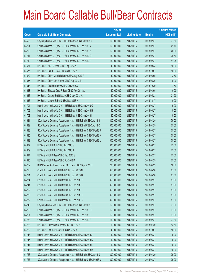|       |                                                                | No. of        |                     |               | <b>Amount raised</b> |
|-------|----------------------------------------------------------------|---------------|---------------------|---------------|----------------------|
| Code  | <b>Callable Bull/Bear Contracts</b>                            | issue (units) | <b>Listing date</b> | <b>Expiry</b> | (HK\$ mil.)          |
| 64693 | Citigroup Global Mkt H Inc. - HSI R Bear CBBC Feb 2013 D       | 150,000,000   | 2012/11/15          | 2013/02/27    | 37.50                |
| 64704 | Goldman Sachs SP (Asia) - HSI R Bear CBBC Feb 2013 M           | 150,000,000   | 2012/11/15          | 2013/02/27    | 41.10                |
| 64705 | Goldman Sachs SP (Asia) - HSI R Bear CBBC Feb 2013 N           | 150,000,000   | 2012/11/15          | 2013/02/27    | 40.50                |
| 64711 | Goldman Sachs SP (Asia) - HSI R Bear CBBC Feb 2013 O           | 150,000,000   | 2012/11/15          | 2013/02/27    | 39.60                |
| 64712 | Goldman Sachs SP (Asia) - HSI R Bear CBBC Feb 2013 P           | 150,000,000   | 2012/11/15          | 2013/02/27    | 41.25                |
| 64667 | HK Bank - ABC R Bear CBBC Sep 2013 A                           | 40,000,000    | 2012/11/15          | 2013/09/23    | 10.00                |
| 64675 | HK Bank - BOCL R Bear CBBC Oct 2013 A                          | 40,000,000    | 2012/11/15          | 2013/10/07    | 10.00                |
| 64672 | HK Bank - China Mobile R Bear CBBC Aug 2013 A                  | 50,000,000    | 2012/11/15          | 2013/08/05    | 12.50                |
| 64635 | HK Bank - China Life R Bear CBBC Aug 2013 B                    | 50,000,000    | 2012/11/15          | 2013/08/26    | 16.00                |
| 64648 | HK Bank - CNBM R Bear CBBC Oct 2013 A                          | 50,000,000    | 2012/11/15          | 2013/10/29    | 17.50                |
| 64668 | HK Bank - Sinopec Corp R Bear CBBC Aug 2013 A                  | 40,000,000    | 2012/11/15          | 2013/08/05    | 10.00                |
| 64666 | HK Bank - Galaxy Ent R Bear CBBC May 2013 A                    | 40,000,000    | 2012/11/15          | 2013/05/28    | 21.20                |
| 64636 | HK Bank - Lenovo R Bull CBBC Dec 2013 A                        | 40,000,000    | 2012/11/15          | 2013/12/17    | 10.00                |
| 64701 | Merrill Lynch Int'l & Co. C.V. - HSI R Bear CBBC Jun 2013 G    | 60,000,000    | 2012/11/15          | 2013/06/27    | 15.00                |
| 64702 | Merrill Lynch Int'l & Co. C.V. - HSI R Bear CBBC Jun 2013 H    | 60,000,000    | 2012/11/15          | 2013/06/27    | 15.00                |
| 64703 | Merrill Lynch Int'l & Co. C.V. - HSI R Bear CBBC Jun 2013 I    | 60,000,000    | 2012/11/15          | 2013/06/27    | 15.00                |
| 64681 | SGA Societe Generale Acceptance N.V. - HSI R Bull CBBC Apr13 B | 300,000,000   | 2012/11/15          | 2013/04/29    | 75.00                |
| 64682 | SGA Societe Generale Acceptance N.V. - HSI R Bull CBBC Apr13 C | 300,000,000   | 2012/11/15          | 2013/04/29    | 75.00                |
| 64683 | SGA Societe Generale Acceptance N.V. - HSI R Bear CBBC Mar13 J | 300,000,000   | 2012/11/15          | 2013/03/27    | 75.00                |
| 64685 | SGA Societe Generale Acceptance N.V. - HSI R Bear CBBC Mar13 K | 300,000,000   | 2012/11/15          | 2013/03/27    | 75.00                |
| 64699 | SGA Societe Generale Acceptance N.V. - HSI R Bear CBBC Mar13 L | 300,000,000   | 2012/11/15          | 2013/03/27    | 75.00                |
| 64687 | UBS AG - HSI R Bull CBBC Jun 2013 G                            | 300,000,000   | 2012/11/15          | 2013/06/27    | 75.00                |
| 64679 | UBS AG - HSI R Bull CBBC Jun 2013 J                            | 300,000,000   | 2012/11/15          | 2013/06/27    | 75.00                |
| 64694 | UBS AG - HSI R Bear CBBC Feb 2013 S                            | 300,000,000   | 2012/11/15          | 2013/02/27    | 75.00                |
| 64695 | UBS AG - HSI R Bear CBBC Apr 2013 P                            | 300,000,000   | 2012/11/15          | 2013/04/29    | 75.00                |
| 64762 | BNP Paribas Arbit Issu B.V. - HSI R Bear CBBC Apr 2013 U       | 200,000,000   | 2012/11/16          | 2013/04/29    | 50.00                |
| 64720 | Credit Suisse AG - HSI R Bull CBBC May 2013 N                  | 350,000,000   | 2012/11/16          | 2013/05/30    | 87.50                |
| 64721 | Credit Suisse AG - HSI R Bull CBBC May 2013 O                  | 350,000,000   | 2012/11/16          | 2013/05/30    | 87.50                |
| 64734 | Credit Suisse AG - HSI R Bear CBBC Feb 2013 B                  | 350,000,000   | 2012/11/16          | 2013/02/27    | 87.50                |
| 64741 | Credit Suisse AG - HSI R Bear CBBC Feb 2013 C                  | 350,000,000   | 2012/11/16          | 2013/02/27    | 87.50                |
| 64729 | Credit Suisse AG - HSI R Bear CBBC Feb 2013 L                  | 350,000,000   | 2012/11/16          | 2013/02/27    | 87.50                |
| 64730 | Credit Suisse AG - HSI R Bear CBBC Feb 2013 P                  | 350,000,000   | 2012/11/16          | 2013/02/27    | 87.50                |
| 64732 | Credit Suisse AG - HSI R Bear CBBC Feb 2013 Q                  | 350,000,000   | 2012/11/16          | 2013/02/27    | 87.50                |
| 64749 | Citigroup Global Mkt H Inc. - HSI R Bear CBBC Feb 2013 E       | 150,000,000   | 2012/11/16          | 2013/02/27    | 37.50                |
| 64750 | Goldman Sachs SP (Asia) - HSI R Bear CBBC Feb 2013 Q           | 150,000,000   | 2012/11/16          | 2013/02/27    | 37.80                |
| 64751 | Goldman Sachs SP (Asia) - HSI R Bear CBBC Feb 2013 R           | 150,000,000   | 2012/11/16          | 2013/02/27    | 37.50                |
| 64758 | Goldman Sachs SP (Asia) - HSI R Bear CBBC Feb 2013 S           | 150,000,000   | 2012/11/16          | 2013/02/27    | 37.80                |
| 64723 | HK Bank - Hutchison R Bear CBBC Jul 2013 A                     | 50,000,000    | 2012/11/16          | 2013/07/29    | 12.50                |
| 64722 | HK Bank - PetCh R Bear CBBC Oct 2013 A                         | 40,000,000    | 2012/11/16          | 2013/10/07    | 10.00                |
| 64743 | Merrill Lynch Int'l & Co. C.V. - HSI R Bear CBBC Jun 2013 J    | 60,000,000    | 2012/11/16          | 2013/06/27    | 15.00                |
| 64746 | Merrill Lynch Int'l & Co. C.V. - HSI R Bear CBBC Jun 2013 K    | 60,000,000    | 2012/11/16          | 2013/06/27    | 15.00                |
| 64747 | Merrill Lynch Int'l & Co. C.V. - HSI R Bear CBBC Jun 2013 L    | 60,000,000    | 2012/11/16          | 2013/06/27    | 15.00                |
| 64748 | Merrill Lynch Int'l & Co. C.V. - HSI R Bear CBBC Jun 2013 M    | 60,000,000    | 2012/11/16          | 2013/06/27    | 15.00                |
| 64726 | SGA Societe Generale Acceptance N.V. - HSI R Bull CBBC Apr13 D | 300,000,000   | 2012/11/16          | 2013/04/29    | 75.00                |
| 64727 | SGA Societe Generale Acceptance N.V. - HSI R Bear CBBC Mar13 M | 300,000,000   | 2012/11/16          | 2013/03/27    | 75.00                |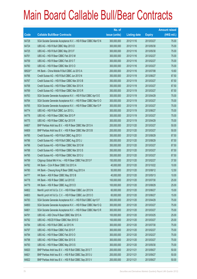|         |                                                                | No. of        |                     |               | <b>Amount raised</b> |
|---------|----------------------------------------------------------------|---------------|---------------------|---------------|----------------------|
| Code    | <b>Callable Bull/Bear Contracts</b>                            | issue (units) | <b>Listing date</b> | <b>Expiry</b> | $(HK$$ mil.)         |
| 64728   | SGA Societe Generale Acceptance N.V. - HSI R Bear CBBC Mar13 N | 300,000,000   | 2012/11/16          | 2013/03/27    | 75.00                |
| 64724   | UBS AG - HSI R Bull CBBC May 2013 D                            | 300,000,000   | 2012/11/16          | 2013/05/30    | 75.00                |
| 64725   | UBS AG - HSI R Bull CBBC May 2013 F                            | 300,000,000   | 2012/11/16          | 2013/05/30    | 75.00                |
| 64761   | UBS AG - HSI R Bear CBBC Feb 2013 M                            | 300,000,000   | 2012/11/16          | 2013/02/27    | 75.00                |
| 64759   | UBS AG - HSI R Bear CBBC Feb 2013 T                            | 300,000,000   | 2012/11/16          | 2013/02/27    | 75.00                |
| 64760   | UBS AG - HSI R Bear CBBC Mar 2013 O                            | 300,000,000   | 2012/11/16          | 2013/03/27    | 75.00                |
| 68529 # | HK Bank - China Mobile R Bull CBBC Jul 2013 A                  | 200,000,000   | 2012/11/16          | 2013/07/08    | 10.60                |
| 64766   | Credit Suisse AG - HSI R Bull CBBC Jun 2013 N                  | 350,000,000   | 2012/11/19          | 2013/06/27    | 87.50                |
| 64767   | Credit Suisse AG - HSI R Bear CBBC Mar 2013 B                  | 350,000,000   | 2012/11/19          | 2013/03/27    | 87.50                |
| 64768   | Credit Suisse AG - HSI R Bear CBBC Mar 2013 K                  | 350,000,000   | 2012/11/19          | 2013/03/27    | 87.50                |
| 64769   | Credit Suisse AG - HSI R Bear CBBC Mar 2013 R                  | 350,000,000   | 2012/11/19          | 2013/03/27    | 87.50                |
| 64763   | SGA Societe Generale Acceptance N.V. - HSI R Bull CBBC Apr13 E | 300,000,000   | 2012/11/19          | 2013/04/29    | 75.00                |
| 64764   | SGA Societe Generale Acceptance N.V. - HSI R Bear CBBC Mar13 O | 300,000,000   | 2012/11/19          | 2013/03/27    | 75.00                |
| 64765   | SGA Societe Generale Acceptance N.V. - HSI R Bear CBBC Mar13 P | 300,000,000   | 2012/11/19          | 2013/03/27    | 75.00                |
| 64774   | UBS AG - HSI R Bull CBBC Jun 2013 L                            | 300,000,000   | 2012/11/19          | 2013/06/27    | 75.00                |
| 64776   | UBS AG - HSI R Bear CBBC Mar 2013 P                            | 300,000,000   | 2012/11/19          | 2013/03/27    | 75.00                |
| 64775   | UBS AG - HSI R Bear CBBC Apr 2013 R                            | 300,000,000   | 2012/11/19          | 2013/04/29    | 75.00                |
| 64807   | BNP Paribas Arbit Issu B.V. - HSI R Bear CBBC Mar 2013 A       | 200,000,000   | 2012/11/20          | 2013/03/27    | 50.00                |
| 64809   | BNP Paribas Arbit Issu B.V. - HSI R Bear CBBC Mar 2013 B       | 200,000,000   | 2012/11/20          | 2013/03/27    | 50.00                |
| 64785   | Credit Suisse AG - HSI R Bull CBBC Aug 2013 I                  | 350,000,000   | 2012/11/20          | 2013/08/29    | 87.50                |
| 64786   | Credit Suisse AG - HSI R Bull CBBC Aug 2013 J                  | 350,000,000   | 2012/11/20          | 2013/08/29    | 87.50                |
| 64796   | Credit Suisse AG - HSI R Bear CBBC Mar 2013 M                  | 350,000,000   | 2012/11/20          | 2013/03/27    | 87.50                |
| 64788   | Credit Suisse AG - HSI R Bear CBBC Mar 2013 S                  | 350,000,000   | 2012/11/20          | 2013/03/27    | 87.50                |
| 64795   | Credit Suisse AG - HSI R Bear CBBC Mar 2013 U                  | 350,000,000   | 2012/11/20          | 2013/03/27    | 87.50                |
| 64799   | Citigroup Global Mkt H Inc. - HSI R Bear CBBC Feb 2013 F       | 150,000,000   | 2012/11/20          | 2013/02/27    | 37.50                |
| 64782   | HK Bank - CUni R Bear CBBC Oct 2013 A                          | 40,000,000    | 2012/11/20          | 2013/10/22    | 10.00                |
| 64780   | HK Bank - Cheung Kong R Bear CBBC Aug 2013 A                   | 50,000,000    | 2012/11/20          | 2013/08/12    | 12.50                |
| 64777   | HK Bank - A50 R Bear CBBC May 2013 B                           | 40,000,000    | 2012/11/20          | 2013/05/13    | 10.00                |
| 64778   | HK Bank - HSI R Bear CBBC Jul 2013 E                           | 100,000,000   | 2012/11/20          | 2013/07/30    | 25.00                |
| 64779   | HK Bank - HSI R Bear CBBC Aug 2013 D                           | 100,000,000   | 2012/11/20          | 2013/08/29    | 25.00                |
| 64802   | Merrill Lynch Int'l & Co. C.V. - HSI R Bear CBBC Jun 2013 N    | 60,000,000    | 2012/11/20          | 2013/06/27    | 15.00                |
| 64803   | Merrill Lynch Int'l & Co. C.V. - HSI R Bear CBBC Jun 2013 O    | 60,000,000    | 2012/11/20          | 2013/06/27    | 15.00                |
| 64783   | SGA Societe Generale Acceptance N.V. - HSI R Bull CBBC Apr13 F | 300,000,000   | 2012/11/20          | 2013/04/29    | 75.00                |
| 64800   | SGA Societe Generale Acceptance N.V. - HSI R Bear CBBC Mar13 Q | 300,000,000   | 2012/11/20          | 2013/03/27    | 75.00                |
| 64801   | SGA Societe Generale Acceptance N.V. - HSI R Bear CBBC Mar13 R | 300,000,000   | 2012/11/20          | 2013/03/27    | 75.00                |
| 64791   | UBS AG - A50 China R Bear CBBC Mar 2013 A                      | 100,000,000   | 2012/11/20          | 2013/03/25    | 25.00                |
| 64792   | UBS AG - HSCEI R Bear CBBC Mar 2013 D                          | 100,000,000   | 2012/11/20          | 2013/03/27    | 25.00                |
| 64784   | UBS AG - HSI R Bull CBBC Jul 2013 N                            | 300,000,000   | 2012/11/20          | 2013/07/30    | 75.00                |
| 64797   | UBS AG - HSI R Bear CBBC Feb 2013 F                            | 300,000,000   | 2012/11/20          | 2013/02/27    | 75.00                |
| 64794   | UBS AG - HSI R Bear CBBC Feb 2013 O                            | 300,000,000   | 2012/11/20          | 2013/02/27    | 75.00                |
| 64798   | UBS AG - HSI R Bear CBBC Mar 2013 S                            | 300,000,000   | 2012/11/20          | 2013/03/27    | 75.00                |
| 64793   | UBS AG - HSI R Bear CBBC May 2013 S                            | 300,000,000   | 2012/11/20          | 2013/05/30    | 75.00                |
| 64820   | BNP Paribas Arbit Issu B.V. - HSI R Bull CBBC Sep 2013 T       | 200,000,000   | 2012/11/21          | 2013/09/27    | 50.00                |
| 64821   | BNP Paribas Arbit Issu B.V. - HSI R Bull CBBC Sep 2013 U       | 200,000,000   | 2012/11/21          | 2013/09/27    | 50.00                |
| 64822   | BNP Paribas Arbit Issu B.V. - HSI R Bull CBBC Sep 2013 V       | 200,000,000   | 2012/11/21          | 2013/09/27    | 50.00                |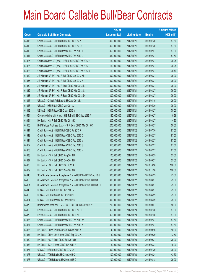|             |                                                                | No. of        |                     |               | <b>Amount raised</b> |
|-------------|----------------------------------------------------------------|---------------|---------------------|---------------|----------------------|
| <b>Code</b> | <b>Callable Bull/Bear Contracts</b>                            | issue (units) | <b>Listing date</b> | <b>Expiry</b> | (HK\$ mil.)          |
| 64813       | Credit Suisse AG - HSI R Bull CBBC Jul 2013 N                  | 350,000,000   | 2012/11/21          | 2013/07/30    | 87.50                |
| 64819       | Credit Suisse AG - HSI R Bull CBBC Jul 2013 O                  | 350,000,000   | 2012/11/21          | 2013/07/30    | 87.50                |
| 64810       | Credit Suisse AG - HSI R Bear CBBC Feb 2013 T                  | 350,000,000   | 2012/11/21          | 2013/02/27    | 87.50                |
| 64811       | Credit Suisse AG - HSI R Bear CBBC Feb 2013 U                  | 350,000,000   | 2012/11/21          | 2013/02/27    | 87.50                |
| 64825       | Goldman Sachs SP (Asia) - HSI R Bull CBBC Feb 2013 H           | 150,000,000   | 2012/11/21          | 2013/02/27    | 38.25                |
| 64826       | Goldman Sachs SP (Asia) - HSI R Bull CBBC Feb 2013 I           | 150,000,000   | 2012/11/21          | 2013/02/27    | 38.25                |
| 64828       | Goldman Sachs SP (Asia) - HSI R Bull CBBC Feb 2013 J           | 150,000,000   | 2012/11/21          | 2013/02/27    | 38.40                |
| 64829       | J P Morgan SP BV - HSI R Bull CBBC Jun 2013 M                  | 300,000,000   | 2012/11/21          | 2013/06/27    | 75.00                |
| 64835       | J P Morgan SP BV - HSI R Bull CBBC Jun 2013 N                  | 300,000,000   | 2012/11/21          | 2013/06/27    | 75.00                |
| 64830       | J P Morgan SP BV - HSI R Bear CBBC Mar 2013 B                  | 300,000,000   | 2012/11/21          | 2013/03/27    | 75.00                |
| 64832       | J P Morgan SP BV - HSI R Bear CBBC Mar 2013 C                  | 300,000,000   | 2012/11/21          | 2013/03/27    | 75.00                |
| 64833       | J P Morgan SP BV - HSI R Bear CBBC Mar 2013 D                  | 300,000,000   | 2012/11/21          | 2013/03/27    | 75.00                |
| 64815       | UBS AG - China Life R Bear CBBC Apr 2013 B                     | 100,000,000   | 2012/11/21          | 2013/04/15    | 25.00                |
| 64816       | UBS AG - HSI R Bull CBBC May 2013 J                            | 300,000,000   | 2012/11/21          | 2013/05/30    | 75.00                |
| 64812       | UBS AG - HSI R Bear CBBC Mar 2013 M                            | 300,000,000   | 2012/11/21          | 2013/03/27    | 75.00                |
| 63554 #     | Citigroup Global Mkt H Inc. - HSI R Bull CBBC Sep 2013 A       | 160,000,000   | 2012/11/21          | 2013/09/27    | 10.56                |
| 68064 #     | HK Bank - HSI R Bull CBBC Mar 2013 K                           | 200,000,000   | 2012/11/21          | 2013/03/27    | 14.60                |
| 64856       | BNP Paribas Arbit Issu B.V. - HSI R Bear CBBC Mar 2013 C       | 200,000,000   | 2012/11/22          | 2013/03/27    | 50.00                |
| 64841       | Credit Suisse AG - HSI R Bull CBBC Jul 2013 P                  | 350,000,000   | 2012/11/22          | 2013/07/30    | 87.50                |
| 64842       | Credit Suisse AG - HSI R Bear CBBC Feb 2013 D                  | 350,000,000   | 2012/11/22          | 2013/02/27    | 87.50                |
| 64844       | Credit Suisse AG - HSI R Bear CBBC Feb 2013 M                  | 350,000,000   | 2012/11/22          | 2013/02/27    | 87.50                |
| 64852       | Credit Suisse AG - HSI R Bear CBBC Feb 2013 S                  | 350,000,000   | 2012/11/22          | 2013/02/27    | 87.50                |
| 64853       | Credit Suisse AG - HSI R Bear CBBC Feb 2013 V                  | 350,000,000   | 2012/11/22          | 2013/02/27    | 87.50                |
| 64838       | HK Bank - HSI R Bull CBBC Aug 2013 D                           | 100,000,000   | 2012/11/22          | 2013/08/29    | 25.00                |
| 64837       | HK Bank - HSI R Bull CBBC Sep 2013 B                           | 100,000,000   | 2012/11/22          | 2013/09/27    | 25.00                |
| 64836       | HK Bank - HSI R Bull CBBC Oct 2013 A                           | 400,000,000   | 2012/11/22          | 2013/10/30    | 100.00               |
| 64839       | HK Bank - HSI R Bull CBBC Nov 2013 B                           | 400,000,000   | 2012/11/22          | 2013/11/28    | 100.00               |
| 64848       | SGA Societe Generale Acceptance N.V. - HSI R Bull CBBC Apr13 G | 300,000,000   | 2012/11/22          | 2013/04/29    | 75.00                |
| 64850       | SGA Societe Generale Acceptance N.V. - HSI R Bear CBBC Mar13 S | 300,000,000   | 2012/11/22          | 2013/03/27    | 75.00                |
| 64851       | SGA Societe Generale Acceptance N.V. - HSI R Bear CBBC Mar13 T | 300,000,000   | 2012/11/22          | 2013/03/27    | 75.00                |
| 64840       | UBS AG - HSI R Bull CBBC Jun 2013 M                            | 300,000,000   | 2012/11/22          | 2013/06/27    | 75.00                |
| 64855       | UBS AG - HSI R Bear CBBC Apr 2013 I                            | 300,000,000   | 2012/11/22          | 2013/04/29    | 75.00                |
| 64854       | UBS AG - HSI R Bear CBBC Apr 2013 U                            | 300,000,000   | 2012/11/22          | 2013/04/29    | 75.00                |
| 64878       | BNP Paribas Arbit Issu B.V. - HSI R Bull CBBC Sep 2013 W       | 200,000,000   | 2012/11/23          | 2013/09/27    | 50.00                |
| 64869       | Credit Suisse AG - HSI R Bull CBBC Jul 2013 Q                  | 350,000,000   | 2012/11/23          | 2013/07/30    | 87.50                |
| 64870       | Credit Suisse AG - HSI R Bull CBBC Jul 2013 R                  | 350,000,000   | 2012/11/23          | 2013/07/30    | 87.50                |
| 64866       | Credit Suisse AG - HSI R Bear CBBC Feb 2013 W                  | 350,000,000   | 2012/11/23          | 2013/02/27    | 87.50                |
| 64867       | Credit Suisse AG - HSI R Bear CBBC Feb 2013 X                  | 350,000,000   | 2012/11/23          | 2013/02/27    | 87.50                |
| 64865       | HK Bank - China Tel R Bear CBBC Sep 2013 A                     | 40,000,000    | 2012/11/23          | 2013/09/16    | 10.00                |
| 64864       | HK Bank - China Life R Bear CBBC Sep 2013 A                    | 50,000,000    | 2012/11/23          | 2013/09/30    | 13.50                |
| 64860       | HK Bank - HSI R Bear CBBC Sep 2013 D                           | 100,000,000   | 2012/11/23          | 2013/09/27    | 25.00                |
| 64863       | HK Bank - TCH R Bear CBBC Jun 2013 A                           | 50,000,000    | 2012/11/23          | 2013/06/24    | 15.00                |
| 64877       | UBS AG - HSI R Bull CBBC Jul 2013 O                            | 300,000,000   | 2012/11/23          | 2013/07/30    | 75.00                |
| 64876       | UBS AG - TCH R Bull CBBC Jun 2013 C                            | 100,000,000   | 2012/11/23          | 2013/06/24    | 43.50                |
| 64873       | UBS AG - TCH R Bear CBBC Mar 2013 C                            | 100,000,000   | 2012/11/23          | 2013/03/18    | 25.00                |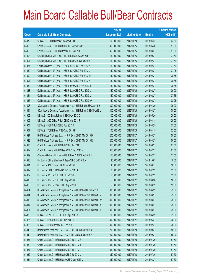|       |                                                                | No. of        |                     |               | <b>Amount raised</b> |
|-------|----------------------------------------------------------------|---------------|---------------------|---------------|----------------------|
| Code  | <b>Callable Bull/Bear Contracts</b>                            | issue (units) | <b>Listing date</b> | <b>Expiry</b> | $(HK$$ mil.)         |
| 64872 | UBS AG - TCH R Bear CBBC Apr 2013 E                            | 100,000,000   | 2012/11/23          | 2013/04/22    | 43.50                |
| 64895 | Credit Suisse AG - HSI R Bull CBBC May 2013 P                  | 350,000,000   | 2012/11/26          | 2013/05/30    | 87.50                |
| 64896 | Credit Suisse AG - HSI R Bear CBBC Mar 2013 C                  | 350,000,000   | 2012/11/26          | 2013/03/27    | 87.50                |
| 64898 | Citigroup Global Mkt H Inc. - HSI R Bull CBBC Sep 2013 H       | 150,000,000   | 2012/11/26          | 2013/09/27    | 37.50                |
| 64897 | Citigroup Global Mkt H Inc. - HSI R Bear CBBC Feb 2013 G       | 150,000,000   | 2012/11/26          | 2013/02/27    | 37.50                |
| 64887 | Goldman Sachs SP (Asia) - HSI R Bull CBBC Feb 2013 K           | 150,000,000   | 2012/11/26          | 2013/02/27    | 37.50                |
| 64889 | Goldman Sachs SP (Asia) - HSI R Bull CBBC Feb 2013 L           | 150,000,000   | 2012/11/26          | 2013/02/27    | 37.95                |
| 64890 | Goldman Sachs SP (Asia) - HSI R Bull CBBC Feb 2013 M           | 150,000,000   | 2012/11/26          | 2013/02/27    | 38.85                |
| 64891 | Goldman Sachs SP (Asia) - HSI R Bull CBBC Feb 2013 N           | 150,000,000   | 2012/11/26          | 2013/02/27    | 38.85                |
| 64882 | Goldman Sachs SP (Asia) - HSI R Bear CBBC Feb 2013 T           | 150,000,000   | 2012/11/26          | 2013/02/27    | 38.85                |
| 64883 | Goldman Sachs SP (Asia) - HSI R Bear CBBC Feb 2013 U           | 150,000,000   | 2012/11/26          | 2013/02/27    | 39.90                |
| 64884 | Goldman Sachs SP (Asia) - HSI R Bear CBBC Feb 2013 V           | 150,000,000   | 2012/11/26          | 2013/02/27    | 37.65                |
| 64885 | Goldman Sachs SP (Asia) - HSI R Bear CBBC Feb 2013 W           | 150,000,000   | 2012/11/26          | 2013/02/27    | 38.25                |
| 64893 | SGA Societe Generale Acceptance N.V. - HSI R Bull CBBC Apr13 H | 300,000,000   | 2012/11/26          | 2013/04/29    | 75.00                |
| 64894 | SGA Societe Generale Acceptance N.V. - HSI R Bear CBBC Mar13 U | 300,000,000   | 2012/11/26          | 2013/03/27    | 75.00                |
| 64906 | UBS AG - CC Bank R Bear CBBC May 2013 C                        | 100,000,000   | 2012/11/26          | 2013/05/20    | 25.00                |
| 64905 | UBS AG - A50 China R Bull CBBC Mar 2013 F                      | 100,000,000   | 2012/11/26          | 2013/03/18    | 25.00                |
| 64904 | UBS AG - HSI R Bull CBBC Aug 2013 F                            | 300,000,000   | 2012/11/26          | 2013/08/29    | 75.00                |
| 64907 | UBS AG - TCH R Bear CBBC Apr 2013 F                            | 100,000,000   | 2012/11/26          | 2013/04/15    | 32.50                |
| 64927 | BNP Paribas Arbit Issu B.V. - HSI R Bear CBBC Mar 2013 D       | 200,000,000   | 2012/11/27          | 2013/03/27    | 50.00                |
| 64928 | BNP Paribas Arbit Issu B.V. - HSI R Bear CBBC Mar 2013 E       | 200,000,000   | 2012/11/27          | 2013/03/27    | 50.00                |
| 64925 | Credit Suisse AG - HSI R Bull CBBC Jun 2013 O                  | 350,000,000   | 2012/11/27          | 2013/06/27    | 87.50                |
| 64922 | Credit Suisse AG - HSI R Bear CBBC Feb 2013 Y                  | 350,000,000   | 2012/11/27          | 2013/02/27    | 87.50                |
| 64929 | Citigroup Global Mkt H Inc. - HSI R Bear CBBC Feb 2013 H       | 150,000,000   | 2012/11/27          | 2013/02/27    | 37.50                |
| 64913 | HK Bank - China Shenhua R Bear CBBC Oct 2013 A                 | 40,000,000    | 2012/11/27          | 2013/10/07    | 10.00                |
| 64911 | HK Bank - A50 R Bear CBBC Jun 2013 B                           | 40,000,000    | 2012/11/27          | 2013/06/17    | 10.00                |
| 64912 | HK Bank - SHK Ppt R Bull CBBC Jul 2013 A                       | 60,000,000    | 2012/11/27          | 2013/07/22    | 15.00                |
| 64909 | HK Bank - TCH R Bull CBBC Jul 2013 B                           | 50,000,000    | 2012/11/27          | 2013/07/22    | 13.50                |
| 64910 | HK Bank - TCH R Bull CBBC Aug 2013 A                           | 50,000,000    | 2012/11/27          | 2013/08/26    | 18.50                |
| 64908 | HK Bank - TCH R Bear CBBC Aug 2013 A                           | 50,000,000    | 2012/11/27          | 2013/08/19    | 12.50                |
| 64924 | SGA Societe Generale Acceptance N.V. - HSI R Bull CBBC Apr13 I | 300,000,000   | 2012/11/27          | 2013/04/29    | 75.00                |
| 64914 | SGA Societe Generale Acceptance N.V. - HSI R Bear CBBC Mar13 V | 300,000,000   | 2012/11/27          | 2013/03/27    | 75.00                |
| 64916 | SGA Societe Generale Acceptance N.V. - HSI R Bear CBBC Mar13 W | 300,000,000   | 2012/11/27          | 2013/03/27    | 75.00                |
| 64917 | SGA Societe Generale Acceptance N.V. - HSI R Bear CBBC Mar13 X | 300,000,000   | 2012/11/27          | 2013/03/27    | 75.00                |
| 64921 | SGA Societe Generale Acceptance N.V. - HSI R Bear CBBC Mar13 Y | 300,000,000   | 2012/11/27          | 2013/03/27    | 75.00                |
| 64930 | UBS AG - CNOOC R Bull CBBC Apr 2013 A                          | 100,000,000   | 2012/11/27          | 2013/04/29    | 31.50                |
| 64926 | UBS AG - HSI R Bull CBBC Jun 2013 N                            | 300,000,000   | 2012/11/27          | 2013/06/27    | 75.00                |
| 64923 | UBS AG - HSI R Bear CBBC Feb 2013 U                            | 300,000,000   | 2012/11/27          | 2013/02/27    | 75.00                |
| 64948 | BNP Paribas Arbit Issu B.V. - HSI R Bull CBBC Sep 2013 X       | 200,000,000   | 2012/11/28          | 2013/09/27    | 50.00                |
| 64949 | BNP Paribas Arbit Issu B.V. - HSI R Bull CBBC Sep 2013 Y       | 200,000,000   | 2012/11/28          | 2013/09/27    | 50.00                |
| 64937 | Credit Suisse AG - HSI R Bull CBBC Jul 2013 S                  | 350,000,000   | 2012/11/28          | 2013/07/30    | 87.50                |
| 64950 | Credit Suisse AG - HSI R Bull CBBC Jul 2013 T                  | 350,000,000   | 2012/11/28          | 2013/07/30    | 87.50                |
| 64951 | Credit Suisse AG - HSI R Bull CBBC Jul 2013 U                  | 350,000,000   | 2012/11/28          | 2013/07/30    | 87.50                |
| 64952 | Credit Suisse AG - HSI R Bull CBBC Jul 2013 V                  | 350,000,000   | 2012/11/28          | 2013/07/30    | 87.50                |
| 64934 | Credit Suisse AG - HSI R Bear CBBC Mar 2013 V                  | 350,000,000   | 2012/11/28          | 2013/03/27    | 87.50                |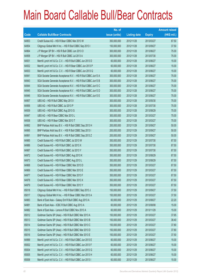|       |                                                                | No. of        |                     |               | <b>Amount raised</b> |
|-------|----------------------------------------------------------------|---------------|---------------------|---------------|----------------------|
| Code  | <b>Callable Bull/Bear Contracts</b>                            | issue (units) | <b>Listing date</b> | <b>Expiry</b> | $(HK$$ mil.)         |
| 64953 | Credit Suisse AG - HSI R Bear CBBC Mar 2013 W                  | 350,000,000   | 2012/11/28          | 2013/03/27    | 87.50                |
| 64954 | Citigroup Global Mkt H Inc. - HSI R Bull CBBC Sep 2013 I       | 150,000,000   | 2012/11/28          | 2013/09/27    | 37.50                |
| 64964 | J P Morgan SP BV - HSI R Bull CBBC Jun 2013 O                  | 300,000,000   | 2012/11/28          | 2013/06/27    | 75.00                |
| 64958 | J P Morgan SP BV - HSI R Bull CBBC Jul 2013 A                  | 300,000,000   | 2012/11/28          | 2013/07/30    | 75.00                |
| 64931 | Merrill Lynch Int'l & Co. C.V. - HSI R Bull CBBC Jun 2013 D    | 60,000,000    | 2012/11/28          | 2013/06/27    | 15.00                |
| 64932 | Merrill Lynch Int'l & Co. C.V. - HSI R Bear CBBC Jun 2013 P    | 60,000,000    | 2012/11/28          | 2013/06/27    | 15.00                |
| 64933 | Merrill Lynch Int'l & Co. C.V. - HSI R Bear CBBC Jun 2013 Q    | 60,000,000    | 2012/11/28          | 2013/06/27    | 15.00                |
| 64941 | SGA Societe Generale Acceptance N.V. - HSI R Bull CBBC Jun13 A | 300,000,000   | 2012/11/28          | 2013/06/27    | 75.00                |
| 64943 | SGA Societe Generale Acceptance N.V. - HSI R Bull CBBC Jun13 B | 300,000,000   | 2012/11/28          | 2013/06/27    | 75.00                |
| 64944 | SGA Societe Generale Acceptance N.V. - HSI R Bull CBBC Jun13 C | 300,000,000   | 2012/11/28          | 2013/06/27    | 75.00                |
| 64945 | SGA Societe Generale Acceptance N.V. - HSI R Bull CBBC Jun13 D | 300,000,000   | 2012/11/28          | 2013/06/27    | 75.00                |
| 64946 | SGA Societe Generale Acceptance N.V. - HSI R Bull CBBC Jun13 E | 300,000,000   | 2012/11/28          | 2013/06/27    | 75.00                |
| 64957 | UBS AG - HSI R Bull CBBC May 2013 I                            | 300,000,000   | 2012/11/28          | 2013/05/30    | 75.00                |
| 64956 | UBS AG - HSI R Bull CBBC Jul 2013 P                            | 300,000,000   | 2012/11/28          | 2013/07/30    | 75.00                |
| 64939 | UBS AG - HSI R Bull CBBC Aug 2013 G                            | 300,000,000   | 2012/11/28          | 2013/08/29    | 75.00                |
| 64947 | UBS AG - HSI R Bear CBBC Mar 2013 L                            | 300,000,000   | 2012/11/28          | 2013/03/27    | 75.00                |
| 64938 | UBS AG - HSI R Bear CBBC Mar 2013 T                            | 300,000,000   | 2012/11/28          | 2013/03/27    | 75.00                |
| 64992 | BNP Paribas Arbit Issu B.V. - HSI R Bull CBBC Sep 2013 H       | 200,000,000   | 2012/11/29          | 2013/09/27    | 50.00                |
| 64995 | BNP Paribas Arbit Issu B.V. - HSI R Bull CBBC Sep 2013 I       | 200,000,000   | 2012/11/29          | 2013/09/27    | 50.00                |
| 64991 | BNP Paribas Arbit Issu B.V. - HSI R Bull CBBC Sep 2013 Z       | 200,000,000   | 2012/11/29          | 2013/09/27    | 50.00                |
| 64985 | Credit Suisse AG - HSI R Bull CBBC Jul 2013 W                  | 350,000,000   | 2012/11/29          | 2013/07/30    | 87.50                |
| 64986 | Credit Suisse AG - HSI R Bull CBBC Jul 2013 X                  | 350,000,000   | 2012/11/29          | 2013/07/30    | 87.50                |
| 64987 | Credit Suisse AG - HSI R Bull CBBC Jul 2013 Y                  | 350,000,000   | 2012/11/29          | 2013/07/30    | 87.50                |
| 64972 | Credit Suisse AG - HSI R Bull CBBC Aug 2013 K                  | 350,000,000   | 2012/11/29          | 2013/08/29    | 87.50                |
| 64973 | Credit Suisse AG - HSI R Bull CBBC Aug 2013 L                  | 350,000,000   | 2012/11/29          | 2013/08/29    | 87.50                |
| 64968 | Credit Suisse AG - HSI R Bear CBBC Mar 2013 D                  | 350,000,000   | 2012/11/29          | 2013/03/27    | 87.50                |
| 64969 | Credit Suisse AG - HSI R Bear CBBC Mar 2013 E                  | 350,000,000   | 2012/11/29          | 2013/03/27    | 87.50                |
| 64977 | Credit Suisse AG - HSI R Bear CBBC Mar 2013 F                  | 350,000,000   | 2012/11/29          | 2013/03/27    | 87.50                |
| 64978 | Credit Suisse AG - HSI R Bear CBBC Mar 2013 X                  | 350,000,000   | 2012/11/29          | 2013/03/27    | 87.50                |
| 64979 | Credit Suisse AG - HSI R Bear CBBC Mar 2013 Y                  | 350,000,000   | 2012/11/29          | 2013/03/27    | 87.50                |
| 65018 | Citigroup Global Mkt H Inc. - HSI R Bull CBBC Sep 2013 J       | 150,000,000   | 2012/11/29          | 2013/09/27    | 37.50                |
| 65017 | Citigroup Global Mkt H Inc. - HSI R Bear CBBC Mar 2013 A       | 150,000,000   | 2012/11/29          | 2013/03/27    | 37.50                |
| 64983 | Bank of East Asia - Galaxy Ent R Bull CBBC Aug 2013 A          | 60,000,000    | 2012/11/29          | 2013/08/27    | 22.20                |
| 64981 | Bank of East Asia - ICBC R Bull CBBC Aug 2013 A                | 60,000,000    | 2012/11/29          | 2013/08/08    | 15.00                |
| 64982 | Bank of East Asia - Lenovo R Bull CBBC Nov 2013 A              | 60,000,000    | 2012/11/29          | 2013/11/29    | 15.00                |
| 65012 | Goldman Sachs SP (Asia) - HSI R Bull CBBC Mar 2013 A           | 150,000,000   | 2012/11/29          | 2013/03/27    | 37.65                |
| 65013 | Goldman Sachs SP (Asia) - HSI R Bull CBBC Mar 2013 B           | 150,000,000   | 2012/11/29          | 2013/03/27    | 38.40                |
| 65014 | Goldman Sachs SP (Asia) - HSI R Bull CBBC Mar 2013 C           | 150,000,000   | 2012/11/29          | 2013/03/27    | 37.80                |
| 65015 | Goldman Sachs SP (Asia) - HSI R Bull CBBC Mar 2013 D           | 150,000,000   | 2012/11/29          | 2013/03/27    | 37.80                |
| 65016 | Goldman Sachs SP (Asia) - HSI R Bull CBBC Mar 2013 E           | 150,000,000   | 2012/11/29          | 2013/03/27    | 37.50                |
| 64999 | Merrill Lynch Int'l & Co. C.V. - HSI R Bull CBBC Jun 2013 E    | 60,000,000    | 2012/11/29          | 2013/06/27    | 15.00                |
| 65002 | Merrill Lynch Int'l & Co. C.V. - HSI R Bull CBBC Jun 2013 F    | 60,000,000    | 2012/11/29          | 2013/06/27    | 15.00                |
| 65004 | Merrill Lynch Int'l & Co. C.V. - HSI R Bull CBBC Jun 2013 G    | 60,000,000    | 2012/11/29          | 2013/06/27    | 15.00                |
| 65005 | Merrill Lynch Int'l & Co. C.V. - HSI R Bull CBBC Jun 2013 H    | 60,000,000    | 2012/11/29          | 2013/06/27    | 15.00                |
| 65006 | Merrill Lynch Int'l & Co. C.V. - HSI R Bull CBBC Jun 2013 I    | 60,000,000    | 2012/11/29          | 2013/06/27    | 15.00                |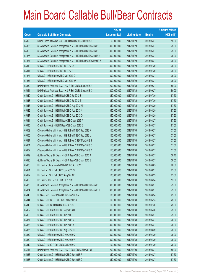|       |                                                                | No. of        |                     |               | <b>Amount raised</b> |
|-------|----------------------------------------------------------------|---------------|---------------------|---------------|----------------------|
| Code  | <b>Callable Bull/Bear Contracts</b>                            | issue (units) | <b>Listing date</b> | <b>Expiry</b> | $(HK$$ mil.)         |
| 65009 | Merrill Lynch Int'l & Co. C.V. - HSI R Bull CBBC Jun 2013 J    | 60,000,000    | 2012/11/29          | 2013/06/27    | 15.00                |
| 64965 | SGA Societe Generale Acceptance N.V. - HSI R Bull CBBC Jun13 F | 300,000,000   | 2012/11/29          | 2013/06/27    | 75.00                |
| 64966 | SGA Societe Generale Acceptance N.V. - HSI R Bull CBBC Jun13 G | 300,000,000   | 2012/11/29          | 2013/06/27    | 75.00                |
| 64976 | SGA Societe Generale Acceptance N.V. - HSI R Bull CBBC Jun13 H | 300,000,000   | 2012/11/29          | 2013/06/27    | 75.00                |
| 64967 | SGA Societe Generale Acceptance N.V. - HSI R Bear CBBC Mar13 Z | 300,000,000   | 2012/11/29          | 2013/03/27    | 75.00                |
| 65010 | UBS AG - HSI R Bull CBBC Jul 2013 Q                            | 300,000,000   | 2012/11/29          | 2013/07/30    | 75.00                |
| 65011 | UBS AG - HSI R Bull CBBC Jul 2013 R                            | 300,000,000   | 2012/11/29          | 2013/07/30    | 75.00                |
| 64974 | UBS AG - HSI R Bear CBBC Mar 2013 G                            | 300,000,000   | 2012/11/29          | 2013/03/27    | 75.00                |
| 64984 | UBS AG - HSI R Bear CBBC Mar 2013 W                            | 300,000,000   | 2012/11/29          | 2013/03/27    | 75.00                |
| 65050 | BNP Paribas Arbit Issu B.V. - HSI R Bull CBBC Sep 2013 J       | 200,000,000   | 2012/11/30          | 2013/09/27    | 50.00                |
| 65051 | BNP Paribas Arbit Issu B.V. - HSI R Bull CBBC Sep 2013 K       | 200,000,000   | 2012/11/30          | 2013/09/27    | 50.00                |
| 65049 | Credit Suisse AG - HSI R Bull CBBC Jul 2013 B                  | 350,000,000   | 2012/11/30          | 2013/07/30    | 87.50                |
| 65048 | Credit Suisse AG - HSI R Bull CBBC Jul 2013 Z                  | 350,000,000   | 2012/11/30          | 2013/07/30    | 87.50                |
| 65045 | Credit Suisse AG - HSI R Bull CBBC Aug 2013 M                  | 350,000,000   | 2012/11/30          | 2013/08/29    | 87.50                |
| 65046 | Credit Suisse AG - HSI R Bull CBBC Aug 2013 N                  | 350,000,000   | 2012/11/30          | 2013/08/29    | 87.50                |
| 65047 | Credit Suisse AG - HSI R Bull CBBC Aug 2013 O                  | 350,000,000   | 2012/11/30          | 2013/08/29    | 87.50                |
| 65031 | Credit Suisse AG - HSI R Bear CBBC Mar 2013 A                  | 350,000,000   | 2012/11/30          | 2013/03/27    | 87.50                |
| 65035 | Credit Suisse AG - HSI R Bear CBBC Mar 2013 Z                  | 350,000,000   | 2012/11/30          | 2013/03/27    | 87.50                |
| 65059 | Citigroup Global Mkt H Inc. - HSI R Bull CBBC Sep 2013 K       | 150,000,000   | 2012/11/30          | 2013/09/27    | 37.50                |
| 65060 | Citigroup Global Mkt H Inc. - HSI R Bull CBBC Sep 2013 L       | 150,000,000   | 2012/11/30          | 2013/09/27    | 37.50                |
| 65037 | Citigroup Global Mkt H Inc. - HSI R Bear CBBC Mar 2013 B       | 150,000,000   | 2012/11/30          | 2013/03/27    | 37.50                |
| 65061 | Citigroup Global Mkt H Inc. - HSI R Bear CBBC Mar 2013 C       | 150,000,000   | 2012/11/30          | 2013/03/27    | 37.50                |
| 65062 | Citigroup Global Mkt H Inc. - HSI R Bear CBBC Mar 2013 D       | 150,000,000   | 2012/11/30          | 2013/03/27    | 37.50                |
| 65019 | Goldman Sachs SP (Asia) - HSI R Bear CBBC Mar 2013 A           | 150,000,000   | 2012/11/30          | 2013/03/27    | 38.10                |
| 65020 | Goldman Sachs SP (Asia) - HSI R Bear CBBC Mar 2013 B           | 150,000,000   | 2012/11/30          | 2013/03/27    | 38.55                |
| 65030 | HK Bank - China Mobile R Bull CBBC Aug 2013 B                  | 80,000,000    | 2012/11/30          | 2013/08/05    | 20.00                |
| 65021 | HK Bank - HSI R Bull CBBC Jun 2013 G                           | 100,000,000   | 2012/11/30          | 2013/06/27    | 25.00                |
| 65022 | HK Bank - HSI R Bull CBBC Aug 2013 E                           | 100,000,000   | 2012/11/30          | 2013/08/29    | 25.00                |
| 65029 | HK Bank - TCH R Bull CBBC Jun 2013 B                           | 50,000,000    | 2012/11/30          | 2013/06/24    | 13.50                |
| 65033 | SGA Societe Generale Acceptance N.V. - HSI R Bull CBBC Jun13 I | 300,000,000   | 2012/11/30          | 2013/06/27    | 75.00                |
| 65034 | SGA Societe Generale Acceptance N.V. - HSI R Bull CBBC Jun13 J | 300,000,000   | 2012/11/30          | 2013/06/27    | 75.00                |
| 65043 | UBS AG - CC Bank R Bull CBBC Jun 2013 A                        | 100,000,000   | 2012/11/30          | 2013/06/24    | 25.00                |
| 65044 | UBS AG - HSBC R Bull CBBC May 2013 A                           | 100,000,000   | 2012/11/30          | 2013/05/13    | 25.00                |
| 65040 | UBS AG - HSCEI R Bull CBBC Jul 2013 B                          | 100,000,000   | 2012/11/30          | 2013/07/30    | 25.00                |
| 65052 | UBS AG - HSI R Bull CBBC May 2013 H                            | 300,000,000   | 2012/11/30          | 2013/05/30    | 75.00                |
| 65056 | UBS AG - HSI R Bull CBBC Jun 2013 U                            | 300,000,000   | 2012/11/30          | 2013/06/27    | 75.00                |
| 65057 | UBS AG - HSI R Bull CBBC Jun 2013 V                            | 300,000,000   | 2012/11/30          | 2013/06/27    | 75.00                |
| 65058 | UBS AG - HSI R Bull CBBC Jun 2013 X                            | 300,000,000   | 2012/11/30          | 2013/06/27    | 75.00                |
| 65055 | UBS AG - HSI R Bull CBBC Aug 2013 H                            | 300,000,000   | 2012/11/30          | 2013/08/29    | 75.00                |
| 65032 | UBS AG - HSI R Bear CBBC Apr 2013 Q                            | 300,000,000   | 2012/11/30          | 2013/04/29    | 75.00                |
| 65039 | UBS AG - HSI R Bear CBBC Apr 2013 W                            | 300,000,000   | 2012/11/30          | 2013/04/29    | 75.00                |
| 65042 | UBS AG - ICBC R Bull CBBC Jul 2013 C                           | 100,000,000   | 2012/11/30          | 2013/07/29    | 25.00                |
| 65117 | BNP Paribas Arbit Issu B.V. - HSI R Bear CBBC Mar 2013 F       | 200,000,000   | 2012/12/03          | 2013/03/27    | 50.00                |
| 65086 | Credit Suisse AG - HSI R Bull CBBC Jun 2013 P                  | 350,000,000   | 2012/12/03          | 2013/06/27    | 87.50                |
| 65088 | Credit Suisse AG - HSI R Bull CBBC Jun 2013 Q                  | 350,000,000   | 2012/12/03          | 2013/06/27    | 87.50                |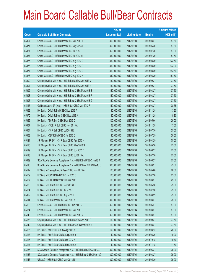|       |                                                                | No. of        |                     |               | <b>Amount raised</b> |
|-------|----------------------------------------------------------------|---------------|---------------------|---------------|----------------------|
| Code  | <b>Callable Bull/Bear Contracts</b>                            | issue (units) | <b>Listing date</b> | <b>Expiry</b> | (HK\$ mil.)          |
| 65097 | Credit Suisse AG - HSI R Bear CBBC Mar 2013 T                  | 350,000,000   | 2012/12/03          | 2013/03/27    | 87.50                |
| 65071 | Credit Suisse AG - HSI R Bear CBBC May 2013 F                  | 350,000,000   | 2012/12/03          | 2013/05/30    | 87.50                |
| 65081 | Credit Suisse AG - HSI R Bear CBBC Jul 2013 L                  | 350,000,000   | 2012/12/03          | 2013/07/30    | 87.50                |
| 65084 | Credit Suisse AG - HSI R Bear CBBC Jul 2013 M                  | 350,000,000   | 2012/12/03          | 2013/07/30    | 87.50                |
| 65075 | Credit Suisse AG - HSI R Bear CBBC Aug 2013 E                  | 350,000,000   | 2012/12/03          | 2013/08/29    | 122.50               |
| 65076 | Credit Suisse AG - HSI R Bear CBBC Aug 2013 F                  | 350,000,000   | 2012/12/03          | 2013/08/29    | 133.00               |
| 65077 | Credit Suisse AG - HSI R Bear CBBC Aug 2013 G                  | 350,000,000   | 2012/12/03          | 2013/08/29    | 143.50               |
| 65078 | Credit Suisse AG - HSI R Bear CBBC Aug 2013 H                  | 350,000,000   | 2012/12/03          | 2013/08/29    | 157.50               |
| 65090 | Citigroup Global Mkt H Inc. - HSI R Bull CBBC Sep 2013 M       | 150,000,000   | 2012/12/03          | 2013/09/27    | 37.50                |
| 65091 | Citigroup Global Mkt H Inc. - HSI R Bull CBBC Sep 2013 N       | 150,000,000   | 2012/12/03          | 2013/09/27    | 37.50                |
| 65092 | Citigroup Global Mkt H Inc. - HSI R Bear CBBC Mar 2013 E       | 150,000,000   | 2012/12/03          | 2013/03/27    | 37.50                |
| 65093 | Citigroup Global Mkt H Inc. - HSI R Bear CBBC Mar 2013 F       | 150,000,000   | 2012/12/03          | 2013/03/27    | 37.50                |
| 65096 | Citigroup Global Mkt H Inc. - HSI R Bear CBBC Mar 2013 G       | 150,000,000   | 2012/12/03          | 2013/03/27    | 37.50                |
| 65115 | Goldman Sachs SP (Asia) - HSI R Bull CBBC Mar 2013 F           | 150,000,000   | 2012/12/03          | 2013/03/27    | 38.55                |
| 65069 | HK Bank - COVS R Bull CBBC Nov 2013 A                          | 40,000,000    | 2012/12/03          | 2013/11/25    | 13.60                |
| 65070 | HK Bank - COVS R Bear CBBC Nov 2013 A                          | 40,000,000    | 2012/12/03          | 2013/11/25    | 18.80                |
| 65065 | HK Bank - A50 R Bull CBBC May 2013 C                           | 100,000,000   | 2012/12/03          | 2013/05/06    | 25.00                |
| 65067 | HK Bank - HSCEI R Bull CBBC Nov 2013 A                         | 68,000,000    | 2012/12/03          | 2013/11/28    | 17.00                |
| 65064 | HK Bank - HSI R Bull CBBC Jul 2013 E                           | 100,000,000   | 2012/12/03          | 2013/07/30    | 25.00                |
| 65068 | HK Bank - ICBC R Bull CBBC Jul 2013 C                          | 80,000,000    | 2012/12/03          | 2013/07/29    | 20.00                |
| 65121 | J P Morgan SP BV - HSI R Bear CBBC Apr 2013 H                  | 300,000,000   | 2012/12/03          | 2013/04/29    | 75.00                |
| 65120 | J P Morgan SP BV - HSI R Bear CBBC May 2013 S                  | 300,000,000   | 2012/12/03          | 2013/05/30    | 75.00                |
| 65119 | J P Morgan SP BV - HSI R Bear CBBC Jun 2013 D                  | 300,000,000   | 2012/12/03          | 2013/06/27    | 75.00                |
| 65118 | J P Morgan SP BV - HSI R Bear CBBC Jul 2013 A                  | 300,000,000   | 2012/12/03          | 2013/07/30    | 75.00                |
| 65089 | SGA Societe Generale Acceptance N.V. - HSI R Bull CBBC Jun13 K | 300,000,000   | 2012/12/03          | 2013/06/27    | 75.00                |
| 65113 | SGA Societe Generale Acceptance N.V. - HSI R Bear CBBC Mar13 O | 300,000,000   | 2012/12/03          | 2013/03/27    | 75.00                |
| 65112 | UBS AG - Cheung Kong R Bear CBBC May 2013 A                    | 100,000,000   | 2012/12/03          | 2013/05/06    | 28.00                |
| 65109 | UBS AG - HSCEI R Bull CBBC Jul 2013 C                          | 100,000,000   | 2012/12/03          | 2013/07/30    | 25.00                |
| 65107 | UBS AG - HSCEI R Bear CBBC Mar 2013 E                          | 100,000,000   | 2012/12/03          | 2013/03/27    | 25.00                |
| 65100 | UBS AG - HSI R Bull CBBC May 2013 E                            | 300,000,000   | 2012/12/03          | 2013/05/30    | 75.00                |
| 65104 | UBS AG - HSI R Bull CBBC Jul 2013 S                            | 300,000,000   | 2012/12/03          | 2013/07/30    | 75.00                |
| 65099 | UBS AG - HSI R Bull CBBC Aug 2013 I                            | 300,000,000   | 2012/12/03          | 2013/08/29    | 75.00                |
| 65114 | UBS AG - HSI R Bear CBBC Mar 2013 X                            | 300,000,000   | 2012/12/03          | 2013/03/27    | 75.00                |
| 65128 | Credit Suisse AG - HSI R Bull CBBC Jun 2013 R                  | 350,000,000   | 2012/12/04          | 2013/06/27    | 87.50                |
| 65134 | Credit Suisse AG - HSI R Bear CBBC Mar 2013 B                  | 350,000,000   | 2012/12/04          | 2013/03/27    | 87.50                |
| 65143 | Credit Suisse AG - HSI R Bear CBBC Mar 2013 M                  | 350,000,000   | 2012/12/04          | 2013/03/27    | 87.50                |
| 65138 | Citigroup Global Mkt H Inc. - HSI R Bull CBBC Sep 2013 O       | 150,000,000   | 2012/12/04          | 2013/09/27    | 37.50                |
| 65142 | Citigroup Global Mkt H Inc. - HSI R Bear CBBC Mar 2013 H       | 150,000,000   | 2012/12/04          | 2013/03/27    | 37.50                |
| 65125 | HK Bank - A50 R Bull CBBC Aug 2013 B                           | 100,000,000   | 2012/12/04          | 2013/08/12    | 25.00                |
| 65123 | HK Bank - A50 R Bear CBBC Aug 2013 B                           | 40,000,000    | 2012/12/04          | 2013/08/26    | 10.00                |
| 65126 | HK Bank - A50 R Bear CBBC Oct 2013 A                           | 40,000,000    | 2012/12/04          | 2013/10/18    | 10.40                |
| 65124 | HK Bank - A50 R Bear CBBC Nov 2013 A                           | 40,000,000    | 2012/12/04          | 2013/11/18    | 11.60                |
| 65136 | SGA Societe Generale Acceptance N.V. - HSI R Bull CBBC Jun 13L | 300,000,000   | 2012/12/04          | 2013/06/27    | 75.00                |
| 65137 | SGA Societe Generale Acceptance N.V. - HSI R Bear CBBC Mar 13Q | 300,000,000   | 2012/12/04          | 2013/03/27    | 75.00                |
| 65147 | UBS AG - HSI R Bull CBBC May 2013 N                            | 300,000,000   | 2012/12/04          | 2013/05/30    | 75.00                |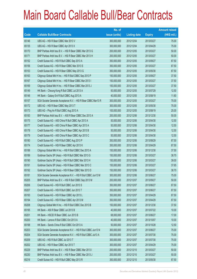|       |                                                                | No. of        |                     |               | <b>Amount raised</b> |
|-------|----------------------------------------------------------------|---------------|---------------------|---------------|----------------------|
| Code  | <b>Callable Bull/Bear Contracts</b>                            | issue (units) | <b>Listing date</b> | <b>Expiry</b> | (HK\$ mil.)          |
| 65146 | UBS AG - HSI R Bear CBBC Mar 2013 V                            | 300,000,000   | 2012/12/04          | 2013/03/27    | 75.00                |
| 65135 | UBS AG - HSI R Bear CBBC Apr 2013 X                            | 300,000,000   | 2012/12/04          | 2013/04/29    | 75.00                |
| 65170 | BNP Paribas Arbit Issu B.V. - HSI R Bear CBBC Mar 2013 G       | 200,000,000   | 2012/12/05          | 2013/03/27    | 50.00                |
| 65171 | BNP Paribas Arbit Issu B.V. - HSI R Bear CBBC Mar 2013 H       | 200,000,000   | 2012/12/05          | 2013/03/27    | 50.00                |
| 65152 | Credit Suisse AG - HSI R Bull CBBC Sep 2013 A                  | 350,000,000   | 2012/12/05          | 2013/09/27    | 87.50                |
| 65156 | Credit Suisse AG - HSI R Bear CBBC Mar 2013 S                  | 350,000,000   | 2012/12/05          | 2013/03/27    | 87.50                |
| 65153 | Credit Suisse AG - HSI R Bear CBBC May 2013 G                  | 350,000,000   | 2012/12/05          | 2013/05/30    | 87.50                |
| 65163 | Citigroup Global Mkt H Inc. - HSI R Bull CBBC Sep 2013 P       | 150,000,000   | 2012/12/05          | 2013/09/27    | 37.50                |
| 65167 | Citigroup Global Mkt H Inc. - HSI R Bear CBBC Mar 2013 I       | 150,000,000   | 2012/12/05          | 2013/03/27    | 37.50                |
| 65169 | Citigroup Global Mkt H Inc. - HSI R Bear CBBC Mar 2013 J       | 150,000,000   | 2012/12/05          | 2013/03/27    | 37.50                |
| 65149 | HK Bank - Cheung Kong R Bull CBBC Jul 2013 A                   | 50,000,000    | 2012/12/05          | 2013/07/29    | 12.50                |
| 65148 | HK Bank - Galaxy Ent R Bull CBBC Aug 2013 A                    | 40,000,000    | 2012/12/05          | 2013/08/19    | 11.60                |
| 65157 | SGA Societe Generale Acceptance N.V. - HSI R Bear CBBC Mar13 R | 300,000,000   | 2012/12/05          | 2013/03/27    | 75.00                |
| 65172 | UBS AG - HSI R Bear CBBC May 2013 T                            | 300,000,000   | 2012/12/05          | 2013/05/30    | 75.00                |
| 65173 | UBS AG - Ping An R Bull CBBC Aug 2013 A                        | 100,000,000   | 2012/12/05          | 2013/08/19    | 25.00                |
| 65183 | BNP Paribas Arbit Issu B.V. - A50 R Bear CBBC Dec 2013 A       | 200,000,000   | 2012/12/06          | 2013/12/30    | 50.00                |
| 65175 | Credit Suisse AG - A50 China R Bull CBBC Apr 2013 A            | 50,000,000    | 2012/12/06          | 2013/04/30    | 12.50                |
| 65177 | Credit Suisse AG - A50 China R Bear CBBC Apr 2013 A            | 50,000,000    | 2012/12/06          | 2013/04/30    | 12.50                |
| 65178 | Credit Suisse AG - A50 China R Bear CBBC Apr 2013 B            | 50,000,000    | 2012/12/06          | 2013/04/30    | 12.50                |
| 65179 | Credit Suisse AG - A50 China R Bear CBBC Apr 2013 C            | 50,000,000    | 2012/12/06          | 2013/04/30    | 12.50                |
| 65180 | Credit Suisse AG - HSI R Bull CBBC Aug 2013 P                  | 350,000,000   | 2012/12/06          | 2013/08/29    | 87.50                |
| 65174 | Credit Suisse AG - HSI R Bear CBBC Apr 2013 K                  | 350,000,000   | 2012/12/06          | 2013/04/29    | 87.50                |
| 65188 | Citigroup Global Mkt H Inc. - HSI R Bull CBBC Dec 2013 A       | 150,000,000   | 2012/12/06          | 2013/12/30    | 37.50                |
| 65189 | Goldman Sachs SP (Asia) - HSI R Bull CBBC Mar 2013 G           | 150,000,000   | 2012/12/06          | 2013/03/27    | 38.70                |
| 65190 | Goldman Sachs SP (Asia) - HSI R Bull CBBC Mar 2013 H           | 150,000,000   | 2012/12/06          | 2013/03/27    | 39.00                |
| 65191 | Goldman Sachs SP (Asia) - HSI R Bear CBBC Mar 2013 C           | 150,000,000   | 2012/12/06          | 2013/03/27    | 37.65                |
| 65192 | Goldman Sachs SP (Asia) - HSI R Bear CBBC Mar 2013 D           | 150,000,000   | 2012/12/06          | 2013/03/27    | 38.70                |
| 65181 | SGA Societe Generale Acceptance N.V. - HSI R Bull CBBC Jun13 M | 300,000,000   | 2012/12/06          | 2013/06/27    | 75.00                |
| 65205 | BNP Paribas Arbit Issu B.V. - HSI R Bull CBBC Sep 2013 M       | 200,000,000   | 2012/12/07          | 2013/09/27    | 50.00                |
| 65206 | Credit Suisse AG - HSI R Bull CBBC Jun 2013 S                  | 350,000,000   | 2012/12/07          | 2013/06/27    | 87.50                |
| 65207 | Credit Suisse AG - HSI R Bull CBBC Jun 2013 T                  | 350,000,000   | 2012/12/07          | 2013/06/27    | 87.50                |
| 65193 | Credit Suisse AG - HSI R Bear CBBC Apr 2013 L                  | 350,000,000   | 2012/12/07          | 2013/04/29    | 87.50                |
| 65194 | Credit Suisse AG - HSI R Bear CBBC Apr 2013 M                  | 350,000,000   | 2012/12/07          | 2013/04/29    | 87.50                |
| 65208 | Citigroup Global Mkt H Inc. - HSI R Bull CBBC Dec 2013 B       | 150,000,000   | 2012/12/07          | 2013/12/30    | 37.50                |
| 65195 | HK Bank - A50 R Bear CBBC Jul 2013 B                           | 40,000,000    | 2012/12/07          | 2013/07/22    | 10.00                |
| 65201 | HK Bank - HSCEI R Bear CBBC Jun 2013 B                         | 68,000,000    | 2012/12/07          | 2013/06/27    | 17.00                |
| 65200 | HK Bank - Lenovo R Bull CBBC Oct 2013 A                        | 40,000,000    | 2012/12/07          | 2013/10/07    | 10.00                |
| 65198 | HK Bank - Sands China R Bull CBBC Oct 2013 A                   | 50,000,000    | 2012/12/07          | 2013/10/28    | 12.50                |
| 65203 | SGA Societe Generale Acceptance N.V. - HSI R Bull CBBC Jun13 N | 300,000,000   | 2012/12/07          | 2013/06/27    | 75.00                |
| 65204 | SGA Societe Generale Acceptance N.V. - HSI R Bull CBBC Jul13 A | 300,000,000   | 2012/12/07          | 2013/07/30    | 75.00                |
| 65209 | UBS AG - HSI R Bull CBBC Jul 2013 T                            | 300,000,000   | 2012/12/07          | 2013/07/30    | 75.00                |
| 65202 | UBS AG - HSI R Bear CBBC Apr 2013 T                            | 300,000,000   | 2012/12/07          | 2013/04/29    | 75.00                |
| 65229 | BNP Paribas Arbit Issu B.V. - HSI R Bear CBBC Mar 2013 I       | 200,000,000   | 2012/12/10          | 2013/03/27    | 50.00                |
| 65230 | BNP Paribas Arbit Issu B.V. - HSI R Bear CBBC Mar 2013 J       | 200,000,000   | 2012/12/10          | 2013/03/27    | 50.00                |
| 65216 | Credit Suisse AG - HSI R Bull CBBC May 2013 R                  | 350,000,000   | 2012/12/10          | 2013/05/30    | 87.50                |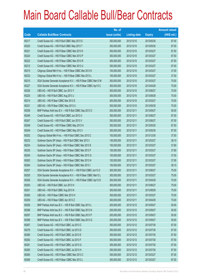|       |                                                                | No. of        |                     |               | <b>Amount raised</b> |
|-------|----------------------------------------------------------------|---------------|---------------------|---------------|----------------------|
| Code  | <b>Callable Bull/Bear Contracts</b>                            | issue (units) | <b>Listing date</b> | <b>Expiry</b> | (HK\$ mil.)          |
| 65217 | Credit Suisse AG - HSI R Bull CBBC May 2013 S                  | 350,000,000   | 2012/12/10          | 2013/05/30    | 87.50                |
| 65220 | Credit Suisse AG - HSI R Bull CBBC May 2013 T                  | 350,000,000   | 2012/12/10          | 2013/05/30    | 87.50                |
| 65221 | Credit Suisse AG - HSI R Bear CBBC Mar 2013 K                  | 350,000,000   | 2012/12/10          | 2013/03/27    | 87.50                |
| 65224 | Credit Suisse AG - HSI R Bear CBBC Mar 2013 P                  | 350,000,000   | 2012/12/10          | 2013/03/27    | 87.50                |
| 65223 | Credit Suisse AG - HSI R Bear CBBC Mar 2013 R                  | 350,000,000   | 2012/12/10          | 2013/03/27    | 87.50                |
| 65212 | Credit Suisse AG - HSI R Bear CBBC Mar 2013 U                  | 350,000,000   | 2012/12/10          | 2013/03/27    | 87.50                |
| 65215 | Citigroup Global Mkt H Inc. - HSI R Bear CBBC Mar 2013 K       | 150,000,000   | 2012/12/10          | 2013/03/27    | 37.50                |
| 65232 | Citigroup Global Mkt H Inc. - HSI R Bear CBBC Mar 2013 L       | 150,000,000   | 2012/12/10          | 2013/03/27    | 37.50                |
| 65210 | SGA Societe Generale Acceptance N.V. - HSI R Bear CBBC Mar13 M | 300,000,000   | 2012/12/10          | 2013/03/27    | 75.00                |
| 65227 | SGA Societe Generale Acceptance N.V. - HSI R Bear CBBC Apr13 C | 300,000,000   | 2012/12/10          | 2013/04/29    | 75.00                |
| 65226 | UBS AG - HSI R Bull CBBC Jun 2013 Y                            | 300,000,000   | 2012/12/10          | 2013/06/27    | 75.00                |
| 65225 | UBS AG - HSI R Bull CBBC Aug 2013 J                            | 300,000,000   | 2012/12/10          | 2013/08/29    | 75.00                |
| 65214 | UBS AG - HSI R Bear CBBC Mar 2013 E                            | 300,000,000   | 2012/12/10          | 2013/03/27    | 75.00                |
| 65231 | UBS AG - HSI R Bear CBBC May 2013 U                            | 300,000,000   | 2012/12/10          | 2013/05/30    | 75.00                |
| 65258 | BNP Paribas Arbit Issu B.V. - HSI R Bull CBBC Sep 2013 O       | 200,000,000   | 2012/12/11          | 2013/09/27    | 50.00                |
| 65246 | Credit Suisse AG - HSI R Bull CBBC Jun 2013 U                  | 350,000,000   | 2012/12/11          | 2013/06/27    | 87.50                |
| 65247 | Credit Suisse AG - HSI R Bull CBBC Jun 2013 V                  | 350,000,000   | 2012/12/11          | 2013/06/27    | 87.50                |
| 65248 | Credit Suisse AG - HSI R Bear CBBC May 2013 H                  | 350,000,000   | 2012/12/11          | 2013/05/30    | 87.50                |
| 65249 | Credit Suisse AG - HSI R Bear CBBC May 2013 I                  | 350,000,000   | 2012/12/11          | 2013/05/30    | 87.50                |
| 65252 | Citigroup Global Mkt H Inc. - HSI R Bull CBBC Dec 2013 C       | 150,000,000   | 2012/12/11          | 2013/12/30    | 37.50                |
| 65233 | Goldman Sachs SP (Asia) - HSI R Bull CBBC Mar 2013 I           | 150,000,000   | 2012/12/11          | 2013/03/27    | 38.10                |
| 65234 | Goldman Sachs SP (Asia) - HSI R Bear CBBC Mar 2013 E           | 150,000,000   | 2012/12/11          | 2013/03/27    | 37.80                |
| 65235 | Goldman Sachs SP (Asia) - HSI R Bear CBBC Mar 2013 F           | 150,000,000   | 2012/12/11          | 2013/03/27    | 37.80                |
| 65245 | Goldman Sachs SP (Asia) - HSI R Bear CBBC Mar 2013 G           | 150,000,000   | 2012/12/11          | 2013/03/27    | 37.50                |
| 65263 | Goldman Sachs SP (Asia) - HSI R Bear CBBC Mar 2013 H           | 150,000,000   | 2012/12/11          | 2013/03/27    | 37.95                |
| 65264 | Goldman Sachs SP (Asia) - HSI R Bear CBBC Mar 2013 I           | 150,000,000   | 2012/12/11          | 2013/03/27    | 38.10                |
| 65257 | SGA Societe Generale Acceptance N.V. - HSI R Bull CBBC Jun13 O | 300,000,000   | 2012/12/11          | 2013/06/27    | 75.00                |
| 65255 | SGA Societe Generale Acceptance N.V. - HSI R Bear CBBC Mar13 L | 300,000,000   | 2012/12/11          | 2013/03/27    | 75.00                |
| 65256 | SGA Societe Generale Acceptance N.V. - HSI R Bear CBBC Apr13 D | 300,000,000   | 2012/12/11          | 2013/04/29    | 75.00                |
| 65250 | UBS AG - HSI R Bull CBBC Jun 2013 H                            | 300,000,000   | 2012/12/11          | 2013/06/27    | 75.00                |
| 65251 | UBS AG - HSI R Bull CBBC Aug 2013 K                            | 300,000,000   | 2012/12/11          | 2013/08/29    | 75.00                |
| 65260 | UBS AG - HSI R Bear CBBC Mar 2013 H                            | 300,000,000   | 2012/12/11          | 2013/03/27    | 75.00                |
| 65259 | UBS AG - HSI R Bear CBBC Apr 2013 Z                            | 300,000,000   | 2012/12/11          | 2013/04/29    | 75.00                |
| 65295 | BNP Paribas Arbit Issu B.V. - HSI R Bull CBBC Sep 2013 L       | 200,000,000   | 2012/12/12          | 2013/09/27    | 50.00                |
| 65296 | BNP Paribas Arbit Issu B.V. - HSI R Bull CBBC Sep 2013 N       | 200,000,000   | 2012/12/12          | 2013/09/27    | 50.00                |
| 65297 | BNP Paribas Arbit Issu B.V. - HSI R Bull CBBC Sep 2013 P       | 200,000,000   | 2012/12/12          | 2013/09/27    | 50.00                |
| 65298 | BNP Paribas Arbit Issu B.V. - HSI R Bull CBBC Sep 2013 Q       | 200,000,000   | 2012/12/12          | 2013/09/27    | 50.00                |
| 65267 | Credit Suisse AG - HSI R Bull CBBC Jul 2013 C                  | 350,000,000   | 2012/12/12          | 2013/07/30    | 87.50                |
| 65276 | Credit Suisse AG - HSI R Bull CBBC Jul 2013 D                  | 350,000,000   | 2012/12/12          | 2013/07/30    | 87.50                |
| 65280 | Credit Suisse AG - HSI R Bull CBBC Jul 2013 E                  | 350,000,000   | 2012/12/12          | 2013/07/30    | 87.50                |
| 65282 | Credit Suisse AG - HSI R Bull CBBC Jul 2013 F                  | 350,000,000   | 2012/12/12          | 2013/07/30    | 87.50                |
| 65281 | Credit Suisse AG - HSI R Bull CBBC Jul 2013 G                  | 350,000,000   | 2012/12/12          | 2013/07/30    | 87.50                |
| 65283 | Credit Suisse AG - HSI R Bull CBBC Jul 2013 H                  | 350,000,000   | 2012/12/12          | 2013/07/30    | 87.50                |
| 65265 | Credit Suisse AG - HSI R Bear CBBC Mar 2013 C                  | 350,000,000   | 2012/12/12          | 2013/03/27    | 87.50                |
| 65266 | Credit Suisse AG - HSI R Bear CBBC Mar 2013 L                  | 350,000,000   | 2012/12/12          | 2013/03/27    | 87.50                |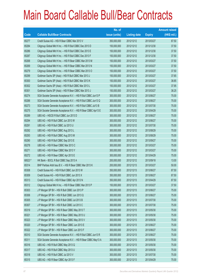|        |                                                                | No. of        |                     |               | <b>Amount raised</b> |
|--------|----------------------------------------------------------------|---------------|---------------------|---------------|----------------------|
| Code   | <b>Callable Bull/Bear Contracts</b>                            | issue (units) | <b>Listing date</b> | <b>Expiry</b> | $(HK$$ mil.)         |
| 65277  | Credit Suisse AG - HSI R Bear CBBC Mar 2013 V                  | 350,000,000   | 2012/12/12          | 2013/03/27    | 87.50                |
| 65284  | Citigroup Global Mkt H Inc. - HSI R Bull CBBC Dec 2013 D       | 150,000,000   | 2012/12/12          | 2013/12/30    | 37.50                |
| 65286  | Citigroup Global Mkt H Inc. - HSI R Bull CBBC Dec 2013 E       | 150,000,000   | 2012/12/12          | 2013/12/30    | 37.50                |
| 65287  | Citigroup Global Mkt H Inc. - HSI R Bull CBBC Dec 2013 F       | 150,000,000   | 2012/12/12          | 2013/12/30    | 37.50                |
| 65268  | Citigroup Global Mkt H Inc. - HSI R Bear CBBC Mar 2013 M       | 150,000,000   | 2012/12/12          | 2013/03/27    | 37.50                |
| 65269  | Citigroup Global Mkt H Inc. - HSI R Bear CBBC Mar 2013 N       | 150,000,000   | 2012/12/12          | 2013/03/27    | 37.50                |
| 65279  | Citigroup Global Mkt H Inc. - HSI R Bear CBBC Mar 2013 O       | 150,000,000   | 2012/12/12          | 2013/03/27    | 37.50                |
| 65299  | Goldman Sachs SP (Asia) - HSI R Bull CBBC Mar 2013 J           | 150,000,000   | 2012/12/12          | 2013/03/27    | 37.65                |
| 65300  | Goldman Sachs SP (Asia) - HSI R Bull CBBC Mar 2013 K           | 150,000,000   | 2012/12/12          | 2013/03/27    | 38.85                |
| 65302  | Goldman Sachs SP (Asia) - HSI R Bull CBBC Mar 2013 L           | 150,000,000   | 2012/12/12          | 2013/03/27    | 37.95                |
| 65301  | Goldman Sachs SP (Asia) - HSI R Bear CBBC Mar 2013 J           | 150,000,000   | 2012/12/12          | 2013/03/27    | 38.25                |
| 65274  | SGA Societe Generale Acceptance N.V. - HSI R Bull CBBC Jun13 P | 300,000,000   | 2012/12/12          | 2013/06/27    | 75.00                |
| 65288  | SGA Societe Generale Acceptance N.V. - HSI R Bull CBBC Jun13 Q | 300,000,000   | 2012/12/12          | 2013/06/27    | 75.00                |
| 65273  | SGA Societe Generale Acceptance N.V. - HSI R Bull CBBC Jul13 B | 300,000,000   | 2012/12/12          | 2013/07/30    | 75.00                |
| 65275  | SGA Societe Generale Acceptance N.V. - HSI R Bear CBBC Apr13 E | 300,000,000   | 2012/12/12          | 2013/04/29    | 75.00                |
| 65289  | UBS AG - HSCEI R Bull CBBC Jun 2013 D                          | 300,000,000   | 2012/12/12          | 2013/06/27    | 75.00                |
| 65294  | UBS AG - HSI R Bull CBBC Jun 2013 W                            | 300,000,000   | 2012/12/12          | 2013/06/27    | 75.00                |
| 65291  | UBS AG - HSI R Bull CBBC Jul 2013 U                            | 300,000,000   | 2012/12/12          | 2013/07/30    | 75.00                |
| 65292  | UBS AG - HSI R Bull CBBC Aug 2013 L                            | 300,000,000   | 2012/12/12          | 2013/08/29    | 75.00                |
| 65293  | UBS AG - HSI R Bull CBBC Aug 2013 M                            | 300,000,000   | 2012/12/12          | 2013/08/29    | 75.00                |
| 65290  | UBS AG - HSI R Bull CBBC Sep 2013 E                            | 300,000,000   | 2012/12/12          | 2013/09/27    | 75.00                |
| 65278  | UBS AG - HSI R Bear CBBC Mar 2013 C                            | 300,000,000   | 2012/12/12          | 2013/03/27    | 75.00                |
| 65271  | UBS AG - HSI R Bear CBBC Mar 2013 Y                            | 300,000,000   | 2012/12/12          | 2013/03/27    | 75.00                |
| 65272  | UBS AG - HSI R Bear CBBC Apr 2013 E                            | 300,000,000   | 2012/12/12          | 2013/04/29    | 75.00                |
| 68523# | HK Bank - BOCL R Bull CBBC Sep 2013 A                          | 200,000,000   | 2012/12/12          | 2013/09/18    | 13.00                |
| 65314  | BNP Paribas Arbit Issu B.V. - HSI R Bear CBBC Mar 2013 K       | 200,000,000   | 2012/12/13          | 2013/03/27    | 50.00                |
| 65308  | Credit Suisse AG - HSI R Bull CBBC Jun 2013 W                  | 350,000,000   | 2012/12/13          | 2013/06/27    | 87.50                |
| 65309  | Credit Suisse AG - HSI R Bull CBBC Jun 2013 X                  | 350,000,000   | 2012/12/13          | 2013/06/27    | 87.50                |
| 65313  | Credit Suisse AG - HSI R Bear CBBC Apr 2013 N                  | 350,000,000   | 2012/12/13          | 2013/04/29    | 87.50                |
| 65312  | Citigroup Global Mkt H Inc. - HSI R Bear CBBC Mar 2013 P       | 150,000,000   | 2012/12/13          | 2013/03/27    | 37.50                |
| 65303  | J P Morgan SP BV - HSI R Bull CBBC Jun 2013 P                  | 300,000,000   | 2012/12/13          | 2013/06/27    | 75.00                |
| 65306  | J P Morgan SP BV - HSI R Bull CBBC Jun 2013 Q                  | 300,000,000   | 2012/12/13          | 2013/06/27    | 75.00                |
| 65305  | J P Morgan SP BV - HSI R Bull CBBC Jul 2013 B                  | 300,000,000   | 2012/12/13          | 2013/07/30    | 75.00                |
| 65307  | J P Morgan SP BV - HSI R Bull CBBC Jul 2013 C                  | 300,000,000   | 2012/12/13          | 2013/07/30    | 75.00                |
| 65319  | J P Morgan SP BV - HSI R Bear CBBC May 2013 T                  | 300,000,000   | 2012/12/13          | 2013/05/30    | 75.00                |
| 65321  | J P Morgan SP BV - HSI R Bear CBBC May 2013 U                  | 300,000,000   | 2012/12/13          | 2013/05/30    | 75.00                |
| 65323  | J P Morgan SP BV - HSI R Bear CBBC May 2013 V                  | 300,000,000   | 2012/12/13          | 2013/05/30    | 75.00                |
| 65320  | J P Morgan SP BV - HSI R Bear CBBC Jun 2013 E                  | 300,000,000   | 2012/12/13          | 2013/06/27    | 75.00                |
| 65322  | J P Morgan SP BV - HSI R Bear CBBC Jun 2013 F                  | 300,000,000   | 2012/12/13          | 2013/06/27    | 75.00                |
| 65310  | SGA Societe Generale Acceptance N.V. - HSI R Bull CBBC Jun13 R | 300,000,000   | 2012/12/13          | 2013/06/27    | 75.00                |
| 65311  | SGA Societe Generale Acceptance N.V. - HSI R Bear CBBC May13 A | 300,000,000   | 2012/12/13          | 2013/05/30    | 75.00                |
| 65316  | UBS AG - HSI R Bull CBBC May 2013 Q                            | 300,000,000   | 2012/12/13          | 2013/05/30    | 75.00                |
| 65317  | UBS AG - HSI R Bull CBBC May 2013 U                            | 300,000,000   | 2012/12/13          | 2013/05/30    | 75.00                |
| 65318  | UBS AG - HSI R Bull CBBC Jul 2013 V                            | 300,000,000   | 2012/12/13          | 2013/07/30    | 75.00                |
| 65315  | UBS AG - HSI R Bear CBBC Apr 2013 F                            | 300,000,000   | 2012/12/13          | 2013/04/29    | 75.00                |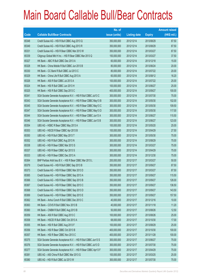|       |                                                                | No. of        |                     |               | <b>Amount raised</b> |
|-------|----------------------------------------------------------------|---------------|---------------------|---------------|----------------------|
| Code  | <b>Callable Bull/Bear Contracts</b>                            | issue (units) | <b>Listing date</b> | <b>Expiry</b> | (HK\$ mil.)          |
| 65348 | Credit Suisse AG - HSI R Bull CBBC Aug 2013 Q                  | 350,000,000   | 2012/12/14          | 2013/08/29    | 87.50                |
| 65349 | Credit Suisse AG - HSI R Bull CBBC Aug 2013 R                  | 350,000,000   | 2012/12/14          | 2013/08/29    | 87.50                |
| 65331 | Credit Suisse AG - HSI R Bear CBBC Mar 2013 W                  | 350,000,000   | 2012/12/14          | 2013/03/27    | 87.50                |
| 65339 | Citigroup Global Mkt H Inc. - HSI R Bear CBBC Mar 2013 Q       | 150,000,000   | 2012/12/14          | 2013/03/27    | 37.50                |
| 65327 | HK Bank - ABC R Bull CBBC Dec 2013 A                           | 60,000,000    | 2012/12/14          | 2013/12/18    | 15.00                |
| 65328 | HK Bank - China Mobile R Bull CBBC Jun 2013 B                  | 80,000,000    | 2012/12/14          | 2013/06/24    | 20.00                |
| 65330 | HK Bank - CC Bank R Bull CBBC Jul 2013 C                       | 80,000,000    | 2012/12/14          | 2013/07/22    | 20.00                |
| 65329 | HK Bank - China Life R Bull CBBC Aug 2013 A                    | 60,000,000    | 2012/12/14          | 2013/08/12    | 16.20                |
| 65326 | HK Bank - A50 R Bull CBBC Jul 2013 A                           | 100,000,000   | 2012/12/14          | 2013/07/22    | 25.00                |
| 65324 | HK Bank - HSI R Bull CBBC Jun 2013 H                           | 100,000,000   | 2012/12/14          | 2013/06/27    | 25.00                |
| 65325 | HK Bank - HSI R Bull CBBC Sep 2013 C                           | 400,000,000   | 2012/12/14          | 2013/09/27    | 100.00               |
| 65341 | SGA Societe Generale Acceptance N.V. - HSI R Bull CBBC Jul13 C | 300,000,000   | 2012/12/14          | 2013/07/30    | 75.00                |
| 65343 | SGA Societe Generale Acceptance N.V. - HSI R Bear CBBC May13 B | 300,000,000   | 2012/12/14          | 2013/05/30    | 102.00               |
| 65345 | SGA Societe Generale Acceptance N.V. - HSI R Bear CBBC May13 C | 300,000,000   | 2012/12/14          | 2013/05/30    | 109.50               |
| 65347 | SGA Societe Generale Acceptance N.V. - HSI R Bear CBBC May13 D | 300,000,000   | 2012/12/14          | 2013/05/30    | 117.00               |
| 65344 | SGA Societe Generale Acceptance N.V. - HSI R Bear CBBC Jun13 A | 300,000,000   | 2012/12/14          | 2013/06/27    | 115.50               |
| 65346 | SGA Societe Generale Acceptance N.V. - HSI R Bear CBBC Jun13 B | 300,000,000   | 2012/12/14          | 2013/06/27    | 123.00               |
| 65354 | UBS AG - HSBC R Bear CBBC May 2013 A                           | 100,000,000   | 2012/12/14          | 2013/05/20    | 25.00                |
| 65353 | UBS AG - HSCEI R Bear CBBC Apr 2013 B                          | 100,000,000   | 2012/12/14          | 2013/04/29    | 27.50                |
| 65350 | UBS AG - HSI R Bull CBBC May 2013 T                            | 300,000,000   | 2012/12/14          | 2013/05/30    | 75.00                |
| 65352 | UBS AG - HSI R Bull CBBC Aug 2013 N                            | 300,000,000   | 2012/12/14          | 2013/08/29    | 75.00                |
| 65338 | UBS AG - HSI R Bear CBBC Mar 2013 S                            | 300,000,000   | 2012/12/14          | 2013/03/27    | 75.00                |
| 65337 | UBS AG - HSI R Bear CBBC Apr 2013 S                            | 300,000,000   | 2012/12/14          | 2013/04/29    | 75.00                |
| 65333 | UBS AG - HSI R Bear CBBC Dec 2013 A                            | 300,000,000   | 2012/12/14          | 2013/12/30    | 75.00                |
| 65364 | BNP Paribas Arbit Issu B.V. - HSI R Bear CBBC Mar 2013 L       | 200,000,000   | 2012/12/17          | 2013/03/27    | 50.00                |
| 65379 | Credit Suisse AG - HSI R Bull CBBC Sep 2013 B                  | 350,000,000   | 2012/12/17          | 2013/09/27    | 87.50                |
| 65373 | Credit Suisse AG - HSI R Bear CBBC Mar 2013 D                  | 350,000,000   | 2012/12/17          | 2013/03/27    | 87.50                |
| 65365 | Credit Suisse AG - HSI R Bear CBBC Sep 2013 A                  | 350,000,000   | 2012/12/17          | 2013/09/27    | 115.50               |
| 65366 | Credit Suisse AG - HSI R Bear CBBC Sep 2013 B                  | 350,000,000   | 2012/12/17          | 2013/09/27    | 126.00               |
| 65367 | Credit Suisse AG - HSI R Bear CBBC Sep 2013 C                  | 350,000,000   | 2012/12/17          | 2013/09/27    | 136.50               |
| 65368 | Credit Suisse AG - HSI R Bear CBBC Sep 2013 D                  | 350,000,000   | 2012/12/17          | 2013/09/27    | 143.50               |
| 65369 | Credit Suisse AG - HSI R Bear CBBC Sep 2013 E                  | 350,000,000   | 2012/12/17          | 2013/09/27    | 157.50               |
| 65362 | HK Bank - Anhui Conch R Bull CBBC Dec 2013 C                   | 40,000,000    | 2012/12/17          | 2013/12/16    | 10.00                |
| 65363 | HK Bank - COVS R Bull CBBC Nov 2013 B                          | 40,000,000    | 2012/12/17          | 2013/11/18    | 11.20                |
| 65360 | HK Bank - CNBM R Bull CBBC Aug 2013 B                          | 50,000,000    | 2012/12/17          | 2013/08/26    | 12.50                |
| 65359 | HK Bank - A50 R Bull CBBC Aug 2013 C                           | 100,000,000   | 2012/12/17          | 2013/08/26    | 25.00                |
| 65358 | HK Bank - HSCEI R Bull CBBC Oct 2013 A                         | 68,000,000    | 2012/12/17          | 2013/10/30    | 17.00                |
| 65355 | HK Bank - HSI R Bull CBBC Aug 2013 F                           | 100,000,000   | 2012/12/17          | 2013/08/29    | 25.00                |
| 65356 | HK Bank - HSI R Bear CBBC Oct 2013 B                           | 400,000,000   | 2012/12/17          | 2013/10/30    | 100.00               |
| 65357 | HK Bank - HSI R Bear CBBC Nov 2013 C                           | 400,000,000   | 2012/12/17          | 2013/11/28    | 100.00               |
| 65375 | SGA Societe Generale Acceptance N.V. - HSI R Bull CBBC Jun13 S | 300,000,000   | 2012/12/17          | 2013/06/27    | 75.00                |
| 65376 | SGA Societe Generale Acceptance N.V. - HSI R Bull CBBC Jul13 D | 300,000,000   | 2012/12/17          | 2013/07/30    | 75.00                |
| 65377 | SGA Societe Generale Acceptance N.V. - HSI R Bear CBBC Apr13 F | 300,000,000   | 2012/12/17          | 2013/04/29    | 75.00                |
| 65381 | UBS AG - A50 China R Bull CBBC Mar 2013 G                      | 100,000,000   | 2012/12/17          | 2013/03/25    | 25.00                |
| 65380 | UBS AG - HSI R Bull CBBC Jul 2013 W                            | 300,000,000   | 2012/12/17          | 2013/07/30    | 75.00                |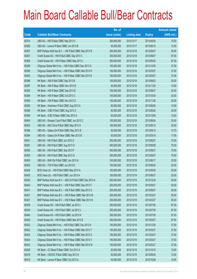|       |                                                             | No. of        |                     |               | <b>Amount raised</b> |
|-------|-------------------------------------------------------------|---------------|---------------------|---------------|----------------------|
| Code  | <b>Callable Bull/Bear Contracts</b>                         | issue (units) | <b>Listing date</b> | <b>Expiry</b> | (HK\$ mil.)          |
| 65374 | UBS AG - HSI R Bear CBBC May 2013 V                         | 300,000,000   | 2012/12/17          | 2013/05/30    | 75.00                |
| 65382 | UBS AG - Lenovo R Bear CBBC Jun 2013 B                      | 50,000,000    | 2012/12/17          | 2013/06/10    | 12.50                |
| 65397 | BNP Paribas Arbit Issu B.V. - HSI R Bull CBBC Sep 2013 R    | 200,000,000   | 2012/12/18          | 2013/09/27    | 50.00                |
| 65407 | Credit Suisse AG - HSI R Bull CBBC Sep 2013 C               | 350,000,000   | 2012/12/18          | 2013/09/27    | 87.50                |
| 65406 | Credit Suisse AG - HSI R Bear CBBC May 2013 J               | 350,000,000   | 2012/12/18          | 2013/05/30    | 87.50                |
| 65398 | Citigroup Global Mkt H Inc. - HSI R Bull CBBC Dec 2013 G    | 150,000,000   | 2012/12/18          | 2013/12/30    | 37.50                |
| 65399 | Citigroup Global Mkt H Inc. - HSI R Bear CBBC Mar 2013 R    | 150,000,000   | 2012/12/18          | 2013/03/27    | 37.50                |
| 65400 | Citigroup Global Mkt H Inc. - HSI R Bear CBBC Mar 2013 S    | 150,000,000   | 2012/12/18          | 2013/03/27    | 37.50                |
| 65386 | HK Bank - A50 R Bull CBBC Sep 2013 B                        | 100,000,000   | 2012/12/18          | 2013/09/23    | 25.00                |
| 65387 | HK Bank - A50 R Bear CBBC Nov 2013 B                        | 40,000,000    | 2012/12/18          | 2013/11/25    | 10.00                |
| 65383 | HK Bank - HSI R Bear CBBC Sep 2013 E                        | 100,000,000   | 2012/12/18          | 2013/09/27    | 25.00                |
| 65384 | HK Bank - HSI R Bear CBBC Oct 2013 C                        | 100,000,000   | 2012/12/18          | 2013/10/30    | 25.00                |
| 65385 | HK Bank - HSI R Bear CBBC Nov 2013 D                        | 100,000,000   | 2012/12/18          | 2013/11/28    | 25.00                |
| 65390 | HK Bank - Hutchison R Bull CBBC Aug 2013 A                  | 60,000,000    | 2012/12/18          | 2013/08/05    | 15.00                |
| 65388 | HK Bank - ICBC R Bull CBBC Aug 2013 C                       | 80,000,000    | 2012/12/18          | 2013/08/26    | 20.00                |
| 65389 | HK Bank - ICBC R Bear CBBC Dec 2013 A                       | 50,000,000    | 2012/12/18          | 2013/12/09    | 12.50                |
| 65404 | UBS AG - Sinopec Corp R Bull CBBC Jun 2013 C                | 100,000,000   | 2012/12/18          | 2013/06/24    | 25.00                |
| 65402 | UBS AG - A50 China R Bull CBBC May 2013 A                   | 100,000,000   | 2012/12/18          | 2013/05/13    | 25.00                |
| 65396 | UBS AG - Galaxy Ent R Bull CBBC May 2013 B                  | 50,000,000    | 2012/12/18          | 2013/05/13    | 15.75                |
| 65394 | UBS AG - Galaxy Ent R Bear CBBC Mar 2013 B                  | 50,000,000    | 2012/12/18          | 2013/03/18    | 17.00                |
| 65401 | UBS AG - HSI R Bull CBBC Jun 2013 Z                         | 300,000,000   | 2012/12/18          | 2013/06/27    | 75.00                |
| 65391 | UBS AG - HSI R Bull CBBC Aug 2013 O                         | 300,000,000   | 2012/12/18          | 2013/08/29    | 75.00                |
| 65392 | UBS AG - HSI R Bull CBBC Sep 2013 F                         | 300,000,000   | 2012/12/18          | 2013/09/27    | 75.00                |
| 65393 | UBS AG - HSI R Bull CBBC Sep 2013 G                         | 300,000,000   | 2012/12/18          | 2013/09/27    | 75.00                |
| 65405 | UBS AG - SHK Ppt R Bull CBBC Jun 2013 A                     | 100,000,000   | 2012/12/18          | 2013/06/17    | 25.00                |
| 65403 | UBS AG - TCH R Bull CBBC Jun 2013 D                         | 100,000,000   | 2012/12/18          | 2013/06/24    | 25.00                |
| 65426 | BOCI Asia Ltd. - HSI R Bull CBBC May 2013 A                 | 100,000,000   | 2012/12/19          | 2013/05/30    | 25.00                |
| 65425 | BOCI Asia Ltd. - HSI R Bull CBBC Jun 2013 A                 | 100,000,000   | 2012/12/19          | 2013/06/27    | 25.00                |
| 65430 | BNP Paribas Arbit Issu B.V. - A50 Ch R Bull CBBC Dec 2013 A | 200,000,000   | 2012/12/19          | 2013/12/30    | 50.00                |
| 65443 | BNP Paribas Arbit Issu B.V. - HSI R Bull CBBC Sep 2013 F    | 200,000,000   | 2012/12/19          | 2013/09/27    | 50.00                |
| 65431 | BNP Paribas Arbit Issu B.V. - HSI R Bull CBBC Sep 2013 S    | 200,000,000   | 2012/12/19          | 2013/09/27    | 50.00                |
| 65421 | BNP Paribas Arbit Issu B.V. - HSI R Bear CBBC Mar 2013 M    | 200,000,000   | 2012/12/19          | 2013/03/27    | 50.00                |
| 65437 | BNP Paribas Arbit Issu B.V. - HSI R Bear CBBC Mar 2013 N    | 200,000,000   | 2012/12/19          | 2013/03/27    | 50.00                |
| 65438 | Credit Suisse AG - HSI R Bull CBBC Jul 2013 I               | 350,000,000   | 2012/12/19          | 2013/07/30    | 87.50                |
| 65439 | Credit Suisse AG - HSI R Bull CBBC Jul 2013 J               | 350,000,000   | 2012/12/19          | 2013/07/30    | 87.50                |
| 65440 | Credit Suisse AG - HSI R Bull CBBC Jul 2013 K               | 350,000,000   | 2012/12/19          | 2013/07/30    | 87.50                |
| 65429 | Credit Suisse AG - HSI R Bear CBBC Mar 2013 E               | 350,000,000   | 2012/12/19          | 2013/03/27    | 87.50                |
| 65432 | Citigroup Global Mkt H Inc. - HSI R Bull CBBC Dec 2013 H    | 150,000,000   | 2012/12/19          | 2013/12/30    | 37.50                |
| 65422 | Citigroup Global Mkt H Inc. - HSI R Bear CBBC Mar 2013 T    | 150,000,000   | 2012/12/19          | 2013/03/27    | 37.50                |
| 65423 | Citigroup Global Mkt H Inc. - HSI R Bear CBBC Mar 2013 U    | 150,000,000   | 2012/12/19          | 2013/03/27    | 37.50                |
| 65424 | Citigroup Global Mkt H Inc. - HSI R Bear CBBC Mar 2013 V    | 150,000,000   | 2012/12/19          | 2013/03/27    | 37.50                |
| 65433 | Citigroup Global Mkt H Inc. - HSI R Bear CBBC Mar 2013 W    | 150,000,000   | 2012/12/19          | 2013/03/27    | 37.50                |
| 65428 | HK Bank – CC Bank R Bear CBBC Oct 2013 A                    | 50,000,000    | 2012/12/19          | 2013/10/15    | 12.50                |
| 65418 | HK Bank - CNOOC R Bull CBBC Sep 2013 A                      | 50,000,000    | 2012/12/19          | 2013/09/30    | 12.50                |
| 65419 | HK Bank - Lenovo R Bear CBBC Oct 2013 A                     | 40,000,000    | 2012/12/19          | 2013/10/28    | 10.00                |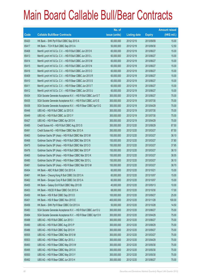|       |                                                                | No. of        |                     |               | <b>Amount raised</b> |
|-------|----------------------------------------------------------------|---------------|---------------------|---------------|----------------------|
| Code  | <b>Callable Bull/Bear Contracts</b>                            | issue (units) | <b>Listing date</b> | <b>Expiry</b> | (HK\$ mil.)          |
| 65420 | HK Bank - SHK Ppt R Bull CBBC Sep 2013 A                       | 60,000,000    | 2012/12/19          | 2013/09/09    | 15.00                |
| 65417 | HK Bank - TCH R Bull CBBC Sep 2013 A                           | 50,000,000    | 2012/12/19          | 2013/09/30    | 12.50                |
| 65408 | Merrill Lynch Int'l & Co. C.V. - HSI R Bull CBBC Jun 2013 K    | 60,000,000    | 2012/12/19          | 2013/06/27    | 15.00                |
| 65413 | Merrill Lynch Int'l & Co. C.V. - HSI R Bull CBBC Jun 2013 L    | 60,000,000    | 2012/12/19          | 2013/06/27    | 15.00                |
| 65414 | Merrill Lynch Int'l & Co. C.V. - HSI R Bull CBBC Jun 2013 M    | 60,000,000    | 2012/12/19          | 2013/06/27    | 15.00                |
| 65415 | Merrill Lynch Int'l & Co. C.V. - HSI R Bull CBBC Jun 2013 N    | 60,000,000    | 2012/12/19          | 2013/06/27    | 15.00                |
| 65416 | Merrill Lynch Int'l & Co. C.V. - HSI R Bull CBBC Jun 2013 O    | 60,000,000    | 2012/12/19          | 2013/06/27    | 15.00                |
| 65409 | Merrill Lynch Int'l & Co. C.V. - HSI R Bear CBBC Jun 2013 R    | 60,000,000    | 2012/12/19          | 2013/06/27    | 15.00                |
| 65410 | Merrill Lynch Int'l & Co. C.V. - HSI R Bear CBBC Jun 2013 S    | 60,000,000    | 2012/12/19          | 2013/06/27    | 15.00                |
| 65411 | Merrill Lynch Int'l & Co. C.V. - HSI R Bear CBBC Jun 2013 T    | 60,000,000    | 2012/12/19          | 2013/06/27    | 15.00                |
| 65412 | Merrill Lynch Int'l & Co. C.V. - HSI R Bear CBBC Jun 2013 U    | 60,000,000    | 2012/12/19          | 2013/06/27    | 15.00                |
| 65434 | SGA Societe Generale Acceptance N.V. - HSI R Bull CBBC Jun13 T | 300,000,000   | 2012/12/19          | 2013/06/27    | 75.00                |
| 65435 | SGA Societe Generale Acceptance N.V. - HSI R Bull CBBC Jul13 E | 300,000,000   | 2012/12/19          | 2013/07/30    | 75.00                |
| 65436 | SGA Societe Generale Acceptance N.V. - HSI R Bear CBBC Apr13 G | 300,000,000   | 2012/12/19          | 2013/04/29    | 75.00                |
| 65448 | UBS AG - HSI R Bull CBBC Jul 2013 X                            | 300,000,000   | 2012/12/19          | 2013/07/30    | 75.00                |
| 65449 | UBS AG - HSI R Bull CBBC Jul 2013 Y                            | 300,000,000   | 2012/12/19          | 2013/07/30    | 75.00                |
| 65427 | UBS AG - HSI R Bear CBBC Apr 2013 K                            | 300,000,000   | 2012/12/19          | 2013/04/29    | 75.00                |
| 65485 | Credit Suisse AG - HSI R Bull CBBC Aug 2013 S                  | 350,000,000   | 2012/12/20          | 2013/08/29    | 87.50                |
| 65491 | Credit Suisse AG - HSI R Bear CBBC Mar 2013 A                  | 350,000,000   | 2012/12/20          | 2013/03/27    | 87.50                |
| 65463 | Goldman Sachs SP (Asia) - HSI R Bull CBBC Mar 2013 M           | 150,000,000   | 2012/12/20          | 2013/03/27    | 38.10                |
| 65468 | Goldman Sachs SP (Asia) - HSI R Bull CBBC Mar 2013 N           | 150,000,000   | 2012/12/20          | 2013/03/27    | 37.80                |
| 65475 | Goldman Sachs SP (Asia) - HSI R Bull CBBC Mar 2013 O           | 150,000,000   | 2012/12/20          | 2013/03/27    | 37.95                |
| 65476 | Goldman Sachs SP (Asia) - HSI R Bull CBBC Mar 2013 P           | 150,000,000   | 2012/12/20          | 2013/03/27    | 38.10                |
| 65465 | Goldman Sachs SP (Asia) - HSI R Bear CBBC Mar 2013 K           | 150,000,000   | 2012/12/20          | 2013/03/27    | 38.55                |
| 65480 | Goldman Sachs SP (Asia) - HSI R Bear CBBC Mar 2013 L           | 150,000,000   | 2012/12/20          | 2013/03/27    | 38.10                |
| 65481 | Goldman Sachs SP (Asia) - HSI R Bear CBBC Mar 2013 M           | 150,000,000   | 2012/12/20          | 2013/03/27    | 38.70                |
| 65454 | HK Bank - ABC R Bull CBBC Oct 2013 A                           | 60,000,000    | 2012/12/20          | 2013/10/21    | 15.00                |
| 65461 | HK Bank - Cheung Kong R Bull CBBC Oct 2013 A                   | 60,000,000    | 2012/12/20          | 2013/10/07    | 15.00                |
| 65462 | HK Bank - Sinopec Corp R Bull CBBC Oct 2013 A                  | 60,000,000    | 2012/12/20          | 2013/10/07    | 15.00                |
| 65455 | HK Bank - Galaxy Ent R Bull CBBC May 2013 B                    | 40,000,000    | 2012/12/20          | 2013/05/13    | 10.00                |
| 65453 | HK Bank - HSCEI R Bear CBBC Oct 2013 A                         | 68,000,000    | 2012/12/20          | 2013/10/30    | 17.00                |
| 65450 | HK Bank - HSI R Bull CBBC Sep 2013 D                           | 100,000,000   | 2012/12/20          | 2013/09/27    | 25.00                |
| 65451 | HK Bank - HSI R Bear CBBC Nov 2013 E                           | 400,000,000   | 2012/12/20          | 2013/11/28    | 100.00               |
| 65456 | HK Bank - SHK Ppt R Bear CBBC Oct 2013 A                       | 50,000,000    | 2012/12/20          | 2013/10/28    | 14.50                |
| 65483 | SGA Societe Generale Acceptance N.V. - HSI R Bull CBBC Jun13 U | 300,000,000   | 2012/12/20          | 2013/06/27    | 75.00                |
| 65484 | SGA Societe Generale Acceptance N.V. - HSI R Bear CBBC Apr13 H | 300,000,000   | 2012/12/20          | 2013/04/29    | 75.00                |
| 65488 | UBS AG - HSI R Bull CBBC Jun 2013 I                            | 300,000,000   | 2012/12/20          | 2013/06/27    | 75.00                |
| 65490 | UBS AG - HSI R Bull CBBC Aug 2013 P                            | 300,000,000   | 2012/12/20          | 2013/08/29    | 75.00                |
| 65486 | UBS AG - HSI R Bull CBBC Sep 2013 H                            | 300,000,000   | 2012/12/20          | 2013/09/27    | 75.00                |
| 65505 | UBS AG - HSI R Bear CBBC Mar 2013 M                            | 300,000,000   | 2012/12/20          | 2013/03/27    | 75.00                |
| 65503 | UBS AG - HSI R Bear CBBC Apr 2013 J                            | 300,000,000   | 2012/12/20          | 2013/04/29    | 75.00                |
| 65493 | UBS AG - HSI R Bear CBBC May 2013 W                            | 300,000,000   | 2012/12/20          | 2013/05/30    | 75.00                |
| 65495 | UBS AG - HSI R Bear CBBC May 2013 X                            | 300,000,000   | 2012/12/20          | 2013/05/30    | 75.00                |
| 65500 | UBS AG - HSI R Bear CBBC May 2013 Y                            | 300,000,000   | 2012/12/20          | 2013/05/30    | 75.00                |
| 65492 | UBS AG - HSI R Bear CBBC Jun 2013 H                            | 300,000,000   | 2012/12/20          | 2013/06/27    | 75.00                |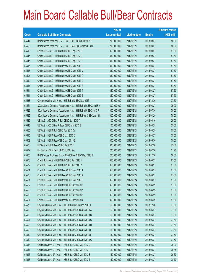|        |                                                                | No. of        |                     |               | <b>Amount raised</b> |
|--------|----------------------------------------------------------------|---------------|---------------------|---------------|----------------------|
| Code   | <b>Callable Bull/Bear Contracts</b>                            | issue (units) | <b>Listing date</b> | <b>Expiry</b> | (HK\$ mil.)          |
| 65547  | BNP Paribas Arbit Issu B.V. - HSI R Bull CBBC Sep 2013 G       | 200,000,000   | 2012/12/21          | 2013/09/27    | 50.00                |
| 65506  | BNP Paribas Arbit Issu B.V. - HSI R Bear CBBC Mar 2013 O       | 200,000,000   | 2012/12/21          | 2013/03/27    | 50.00                |
| 65518  | Credit Suisse AG - HSI R Bull CBBC Sep 2013 D                  | 350,000,000   | 2012/12/21          | 2013/09/27    | 87.50                |
| 65545  | Credit Suisse AG - HSI R Bull CBBC Sep 2013 E                  | 350,000,000   | 2012/12/21          | 2013/09/27    | 87.50                |
| 65546  | Credit Suisse AG - HSI R Bull CBBC Sep 2013 F                  | 350,000,000   | 2012/12/21          | 2013/09/27    | 87.50                |
| 65516  | Credit Suisse AG - HSI R Bear CBBC Mar 2013 B                  | 350,000,000   | 2012/12/21          | 2013/03/27    | 87.50                |
| 65515  | Credit Suisse AG - HSI R Bear CBBC Mar 2013 M                  | 350,000,000   | 2012/12/21          | 2013/03/27    | 87.50                |
| 65507  | Credit Suisse AG - HSI R Bear CBBC Mar 2013 O                  | 350,000,000   | 2012/12/21          | 2013/03/27    | 87.50                |
| 65512  | Credit Suisse AG - HSI R Bear CBBC Mar 2013 Q                  | 350,000,000   | 2012/12/21          | 2013/03/27    | 87.50                |
| 65517  | Credit Suisse AG - HSI R Bear CBBC Mar 2013 S                  | 350,000,000   | 2012/12/21          | 2013/03/27    | 87.50                |
| 65514  | Credit Suisse AG - HSI R Bear CBBC Mar 2013 T                  | 350,000,000   | 2012/12/21          | 2013/03/27    | 87.50                |
| 65511  | Credit Suisse AG - HSI R Bear CBBC Mar 2013 Z                  | 350,000,000   | 2012/12/21          | 2013/03/27    | 87.50                |
| 65538  | Citigroup Global Mkt H Inc. - HSI R Bull CBBC Dec 2013 I       | 150,000,000   | 2012/12/21          | 2013/12/30    | 37.50                |
| 65524  | SGA Societe Generale Acceptance N.V. - HSI R Bull CBBC Jun13 V | 300,000,000   | 2012/12/21          | 2013/06/27    | 75.00                |
| 65529  | SGA Societe Generale Acceptance N.V. - HSI R Bull CBBC Jul13 F | 300,000,000   | 2012/12/21          | 2013/07/30    | 75.00                |
| 65535  | SGA Societe Generale Acceptance N.V. - HSI R Bear CBBC Apr13 I | 300,000,000   | 2012/12/21          | 2013/04/29    | 75.00                |
| 65549  | UBS AG - A50 China R Bull CBBC Jun 2013 A                      | 100,000,000   | 2012/12/21          | 2013/06/10    | 25.00                |
| 65548  | UBS AG - A50 China R Bear CBBC Mar 2013 B                      | 100,000,000   | 2012/12/21          | 2013/03/25    | 25.00                |
| 65555  | UBS AG - HSI R Bull CBBC Aug 2013 Q                            | 300,000,000   | 2012/12/21          | 2013/08/29    | 75.00                |
| 65510  | UBS AG - HSI R Bear CBBC Mar 2013 O                            | 300,000,000   | 2012/12/21          | 2013/03/27    | 75.00                |
| 65509  | UBS AG - HSI R Bear CBBC May 2013 Z                            | 300,000,000   | 2012/12/21          | 2013/05/30    | 75.00                |
| 65508  | UBS AG - HSI R Bear CBBC Jul 2013 F                            | 300,000,000   | 2012/12/21          | 2013/07/30    | 75.00                |
| 68532# | HK Bank - HSI R Bear CBBC Jul 2013 A                           | 200,000,000   | 2012/12/21          | 2013/07/30    | 21.20                |
| 65600  | BNP Paribas Arbit Issu B.V. - A50 R Bear CBBC Dec 2013 B       | 200,000,000   | 2012/12/24          | 2013/12/30    | 50.00                |
| 65578  | Credit Suisse AG - HSI R Bull CBBC Jun 2013 Y                  | 350,000,000   | 2012/12/24          | 2013/06/27    | 87.50                |
| 65579  | Credit Suisse AG - HSI R Bull CBBC Jun 2013 Z                  | 350,000,000   | 2012/12/24          | 2013/06/27    | 87.50                |
| 65584  | Credit Suisse AG - HSI R Bear CBBC Mar 2013 J                  | 350,000,000   | 2012/12/24          | 2013/03/27    | 87.50                |
| 65585  | Credit Suisse AG - HSI R Bear CBBC Mar 2013 K                  | 350,000,000   | 2012/12/24          | 2013/03/27    | 87.50                |
| 65591  | Credit Suisse AG - HSI R Bear CBBC Mar 2013 P                  | 350,000,000   | 2012/12/24          | 2013/03/27    | 87.50                |
| 65592  | Credit Suisse AG - HSI R Bear CBBC Apr 2013 O                  | 350,000,000   | 2012/12/24          | 2013/04/29    | 87.50                |
| 65593  | Credit Suisse AG - HSI R Bear CBBC Apr 2013 P                  | 350,000,000   | 2012/12/24          | 2013/04/29    | 87.50                |
| 65596  | Credit Suisse AG - HSI R Bear CBBC Apr 2013 Q                  | 350,000,000   | 2012/12/24          | 2013/04/29    | 87.50                |
| 65597  | Credit Suisse AG - HSI R Bear CBBC Apr 2013 R                  | 350,000,000   | 2012/12/24          | 2013/04/29    | 87.50                |
| 65575  | Citigroup Global Mkt H Inc. - HSI R Bull CBBC Dec 2013 J       | 150,000,000   | 2012/12/24          | 2013/12/30    | 37.50                |
| 65605  | Citigroup Global Mkt H Inc. - HSI R Bear CBBC Jun 2013 A       | 150,000,000   | 2012/12/24          | 2013/06/27    | 37.50                |
| 65606  | Citigroup Global Mkt H Inc. - HSI R Bear CBBC Jun 2013 B       | 150,000,000   | 2012/12/24          | 2013/06/27    | 37.50                |
| 65607  | Citigroup Global Mkt H Inc. - HSI R Bear CBBC Jun 2013 C       | 150,000,000   | 2012/12/24          | 2013/06/27    | 37.50                |
| 65608  | Citigroup Global Mkt H Inc. - HSI R Bear CBBC Jun 2013 D       | 150,000,000   | 2012/12/24          | 2013/06/27    | 37.50                |
| 65609  | Citigroup Global Mkt H Inc. - HSI R Bear CBBC Jun 2013 E       | 150,000,000   | 2012/12/24          | 2013/06/27    | 37.50                |
| 65610  | Citigroup Global Mkt H Inc. - HSI R Bear CBBC Jun 2013 F       | 150,000,000   | 2012/12/24          | 2013/06/27    | 37.50                |
| 65612  | Citigroup Global Mkt H Inc. - HSI R Bear CBBC Jun 2013 G       | 150,000,000   | 2012/12/24          | 2013/06/27    | 37.50                |
| 65613  | Goldman Sachs SP (Asia) - HSI R Bull CBBC Mar 2013 Q           | 150,000,000   | 2012/12/24          | 2013/03/27    | 39.00                |
| 65614  | Goldman Sachs SP (Asia) - HSI R Bull CBBC Mar 2013 R           | 150,000,000   | 2012/12/24          | 2013/03/27    | 38.85                |
| 65615  | Goldman Sachs SP (Asia) - HSI R Bull CBBC Mar 2013 S           | 150,000,000   | 2012/12/24          | 2013/03/27    | 39.30                |
| 65618  | Goldman Sachs SP (Asia) - HSI R Bull CBBC Mar 2013 T           | 150,000,000   | 2012/12/24          | 2013/03/27    | 38.70                |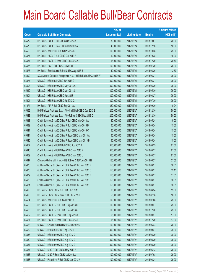|         |                                                                | No. of        |                     |               | <b>Amount raised</b> |
|---------|----------------------------------------------------------------|---------------|---------------------|---------------|----------------------|
| Code    | <b>Callable Bull/Bear Contracts</b>                            | issue (units) | <b>Listing date</b> | <b>Expiry</b> | $(HK$$ mil.)         |
| 65572   | HK Bank - BOCL R Bull CBBC Oct 2013 A                          | 80,000,000    | 2012/12/24          | 2013/10/07    | 20.00                |
| 65570   | HK Bank - BOCL R Bear CBBC Dec 2013 A                          | 40,000,000    | 2012/12/24          | 2013/12/16    | 10.00                |
| 65566   | HK Bank - A50 R Bull CBBC Oct 2013 B                           | 100,000,000   | 2012/12/24          | 2013/10/28    | 25.00                |
| 65574   | HK Bank - HKEx R Bull CBBC Oct 2013 A                          | 60,000,000    | 2012/12/24          | 2013/10/28    | 15.00                |
| 65557   | HK Bank - HSCEI R Bear CBBC Dec 2013 A                         | 68,000,000    | 2012/12/24          | 2013/12/30    | 20.40                |
| 65556   | HK Bank - HSI R Bull CBBC Jul 2013 F                           | 100,000,000   | 2012/12/24          | 2013/07/30    | 25.00                |
| 65573   | HK Bank - Sands China R Bull CBBC Aug 2013 B                   | 50,000,000    | 2012/12/24          | 2013/08/26    | 12.50                |
| 65599   | SGA Societe Generale Acceptance N.V. - HSI R Bull CBBC Jun13 W | 300,000,000   | 2012/12/24          | 2013/06/27    | 75.00                |
| 65577   | UBS AG - HSI R Bull CBBC Jun 2013 G                            | 300,000,000   | 2012/12/24          | 2013/06/27    | 75.00                |
| 65603   | UBS AG - HSI R Bear CBBC May 2013 A                            | 300,000,000   | 2012/12/24          | 2013/05/30    | 75.00                |
| 65619   | UBS AG - HSI R Bear CBBC May 2013 C                            | 300,000,000   | 2012/12/24          | 2013/05/30    | 75.00                |
| 65604   | UBS AG - HSI R Bear CBBC Jun 2013 I                            | 300,000,000   | 2012/12/24          | 2013/06/27    | 75.00                |
| 65601   | UBS AG - HSI R Bear CBBC Jul 2013 G                            | 300,000,000   | 2012/12/24          | 2013/07/30    | 75.00                |
| 64074 # | HK Bank - AIA R Bull CBBC Sep 2013 A                           | 320,000,000   | 2012/12/24          | 2013/09/30    | 10.24                |
| 65656   | BNP Paribas Arbit Issu B.V. - A50 Ch R Bull CBBC Dec 2013 B    | 200,000,000   | 2012/12/27          | 2013/12/30    | 50.00                |
| 65648   | BNP Paribas Arbit Issu B.V. - A50 R Bear CBBC Dec 2013 C       | 200,000,000   | 2012/12/27          | 2013/12/30    | 50.00                |
| 65638   | Credit Suisse AG - A50 China R Bull CBBC May 2013 A            | 60,000,000    | 2012/12/27          | 2013/05/24    | 15.00                |
| 65639   | Credit Suisse AG - A50 China R Bull CBBC May 2013 B            | 60,000,000    | 2012/12/27          | 2013/05/24    | 15.00                |
| 65641   | Credit Suisse AG - A50 China R Bull CBBC May 2013 C            | 60,000,000    | 2012/12/27          | 2013/05/24    | 15.00                |
| 65644   | Credit Suisse AG - A50 China R Bear CBBC May 2013 A            | 60,000,000    | 2012/12/27          | 2013/05/24    | 15.00                |
| 65645   | Credit Suisse AG - A50 China R Bear CBBC May 2013 B            | 60,000,000    | 2012/12/27          | 2013/05/24    | 15.00                |
| 65657   | Credit Suisse AG - HSI R Bull CBBC Aug 2013 T                  | 350,000,000   | 2012/12/27          | 2013/08/29    | 87.50                |
| 65646   | Credit Suisse AG - HSI R Bear CBBC Mar 2013 R                  | 350,000,000   | 2012/12/27          | 2013/03/27    | 87.50                |
| 65669   | Credit Suisse AG - HSI R Bear CBBC Mar 2013 U                  | 350,000,000   | 2012/12/27          | 2013/03/27    | 87.50                |
| 65647   | Citigroup Global Mkt H Inc. - HSI R Bear CBBC Jun 2013 H       | 150,000,000   | 2012/12/27          | 2013/06/27    | 37.50                |
| 65670   | Goldman Sachs SP (Asia) - HSI R Bear CBBC Mar 2013 N           | 150,000,000   | 2012/12/27          | 2013/03/27    | 38.55                |
| 65673   | Goldman Sachs SP (Asia) - HSI R Bear CBBC Mar 2013 O           | 150,000,000   | 2012/12/27          | 2013/03/27    | 39.15                |
| 65679   | Goldman Sachs SP (Asia) - HSI R Bear CBBC Mar 2013 P           | 150,000,000   | 2012/12/27          | 2013/03/27    | 37.65                |
| 65680   | Goldman Sachs SP (Asia) - HSI R Bear CBBC Mar 2013 Q           | 150,000,000   | 2012/12/27          | 2013/03/27    | 38.85                |
| 65681   | Goldman Sachs SP (Asia) - HSI R Bear CBBC Mar 2013 R           | 150,000,000   | 2012/12/27          | 2013/03/27    | 38.55                |
| 65625   | HK Bank - China Life R Bull CBBC Jun 2013 B                    | 60,000,000    | 2012/12/27          | 2013/06/24    | 15.00                |
| 65626   | HK Bank - China Life R Bear CBBC Jul 2013 B                    | 50,000,000    | 2012/12/27          | 2013/07/18    | 18.00                |
| 65624   | HK Bank - A50 R Bull CBBC Jul 2013 B                           | 100,000,000   | 2012/12/27          | 2013/07/08    | 25.00                |
| 65620   | HK Bank - HSCEI R Bull CBBC Sep 2013 B                         | 100,000,000   | 2012/12/27          | 2013/09/27    | 25.00                |
| 65623   | HK Bank - HSCEI R Bull CBBC Dec 2013 A                         | 100,000,000   | 2012/12/27          | 2013/12/30    | 25.00                |
| 65622   | HK Bank - HSCEI R Bear CBBC Sep 2013 A                         | 68,000,000    | 2012/12/27          | 2013/09/27    | 17.00                |
| 65621   | HK Bank - HSCEI R Bear CBBC Dec 2013 B                         | 68,000,000    | 2012/12/27          | 2013/12/30    | 17.00                |
| 65663   | UBS AG - China Life R Bull CBBC Jun 2013 C                     | 100,000,000   | 2012/12/27          | 2013/06/24    | 26.00                |
| 65662   | UBS AG - HSI R Bull CBBC Sep 2013 I                            | 300,000,000   | 2012/12/27          | 2013/09/27    | 75.00                |
| 65658   | UBS AG - HSI R Bear CBBC Aug 2013 C                            | 300,000,000   | 2012/12/27          | 2013/08/29    | 78.00                |
| 65659   | UBS AG - HSI R Bear CBBC Aug 2013 D                            | 300,000,000   | 2012/12/27          | 2013/08/29    | 75.00                |
| 65661   | UBS AG - HSI R Bear CBBC Aug 2013 E                            | 300,000,000   | 2012/12/27          | 2013/08/29    | 75.00                |
| 65667   | UBS AG - ICBC R Bull CBBC May 2013 A                           | 100,000,000   | 2012/12/27          | 2013/05/13    | 25.00                |
| 65666   | UBS AG - ICBC R Bear CBBC Jul 2013 A                           | 100,000,000   | 2012/12/27          | 2013/07/08    | 25.00                |
| 65668   | UBS AG - Petrochina R Bull CBBC Jun 2013 A                     | 100,000,000   | 2012/12/27          | 2013/06/24    | 25.00                |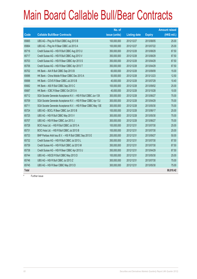|              |                                                                | No. of        |                     |               | <b>Amount raised</b> |
|--------------|----------------------------------------------------------------|---------------|---------------------|---------------|----------------------|
| Code         | <b>Callable Bull/Bear Contracts</b>                            | issue (units) | <b>Listing date</b> | <b>Expiry</b> | $(HK$$ mil.)         |
| 65665        | UBS AG - Ping An R Bull CBBC Aug 2013 B                        | 100,000,000   | 2012/12/27          | 2013/08/05    | 25.00                |
| 65664        | UBS AG - Ping An R Bear CBBC Jul 2013 A                        | 100,000,000   | 2012/12/27          | 2013/07/22    | 25.00                |
| 65716        | Credit Suisse AG - HSI R Bull CBBC Aug 2013 U                  | 350,000,000   | 2012/12/28          | 2013/08/29    | 87.50                |
| 65717        | Credit Suisse AG - HSI R Bull CBBC Aug 2013 V                  | 350,000,000   | 2012/12/28          | 2013/08/29    | 87.50                |
| 65703        | Credit Suisse AG - HSI R Bear CBBC Apr 2013 S                  | 350,000,000   | 2012/12/28          | 2013/04/29    | 87.50                |
| 65706        | Credit Suisse AG - HSI R Bear CBBC Apr 2013 T                  | 350,000,000   | 2012/12/28          | 2013/04/29    | 87.50                |
| 65702        | HK Bank - AIA R Bull CBBC Sep 2013 B                           | 60,000,000    | 2012/12/28          | 2013/09/09    | 15.00                |
| 65696        | HK Bank - China Mobile R Bear CBBC Dec 2013 A                  | 50,000,000    | 2012/12/28          | 2013/12/23    | 12.50                |
| 65698        | HK Bank - COVS R Bear CBBC Jul 2013 B                          | 40,000,000    | 2012/12/28          | 2013/07/29    | 10.40                |
| 65682        | HK Bank - A50 R Bull CBBC Sep 2013 C                           | 100,000,000   | 2012/12/28          | 2013/09/02    | 25.00                |
| 65687        | HK Bank - ICBC R Bear CBBC Oct 2013 A                          | 40,000,000    | 2012/12/28          | 2013/10/28    | 10.00                |
| 65712        | SGA Societe Generale Acceptance N.V. - HSI R Bull CBBC Jun 13X | 300,000,000   | 2012/12/28          | 2013/06/27    | 75.00                |
| 65709        | SGA Societe Generale Acceptance N.V. - HSI R Bear CBBC Apr 13J | 300,000,000   | 2012/12/28          | 2013/04/29    | 75.00                |
| 65711        | SGA Societe Generale Acceptance N.V. - HSI R Bear CBBC May 13E | 300,000,000   | 2012/12/28          | 2013/05/30    | 75.00                |
| 65724        | UBS AG - BOCL R Bear CBBC Jun 2013 B                           | 100,000,000   | 2012/12/28          | 2013/06/17    | 25.00                |
| 65725        | UBS AG - HSI R Bull CBBC May 2013 V                            | 300,000,000   | 2012/12/28          | 2013/05/30    | 75.00                |
| 65707        | UBS AG - HSI R Bear CBBC Jun 2013 J                            | 300,000,000   | 2012/12/28          | 2013/06/27    | 75.00                |
| 65728        | BOCI Asia Ltd. - HSI R Bull CBBC Jul 2013 A                    | 100,000,000   | 2012/12/31          | 2013/07/30    | 25.00                |
| 65731        | BOCI Asia Ltd. - HSI R Bull CBBC Jul 2013 B                    | 100,000,000   | 2012/12/31          | 2013/07/30    | 25.00                |
| 65733        | BNP Paribas Arbit Issu B.V. - HSI R Bull CBBC Sep 2013 E       | 200,000,000   | 2012/12/31          | 2013/09/27    | 50.00                |
| 65732        | Credit Suisse AG - HSI R Bull CBBC Jul 2013 L                  | 350,000,000   | 2012/12/31          | 2013/07/30    | 87.50                |
| 65739        | Credit Suisse AG - HSI R Bull CBBC Jul 2013 M                  | 350,000,000   | 2012/12/31          | 2013/07/30    | 87.50                |
| 65738        | Credit Suisse AG - HSI R Bear CBBC Apr 2013 U                  | 350,000,000   | 2012/12/31          | 2013/04/29    | 87.50                |
| 65744        | UBS AG - HSCEI R Bull CBBC May 2013 D                          | 100,000,000   | 2012/12/31          | 2013/05/30    | 25.00                |
| 65746        | UBS AG - HSI R Bull CBBC Jul 2013 Z                            | 300,000,000   | 2012/12/31          | 2013/07/30    | 75.00                |
| 65745        | UBS AG - HSI R Bear CBBC May 2013 D                            | 300,000,000   | 2012/12/31          | 2013/05/30    | 75.00                |
| <b>Total</b> |                                                                |               |                     |               | 80,018.42            |

# Further issue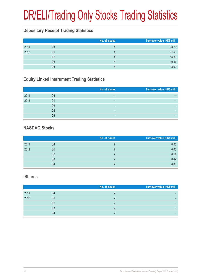# DR/ELI/Trading Only Stocks Trading Statistics

#### **Depositary Receipt Trading Statistics**

|      |    | No. of issues | Turnover value (HK\$ mil.) |
|------|----|---------------|----------------------------|
| 2011 | Q4 |               | 38.72                      |
| 2012 | Q1 |               | 37.53                      |
|      | Q2 |               | 14.88                      |
|      | Q3 |               | 10.47                      |
|      | Q4 |               | 18.62                      |

#### **Equity Linked Instrument Trading Statistics**

|      |    | No. of issues | Turnover value (HK\$ mil.) |
|------|----|---------------|----------------------------|
| 2011 | Q4 |               |                            |
| 2012 | Q1 | –             |                            |
|      | Q2 | –             |                            |
|      | Q3 | -             |                            |
|      | Q4 | -             |                            |

#### **NASDAQ Stocks**

|      |    | No. of issues | Turnover value (HK\$ mil.) |
|------|----|---------------|----------------------------|
| 2011 | Q4 |               | 0.00                       |
| 2012 | Q1 |               | 0.00                       |
|      | Q2 |               | 0.14                       |
|      | Q3 |               | 0.49                       |
|      | Q4 |               | 0.00                       |

#### **iShares**

|      |    | No. of issues | Turnover value (HK\$ mil.) |
|------|----|---------------|----------------------------|
| 2011 | Q4 |               |                            |
| 2012 | Q1 |               |                            |
|      | Q2 |               |                            |
|      | Q3 |               |                            |
|      | Q4 |               |                            |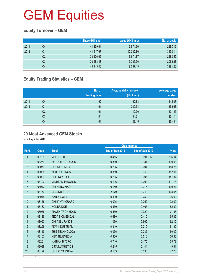#### **Equity Turnover – GEM**

|      |    | Share (Mil. shs) | Value (HK\$ mil.) | No. of deals |
|------|----|------------------|-------------------|--------------|
| 2011 | Q4 | 41,259.61        | 9,971.36          | 288,715      |
| 2012 | Q1 | 41,517.67        | 12,232.86         | 343,014      |
|      | Q2 | 33,806.65        | 6,874.87          | 228,059      |
|      | Q3 | 33,483.43        | 5,395.70          | 206,623      |
|      | Q4 | 45,943.00        | 9,037.19          | 329,420      |

#### **Equity Trading Statistics – GEM**

|      |                | No. of<br>trading days | <b>Average daily turnover</b><br>(HK\$ mil.) | <b>Average value</b><br>per deal |
|------|----------------|------------------------|----------------------------------------------|----------------------------------|
| 2011 | Q4             | 62                     | 160.83                                       | 34,537                           |
| 2012 | Q <sub>1</sub> | 61                     | 200.54                                       | 35,663                           |
|      | Q <sub>2</sub> | 61                     | 112.70                                       | 30,145                           |
|      | Q <sub>3</sub> | 64                     | 84.31                                        | 26,114                           |
|      | Q4             | 61                     | 148.15                                       | 27,434                           |

#### **20 Most Advanced GEM Stocks**

for 4th quarter 2012

|                  |       |                        |                 | <b>Closing price</b>    |        |
|------------------|-------|------------------------|-----------------|-------------------------|--------|
| Rank             | Code  | <b>Stock</b>           | End of Dec 2012 | End of Sep 2012         | $%$ up |
| 1                | 08198 | <b>MELCOLOT</b>        | 0.415           | 0.091<br>$\overline{A}$ | 356.04 |
| $\overline{2}$   | 08279 | <b>AGTECH HOLDINGS</b> | 0.380           | 0.131                   | 190.08 |
| 3                | 08079 | <b>UL CREATIVITY</b>   | 0.235           | 0.091                   | 158.24 |
| 4                | 08025 | <b>ACR HOLDINGS</b>    | 0.860           | 0.340                   | 152.94 |
| 5                | 08009 | CHI ENGY HOLD          | 0.235           | 0.095                   | 147.37 |
| 6                | 08100 | <b>M DREAM INWORLD</b> | 0.196           | 0.090                   | 117.78 |
| $\overline{7}$   | 08047 | CHI NENG XIAO          | 0.159           | 0.076                   | 109.21 |
| 8                | 08160 | <b>LEGEND STRAT</b>    | 2.170           | 1.040                   | 108.65 |
| $\boldsymbol{9}$ | 08045 | <b>NANDASOFT</b>       | 0.490           | 0.250                   | 96.00  |
| 10               | 08156 | <b>CHINA VANGUARD</b>  | 0.096           | 0.050                   | 92.00  |
| 11               | 08137 | <b>HONBRIDGE</b>       | 0.850           | 0.465                   | 82.80  |
| 12               | 08066 | PHOENITRON HOLD        | 0.550           | 0.320                   | 71.88  |
| 13               | 08189 | <b>TEDA BIOMEDICAL</b> | 0.680           | 0.410                   | 65.85  |
| 14               | 08090 | CHI ASSURANCE          | 1.070           | 0.660                   | 62.12  |
| 15               | 08298 | AKM INDUSTRIAL         | 0.340           | 0.210                   | 61.90  |
| 16               | 08119 | <b>THIZ TECHNOLOGY</b> | 0.056           | 0.035                   | 60.00  |
| 17               | 08167 | <b>NEO TELEMEDIA</b>   | 0.800           | 0.510                   | 56.86  |
| 18               | 08261 | <b>HAITIAN HYDRO</b>   | 0.740           | 0.475                   | 55.79  |
| 19               | 08089 | <b>C RAILLOGISTICS</b> | 0.215           | 0.144                   | 49.31  |
| 20               | 08129 | CH BIO CASSAVA         | 0.133           | 0.090                   | 47.78  |

A Adjusted by the Adjusted by the Adjusted by the Adjusted by the Adjusted by the Adjusted by the Adjusted by the Adjusted by the Adjusted by the Adjusted by the Adjusted by the Adjusted by the Adjusted by the Adjusted by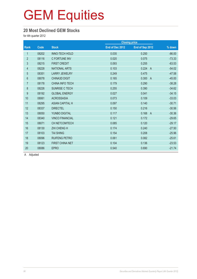#### **20 Most Declined GEM Stocks**

for 4th quarter 2012

|                |       |                        |                 | <b>Closing price</b>    |          |
|----------------|-------|------------------------|-----------------|-------------------------|----------|
| Rank           | Code  | <b>Stock</b>           | End of Dec 2012 | End of Sep 2012         | % down   |
| 1              | 08202 | <b>INNO-TECH HOLD</b>  | 0.035           | 0.250                   | $-86.00$ |
| $\overline{2}$ | 08116 | <b>C FORTUNE INV</b>   | 0.020           | 0.075                   | $-73.33$ |
| 3              | 08215 | <b>FIRST CREDIT</b>    | 0.093           | 0.255                   | $-63.53$ |
| $\overline{4}$ | 08228 | <b>NATIONAL ARTS</b>   | 0.103           | 0.224<br>$\overline{A}$ | $-54.02$ |
| $\overline{5}$ | 08351 | <b>LARRY JEWELRY</b>   | 0.249           | 0.475                   | $-47.58$ |
| 6              | 08078 | <b>CHINA3D DIGIT</b>   | 0.165           | 0.300<br>$\overline{A}$ | $-45.00$ |
| $\overline{7}$ | 08178 | <b>CHINA INFO TECH</b> | 0.179           | 0.290                   | $-38.28$ |
| $\,8\,$        | 08226 | SUNRISE C TECH         | 0.255           | 0.390                   | $-34.62$ |
| 9              | 08192 | <b>GLOBAL ENERGY</b>   | 0.027           | 0.041                   | $-34.15$ |
| 10             | 08061 | <b>ACROSSASIA</b>      | 0.073           | 0.109                   | $-33.03$ |
| 11             | 08295 | <b>ASIAN CAPITAL H</b> | 0.097           | 0.140                   | $-30.71$ |
| 12             | 08337 | <b>DIRECTEL</b>        | 0.150           | 0.216                   | $-30.56$ |
| 13             | 08050 | YUNBO DIGITAL          | 0.117           | 0.168<br>$\overline{A}$ | $-30.36$ |
| 14             | 08340 | <b>VINCO FINANCIAL</b> | 0.121           | 0.172                   | $-29.65$ |
| 15             | 08071 | CH NETCOMTECH          | 0.085           | 0.120                   | $-29.17$ |
| 16             | 08130 | <b>ZHI CHENG H</b>     | 0.174           | 0.240                   | $-27.50$ |
| 17             | 08103 | <b>TAI SHING</b>       | 0.154           | 0.208                   | $-25.96$ |
| 18             | 08096 | <b>RUIFENG PETRO</b>   | 0.061           | 0.082                   | $-25.61$ |
| 19             | 08123 | <b>FIRST CHINA NET</b> | 0.104           | 0.136                   | $-23.53$ |
| 20             | 08086 | <b>EPRO</b>            | 0.540           | 0.690                   | $-21.74$ |
|                |       |                        |                 |                         |          |

A Adjusted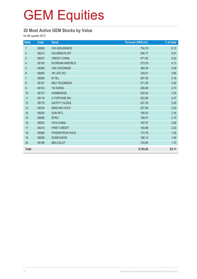#### **20 Most Active GEM Stocks by Value**

for 4th quarter 2012

| Rank             | Code  | <b>Stock</b>           | Turnover (HK\$ mil.) | % of total |
|------------------|-------|------------------------|----------------------|------------|
| $\mathbf{1}$     | 08090 | CHI ASSURANCE          | 734.15               | 8.12       |
| $\overline{2}$   | 08212 | <b>CELEBRATE INT</b>   | 506.77               | 5.61       |
| $\sqrt{3}$       | 08207 | <b>CREDIT CHINA</b>    | 471.82               | 5.22       |
| 4                | 08100 | <b>M DREAM INWORLD</b> | 373.35               | 4.13       |
| 5                | 08356 | <b>CNC HOLDINGS</b>    | 369.39               | 4.09       |
| $\,6\,$          | 08085 | <b>HK LIFE SCI</b>     | 330.61               | 3.66       |
| $\overline{7}$   | 08266 | M TEL                  | 287.35               | 3.18       |
| $\,8\,$          | 08167 | <b>NEO TELEMEDIA</b>   | 271.28               | 3.00       |
| $\boldsymbol{9}$ | 08103 | <b>TAI SHING</b>       | 246.88               | 2.73       |
| 10               | 08137 | <b>HONBRIDGE</b>       | 230.42               | 2.55       |
| 11               | 08116 | C FORTUNE INV          | 222.99               | 2.47       |
| 12               | 08179 | <b>GAYETY HLDGS</b>    | 207.30               | 2.29       |
| 13               | 08239 | <b>MING KEI HOLD</b>   | 201.00               | 2.22       |
| 14               | 08029 | <b>SUN INT'L</b>       | 195.03               | 2.16       |
| 15               | 08086 | <b>EPRO</b>            | 189.57               | 2.10       |
| 16               | 08032 | <b>VIVA CHINA</b>      | 187.57               | 2.08       |
| 17               | 08215 | <b>FIRST CREDIT</b>    | 183.88               | 2.03       |
| 18               | 08066 | PHOENITRON HOLD        | 173.78               | 1.92       |
| 19               | 08008 | <b>SUNEVISION</b>      | 166.14               | 1.84       |
| 20               | 08198 | <b>MELCOLOT</b>        | 153.95               | 1.70       |
| <b>Total</b>     |       |                        | 5,703.24             | 63.11      |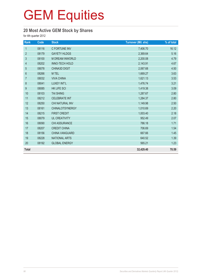#### **20 Most Active GEM Stock by Shares**

for 4th quarter 2012

| Rank             | Code  | <b>Stock</b>           | <b>Turnover (Mil. shs)</b> | % of total |
|------------------|-------|------------------------|----------------------------|------------|
| $\mathbf{1}$     | 08116 | C FORTUNE INV          | 7,406.70                   | 16.12      |
| $\overline{2}$   | 08179 | <b>GAYETY HLDGS</b>    | 2,369.64                   | 5.16       |
| 3                | 08100 | M DREAM INWORLD        | 2,200.08                   | 4.79       |
| 4                | 08202 | INNO-TECH HOLD         | 2,143.91                   | 4.67       |
| 5                | 08078 | <b>CHINA3D DIGIT</b>   | 2,067.68                   | 4.50       |
| $6\,$            | 08266 | M TEL                  | 1,669.27                   | 3.63       |
| $\overline{7}$   | 08032 | <b>VIVA CHINA</b>      | 1,621.13                   | 3.53       |
| $\bf 8$          | 08041 | LUXEY INT'L            | 1,476.74                   | 3.21       |
| $\boldsymbol{9}$ | 08085 | <b>HK LIFE SCI</b>     | 1,419.38                   | 3.09       |
| 10               | 08103 | <b>TAI SHING</b>       | 1,287.67                   | 2.80       |
| 11               | 08212 | <b>CELEBRATE INT</b>   | 1,284.37                   | 2.80       |
| 12               | 08250 | CHI NATURAL INV        | 1,149.98                   | 2.50       |
| 13               | 08161 | <b>CHINALOTSYNERGY</b> | 1,010.69                   | 2.20       |
| 14               | 08215 | <b>FIRST CREDIT</b>    | 1,003.40                   | 2.18       |
| 15               | 08079 | <b>UL CREATIVITY</b>   | 952.49                     | 2.07       |
| 16               | 08090 | CHI ASSURANCE          | 786.18                     | 1.71       |
| 17               | 08207 | <b>CREDIT CHINA</b>    | 706.69                     | 1.54       |
| 18               | 08156 | CHINA VANGUARD         | 667.66                     | 1.45       |
| 19               | 08228 | <b>NATIONAL ARTS</b>   | 640.52                     | 1.39       |
| 20               | 08192 | <b>GLOBAL ENERGY</b>   | 565.21                     | 1.23       |
| <b>Total</b>     |       |                        | 32,429.40                  | 70.59      |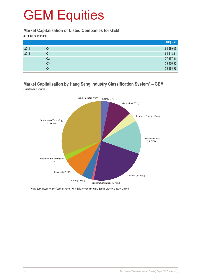#### **Market Capitalisation of Listed Companies for GEM**

as at the quarter end

|      |                | HK\$ mil. |
|------|----------------|-----------|
| 2011 | Q4             | 84,589.06 |
| 2012 | Q1             | 84,618.24 |
|      | Q2             | 77,357.91 |
|      | Q <sub>3</sub> | 73,436.35 |
|      | Q4             | 78,398.98 |

#### **Market Capitalisation by Hang Seng Industry Classification System\* – GEM** Quarter-end figures



Hang Seng Industry Classification System (HSICS) is provided by Hang Seng Indexes Company Limited.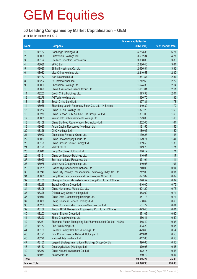#### **50 Leading Companies by Market Capitalisation – GEM**

as at the 4th quarter end 2012

|                     |       |                                                              | <b>Market capitalisation</b> |                   |
|---------------------|-------|--------------------------------------------------------------|------------------------------|-------------------|
| Rank                |       | <b>Company</b>                                               | (HK\$ mil.)                  | % of market total |
| $\mathbf{1}$        | 08137 | Honbridge Holdings Ltd.                                      | 5,283.33                     | 6.74              |
| $\overline{2}$      | 08008 | Sunevision Holdings Ltd.                                     | 3,692.34                     | 4.71              |
| $\sqrt{3}$          | 08122 | LifeTech Scientific Corporation                              | 3,000.00                     | 3.83              |
| $\overline{4}$      | 08086 | ePRO Ltd.                                                    | 2,826.46                     | 3.61              |
| 5                   | 08035 | Binhai Investment Co. Ltd.                                   | 2,636.84                     | 3.36              |
| $6\,$               | 08032 | Viva China Holdings Ltd.                                     | 2,210.58                     | 2.82              |
| $\overline{7}$      | 08167 | Neo Telemedia Ltd.                                           | 1,861.54                     | 2.37              |
| $\,8\,$             | 08292 | HC International, Inc.                                       | 1,742.69                     | 2.22              |
| $\boldsymbol{9}$    | 08066 | Phoenitron Holdings Ltd.                                     | 1,674.38                     | 2.14              |
| 10                  | 08090 | China Assurance Finance Group Ltd.                           | 1,651.01                     | 2.11              |
| 11                  | 08207 | Credit China Holdings Ltd.                                   | 1,573.98                     | 2.01              |
| 12                  | 08279 | AGTech Holdings Ltd.                                         | 1,460.70                     | 1.86              |
| 13                  | 08155 | South China Land Ltd.                                        | 1,397.31                     | 1.78              |
| 14                  | 08058 | Shandong Luoxin Pharmacy Stock Co. Ltd. - H Shares           | 1,349.39                     | 1.72              |
| 15                  | 08232 | China U-Ton Holdings Ltd.                                    | 1,327.20                     | 1.69              |
| 16                  | 08270 | China Leason CBM & Shale Gas Group Co. Ltd.                  | 1,301.03                     | 1.66              |
| 17                  | 08005 | Yuxing InfoTech Investment Holdings Ltd.                     | 1,293.03                     | 1.65              |
| 18                  | 08158 | China Bio-Med Regeneration Technology Ltd.                   | 1,262.00                     | 1.61              |
| 19                  | 08025 | Asian Capital Resources (Holdings) Ltd.                      | 1,191.55                     | 1.52              |
| 20                  | 08356 | CNC Holdings Ltd.                                            | 1,189.06                     | 1.52              |
| 21                  | 08020 | Chanceton Financial Group Ltd.                               | 1,139.25                     | 1.45              |
| 22                  | 08083 | China Innovationpay Group Ltd.                               | 1,129.71                     | 1.44              |
| 23                  | 08128 | China Ground Source Energy Ltd.                              | 1,059.53                     | 1.35              |
| 24                  | 08198 | MelcoLot Ltd.                                                | 949.75                       | 1.21              |
| 25                  | 08046 | Heng Xin China Holdings Ltd.                                 | 948.12                       | 1.21              |
| 26                  | 08161 | China LotSynergy Holdings Ltd.                               | 916.67                       | 1.17              |
| 27                  | 08029 | Sun International Resources Ltd.                             | 871.94                       | 1.11              |
| 28                  | 08075 | Media Asia Group Holdings Ltd.                               | 840.98                       | 1.07              |
| 29                  | 08261 | Haitian Hydropower International Ltd.                        | 740.00                       | 0.94              |
| 30                  | 08240 | China City Railway Transportation Technology HIdgs Co. Ltd.  | 712.00                       | 0.91              |
| 31                  | 08085 | Hong Kong Life Sciences and Technologies Group Ltd.          | 697.89                       | 0.89              |
| 32                  | 08102 | Shanghai Fudan Microelectronics Group Co. Ltd. - H Shares    | 678.52                       | 0.87              |
| 33                  | 08219 | Branding China Group Ltd.                                    | 616.00                       | 0.79              |
| 34                  | 08306 | China Nonferrous Metals Co. Ltd.                             | 604.20                       | 0.77              |
| 35                  | 08325 | Oriental City Group Holdings Ltd.                            | 558.00                       | 0.71              |
| 36                  | 08016 | China Data Broadcasting Holdings Ltd.                        | 557.78                       | 0.71              |
| 37                  | 08030 | Flying Financial Service Holdings Ltd.                       | 530.69                       | 0.68              |
| 38                  | 08206 | China Communication Telecom Services Co. Ltd.                | 501.77                       | 0.64              |
| 39                  | 08189 | Tianjin TEDA Biomedical Engineering Co. Ltd. - H Shares      | 479.40                       | 0.61              |
| 40                  | 08203 | Kaisun Energy Group Ltd.                                     | 471.06                       | 0.60              |
| 41                  | 08220 | Bingo Group Holdings Ltd.                                    | 466.41                       | 0.59              |
| 42                  | 08231 | Shanghai Fudan-Zhangjiang Bio-Pharmaceutical Co. Ltd. -H Shs | 455.40                       | 0.58              |
| 43                  | 08173 | Pan Asia Mining Ltd.                                         | 433.29                       | 0.55              |
| 44                  | 08109 | Creative Energy Solutions Holdings Ltd.                      | 423.66                       | 0.54              |
| 45                  | 08123 | First China Financial Network Holdings Ltd.                  | 419.01                       | 0.53              |
| 46                  | 08228 | National Arts Holdings Ltd.                                  | 417.80                       | 0.53              |
| 47                  | 08160 | Legend Strategy International Holdings Group Co. Ltd.        | 390.60                       | 0.50              |
| 48                  | 08153 | Code Agriculture (Holdings) Ltd.                             | 379.93                       | 0.48              |
| 49                  | 08250 | China Natural Investment Co. Ltd.                            | 372.75                       | 0.48              |
| 50                  | 08061 | AcrossAsia Ltd.                                              | 369.72                       | 0.47              |
| <b>Total</b>        |       |                                                              | 59,056.27                    | 75.33             |
| <b>Market Total</b> |       |                                                              | 78,398.98                    | 100.00            |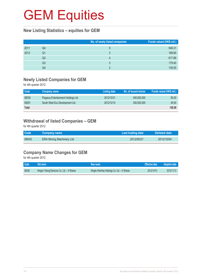#### **New Listing Statistics – equities for GEM**

|      |                | No. of newly listed companies | Funds raised (HK\$ mil.) |
|------|----------------|-------------------------------|--------------------------|
| 2011 | Q4             | 5                             | 549.31                   |
| 2012 | Q1             |                               | 189.80                   |
|      | Q <sub>2</sub> |                               | 617.66                   |
|      | Q3             |                               | 179.40                   |
|      | Q4             |                               | 139.50                   |

#### **Newly Listed Companies for GEM**

for 4th quarter 2012

| Company name                        | Listing date | No. of issued shares | Funds raised (HK\$ mil.) |
|-------------------------------------|--------------|----------------------|--------------------------|
| Pegasus Entertainment Holdings Ltd. | 2012/10/31   | 400,000,000          | 90.00                    |
| South West Eco Development Ltd.     | 2012/12/14   | 300,000,000          | 49.50                    |
|                                     |              |                      | 139.50                   |
|                                     |              |                      |                          |

#### **Withdrawal of listed Companies – GEM**

for 4th quarter 2012

| <b>Code</b> | <b>Company name</b>       | Last trading date | <b>Delisted date</b> |  |
|-------------|---------------------------|-------------------|----------------------|--|
| 08043       | ERA Mining Machinery Ltd. | 2012/05/21        | 2012/10/04           |  |

#### **Company Name Changes for GEM**

for 4th quarter 2012

| Code  | LOId name '                                  | New name                                   | Effective date | Adoption date |
|-------|----------------------------------------------|--------------------------------------------|----------------|---------------|
| 08249 | Ningbo Yidong Electronic Co. Ltd. - H Shares | Ningbo WanHao Holdings Co. Ltd. - H Shares | 2012/10/10     | 2012/11/12    |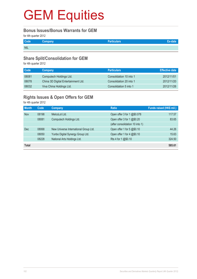#### **Bonus Issues/Bonus Warrants for GEM**

for 4th quarter 2012

| Code       | Company | <b>Particulars</b> |  |
|------------|---------|--------------------|--|
| <b>NIL</b> |         |                    |  |

#### **Share Split/Consolidation for GEM**

for 4th quarter 2012

| Code  | Company                             | <b>Particulars</b>      | Effective date |
|-------|-------------------------------------|-------------------------|----------------|
| 08081 | Computech Holdings Ltd.             | Consolidation 10 into 1 | 2012/11/01     |
| 08078 | China 3D Digital Entertainment Ltd. | Consolidation 20 into 1 | 2012/11/20     |
| 08032 | Viva China Holdings Ltd.            | Consolidation 5 into 1  | 2012/11/26     |

#### **Rights Issues & Open Offers for GEM**

for 4th quarter 2012

| <b>Month</b> | Code  | <b>Company</b>                        | <b>Ratio</b>                    | Funds raised (HK\$ mil.) |
|--------------|-------|---------------------------------------|---------------------------------|--------------------------|
| <b>Nov</b>   | 08198 | MelcoLot Ltd.                         | Open offer 3 for 1 @\$0.078     | 117.57                   |
|              | 08081 | Computech Holdings Ltd.               | Open offer 3 for 1 @\$0.20      | 83.65                    |
|              |       |                                       | (after consolidation 10 into 1) |                          |
| <b>Dec</b>   | 08068 | New Universe International Group Ltd. | Open offer 1 for 5 @\$0.10      | 44.26                    |
|              | 08050 | Yunbo Digital Synergy Group Ltd.      | Open offer 1 for 4 @\$0.10      | 15.63                    |
|              | 08228 | National Arts Holdings Ltd.           | Rts 4 for 1 @\$0.10             | 324.50                   |
| <b>Total</b> |       |                                       |                                 | 585.61                   |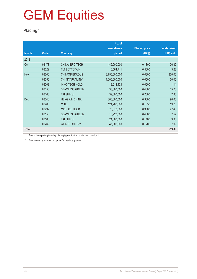#### **Placing\***

|              |             |                        | No. of        |                      |                     |
|--------------|-------------|------------------------|---------------|----------------------|---------------------|
|              |             |                        | new shares    | <b>Placing price</b> | <b>Funds raised</b> |
| <b>Month</b> | <b>Code</b> | <b>Company</b>         | placed        | (HK\$)               | $(HK$$ mil.)        |
| 2012         |             |                        |               |                      |                     |
| Oct          | 08178       | <b>CHINA INFO TECH</b> | 149,000,000   | 0.1800               | 26.82               |
|              | 08022       | <b>TLT LOTTOTAIN</b>   | 6,564,711     | 0.5000               | 3.28                |
| <b>Nov</b>   | 08306       | <b>CH NONFERROUS</b>   | 3,750,000,000 | 0.0800               | 300.00              |
|              | 08250       | CHI NATURAL INV        | 1,000,000,000 | 0.0500               | 50.00               |
|              | 08202       | <b>INNO-TECH HOLD</b>  | 19,012,424    | 0.0600               | 1.14                |
|              | 08150       | <b>SEAMLESS GREEN</b>  | 38,000,000    | 0.4000               | 15.20               |
|              | 08103       | <b>TAI SHING</b>       | 39,000,000    | 0.2000               | 7.80                |
| <b>Dec</b>   | 08046       | <b>HENG XIN CHINA</b>  | 300,000,000   | 0.3000               | 90.00               |
|              | 08266       | M TEL                  | 124,288,000   | 0.1550               | 19.26               |
|              | 08239       | <b>MING KEI HOLD</b>   | 78,370,000    | 0.3500               | 27.43               |
|              | 08150       | <b>SEAMLESS GREEN</b>  | 18,920,000    | 0.4000               | 7.57                |
|              | 08103       | <b>TAI SHING</b>       | 24,000,000    | 0.1400               | 3.36                |
|              | 08269       | <b>WEALTH GLORY</b>    | 47,000,000    | 0.1700               | 7.99                |
| <b>Total</b> |             |                        |               |                      | 559.86              |

\* Due to the reporting time-lag, placing figures for the quarter are provisional.

\*\* Supplementary information update for previous quarters.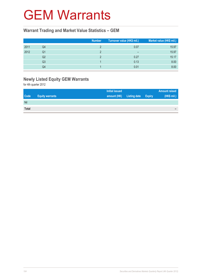#### GEM Warrants

#### **Warrant Trading and Market Value Statistics – GEM**

|      |    | <b>Number</b> | Turnover value (HK\$ mil.) | Market value (HK\$ mil.) |
|------|----|---------------|----------------------------|--------------------------|
| 2011 | Q4 |               | 0.07                       | 15.97                    |
| 2012 | Q1 |               | $\overline{\phantom{0}}$   | 15.97                    |
|      | Q2 |               | 0.27                       | 15.17                    |
|      | Q3 |               | 0.13                       | 8.00                     |
|      | Q4 |               | 0.01                       | 8.00                     |

#### **Newly Listed Equity GEM Warrants**

for 4th quarter 2012

|             |                        | <b>Initial issued</b> |                            | <b>Amount raised</b> |
|-------------|------------------------|-----------------------|----------------------------|----------------------|
| <b>Code</b> | <b>Equity warrants</b> | amount (HK)           | <b>Listing date Expiry</b> | (HK\$ mil.)          |
| Nil         |                        |                       |                            |                      |
| Total       |                        |                       |                            | -                    |
|             |                        |                       |                            |                      |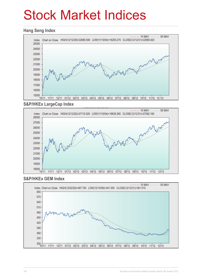## Stock Market Indices

#### **Hang Seng Index**



#### **S&P/HKEx LargeCap Index**



#### **S&P/HKEx GEM Index**

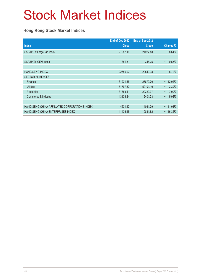# Stock Market Indices

#### **Hong Kong Stock Market Indices**

|                                               | End of Dec 2012 | End of Sep 2012 |                    |
|-----------------------------------------------|-----------------|-----------------|--------------------|
| <b>Index</b>                                  | <b>Close</b>    | <b>Close</b>    | Change %           |
| S&P/HKEx LargeCap Index                       | 27082.16        | 24927.48        | 8.64%<br>$+$       |
|                                               |                 |                 |                    |
| S&P/HKEx GEM Index                            | 381.51          | 348.25          | 9.55%<br>$\ddot{}$ |
|                                               |                 |                 |                    |
| <b>HANG SENG INDEX</b>                        | 22656.92        | 20840.38        | 8.72%<br>$+$       |
| <b>SECTORIAL INDICES</b>                      |                 |                 |                    |
| Finance                                       | 31231.56        | 27879.70        | 12.02%<br>$+$      |
| <b>Utilities</b>                              | 51797.82        | 50101.10        | 3.39%<br>$\ddot{}$ |
| Properties                                    | 31383.11        | 29329.97        | 7.00%<br>$+$       |
| Commerce & Industry                           | 13136.24        | 12401.73        | 5.92%<br>$\ddot{}$ |
|                                               |                 |                 |                    |
| HANG SENG CHINA-AFFILIATED CORPORATIONS INDEX | 4531.12         | 4081.79         | 11.01%<br>$+$      |
| HANG SENG CHINA ENTERPRISES INDEX             | 11436.16        | 9831.62         | 16.32%<br>$+$      |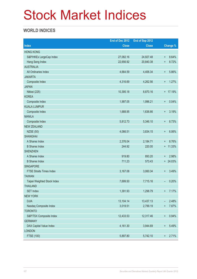## Stock Market Indices

#### **WORLD INDICES**

|                                 | End of Dec 2012 | End of Sep 2012 |                 |            |
|---------------------------------|-----------------|-----------------|-----------------|------------|
| <b>Index</b>                    | <b>Close</b>    | <b>Close</b>    |                 | Change %   |
| <b>HONG KONG</b>                |                 |                 |                 |            |
| S&P/HKEx LargeCap Index         | 27,082.16       | 24,927.48       | $\ddot{}$       | 8.64%      |
| Hang Seng Index                 | 22,656.92       | 20,840.38       | $\ddot{}$       | 8.72%      |
| <b>AUSTRALIA</b>                |                 |                 |                 |            |
| All Ordinaries Index            | 4,664.59        | 4,406.34        | $\ddot{}$       | 5.86%      |
| <b>JAKARTA</b>                  |                 |                 |                 |            |
| Composite Index                 | 4,316.69        | 4,262.56        | $\ddot{}$       | 1.27%      |
| <b>JAPAN</b>                    |                 |                 |                 |            |
| Nikkei (225)                    | 10,395.18       | 8,870.16        |                 | + 17.19%   |
| <b>KOREA</b>                    |                 |                 |                 |            |
| Composite Index                 | 1,997.05        | 1,996.21        | $\ddot{}$       | 0.04%      |
| <b>KUALA LUMPUR</b>             |                 |                 |                 |            |
| Composite Index                 | 1,688.95        | 1,636.66        | $\ddot{}$       | 3.19%      |
| <b>MANILA</b>                   |                 |                 |                 |            |
| Composite Index                 | 5,812.73        | 5,346.10        | $\ddot{}$       | 8.73%      |
| <b>NEW ZEALAND</b>              |                 |                 |                 |            |
| <b>NZSE (50)</b>                | 4,066.51        | 3,834.15        | $\ddot{}$       | 6.06%      |
| <b>SHANGHAI</b>                 |                 |                 |                 |            |
| A Shares Index                  | 2,376.04        | 2,184.71        | $\ddot{}$       | 8.76%      |
| <b>B</b> Shares Index           | 244.92          | 220.00          |                 | $+ 11.33%$ |
| <b>SHENZHEN</b>                 |                 |                 |                 |            |
| A Shares Index                  | 919.80          | 893.20          | $\ddot{}$       | 2.98%      |
| <b>B</b> Shares Index           | 711.23          | 573.43          |                 | $+ 24.03%$ |
| <b>SINGAPORE</b>                |                 |                 |                 |            |
| <b>FTSE Straits Times Index</b> | 3,167.08        | 3,060.34        | $\ddot{}$       | 3.49%      |
| <b>TAIWAN</b>                   |                 |                 |                 |            |
| Taipei Weighted Stock Index     | 7,699.50        | 7,715.16        | -               | 0.20%      |
| <b>THAILAND</b>                 |                 |                 |                 |            |
| <b>SET Index</b>                | 1,391.93        | 1,298.79        | $\ddot{}$       | 7.17%      |
| <b>NEW YORK</b>                 |                 |                 |                 |            |
| <b>DJIA</b>                     | 13,104.14       | 13,437.13       | -               | 2.48%      |
| Nasdaq Composite Index          | 3,019.51        | 2,799.19        | $\ddot{}$       | 7.87%      |
| <b>TORONTO</b>                  |                 |                 |                 |            |
| S&P/TSX Composite Index         | 12,433.53       | 12,317.46       | $^{\rm +}$      | 0.94%      |
| <b>GERMANY</b>                  |                 |                 |                 |            |
| DAX Capital Value Index         | 4,161.30        | 3,944.69        | $\ddot{}$       | 5.49%      |
| <b>LONDON</b>                   |                 |                 |                 |            |
| FTSE (100)                      | 5,897.80        | 5,742.10        | $^{\mathrm{+}}$ | 2.71%      |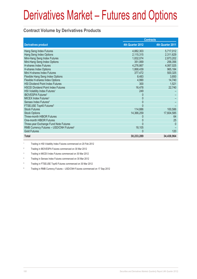### **Contract Volume by Derivatives Products**

|                                                     |                  | <b>Contracts</b> |
|-----------------------------------------------------|------------------|------------------|
| <b>Derivatives product</b>                          | 4th Quarter 2012 | 4th Quarter 2011 |
| Hang Seng Index Futures                             | 4,882,303        | 5,717,012        |
| Hang Seng Index Options                             | 2,115,315        | 2,311,629        |
| Mini-Hang Seng Index Futures                        | 1,832,074        | 2,873,202        |
| Mini-Hang Seng Index Options                        | 351,069          | 256,356          |
| H-shares Index Futures                              | 4,276,867        | 4,067,025        |
| H-shares Index Options                              | 1,868,439        | 965,184          |
| Mini H-shares Index Futures                         | 377,472          | 500,325          |
| Flexible Hang Seng Index Options                    | 8,483            | 3,850            |
| Flexible H-shares Index Options                     | 4,990            | 14,740           |
| HSI Dividend Point Index Futures                    | 300              | 1,521            |
| <b>HSCEI Dividend Point Index Futures</b>           | 16,478           | 22,740           |
| HSI Volatility Index Futures <sup>1</sup>           | 249              |                  |
| <b>IBOVESPA Futures<sup>2</sup></b>                 | 0                |                  |
| MICEX Index Futures <sup>3</sup>                    | 0                |                  |
| Sensex Index Futures <sup>4</sup>                   | $\Omega$         |                  |
| FTSE/JSE Top40 Futures <sup>5</sup>                 | $\Omega$         |                  |
| <b>Stock Futures</b>                                | 114,886          | 100,586          |
| <b>Stock Options</b>                                | 14,366,259       | 17,604,585       |
| Three-month HIBOR Futures                           |                  | 64               |
| One-month HIBOR Futures                             | 0                | 25               |
| Three-year Exchange Fund Note Futures               | $\Omega$         | $\mathbf{0}$     |
| RMB Currency Futures - USD/CNH Futures <sup>6</sup> | 18,105           |                  |
| <b>Gold Futures</b>                                 | $\mathbf{0}$     | 120              |
| <b>Total</b>                                        | 30,233,289       | 34,438,964       |

1 Trading in HSI Volatility Index Futures commenced on 20 Feb 2012

2 Trading in IBOVESPA Futures commenced on 30 Mar 2012

3 Trading in MICEX Index Futures commenced on 30 Mar 2012

4 Trading in Sensex Index Futures commenced on 30 Mar 2012

5 Trading in FTSE/JSE Top40 Futures commenced on 30 Mar 2012

6 Trading in RMB Currency Futures – USD/CNH Futures commenced on 17 Sep 2012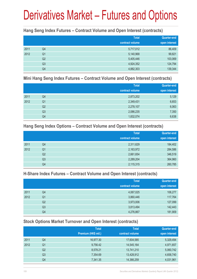#### **Hang Seng Index Futures – Contract Volume and Open Interest (contracts)**

|      |                | <b>Total</b><br>contract volume | <b>Quarter-end</b><br>open interest |
|------|----------------|---------------------------------|-------------------------------------|
| 2011 | Q4             | 5,717,012                       | 86,409                              |
| 2012 | Q <sub>1</sub> | 5,140,968                       | 99,821                              |
|      | Q <sub>2</sub> | 5,405,446                       | 103,069                             |
|      | Q <sub>3</sub> | 4,924,352                       | 124,794                             |
|      | Q4             | 4,882,303                       | 139,344                             |

#### **Mini Hang Seng Index Futures – Contract Volume and Open Interest (contracts)**

|      |                | <b>Total</b><br>contract volume | <b>Quarter-end</b><br>open interest |
|------|----------------|---------------------------------|-------------------------------------|
| 2011 | Q4             | 2,873,202                       | 5,129                               |
| 2012 | Q <sub>1</sub> | 2,349,431                       | 6,653                               |
|      | Q <sub>2</sub> | 2,278,107                       | 6,063                               |
|      | Q <sub>3</sub> | 2,086,235                       | 7,350                               |
|      | Q4             | 1,832,074                       | 6,638                               |

#### **Hang Seng Index Options – Contract Volume and Open Interest (contracts)**

|      |                | <b>Total</b>    | Quarter-end   |
|------|----------------|-----------------|---------------|
|      |                | contract volume | open interest |
| 2011 | Q4             | 2,311,629       | 184,402       |
| 2012 | Q <sub>1</sub> | 2,163,972       | 284,586       |
|      | Q <sub>2</sub> | 2,661,654       | 346,519       |
|      | Q <sub>3</sub> | 2,289,204       | 364,960       |
|      | Q4             | 2,115,315       | 260,785       |

### **H-Share Index Futures – Contract Volume and Open Interest (contracts)**

|      |                | <b>Total</b>    | <b>Quarter-end</b> |
|------|----------------|-----------------|--------------------|
|      |                | contract volume | open interest      |
| 2011 | Q4             | 4,067,025       | 106,277            |
| 2012 | Q <sub>1</sub> | 3,860,446       | 117,764            |
|      | Q <sub>2</sub> | 3,973,006       | 127,099            |
|      | Q3             | 3,813,494       | 142,443            |
|      | Q4             | 4,276,867       | 181,909            |

## **Stock Options Market Turnover and Open Interest (contracts)**

|      |    | <b>Total</b>        | <b>Total</b>    | Quarter-end   |
|------|----|---------------------|-----------------|---------------|
|      |    | Premium (HK\$ mil.) | contract volume | open interest |
| 2011 | Q4 | 16,977.30           | 17,604,585      | 5,329,494     |
| 2012 | Q1 | 9,756.42            | 14,545,164      | 4,971,657     |
|      | Q2 | 8,578.21            | 13,741,210      | 5,060,742     |
|      | Q3 | 7,354.69            | 13,428,912      | 4,658,740     |
|      | Q4 | 7,341.35            | 14,366,259      | 4,031,961     |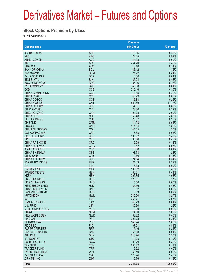#### **Stock Options Premium by Class**

for 4th Quarter 2012

|                                            |                          | Premium          |                |
|--------------------------------------------|--------------------------|------------------|----------------|
| <b>Options class</b>                       |                          | $(HK$$ mil.)     | % of total     |
| X ISHARES A50                              | A50                      | 613.36           | 8.35%          |
| <b>ABC</b>                                 | <b>ABC</b>               | 72.45            | 0.99%          |
| <b>ANHUI CONCH</b>                         | <b>ACC</b>               | 44.33            | 0.60%          |
| <b>AIA</b>                                 | <b>AIA</b>               | 254.20           | 3.46%          |
| <b>CHALCO</b>                              | <b>ALC</b>               | 10.40            | 0.14%          |
| <b>BANK OF CHINA</b>                       | <b>BCL</b>               | 136.12           | 1.85%          |
| <b>BANKCOMM</b>                            | <b>BCM</b>               | 24.72            | 0.34%          |
| <b>BANK OF E ASIA</b>                      | <b>BEA</b>               | 3.00             | 0.04%          |
| <b>BELLE INT'L</b><br><b>BOC HONG KONG</b> | <b>BIH</b><br><b>BOC</b> | 35.24<br>35.16   | 0.48%<br>0.48% |
| <b>BYD COMPANY</b>                         | <b>BYD</b>               | 45.00            | 0.61%          |
| <b>CCB</b>                                 | <b>CCB</b>               | 315.46           | 4.30%          |
| <b>CHINA COMM CONS</b>                     | CCC                      | 14.85            | 0.20%          |
| <b>CHINA COAL</b>                          | <b>CCE</b>               | 43.99            | 0.60%          |
| <b>CHINA COSCO</b>                         | <b>CCS</b>               | 15.83            | 0.22%          |
| <b>CHINA MOBILE</b>                        | <b>CHT</b>               | 864.39           | 11.77%         |
| <b>CHINA UNICOM</b>                        | <b>CHU</b>               | 64.61            | 0.88%          |
| <b>CITIC PACIFIC</b>                       | <b>CIT</b>               | 23.80            | 0.32%          |
| <b>CHEUNG KONG</b>                         | <b>CKH</b>               | 191.23           | 2.60%          |
| <b>CHINA LIFE</b>                          | <b>CLI</b>               | 358.46           | 4.88%          |
| <b>CLP HOLDINGS</b>                        | <b>CLP</b>               | 20.87            | 0.28%          |
| <b>CM BANK</b>                             | <b>CMB</b>               | 44.98            | 0.61%          |
| <b>CNOOC</b><br><b>CHINA OVERSEAS</b>      | <b>CNC</b><br>COL        | 114.64<br>141.55 | 1.56%<br>1.93% |
| <b>CATHAY PAC AIR</b>                      | <b>CPA</b>               | 3.33             | 0.05%          |
| SINOPEC CORP                               | <b>CPC</b>               | 108.82           | 1.48%          |
| <b>CPIC</b>                                | <b>CPI</b>               | 33.86            | 0.46%          |
| <b>CHINA RAIL CONS</b>                     | <b>CRC</b>               | 8.68             | 0.12%          |
| <b>CHINA RAILWAY</b>                       | <b>CRG</b>               | 3.62             | 0.05%          |
| X WISECSI300ETF                            | CS <sub>3</sub>          | 0.80             | 0.01%          |
| <b>CHINA SHENHUA</b>                       | <b>CSE</b>               | 93.78            | 1.28%          |
| <b>CITIC BANK</b>                          | <b>CTB</b>               | 9.60             | 0.13%          |
| <b>CHINA TELECOM</b>                       | <b>CTC</b>               | 24.64            | 0.34%          |
| <b>ESPRIT HOLDINGS</b>                     | <b>ESP</b>               | 21.43            | 0.29%          |
| <b>FIH</b><br><b>GALAXY ENT</b>            | <b>FIH</b>               | 6.88             | 0.09%          |
| <b>POWER ASSETS</b>                        | <b>GLX</b><br><b>HEH</b> | 108.92<br>30.21  | 1.48%<br>0.41% |
| <b>HKEX</b>                                | <b>HEX</b>               | 295.85           | 4.03%          |
| <b>HSBC HOLDINGS</b>                       | <b>HKB</b>               | 526.51           | 7.17%          |
| <b>HK &amp; CHINA GAS</b>                  | <b>HKG</b>               | 5.50             | 0.07%          |
| <b>HENDERSON LAND</b>                      | <b>HLD</b>               | 35.56            | 0.48%          |
| <b>HUANENG POWER</b>                       | <b>HNP</b>               | 6.52             | 0.09%          |
| <b>HANG SENG BANK</b>                      | <b>HSB</b>               | 6.63             | 0.09%          |
| <b>HUTCHISON</b>                           | <b>HWL</b>               | 240.20           | 3.27%          |
| <b>ICBC</b>                                | <b>ICB</b>               | 269.77           | 3.67%          |
| <b>JIANGXI COPPER</b>                      | <b>JXC</b>               | 46.73            | 0.64%          |
| LI & FUNG                                  | LIF                      | 89.50            | 1.22%          |
| <b>MTR CORPORATION</b><br><b>CNBM</b>      | <b>MTR</b><br><b>NBM</b> | 3.60<br>74.60    | 0.05%<br>1.02% |
| <b>NEW WORLD DEV</b>                       | <b>NWD</b>               | 33.82            | 0.46%          |
| <b>PING AN</b>                             | PAI                      | 391.78           | 5.34%          |
| <b>PETROCHINA</b>                          | PEC                      | 148.24           | 2.02%          |
| PICC P&C                                   | <b>PIC</b>               | 37.51            | 0.51%          |
| <b>R&amp;F PROPERTIES</b>                  | <b>RFP</b>               | 15.16            | 0.21%          |
| <b>SANDS CHINA LTD</b>                     | <b>SAN</b>               | 66.68            | 0.91%          |
| <b>SHK PPT</b>                             | <b>SHK</b>               | 213.24           | 2.90%          |
| <b>STANCHART</b>                           | <b>STC</b>               | 14.23            | 0.19%          |
| <b>SWIRE PACIFIC A</b>                     | <b>SWA</b>               | 33.29            | 0.45%          |
| <b>TENCENT</b>                             | <b>TCH</b>               | 600.32           | 8.18%          |
| <b>TRACKER FUND</b>                        | <b>TRF</b>               | 3.32             | 0.05%          |
| <b>WHARF HOLDINGS</b>                      | <b>WHL</b>               | 50.59            | 0.69%          |
| YANZHOU COAL                               | <b>YZC</b>               | 178.24           | 2.43%          |
| <b>ZIJIN MINING</b>                        | <b>ZJM</b>               | 10.76            | 0.15%          |
| <b>Total</b>                               |                          | 7,341.35         | 100.00%        |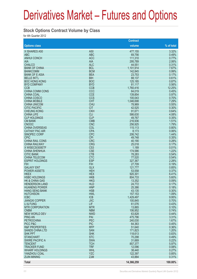#### **Stock Options Contract Volume by Class**

for 4th Quarter 2012

|                                            |                               | <b>Contract</b>   |                |
|--------------------------------------------|-------------------------------|-------------------|----------------|
| <b>Options class</b>                       |                               | volume            | % of total     |
| X ISHARES A50                              | A <sub>50</sub>               | 477,155           | 3.32%          |
| <b>ABC</b>                                 | <b>ABC</b>                    | 69,756            | 0.49%          |
| <b>ANHUI CONCH</b>                         | <b>ACC</b>                    | 111,310           | 0.77%          |
| <b>AIA</b>                                 | <b>AIA</b>                    | 295,789           | 2.06%          |
| <b>CHALCO</b>                              | <b>ALC</b>                    | 44,551            | 0.31%          |
| <b>BANK OF CHINA</b>                       | <b>BCL</b>                    | 1,101,914         | 7.67%          |
| <b>BANKCOMM</b>                            | <b>BCM</b>                    | 142,845           | 0.99%          |
| <b>BANK OF E ASIA</b>                      | <b>BEA</b>                    | 23,753            | 0.17%          |
| <b>BELLE INT'L</b><br><b>BOC HONG KONG</b> | <b>BIH</b><br><b>BOC</b>      | 88,137<br>125,185 | 0.61%<br>0.87% |
| <b>BYD COMPANY</b>                         | <b>BYD</b>                    | 81,117            | 0.56%          |
| <b>CCB</b>                                 | <b>CCB</b>                    | 1,760,416         | 12.25%         |
| <b>CHINA COMM CONS</b>                     | CCC                           | 64,019            | 0.45%          |
| <b>CHINA COAL</b>                          | <b>CCE</b>                    | 139,854           | 0.97%          |
| <b>CHINA COSCO</b>                         | <b>CCS</b>                    | 100,043           | 0.70%          |
| <b>CHINA MOBILE</b>                        | <b>CHT</b>                    | 1,046,698         | 7.29%          |
| <b>CHINA UNICOM</b>                        | <b>CHU</b>                    | 78,969            | 0.55%          |
| <b>CITIC PACIFIC</b>                       | <b>CIT</b>                    | 42,525            | 0.30%          |
| <b>CHEUNG KONG</b>                         | <b>CKH</b>                    | 91,671            | 0.64%          |
| <b>CHINA LIFE</b>                          | <b>CLI</b>                    | 586,630           | 4.08%          |
| <b>CLP HOLDINGS</b>                        | <b>CLP</b>                    | 49,767            | 0.35%          |
| <b>CM BANK</b>                             | <b>CMB</b>                    | 216,936           | 1.51%          |
| <b>CNOOC</b>                               | <b>CNC</b>                    | 256,925           | 1.79%          |
| <b>CHINA OVERSEAS</b>                      | COL                           | 115,113           | 0.80%          |
| <b>CATHAY PAC AIR</b>                      | <b>CPA</b>                    | 8,173             | 0.06%          |
| <b>SINOPEC CORP</b>                        | <b>CPC</b>                    | 206,742           | 1.44%          |
| <b>CPIC</b>                                | <b>CPI</b>                    | 49,748            | 0.35%          |
| <b>CHINA RAIL CONS</b>                     | <b>CRC</b>                    | 40.190            | 0.28%          |
| <b>CHINA RAILWAY</b><br>X WISECSI300ETF    | <b>CRG</b><br>CS <sub>3</sub> | 25,018<br>1,189   | 0.17%<br>0.01% |
| <b>CHINA SHENHUA</b>                       | <b>CSE</b>                    | 174,586           | 1.22%          |
| <b>CITIC BANK</b>                          | <b>CTB</b>                    | 78,283            | 0.54%          |
| <b>CHINA TELECOM</b>                       | <b>CTC</b>                    | 77,520            | 0.54%          |
| <b>ESPRIT HOLDINGS</b>                     | <b>ESP</b>                    | 327,367           | 2.28%          |
| <b>FIH</b>                                 | <b>FIH</b>                    | 27,709            | 0.19%          |
| <b>GALAXY ENT</b>                          | <b>GLX</b>                    | 121,777           | 0.85%          |
| <b>POWER ASSETS</b>                        | <b>HEH</b>                    | 53,558            | 0.37%          |
| <b>HKEX</b>                                | <b>HEX</b>                    | 920,301           | 6.41%          |
| <b>HSBC HOLDINGS</b>                       | <b>HKB</b>                    | 804,733           | 5.60%          |
| <b>HK &amp; CHINA GAS</b>                  | <b>HKG</b>                    | 13,352            | 0.09%          |
| <b>HENDERSON LAND</b>                      | <b>HLD</b>                    | 24,772            | 0.17%          |
| <b>HUANENG POWER</b>                       | <b>HNP</b>                    | 25,386            | 0.18%          |
| <b>HANG SENG BANK</b>                      | <b>HSB</b>                    | 43,135            | 0.30%          |
| <b>HUTCHISON</b>                           | <b>HWL</b>                    | 157,153           | 1.09%          |
| <b>ICBC</b>                                | <b>ICB</b>                    | 1,429,497         | 9.95%<br>0.70% |
| <b>JIANGXI COPPER</b><br>LI & FUNG         | <b>JXC</b><br>LIF             | 100,845<br>61,076 | 0.43%          |
| <b>MTR CORPORATION</b>                     | <b>MTR</b>                    | 13,865            | 0.10%          |
| <b>CNBM</b>                                | <b>NBM</b>                    | 106,952           | 0.74%          |
| <b>NEW WORLD DEV</b>                       | <b>NWD</b>                    | 63,828            | 0.44%          |
| <b>PING AN</b>                             | PAI                           | 475,796           | 3.31%          |
| <b>PETROCHINA</b>                          | <b>PEC</b>                    | 240,030           | 1.67%          |
| PICC P&C                                   | <b>PIC</b>                    | 64,363            | 0.45%          |
| <b>R&amp;F PROPERTIES</b>                  | <b>RFP</b>                    | 51,640            | 0.36%          |
| <b>SANDS CHINA LTD</b>                     | <b>SAN</b>                    | 171,823           | 1.20%          |
| <b>SHK PPT</b>                             | <b>SHK</b>                    | 118,613           | 0.83%          |
| <b>STANCHART</b>                           | <b>STC</b>                    | 70,298            | 0.49%          |
| <b>SWIRE PACIFIC A</b>                     | <b>SWA</b>                    | 31,669            | 0.22%          |
| <b>TENCENT</b>                             | <b>TCH</b>                    | 857,377           | 5.97%          |
| <b>TRACKER FUND</b>                        | <b>TRF</b>                    | 12,096            | 0.08%          |
| <b>WHARF HOLDINGS</b>                      | <b>WHL</b>                    | 38,440            | 0.27%          |
| YANZHOU COAL                               | <b>YZC</b>                    | 122,397           | 0.85%          |
| <b>ZIJIN MINING</b>                        | <b>ZJM</b>                    | 43,884            | 0.31%          |
| <b>Total</b>                               |                               | 14,366,259        | 100.00%        |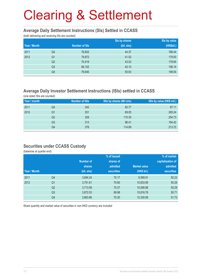#### **Average Daily Settlement Instructions (SIs) Settled in CCASS**

(both delivering and receiving SIs are counted)

|              |                |                      | Sis by shares | Sis by value |
|--------------|----------------|----------------------|---------------|--------------|
| Year / Month |                | <b>Number of SIs</b> | (bil. shs)    | (HK\$bil.)   |
| 2011         | Q4             | 76,802               | 44.37         | 186.44       |
| 2012         | Q <sub>1</sub> | 79,872               | 41.52         | 179.93       |
|              | Q <sub>2</sub> | 70,419               | 43.03         | 179.84       |
|              | Q <sub>3</sub> | 66,152               | 42.10         | 156.14       |
|              | Q4             | 76,640               | 50.63         | 198.54       |

### **Average Daily Investor Settlement Instructions (ISIs) settled in CCASS**

(one sided ISIs are counted)

| Year / month |                | <b>Number of ISIs</b> | ISIs by shares (Mil shs) | ISIs by value (HK\$ mil.) |
|--------------|----------------|-----------------------|--------------------------|---------------------------|
| 2011         | Q4             | 342                   | 83.77                    | 97.11                     |
| 2012         | Q1             | 351                   | 69.05                    | 265.24                    |
|              | Q2             | 329                   | 115.35                   | 254.73                    |
|              | Q <sub>3</sub> | 313                   | 96.41                    | 164.42                    |
|              | Q4             | 378                   | 114.69                   | 213.72                    |

#### **Securities under CCASS Custody**

(balances at quarter end)

|              |                |                  | % of issued       |                     | % of market       |
|--------------|----------------|------------------|-------------------|---------------------|-------------------|
|              |                | <b>Number of</b> | shares of         |                     | capitalisation of |
|              |                | <b>shares</b>    | admitted          | <b>Market value</b> | admitted          |
| Year / Month |                | (bil. shs)       | <b>securities</b> | (HK\$ bil.)         | <b>securities</b> |
| 2011         | Q4             | 3,694.24         | 70.17             | 9,599.91            | 50.23             |
| 2012         | Q <sub>1</sub> | 3,751.61         | 70.60             | 10,833.95           | 50.26             |
|              | Q <sub>2</sub> | 3,713.59         | 70.37             | 10,006.88           | 50.29             |
|              | Q <sub>3</sub> | 3,672.03         | 69.98             | 10,816.76           | 50.71             |
|              | Q4             | 3,663.66         | 70.30             | 12,330.06           | 51.73             |

Share quantity and market value of securities in non-HKD currency are included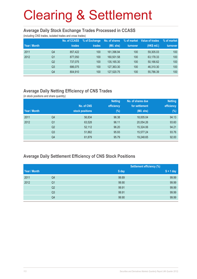#### **Average Daily Stock Exchange Trades Processed in CCASS**

(including CNS trades, isolated trades and cross trades)

| Year / Month |                | No. of CCASS<br>trades | % of Exchange<br>trades | No. of shares<br>(Mil. shs) | % of market<br>turnover | Value of trades<br>(HK\$ mil.) | % of market<br>turnover |
|--------------|----------------|------------------------|-------------------------|-----------------------------|-------------------------|--------------------------------|-------------------------|
| 2011         | Q4             | 857.422                | 100                     | 161.396.94                  | 100                     | 59.305.03                      | 100                     |
| 2012         | Q <sub>1</sub> | 877.050                | 100                     | 160.501.58                  | 100                     | 63,178.33                      | 100                     |
|              | Q <sub>2</sub> | 737.075                | 100                     | 135,165.30                  | 100                     | 50,166.62                      | 100                     |
|              | Q <sub>3</sub> | 686.075                | 100                     | 127,363.30                  | 100                     | 46,310.30                      | 100                     |
|              | Q4             | 804.910                | 100                     | 127,520.75                  | 100                     | 55,786.39                      | 100                     |

### **Average Daily Netting Efficiency of CNS Trades**

(in stock positions and share quantity)

|              |                |                 | <b>Netting</b> | No. of shares due | <b>Netting</b> |
|--------------|----------------|-----------------|----------------|-------------------|----------------|
|              |                | No. of CNS      | efficiency     | for settlement    | efficiency     |
| Year / Month |                | stock positions | $(\%)$         | (Mil. shs)        | (%)            |
| 2011         | Q4             | 56,834          | 96.38          | 18,005.04         | 94.13          |
| 2012         | Q <sub>1</sub> | 63,528          | 96.11          | 20,054.26         | 93.60          |
|              | Q <sub>2</sub> | 52,112          | 96.20          | 15,324.06         | 94.21          |
|              | Q <sub>3</sub> | 51,862          | 95.93          | 15,577.24         | 93.76          |
|              | Q4             | 61,879          | 95.79          | 19,248.65         | 92.00          |

#### **Average Daily Settlement Efficiency of CNS Stock Positions**

|              |                |       | <b>Settlement efficiency (%)</b> |
|--------------|----------------|-------|----------------------------------|
| Year / Month |                | S day | $S + 1$ day                      |
| 2011         | Q4             | 99.89 | 99.99                            |
| 2012         | Q <sub>1</sub> | 99.90 | 99.99                            |
|              | Q <sub>2</sub> | 99.91 | 99.99                            |
|              | Q <sub>3</sub> | 99.91 | 99.99                            |
|              | Q4             | 99.90 | 99.99                            |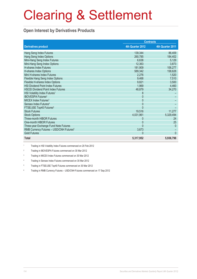### **Open Interest by Derivatives Products**

|                                                     |                  | <b>Contracts</b> |
|-----------------------------------------------------|------------------|------------------|
| <b>Derivatives product</b>                          | 4th Quarter 2012 | 4th Quarter 2011 |
| Hang Seng Index Futures                             | 139,344          | 86,409           |
| Hang Seng Index Options                             | 260,785          | 184,402          |
| Mini-Hang Seng Index Futures                        | 6,638            | 5,129            |
| Mini-Hang Seng Index Options                        | 12,363           | 3,873            |
| <b>H-shares Index Futures</b>                       | 181,909          | 106,277          |
| H-shares Index Options                              | 589,342          | 158,628          |
| Mini H-shares Index Futures                         | 2,276            | 1,520            |
| Flexible Hang Seng Index Options                    | 9,468            | 7,510            |
| Flexible H-shares Index Options                     | 9,821            | 3,500            |
| <b>HSI Dividend Point Index Futures</b>             | 1,969            | 4,460            |
| <b>HSCEI Dividend Point Index Futures</b>           | 48,879           | 34,270           |
| HSI Volatility Index Futures <sup>1</sup>           | 8                |                  |
| <b>IBOVESPA Futures<sup>2</sup></b>                 | 0                |                  |
| MICEX Index Futures <sup>3</sup>                    | 0                |                  |
| Sensex Index Futures <sup>4</sup>                   | $\mathbf{0}$     |                  |
| FTSE/JSE Top40 Futures <sup>5</sup>                 | $\Omega$         |                  |
| <b>Stock Futures</b>                                | 19,516           | 11,277           |
| <b>Stock Options</b>                                | 4,031,961        | 5,329,494        |
| <b>Three-month HIBOR Futures</b>                    | 0                | 24               |
| One-month HIBOR Futures                             | 0                | 25               |
| Three-year Exchange Fund Note Futures               | $\Omega$         | $\overline{0}$   |
| RMB Currency Futures - USD/CNH Futures <sup>6</sup> | 3,673            |                  |
| <b>Gold Futures</b>                                 | $\Omega$         | $\Omega$         |
| <b>Total</b>                                        | 5,317,952        | 5,936,798        |

1 Trading in HSI Volatility Index Futures commenced on 20 Feb 2012

2 Trading in IBOVESPA Futures commenced on 30 Mar 2012

3 Trading in MICEX Index Futures commenced on 30 Mar 2012

4 Trading in Sensex Index Futures commenced on 30 Mar 2012

5 Trading in FTSE/JSE Top40 Futures commenced on 30 Mar 2012

6 Trading in RMB Currency Futures – USD/CNH Futures commenced on 17 Sep 2012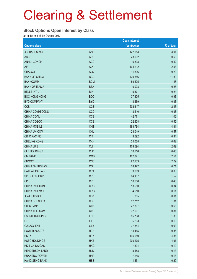#### **Stock Options Open Interest by Class**

as at the end of 4th Quarter 2012

|                        |                 | <b>Open interest</b> |            |
|------------------------|-----------------|----------------------|------------|
| <b>Options class</b>   |                 | (contracts)          | % of total |
| X ISHARES A50          | A50             | 122,653              | 3.04       |
| <b>ABC</b>             | <b>ABC</b>      | 23,932               | 0.59       |
| <b>ANHUI CONCH</b>     | <b>ACC</b>      | 16,898               | 0.42       |
| AIA                    | <b>AIA</b>      | 104,212              | 2.58       |
| <b>CHALCO</b>          | <b>ALC</b>      | 11,836               | 0.29       |
| <b>BANK OF CHINA</b>   | <b>BCL</b>      | 479,586              | 11.89      |
| <b>BANKCOMM</b>        | <b>BCM</b>      | 59,625               | 1.48       |
| <b>BANK OF E ASIA</b>  | <b>BEA</b>      | 10,008               | 0.25       |
| <b>BELLE INT'L</b>     | <b>BIH</b>      | 9,571                | 0.24       |
| <b>BOC HONG KONG</b>   | <b>BOC</b>      | 37,305               | 0.93       |
| <b>BYD COMPANY</b>     | <b>BYD</b>      | 13,469               | 0.33       |
| <b>CCB</b>             | <b>CCB</b>      | 502,817              | 12.47      |
| CHINA COMM CONS        | CCC             | 13,210               | 0.33       |
| <b>CHINA COAL</b>      | <b>CCE</b>      | 42,771               | 1.06       |
| CHINA COSCO            | <b>CCS</b>      | 22,308               | 0.55       |
| <b>CHINA MOBILE</b>    | <b>CHT</b>      | 193,784              | 4.81       |
| <b>CHINA UNICOM</b>    | <b>CHU</b>      | 23,049               | 0.57       |
| <b>CITIC PACIFIC</b>   | <b>CIT</b>      | 13,692               | 0.34       |
| <b>CHEUNG KONG</b>     | <b>CKH</b>      | 25,068               | 0.62       |
| <b>CHINA LIFE</b>      | <b>CLI</b>      | 108,594              | 2.69       |
| <b>CLP HOLDINGS</b>    | <b>CLP</b>      | 18,218               | 0.45       |
| <b>CM BANK</b>         | <b>CMB</b>      | 102,321              | 2.54       |
| <b>CNOOC</b>           | <b>CNC</b>      | 92,233               | 2.29       |
| CHINA OVERSEAS         | COL             | 28,472               | 0.71       |
| <b>CATHAY PAC AIR</b>  | <b>CPA</b>      | 3,063                | 0.08       |
| SINOPEC CORP           | <b>CPC</b>      | 64,137               | 1.59       |
| <b>CPIC</b>            | <b>CPI</b>      | 18,258               | 0.45       |
| CHINA RAIL CONS        | <b>CRC</b>      | 13,580               | 0.34       |
| <b>CHINA RAILWAY</b>   | <b>CRG</b>      | 4,610                | 0.11       |
| X WISECSI300ETF        | CS <sub>3</sub> | 385                  | 0.01       |
| <b>CHINA SHENHUA</b>   | <b>CSE</b>      | 52,712               | 1.31       |
| <b>CITIC BANK</b>      | <b>CTB</b>      | 27,307               | 0.68       |
| CHINA TELECOM          | <b>CTC</b>      | 32,601               | 0.81       |
| <b>ESPRIT HOLDINGS</b> | <b>ESP</b>      | 55,738               | 1.38       |
| <b>FIH</b>             | <b>FIH</b>      | 5,293                | 0.13       |
| <b>GALAXY ENT</b>      | <b>GLX</b>      | 37,344               | 0.93       |
| POWER ASSETS           | <b>HEH</b>      | 14,465               | 0.36       |
| <b>HKEX</b>            | <b>HEX</b>      | 195,080              | 4.84       |
| <b>HSBC HOLDINGS</b>   | <b>HKB</b>      | 200,275              | 4.97       |
| HK & CHINA GAS         | <b>HKG</b>      | 7,694                | 0.19       |
| <b>HENDERSON LAND</b>  | <b>HLD</b>      | 5,158                | 0.13       |
| <b>HUANENG POWER</b>   | <b>HNP</b>      | 7,245                | 0.18       |
| <b>HANG SENG BANK</b>  | <b>HSB</b>      | 11,651               | 0.29       |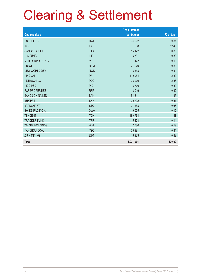|                           |            | <b>Open interest</b> |            |
|---------------------------|------------|----------------------|------------|
| <b>Options class</b>      |            | (contracts)          | % of total |
| <b>HUTCHISON</b>          | <b>HWL</b> | 34,022               | 0.84       |
| <b>ICBC</b>               | <b>ICB</b> | 501,988              | 12.45      |
| <b>JIANGXI COPPER</b>     | <b>JXC</b> | 15,172               | 0.38       |
| LI & FUNG                 | LIF        | 15,537               | 0.39       |
| <b>MTR CORPORATION</b>    | <b>MTR</b> | 7,472                | 0.19       |
| <b>CNBM</b>               | <b>NBM</b> | 21,070               | 0.52       |
| <b>NEW WORLD DEV</b>      | <b>NWD</b> | 13,553               | 0.34       |
| <b>PING AN</b>            | PAI        | 112,964              | 2.80       |
| <b>PETROCHINA</b>         | <b>PEC</b> | 95,279               | 2.36       |
| PICC P&C                  | <b>PIC</b> | 15,770               | 0.39       |
| <b>R&amp;F PROPERTIES</b> | <b>RFP</b> | 13,019               | 0.32       |
| <b>SANDS CHINA LTD</b>    | <b>SAN</b> | 54,341               | 1.35       |
| <b>SHK PPT</b>            | <b>SHK</b> | 20,702               | 0.51       |
| <b>STANCHART</b>          | <b>STC</b> | 27,268               | 0.68       |
| <b>SWIRE PACIFIC A</b>    | <b>SWA</b> | 6,625                | 0.16       |
| <b>TENCENT</b>            | <b>TCH</b> | 180,764              | 4.48       |
| <b>TRACKER FUND</b>       | <b>TRF</b> | 5,493                | 0.14       |
| <b>WHARF HOLDINGS</b>     | <b>WHL</b> | 7,780                | 0.19       |
| YANZHOU COAL              | <b>YZC</b> | 33,991               | 0.84       |
| <b>ZIJIN MINING</b>       | <b>ZJM</b> | 16,923               | 0.42       |
| <b>Total</b>              |            | 4,031,961            | 100.00     |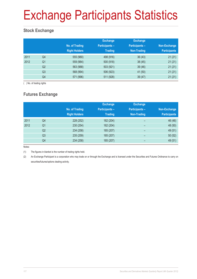# Exchange Participants Statistics

## **Stock Exchange**

|      |                | No. of Trading<br><b>Right Holders</b> | <b>Exchange</b><br><b>Participants -</b><br><b>Trading</b> | <b>Exchange</b><br><b>Participants -</b><br>Non-Trading | Non-Exchange<br><b>Participants</b> |
|------|----------------|----------------------------------------|------------------------------------------------------------|---------------------------------------------------------|-------------------------------------|
| 2011 | Q4             | 555 (980)                              | 498 (916)                                                  | 36(43)                                                  | 21(21)                              |
| 2012 | Q <sub>1</sub> | 559 (984)                              | 500 (918)                                                  | 38(45)                                                  | 21(21)                              |
|      | Q <sub>2</sub> | 563 (988)                              | 503 (921)                                                  | 39 (46)                                                 | 21(21)                              |
|      | Q3             | 568 (994)                              | 506 (923)                                                  | 41 (50)                                                 | 21(21)                              |
|      | Q4             | 571 (996)                              | 511 (928)                                                  | 39(47)                                                  | 21(21)                              |

( ) No. of trading rights

## **Futures Exchange**

|      |                | No. of Trading<br><b>Right Holders</b> | <b>Exchange</b><br><b>Participants-</b><br><b>Trading</b> | <b>Exchange</b><br><b>Participants -</b><br>Non-Trading | Non-Exchange<br><b>Participants</b> |
|------|----------------|----------------------------------------|-----------------------------------------------------------|---------------------------------------------------------|-------------------------------------|
| 2011 | Q4             | 228 (252)                              | 182 (204)                                                 | -                                                       | 46 (48)                             |
| 2012 | Q <sub>1</sub> | 230 (254)                              | 182 (204)                                                 | $\overline{\phantom{0}}$                                | 48 (50)                             |
|      | Q2             | 234 (258)                              | 185 (207)                                                 | $\overline{\phantom{0}}$                                | 49 (51)                             |
|      | Q <sub>3</sub> | 235 (259)                              | 185 (207)                                                 | -                                                       | 50(52)                              |
|      | Q4             | 234 (258)                              | 185 (207)                                                 | -                                                       | 49 (51)                             |

Notes:

(1) The figures in blanket is the number of trading rights held.

(2) An Exchange Participant is a corporation who may trade on or through the Exchange and is licensed under the Securities and Futures Ordinance to carry on securities/futures/options dealing activity.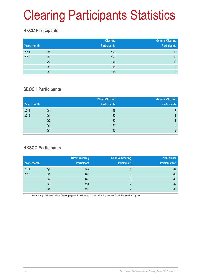# Clearing Participants Statistics

### **HKCC Participants**

| Year / month |                | <b>Clearing</b><br><b>Participants</b> | <b>General Clearing</b><br><b>Participants</b> |
|--------------|----------------|----------------------------------------|------------------------------------------------|
| 2011         | Q4             | 156                                    | 10                                             |
| 2012         | Q <sub>1</sub> | 156                                    | 10                                             |
|              | Q <sub>2</sub> | 158                                    | 10                                             |
|              | Q <sub>3</sub> | 158                                    | 9                                              |
|              | Q4             | 158                                    | 9                                              |

### **SEOCH Participants**

| Year / month |                | <b>Direct Clearing</b><br><b>Participants</b> | <b>General Clearing</b><br><b>Participants</b> |
|--------------|----------------|-----------------------------------------------|------------------------------------------------|
| 2011         | Q4             | 59                                            |                                                |
| 2012         | Q <sub>1</sub> | 59                                            | 8                                              |
|              | Q2             | 59                                            | 8                                              |
|              | Q3             | 62                                            | 8                                              |
|              | Q4             | 63                                            | 9                                              |

## **HKSCC Participants**

|              |                | <b>Direct Clearing</b> | <b>General Clearing</b> | Non-broker           |
|--------------|----------------|------------------------|-------------------------|----------------------|
| Year / month |                | <b>Participant</b>     | <b>Participant</b>      | <b>Participants*</b> |
| 2011         | Q4             | 482                    |                         | 47                   |
| 2012         | Q1             | 487                    | 8                       | 48                   |
|              | Q <sub>2</sub> | 489                    | 8                       | 48                   |
|              | Q3             | 491                    | 9                       | 47                   |
|              | Q4             | 493                    | 9                       | 46                   |

Non-broker participants include Clearing Agency Participants, Custodian Participants and Stock Pledgee Participants.